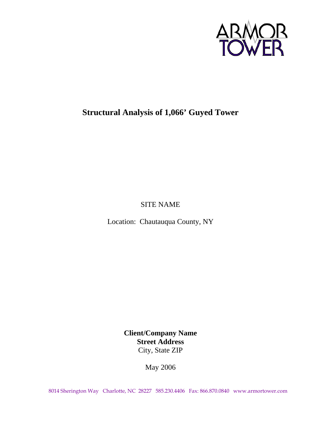

### **Structural Analysis of 1,066' Guyed Tower**

SITE NAME

Location: Chautauqua County, NY

**Client/Company Name Street Address** City, State ZIP

May 2006

8014 Sherington Way Charlotte, NC 28227 585.230.4406 Fax: 866.870.0840 www.armortower.com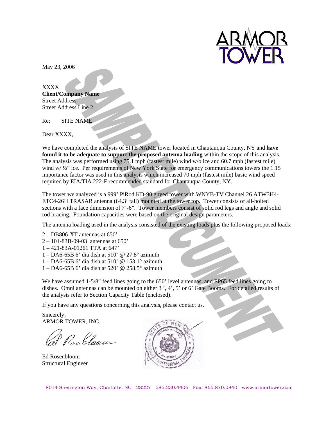

May 23, 2006

XXXX **Client/Company Name**  Street Address Street Address Line 2

Re: SITE NAME

Dear XXXX,

We have completed the analysis of SITE NAME tower located in Chautauqua County, NY and **have found it to be adequate to support the proposed antenna loading** within the scope of this analysis. The analysis was performed using 75.1 mph (fastest mile) wind w/o ice and 60.7 mph (fastest mile) wind  $w / \frac{1}{2}$  ice. Per requirements of New York State for emergency communications towers the 1.15 importance factor was used in this analysis which increased 70 mph (fastest mile) basic wind speed required by EIA/TIA 222-F recommended standard for Chautauqua County, NY.

The tower we analyzed is a 999' PiRod KD-90 guyed tower with WNYB-TV Channel 26 ATW3H4- ETC4-26H TRASAR antenna (64.3' tall) mounted at the tower top. Tower consists of all-bolted sections with a face dimension of 7'-6". Tower members consist of solid rod legs and angle and solid rod bracing. Foundation capacities were based on the original design parameters.

The antenna loading used in the analysis consisted of the existing loads plus the following proposed loads:

- 2 DB806-XT antennas at 650'
- $2 101 83B 09 03$  antennas at 650'
- 1 421-83A-01261 TTA at 647'
- 1 DA6-65B 6' dia dish at 510' @ 27.8° azimuth
- 1 DA6-65B 6' dia dish at 510' @ 153.1° azimuth
- 1 DA6-65B 6' dia dish at 520' @ 258.5° azimuth

We have assumed 1-5/8" feed lines going to the 650' level antennas, and EP65 feed lines going to dishes. Omni antennas can be mounted on either 3 ', 4', 5' or 6' Gate Booms. For detailed results of the analysis refer to Section Capacity Table (enclosed).

If you have any questions concerning this analysis, please contact us.

Sincerely, ARMOR TOWER, INC.

De Robert

Ed Rosenbloom Structural Engineer

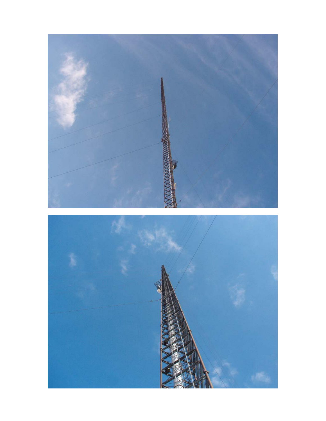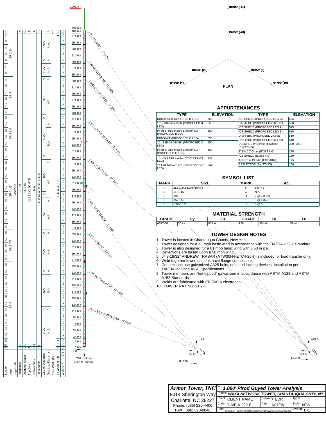

|                                                                      | Armor Tower, INC <sup>lob:</sup> 1,060' Pirod Guyed Tower Analysis |                |               |  |  |
|----------------------------------------------------------------------|--------------------------------------------------------------------|----------------|---------------|--|--|
| 8014 Sherington Way Project: WXXX NETWORK TOWER, CHAUTAUQUA CNTY, NY |                                                                    |                |               |  |  |
| Charlotte, NC 28227                                                  | Client: CLIENT NAME                                                | Drawn by: EDR  | App'd:        |  |  |
| Phone: (585) 230-4406                                                | Code: TIA/EIA-222-F                                                | Date: 11/07/06 | Scale: NTS    |  |  |
| FAX: (866) 870-0840                                                  | Path: C:\Armor Tower\Projects\DDS\Arkwright\WebSite\Arkwright.eri  |                | Dwg No. $F-1$ |  |  |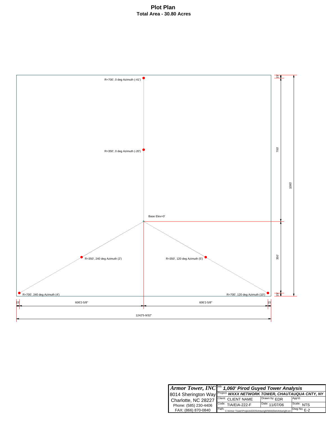#### **Plot Plan Total Area - 30.80 Acres**



|                                                                      | $[Arrower, INC]$ <sup>lob:</sup> 1,060' Pirod Guyed Tower Analysis |                |                           |  |  |
|----------------------------------------------------------------------|--------------------------------------------------------------------|----------------|---------------------------|--|--|
| 8014 Sherington Way Project: WXXX NETWORK TOWER, CHAUTAUQUA CNTY, NY |                                                                    |                |                           |  |  |
| Charlotte, NC 28227                                                  | Client: CLIENT NAME                                                | Drawn by: FDR  | App'd:                    |  |  |
| Phone: (585) 230-4406                                                | Code: TIA/EIA-222-F                                                | Date: 11/07/06 | Scale: NTS                |  |  |
| FAX: (866) 870-0840                                                  | Path: C:\Armor Tower\Projects\DDS\Arkwright\WebSite\Arkwright.eri  |                | . ∣Dwg No. <sub>F-2</sub> |  |  |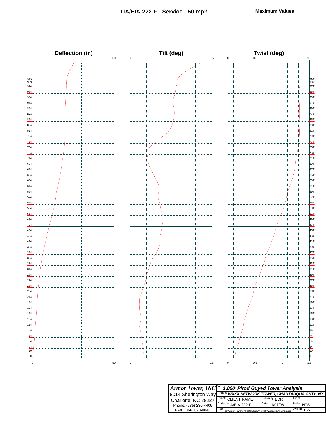

| $\overline{Armor\, Tower, INC}^{\text{Dot}}$ 1,060' Pirod Guyed Tower Analysis |                                                                   |                |                        |
|--------------------------------------------------------------------------------|-------------------------------------------------------------------|----------------|------------------------|
| 8014 Sherington Way Project: WXXX NETWORK TOWER, CHAUTAUQUA CNTY, NY           |                                                                   |                |                        |
| Charlotte, NC 28227                                                            | Client: CLIENT NAME                                               | Drawn by: EDR  | App'd:                 |
| Phone: (585) 230-4406                                                          | Code: TIA/EIA-222-F                                               | Date: 11/07/06 | Scale: NTS             |
| FAX: (866) 870-0840                                                            | Path: C:\Armor Tower\Projects\DDS\Arkwright\WebSite\Arkwright.eri |                | $\sqrt{Dwg}$ No. $F-5$ |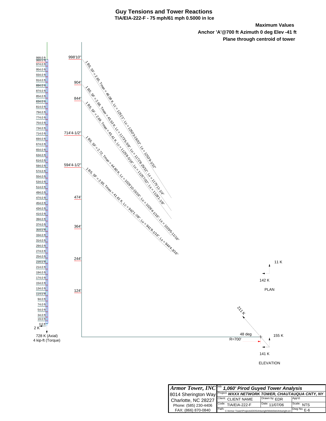#### **Guy Tensions and Tower Reactions TIA/EIA-222-F - 75 mph/61 mph 0.5000 in Ice**

**Maximum Values Anchor 'A'@700 ft Azimuth 0 deg Elev -41 ft Plane through centroid of tower**



| $[Armor \, Tower, \, INC]$ <sup><math> </math>ob:</sup> 1,060' Pirod Guyed Tower Analysis |                                                                   |                |                          |
|-------------------------------------------------------------------------------------------|-------------------------------------------------------------------|----------------|--------------------------|
| 8014 Sherington Way Project: WXXX NETWORK TOWER, CHAUTAUQUA CNTY, NY                      |                                                                   |                |                          |
| Charlotte, NC 28227                                                                       | Client: CLIENT NAME                                               | Drawn by: EDR  | App'd:                   |
| Phone: (585) 230-4406                                                                     | Code: TIA/EIA-222-F                                               | Date: 11/07/06 | Scale: NTS               |
| FAX: (866) 870-0840                                                                       | Path: C:\Armor Tower\Projects\DDS\Arkwright\WebSite\Arkwright.eri |                | $\sqrt{Dwg}$ No. $F - 6$ |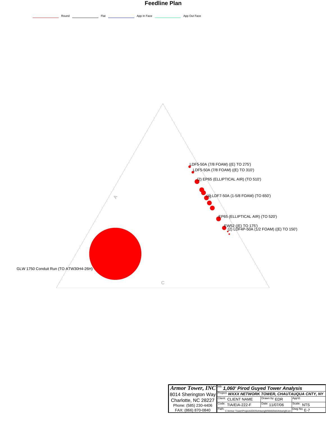

| $Armor Tower, INC^{\text{loc}}$ 1,060' Pirod Guyed Tower Analysis    |                                                                       |                      |             |
|----------------------------------------------------------------------|-----------------------------------------------------------------------|----------------------|-------------|
| 8014 Sherington Way Project: WXXX NETWORK TOWER, CHAUTAUQUA CNTY, NY |                                                                       |                      |             |
| Charlotte, NC 28227                                                  | Client: CLIENT NAME                                                   | <b>Drawn by: FDR</b> | App'd:      |
| Phone: (585) 230-4406                                                | Code: TIA/EIA-222-F                                                   | Date: 11/07/06       | Scale: NTS  |
| FAX: (866) 870-0840                                                  | Path: C:\Armor Tower\Projects\DDS\Arkwright\WebSite\Arkwright.eri   ' |                      | Dwg No. F-7 |

#### **Feedline Plan**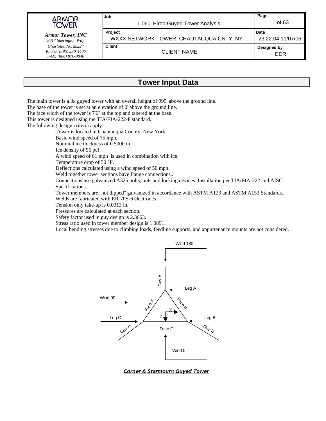|                                                | Job                                     | Page              |
|------------------------------------------------|-----------------------------------------|-------------------|
| <b>TOWFR</b>                                   | 1,060' Pirod Guyed Tower Analysis       | 1 of 63           |
|                                                | Project                                 | <b>Date</b>       |
| <b>Armor Tower, INC</b><br>8014 Sherington Way | WXXX NETWORK TOWER, CHAUTAUQUA CNTY, NY | 23:22:04 11/07/06 |
| Charlotte, NC 28227                            | <b>Client</b>                           | Designed by       |
| Phone: (585) 230-4406                          | <b>CLIENT NAME</b>                      | <b>EDR</b>        |
| FAX: (866) 870-0840                            |                                         |                   |

#### **Tower Input Data**

The main tower is a 3x guyed tower with an overall height of 999' above the ground line.

The base of the tower is set at an elevation of 0' above the ground line.

The face width of the tower is 7'6'' at the top and tapered at the base.

This tower is designed using the TIA/EIA-222-F standard.

The following design criteria apply:

Tower is located in Chautauqua County, New York.

Basic wind speed of 75 mph.

Nominal ice thickness of 0.5000 in.

Ice density of 56 pcf.

A wind speed of 61 mph is used in combination with ice.

Temperature drop of 50 °F.

Deflections calculated using a wind speed of 50 mph.

Weld together tower sections have flange connections..

Connections use galvanized A325 bolts, nuts and locking devices. Installation per TIA/EIA-222 and AISC Specifications..

Tower members are ''hot dipped'' galvanized in accordance with ASTM A123 and ASTM A153 Standards.. Welds are fabricated with ER-70S-6 electrodes..

Tension only take-up is 0.0313 in.

Pressures are calculated at each section.

Safety factor used in guy design is 2.3663.

Stress ratio used in tower member design is 1.0891.

Local bending stresses due to climbing loads, feedline supports, and appurtenance mounts are not considered.



*Corner & Starmount Guyed Tower*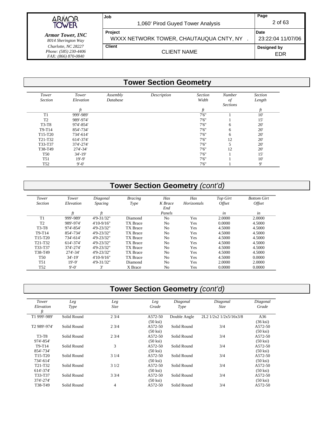| ARMOR<br><b>TOWER</b> |  |
|-----------------------|--|
|                       |  |

| Job                                       | Page              |
|-------------------------------------------|-------------------|
| 1,060' Pirod Guyed Tower Analysis         | 2 of 63           |
| Project                                   | <b>Date</b>       |
| WXXX NETWORK TOWER, CHAUTAUQUA CNTY, NY . | 23:22:04 11/07/06 |
| <b>Client</b>                             | Designed by       |
| <b>CLIENT NAME</b>                        | <b>EDR</b>        |

### **Tower Section Geometry**

| Tower                            | Tower       | Assembly | Description | <b>Section</b> | <b>Number</b>   | <b>Section</b> |
|----------------------------------|-------------|----------|-------------|----------------|-----------------|----------------|
| Section                          | Elevation   | Database |             | Width          | of              | Length         |
|                                  |             |          |             |                | <b>Sections</b> |                |
|                                  |             |          |             | ft             |                 | ft             |
| T1                               | 999'-989'   |          |             | 7'6''          |                 | 10'            |
| T <sub>2</sub>                   | 989'-974'   |          |             | 7'6''          |                 | 15'            |
| <b>T3-T8</b>                     | 974'-854'   |          |             | 7'6''          | 6               | 20'            |
| T9-T14                           | 854'-734'   |          |             | 7'6''          | 6               | 20'            |
| T <sub>15</sub> -T <sub>20</sub> | 734'-614'   |          |             | 7'6''          | 6               | 20'            |
| T21-T32                          | 614'-374'   |          |             | 7'6''          | 12              | 20'            |
| T33-T37                          | 374'-274'   |          |             | 7'6''          | 5               | 20'            |
| T38-T49                          | 274'-34'    |          |             | 7'6''          | 12              | 20'            |
| T50                              | $34' - 19'$ |          |             | 7'6''          |                 | 15'            |
| <b>T51</b>                       | $19' - 9'$  |          |             | 7'6''          |                 | 10'            |
| T52                              | $9' - 0'$   |          |             | 7'6''          |                 | 9'             |

# **Tower Section Geometry** *(cont'd)*

| Tower                            | Tower        | Diagonal     | <b>Bracing</b> | Has            | Has         | Top Girt | <b>Bottom Girt</b> |
|----------------------------------|--------------|--------------|----------------|----------------|-------------|----------|--------------------|
| <b>Section</b>                   | Elevation    | Spacing      | Type           | K Brace        | Horizontals | Offset   | <b>Offset</b>      |
|                                  |              |              |                | End            |             |          |                    |
|                                  | ft           | ft           |                | Panels         |             | in       | in                 |
| T1                               | 999'-989'    | 4'9-31/32"   | Diamond        | N <sub>0</sub> | Yes         | 2.0000   | 2.0000             |
| T2                               | 989'-974'    | $4'10-9/16"$ | TX Brace       | No             | Yes         | 0.0000   | 4.5000             |
| <b>T3-T8</b>                     | 974'-854'    | 4'9-23/32"   | TX Brace       | No             | Yes         | 4.5000   | 4.5000             |
| T9-T14                           | 854'-734'    | 4'9-23/32"   | TX Brace       | No             | Yes         | 4.5000   | 4.5000             |
| $T15-T20$                        | 734'-614'    | 4'9-23/32"   | TX Brace       | No             | Yes         | 4.5000   | 4.5000             |
| T <sub>21</sub> -T <sub>32</sub> | 614'-374'    | 4'9-23/32"   | TX Brace       | No             | Yes         | 4.5000   | 4.5000             |
| T33-T37                          | 374'-274'    | 4'9-23/32"   | TX Brace       | No             | Yes         | 4.5000   | 4.5000             |
| T38-T49                          | $274' - 34'$ | 4'9-23/32"   | TX Brace       | N <sub>0</sub> | Yes         | 4.5000   | 4.5000             |
| T <sub>50</sub>                  | $34' - 19'$  | $4'10-9/16"$ | TX Brace       | No             | Yes         | 4.5000   | 0.0000             |
| T51                              | $19' - 9'$   | 4'9-31/32"   | Diamond        | No             | Yes         | 2.0000   | 2.0000             |
| T52                              | $9' - 0'$    | 3'           | X Brace        | No             | Yes         | 0.0000   | 0.0000             |

| Tower                            | Leg         | Leg  | Leg               | Diagonal     | Diagonal                      | Diagonal          |
|----------------------------------|-------------|------|-------------------|--------------|-------------------------------|-------------------|
| Elevation                        | Type        | Size | Grade             | Type         | Size                          | Grade             |
| ft                               |             |      |                   |              |                               |                   |
| T1 999'-989'                     | Solid Round | 23/4 | A572-50           | Double Angle | $2L.2$ $1/2x2$ $1/2x5/16x3/8$ | A36               |
|                                  |             |      | $(50 \text{ ks})$ |              |                               | $(36 \text{ ks})$ |
| T <sub>2</sub> 989'-974'         | Solid Round | 23/4 | A572-50           | Solid Round  | 3/4                           | A572-50           |
|                                  |             |      | $(50 \text{ ks})$ |              |                               | $(50 \text{ ks})$ |
| <b>T3-T8</b>                     | Solid Round | 23/4 | A572-50           | Solid Round  | 3/4                           | A572-50           |
| 974'-854'                        |             |      | $(50 \text{ ks})$ |              |                               | $(50 \text{ ks})$ |
| T9-T14                           | Solid Round | 3    | A572-50           | Solid Round  | 3/4                           | A572-50           |
| 854'-734'                        |             |      | $(50 \text{ ks})$ |              |                               | $(50 \text{ ks})$ |
| T <sub>15</sub> -T <sub>20</sub> | Solid Round | 31/4 | A572-50           | Solid Round  | 3/4                           | A572-50           |
| 734'-614'                        |             |      | $(50 \text{ ks})$ |              |                               | $(50 \text{ ks})$ |
| T21-T32                          | Solid Round | 31/2 | A572-50           | Solid Round  | 3/4                           | A572-50           |
| 614'-374'                        |             |      | $(50 \text{ ks})$ |              |                               | $(50 \text{ ks})$ |
| T33-T37                          | Solid Round | 33/4 | A572-50           | Solid Round  | 3/4                           | A572-50           |
| 374'-274'                        |             |      | $(50 \text{ ks})$ |              |                               | $(50 \text{ ks})$ |
| T38-T49                          | Solid Round | 4    | A572-50           | Solid Round  | 3/4                           | A572-50           |
|                                  |             |      |                   |              |                               |                   |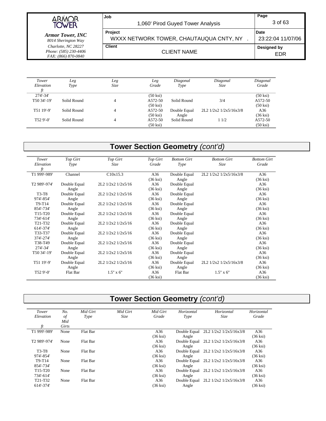| ARMOP                                                               | Job                                     | Page               |
|---------------------------------------------------------------------|-----------------------------------------|--------------------|
| <b>TOWER</b>                                                        | 1,060' Pirod Guyed Tower Analysis       | 3 of 63            |
| <b>Armor Tower, INC</b>                                             | <b>Project</b>                          | <b>Date</b>        |
| 8014 Sherington Way                                                 | WXXX NETWORK TOWER, CHAUTAUQUA CNTY, NY | 23:22:04 11/07/06  |
| Charlotte, NC 28227<br>Phone: (585) 230-4406<br>FAX: (866) 870-0840 | <b>Client</b><br><b>CLIENT NAME</b>     | Designed by<br>EDR |

| Tower        | Leg         | Leg         | Leg               | Diagonal     | Diagonal                      | Diagonal          |
|--------------|-------------|-------------|-------------------|--------------|-------------------------------|-------------------|
| Elevation    | Type        | <i>Size</i> | Grade             | Type         | Size                          | Grade             |
|              |             |             |                   |              |                               |                   |
| $274' - 34'$ |             |             | $(50 \text{ ks})$ |              |                               | $(50 \text{ ks})$ |
| T50 34'-19'  | Solid Round | 4           | A572-50           | Solid Round  | 3/4                           | A572-50           |
|              |             |             | $(50 \text{ ks})$ |              |                               | $(50 \text{ ks})$ |
| T51 19'-9'   | Solid Round | 4           | A572-50           | Double Equal | $2L.2$ $1/2x2$ $1/2x5/16x3/8$ | A36               |
|              |             |             | $(50 \text{ ks})$ | Angle        |                               | $(36 \text{ ks})$ |
| $T529' - 0'$ | Solid Round | 4           | A572-50           | Solid Round  | 11/2                          | A572-50           |
|              |             |             | $(50 \text{ ks})$ |              |                               | $(50 \text{ ks})$ |

## **Tower Section Geometry** *(cont'd)*

| Tower                            | Top Girt     | Top Girt                               | Top Girt          | <b>Bottom Girt</b> | <b>Bottom Girt</b>     | <b>Bottom Girt</b> |
|----------------------------------|--------------|----------------------------------------|-------------------|--------------------|------------------------|--------------------|
| Elevation                        | Type         | <i>Size</i>                            | Grade             | Type               | Size                   | Grade              |
| ft                               |              |                                        |                   |                    |                        |                    |
| T1 999'-989'                     | Channel      | C10x15.3                               | A36               | Double Equal       | 2L2 1/2x2 1/2x5/16x3/8 | A36                |
|                                  |              |                                        | $(36 \text{ ks})$ | Angle              |                        | $(36 \text{ ks})$  |
| T <sub>2</sub> 989'-974'         | Double Equal | 2L2 1/2x2 1/2x5/16                     | A36               | Double Equal       |                        | A36                |
|                                  | Angle        |                                        | $(36 \text{ ks})$ | Angle              |                        | $(36 \text{ ks})$  |
| T3-T8                            | Double Equal | 2L2 1/2x2 1/2x5/16                     | A36               | Double Equal       |                        | A36                |
| 974'-854'                        | Angle        |                                        | $(36 \text{ ks})$ | Angle              |                        | $(36 \text{ ks})$  |
| T9-T14                           | Double Equal | 2L2 1/2x2 1/2x5/16                     | A36               | Double Equal       |                        | A36                |
| 854'-734'                        | Angle        |                                        | $(36 \text{ ks})$ | Angle              |                        | $(36 \text{ ks})$  |
| T <sub>15</sub> -T <sub>20</sub> | Double Equal | 2L2 1/2x2 1/2x5/16                     | A36               | Double Equal       |                        | A36                |
| 734'-614'                        | Angle        |                                        | $(36 \text{ ks})$ | Angle              |                        | $(36 \text{ ks})$  |
| T21-T32                          | Double Equal | 2L2 1/2x2 1/2x5/16                     | A36               | Double Equal       |                        | A36                |
| 614'-374'                        | Angle        |                                        | $(36 \text{ ks})$ | Angle              |                        | $(36 \text{ ks})$  |
| T33-T37                          | Double Equal | $2L2 \frac{1}{2x^2} \frac{1}{2x^5/16}$ | A36               | Double Equal       |                        | A36                |
| 374'-274'                        | Angle        |                                        | $(36 \text{ ks})$ | Angle              |                        | $(36 \text{ ks})$  |
| T38-T49                          | Double Equal | 2L2 1/2x2 1/2x5/16                     | A36               | Double Equal       |                        | A36                |
| 274'-34'                         | Angle        |                                        | $(36 \text{ ks})$ | Angle              |                        | $(36 \text{ ks})$  |
| T50 34'-19'                      | Double Equal | 2L2 1/2x2 1/2x5/16                     | A36               | Double Equal       |                        | A36                |
|                                  | Angle        |                                        | $(36 \text{ ks})$ | Angle              |                        | $(36 \text{ ks})$  |
| T51 19'-9'                       | Double Equal | 2L2 1/2x2 1/2x5/16                     | A36               | Double Equal       | 2L2 1/2x2 1/2x5/16x3/8 | A36                |
|                                  | Angle        |                                        | $(36 \text{ ks})$ | Angle              |                        | $(36 \text{ ks})$  |
| T52 9'-0'                        | Flat Bar     | $1.5" \times 6"$                       | A36               | Flat Bar           | $1.5" \times 6"$       | A36                |
|                                  |              |                                        | $(36 \text{ ks})$ |                    |                        | $(36 \text{ ks})$  |

| Tower                            | No.   | Mid Girt | Mid Girt | Mid Girt          | Horizontal   | Horizontal                                                      | Horizontal        |
|----------------------------------|-------|----------|----------|-------------------|--------------|-----------------------------------------------------------------|-------------------|
| Elevation                        | οf    | Type     | Size     | Grade             | Type         | Size                                                            | Grade             |
|                                  | Mid   |          |          |                   |              |                                                                 |                   |
| ft                               | Girts |          |          |                   |              |                                                                 |                   |
| T1 999'-989'                     | None  | Flat Bar |          | A36               |              | Double Equal $2L2 \frac{1}{2x^2} \frac{1}{2x^5} \frac{1}{6x^3}$ | A36               |
|                                  |       |          |          | $(36 \text{ ks})$ | Angle        |                                                                 | $(36 \text{ ks})$ |
| T <sub>2</sub> 989'-974'         | None  | Flat Bar |          | A36               | Double Equal | 2L2 1/2x2 1/2x5/16x3/8                                          | A36               |
|                                  |       |          |          | $(36 \text{ ks})$ | Angle        |                                                                 | $(36 \text{ ks})$ |
| <b>T3-T8</b>                     | None  | Flat Bar |          | A36               |              | Double Equal $2L2 \frac{1}{2x^2} \frac{1}{2x^5/16x^3/8}$        | A36               |
| 974'-854'                        |       |          |          | $(36 \text{ ks})$ | Angle        |                                                                 | $(36 \text{ ks})$ |
| T9-T14                           | None  | Flat Bar |          | A36               |              | Double Equal $2L2 \frac{1}{2x^2} \frac{1}{2x^5/16x^3/8}$        | A36               |
| 854'-734'                        |       |          |          | $(36 \text{ ks})$ | Angle        |                                                                 | $(36 \text{ ks})$ |
| T <sub>15</sub> -T <sub>20</sub> | None  | Flat Bar |          | A36               | Double Equal | 2L2 1/2x2 1/2x5/16x3/8                                          | A36               |
| 734'-614'                        |       |          |          | $(36 \text{ ks})$ | Angle        |                                                                 | $(36 \text{ ks})$ |
| T21-T32                          | None  | Flat Bar |          | A36               |              | Double Equal $2L2 \frac{1}{2x^2} \frac{1}{2x^5} \frac{1}{6x^3}$ | A36               |
| 614'-374'                        |       |          |          | $(36 \text{ ks})$ | Angle        |                                                                 | (36 ksi)          |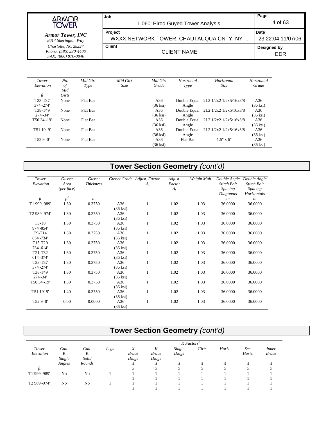|                                                                     | Job<br>1,060' Pirod Guyed Tower Analysis                  | Page<br>4 of 63                  |
|---------------------------------------------------------------------|-----------------------------------------------------------|----------------------------------|
| <b>Armor Tower, INC</b><br>8014 Sherington Way                      | <b>Project</b><br>WXXX NETWORK TOWER, CHAUTAUQUA CNTY, NY | <b>Date</b><br>23:22:04 11/07/06 |
| Charlotte, NC 28227<br>Phone: (585) 230-4406<br>FAX: (866) 870-0840 | <b>Client</b><br><b>CLIENT NAME</b>                       | Designed by<br>EDR               |

| Tower        | No.   | Mid Girt | Mid Girt | Mid Girt          | Horizontal   | Horizontal             | Horizontal        |
|--------------|-------|----------|----------|-------------------|--------------|------------------------|-------------------|
| Elevation    | οf    | Type     | Size     | Grade             | Type         | Size                   | Grade             |
|              | Mid   |          |          |                   |              |                        |                   |
| ft           | Girts |          |          |                   |              |                        |                   |
| T33-T37      | None  | Flat Bar |          | A36               | Double Equal | 2L2 1/2x2 1/2x5/16x3/8 | A36               |
| 374'-274'    |       |          |          | $(36 \text{ ks})$ | Angle        |                        | $(36 \text{ ks})$ |
| T38-T49      | None  | Flat Bar |          | A36               | Double Equal | 2L2 1/2x2 1/2x5/16x3/8 | A36               |
| $274' - 34'$ |       |          |          | $(36 \text{ ks})$ | Angle        |                        | $(36 \text{ ks})$ |
| T50 34'-19'  | None  | Flat Bar |          | A36               | Double Equal | 2L2 1/2x2 1/2x5/16x3/8 | A36               |
|              |       |          |          | $(36 \text{ ks})$ | Angle        |                        | $(36 \text{ ks})$ |
| T51 19'-9'   | None  | Flat Bar |          | A36               | Double Equal | 2L2 1/2x2 1/2x5/16x3/8 | A36               |
|              |       |          |          | $(36 \text{ ks})$ | Angle        |                        | $(36 \text{ ks})$ |
| $T529' - 0'$ | None  | Flat Bar |          | A36               | Flat Bar     | $1.5" \times 6"$       | A36               |
|              |       |          |          | $(36 \text{ ks})$ |              |                        | $(36 \text{ ks})$ |

## **Tower Section Geometry** *(cont'd)*

| Tower<br>Elevation                            | Gusset<br>Area<br>(perface) | Gusset<br><b>Thickness</b> |                          | Gusset Grade Adjust. Factor<br>$A_f$ | Adjust.<br>Factor<br>$A_r$ | Weight Mult. | Double Angle<br><b>Stitch Bolt</b><br><b>Spacing</b> | Double Angle<br><b>Stitch Bolt</b><br>Spacing |
|-----------------------------------------------|-----------------------------|----------------------------|--------------------------|--------------------------------------|----------------------------|--------------|------------------------------------------------------|-----------------------------------------------|
| ft                                            | $ft^2$                      | in                         |                          |                                      |                            |              | Diagonals<br>in                                      | Horizontals<br>in                             |
| T1 999'-989'                                  | 1.30                        | 0.3750                     | A36<br>(36 ksi)          | $\mathbf{1}$                         | 1.02                       | 1.03         | 36.0000                                              | 36.0000                                       |
| T <sub>2</sub> 989'-974'                      | 1.30                        | 0.3750                     | A36<br>$(36 \text{ ks})$ | $\mathbf{1}$                         | 1.02                       | 1.03         | 36.0000                                              | 36.0000                                       |
| T3-T8<br>974'-854'                            | 1.30                        | 0.3750                     | A36<br>$(36 \text{ ks})$ | $\mathbf{1}$                         | 1.02                       | 1.03         | 36.0000                                              | 36.0000                                       |
| T9-T14<br>854'-734'                           | 1.30                        | 0.3750                     | A36<br>$(36 \text{ ks})$ | $\mathbf{1}$                         | 1.02                       | 1.03         | 36.0000                                              | 36.0000                                       |
| T <sub>15</sub> -T <sub>20</sub><br>734'-614' | 1.30                        | 0.3750                     | A36<br>$(36 \text{ ks})$ | $\mathbf{1}$                         | 1.02                       | 1.03         | 36.0000                                              | 36.0000                                       |
| T <sub>21</sub> -T <sub>32</sub><br>614'-374' | 1.30                        | 0.3750                     | A36<br>$(36 \text{ ks})$ | $\mathbf{1}$                         | 1.02                       | 1.03         | 36.0000                                              | 36.0000                                       |
| T33-T37<br>374'-274'                          | 1.30                        | 0.3750                     | A36<br>$(36 \text{ ks})$ | 1                                    | 1.02                       | 1.03         | 36.0000                                              | 36.0000                                       |
| T38-T49<br>274'-34'                           | 1.30                        | 0.3750                     | A36<br>$(36 \text{ ks})$ | 1                                    | 1.02                       | 1.03         | 36.0000                                              | 36.0000                                       |
| T50 34'-19'                                   | 1.30                        | 0.3750                     | A36<br>$(36 \text{ ks})$ | 1                                    | 1.02                       | 1.03         | 36.0000                                              | 36.0000                                       |
| T51 19'-9'                                    | 1.40                        | 0.3750                     | A36<br>$(36 \text{ ks})$ | $\mathbf{1}$                         | 1.02                       | 1.03         | 36.0000                                              | 36.0000                                       |
| T52 9'-0'                                     | 0.00                        | 0.0000                     | A36<br>(36 ksi)          | 1                                    | 1.02                       | 1.03         | 36.0000                                              | 36.0000                                       |

|                          |                     |                    |      |                            |                            | K Factors'      |                     |        |                |                              |
|--------------------------|---------------------|--------------------|------|----------------------------|----------------------------|-----------------|---------------------|--------|----------------|------------------------------|
| Tower<br>Elevation       | Calc<br>Κ<br>Single | Calc<br>Κ<br>Solid | Legs | X<br><b>Brace</b><br>Diags | K<br><b>Brace</b><br>Diags | Single<br>Diags | Girts               | Horiz. | Sec.<br>Horiz. | <i>Inner</i><br><b>Brace</b> |
|                          | Angles              | Rounds             |      | Χ<br>$\overline{V}$        | Χ                          | Χ               | Χ<br>$\overline{V}$ | Χ      | Χ              |                              |
| T1 999'-989'             | N <sub>0</sub>      | N <sub>0</sub>     |      |                            |                            |                 |                     |        |                |                              |
| T <sub>2</sub> 989'-974' | No                  | N <sub>0</sub>     |      |                            |                            |                 |                     |        |                |                              |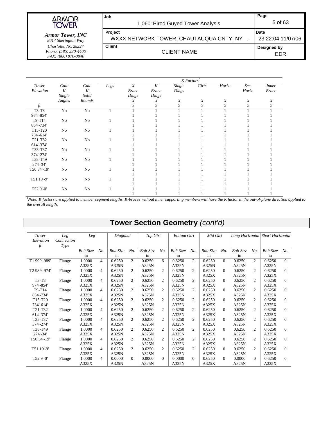| <b>TOWFR</b>                                 | Job<br>1,060' Pirod Guyed Tower Analysis | Page<br>5 of 63   |
|----------------------------------------------|------------------------------------------|-------------------|
| <b>Armor Tower, INC</b>                      | <b>Project</b>                           | <b>Date</b>       |
| 8014 Sherington Way                          | WXXX NETWORK TOWER, CHAUTAUQUA CNTY, NY  | 23:22:04 11/07/06 |
| Charlotte, NC 28227<br>Phone: (585) 230-4406 | <b>Client</b><br><b>CLIENT NAME</b>      | Designed by       |
| FAX: (866) 870-0840                          |                                          | EDR               |

|                    |           |           |      |                                  |                          | K Factors'      |                  |                  |                |                              |
|--------------------|-----------|-----------|------|----------------------------------|--------------------------|-----------------|------------------|------------------|----------------|------------------------------|
| Tower<br>Elevation | Calc<br>K | Calc<br>K | Legs | $\boldsymbol{X}$<br><b>Brace</b> | $\cal K$<br><b>Brace</b> | Single<br>Diags | Girts            | Horiz.           | Sec.<br>Horiz. | <i>Inner</i><br><b>Brace</b> |
|                    | Single    | Solid     |      | Diags                            | Diags                    |                 |                  |                  |                |                              |
|                    | Angles    | Rounds    |      | Χ                                | X                        | X               | $\boldsymbol{X}$ | $\boldsymbol{X}$ | X              | X                            |
| ft                 |           |           |      | Y                                | Υ                        | Υ               | Y                | Υ                | Y              | Υ                            |
| T3-T8              | No        | No        |      |                                  |                          |                 |                  |                  |                |                              |
| 974'-854'          |           |           |      |                                  |                          |                 |                  |                  |                |                              |
| T9-T14             | No        | No        |      |                                  |                          |                 |                  |                  |                |                              |
| 854'-734'          |           |           |      |                                  |                          |                 |                  |                  |                |                              |
| T15-T20            | No        | No        |      |                                  |                          |                 |                  |                  |                |                              |
| 734'-614'          |           |           |      |                                  |                          |                 |                  |                  |                |                              |
| T21-T32            | No        | No        |      |                                  |                          |                 |                  |                  |                |                              |
| 614'-374'          |           |           |      |                                  |                          |                 |                  |                  |                |                              |
| T33-T37            | No        | No        |      |                                  |                          |                 |                  |                  |                |                              |
| 374'-274'          |           |           |      |                                  |                          |                 |                  |                  |                |                              |
| T38-T49            | No        | No        |      |                                  |                          |                 |                  |                  |                |                              |
| 274'-34'           |           |           |      |                                  |                          |                 |                  |                  |                |                              |
| T50 34'-19'        | No        | No        |      |                                  |                          |                 |                  |                  |                |                              |
|                    |           |           |      |                                  |                          |                 |                  |                  |                |                              |
| T51 19'-9'         | No        | No        |      |                                  |                          |                 |                  |                  |                |                              |
|                    |           |           |      |                                  |                          |                 |                  |                  |                |                              |
| T52 9'-0'          | No        | No        |      |                                  |                          |                 |                  |                  |                |                              |
|                    |           |           |      |                                  |                          |                 |                  |                  |                |                              |

1 1 1 1 1 1 1 *1 Note: K factors are applied to member segment lengths. K-braces without inner supporting members will have the K factor in the out-of-plane direction applied to the overall length.* 

| Tower                            | Leg        | Leg              |                | Diagonal         |                | Top Girt         |          | <b>Bottom Girt</b> |                | Mid Girt         |          |                  |                | Long Horizontal Short Horizontal |                |
|----------------------------------|------------|------------------|----------------|------------------|----------------|------------------|----------|--------------------|----------------|------------------|----------|------------------|----------------|----------------------------------|----------------|
| Elevation                        | Connection |                  |                |                  |                |                  |          |                    |                |                  |          |                  |                |                                  |                |
| ft                               | Type       |                  |                |                  |                |                  |          |                    |                |                  |          |                  |                |                                  |                |
|                                  |            | <b>Bolt Size</b> | No.            | <b>Bolt Size</b> | No.            | <b>Bolt Size</b> | No.      | <b>Bolt Size</b>   | No.            | <b>Bolt Size</b> | No.      | <b>Bolt Size</b> | No.            | <b>Bolt Size</b>                 | No.            |
|                                  |            | in               |                | in               |                | in               |          | in                 |                | in               |          | in               |                | in                               |                |
| T1 999'-989'                     | Flange     | 1.0000           | $\overline{4}$ | 0.6250           | 2              | 0.6250           | 6        | 0.6250             | $\overline{2}$ | 0.6250           | $\Omega$ | 0.6250           | $\overline{2}$ | 0.6250                           | $\Omega$       |
|                                  |            | A325X            |                | A325N            |                | A325N            |          | A325N              |                | A325N            |          | A325N            |                | A325N                            |                |
| T2 989'-974'                     | Flange     | 1.0000           | 4              | 0.6250           | $\overline{2}$ | 0.6250           | 2        | 0.6250             | 2              | 0.6250           | $\Omega$ | 0.6250           | 2              | 0.6250                           | $\Omega$       |
|                                  |            | A325X            |                | A325N            |                | A325N            |          | A325N              |                | A325X            |          | A325N            |                | A325X                            |                |
| T3-T8                            | Flange     | 1.0000           | 4              | 0.6250           | 2              | 0.6250           | 2        | 0.6250             | 2              | 0.6250           | $\Omega$ | 0.6250           | 2              | 0.6250                           | $\Omega$       |
| 974'-854'                        |            | A325X            |                | A325N            |                | A325N            |          | A325N              |                | A325X            |          | A325N            |                | A325X                            |                |
| T9-T14                           | Flange     | 1.0000           | $\overline{4}$ | 0.6250           | $\overline{c}$ | 0.6250           | 2        | 0.6250             | 2              | 0.6250           | $\Omega$ | 0.6250           | 2              | 0.6250                           | $\theta$       |
| 854'-734'                        |            | A325X            |                | A325N            |                | A325N            |          | A325N              |                | A325X            |          | A325N            |                | A325X                            |                |
| T <sub>15</sub> -T <sub>20</sub> | Flange     | 1.0000           | 4              | 0.6250           | $\overline{2}$ | 0.6250           | 2        | 0.6250             | 2              | 0.6250           | $\Omega$ | 0.6250           | $\overline{c}$ | 0.6250                           | $\theta$       |
| 734'-614'                        |            | A325X            |                | A325N            |                | A325N            |          | A325N              |                | A325X            |          | A325N            |                | A325X                            |                |
| T <sub>21</sub> -T <sub>32</sub> | Flange     | 1.0000           | 4              | 0.6250           | $\overline{c}$ | 0.6250           | 2        | 0.6250             | 2              | 0.6250           | $\Omega$ | 0.6250           | 2              | 0.6250                           | $\theta$       |
| 614'-374'                        |            | A325X            |                | A325N            |                | A325N            |          | A325N              |                | A325X            |          | A325N            |                | A325X                            |                |
| T33-T37                          | Flange     | 1.0000           | $\overline{4}$ | 0.6250           | $\overline{c}$ | 0.6250           | 2        | 0.6250             | 2              | 0.6250           | $\Omega$ | 0.6250           | 2              | 0.6250                           | $\theta$       |
| 374'-274'                        |            | A325X            |                | A325N            |                | A325N            |          | A325N              |                | A325X            |          | A325N            |                | A325X                            |                |
| T38-T49                          | Flange     | 1.0000           | 4              | 0.6250           | $\overline{2}$ | 0.6250           | 2        | 0.6250             | 2              | 0.6250           | $\Omega$ | 0.6250           | $\overline{c}$ | 0.6250                           | $\overline{0}$ |
| 274'-34'                         |            | A325X            |                | A325N            |                | A325N            |          | A325N              |                | A325X            |          | A325N            |                | A325X                            |                |
| T50 34'-19'                      | Flange     | 1.0000           | 4              | 0.6250           | 2              | 0.6250           | 2        | 0.6250             | 2              | 0.6250           | $\Omega$ | 0.6250           | 2              | 0.6250                           | $\overline{0}$ |
|                                  |            | A325X            |                | A325N            |                | A325N            |          | A325N              |                | A325X            |          | A325N            |                | A325X                            |                |
| T51 19'-9'                       | Flange     | 1.0000           | 4              | 0.6250           | 2              | 0.6250           | 2        | 0.6250             | 2              | 0.6250           | $\Omega$ | 0.6250           | 2              | 0.6250                           | $\Omega$       |
|                                  |            | A325X            |                | A325N            |                | A325N            |          | A325N              |                | A325X            |          | A325N            |                | A325X                            |                |
| $T529' - 0'$                     | Flange     | 1.0000           | 4              | 0.0000           | $\Omega$       | 0.0000           | $\Omega$ | 0.0000             | $\theta$       | 0.6250           | $\Omega$ | 0.0000           | $\Omega$       | 0.6250                           | $\theta$       |
|                                  |            | A325X            |                | A325N            |                | A325N            |          | A325N              |                | A325X            |          | A325N            |                | A325X                            |                |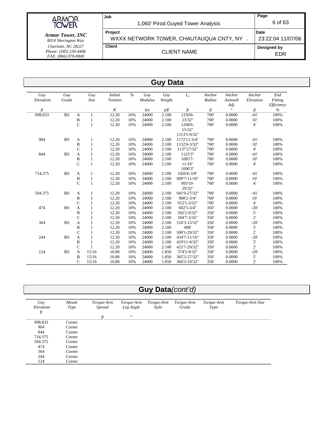| ARMOR        |  |
|--------------|--|
| <b>TOWER</b> |  |

**Page**  6 of 63

**Date**

**Project** 

**Job**

*Armor Tower, INC 8014 Sherington Way Charlotte, NC 28227 Phone: (585) 230-4406 FAX: (866) 870-0840* 

WXXX NETWORK TOWER, CHAUTAUQUA CNTY, NY .

CLIENT NAME **Designed by**

EDR

23:22:04 11/07/06

**Guy Data** *Guy Elevation ft Guy Grade Guy Size Initial Tension K % Guy Modulus ksi Guy Weight plf Lu ft Anchor Radius ft Anchor Azimuth Adj. ° Anchor Elevation ft End Fitting Efficiency %*  998.833 BS A B C 1 1 1 12.20 12.20 12.20 10% 10% 10% 24000 24000 24000 2.100 2.100 2.100 1250'6- 23/32'' 1208'6- 15/32'' 1213'5-9/32'' 700' 700' 700' 0.0000 0.0000 0.0000  $-41'$ 10' 4' 100% 100% 100% 904 BS A B C 1 1 1 12.20 12.20 12.20 10% 10% 10% 24000 24000 24000 2.100 2.100 2.100 1172'11-3/4'' 1132'4-3/32'' 1137'27/32'' 700' 700' 700' 0.0000 0.0000 0.0000 -41' 10' 4' 100% 100% 100% 844 BS A B C 1 1 1 12.20 12.20 12.20 10% 10% 10% 24000 24000 24000 2.100 2.100 2.100 1125'3'' 1085'7- 11/16'' 1090'3'' 700' 700' 700' 0.0000 0.0000 0.0000 -41' 10' 4' 100% 100% 100% 714.375 BS A B C 1 1 1 12.20 12.20 12.20 10% 10% 10% 24000 24000 24000 2.100 2.100 2.100 1026'6-3/8'' 989'7-11/16'' 993'10- 29/32'' 700' 700' 700' 0.0000 0.0000 0.0000 -41' 10' 4' 100% 100% 100% 594.375 BS A B C 1 1 1 12.20 12.20 12.20 10% 10% 10% 24000 24000 24000 2.100 2.100 2.100 941'9-27/32'' 908'2-3/4'' 912'1-3/32'' 700' 700' 700' 0.0000 0.0000 0.0000 -41' 10' 4' 100% 100% 100% 474 BS A B C 1 1 1 12.20 12.20 12.20 10% 10% 10% 24000 24000 24000 2.100 2.100 2.100 602'5-3/4'' 582'2-9/32'' 584'7-3/16'' 350' 350' 350' 0.0000 0.0000 0.0000 -20' 5' 2' 100% 100% 100% 364 BS A B C 1 1 1 12.20 12.20 12.20 10% 10% 10% 24000 24000 24000 2.100 2.100 2.100 516'3-15/32'' 498' 500'1-29/32'' 350' 350' 350' 0.0000 0.0000 0.0000 -20' 5' 2' 100% 100% 100% 244 BS A B C 1 1 1 12.20 12.20 12.20 10% 10% 10% 24000 24000 24000 2.100 2.100 2.100 434'7-11/16'' 419'11-9/32'' 421'7-29/32'' 350' 350' 350' 0.0000 0.0000 0.0000 -20' 5' 2' 100% 100% 100% 124 BS A B C 15/16 15/16 15/16 10.80 10.80 10.80 10% 10% 10% 24000 24000 24000 1.850 1.850 1.850 374'2-9/32'' 365'3-27/32'' 366'3-19/32'' 350' 350' 350' 0.0000 0.0000 0.0000 -20' 5' 2' 100% 100% 100%

|                  | Guy Data(cont'd) |                      |                         |                            |                     |                    |                 |  |  |  |
|------------------|------------------|----------------------|-------------------------|----------------------------|---------------------|--------------------|-----------------|--|--|--|
| Guy<br>Elevation | Mount<br>Type    | Torque-Arm<br>Spread | Torque-Arm<br>Leg Angle | Torque-Arm<br><b>Style</b> | Torque-Arm<br>Grade | Torque-Arm<br>Type | Torque-Arm Size |  |  |  |
| ft               |                  | ft                   | $\circ$                 |                            |                     |                    |                 |  |  |  |
| 998.833          | Corner           |                      |                         |                            |                     |                    |                 |  |  |  |
| 904              | Corner           |                      |                         |                            |                     |                    |                 |  |  |  |
| 844              | Corner           |                      |                         |                            |                     |                    |                 |  |  |  |
| 714.375          | Corner           |                      |                         |                            |                     |                    |                 |  |  |  |
| 594.375          | Corner           |                      |                         |                            |                     |                    |                 |  |  |  |
| 474              | Corner           |                      |                         |                            |                     |                    |                 |  |  |  |
| 364              | Corner           |                      |                         |                            |                     |                    |                 |  |  |  |
| 244              | Corner           |                      |                         |                            |                     |                    |                 |  |  |  |
| 124              | Corner           |                      |                         |                            |                     |                    |                 |  |  |  |

**Client**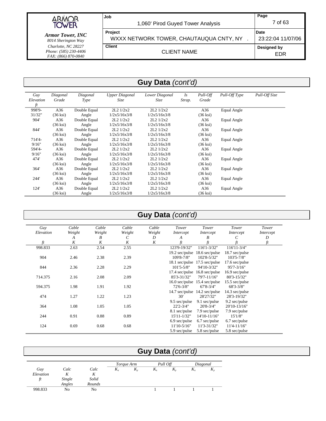| ARMOR        |  |
|--------------|--|
| <b>TOWER</b> |  |

|      | Job                                     | Page              |
|------|-----------------------------------------|-------------------|
|      | 1,060' Pirod Guyed Tower Analysis       | 7 of 63           |
| INC  | <b>Project</b>                          | <b>Date</b>       |
| Way. | WXXX NETWORK TOWER, CHAUTAUQUA CNTY, NY | 23:22:04 11/07/06 |
| 8227 | <b>Client</b>                           | Designed by       |

**CLIENT NAME** 

EDR

### **Guy Data** *(cont'd)*

| Guy<br>Elevation | Diagonal<br>Grade | Diagonal<br>Type | <b>Upper Diagonal</b><br><i>Size</i> | Lower Diagonal<br><i>Size</i> | Is<br>Strap. | Pull-Off<br>Grade | Pull-Off Type | Pull-Off Size |
|------------------|-------------------|------------------|--------------------------------------|-------------------------------|--------------|-------------------|---------------|---------------|
| ft               |                   |                  |                                      |                               |              |                   |               |               |
| 998'9-           | A36               | Double Equal     | 2L21/2x2                             | 2L21/2x2                      |              | A36               | Equal Angle   |               |
| 31/32"           | $(36 \text{ ks})$ | Angle            | 1/2x5/16x3/8                         | 1/2x5/16x3/8                  |              | $(36 \text{ ks})$ |               |               |
| 904'             | A36               | Double Equal     | 2L2 1/2x2                            | 2L21/2x2                      |              | A36               | Equal Angle   |               |
|                  | (36 ksi)          | Angle            | 1/2x5/16x3/8                         | 1/2x5/16x3/8                  |              | $(36 \text{ ks})$ |               |               |
| 844'             | A36               | Double Equal     | 2L21/2x2                             | 2L21/2x2                      |              | A36               | Equal Angle   |               |
|                  | (36 ksi)          | Angle            | $1/2x\frac{5}{16x\frac{3}{8}}$       | $1/2x$ 5/16x3/8               |              | $(36 \text{ ks})$ |               |               |
| 714'4-           | A36               | Double Equal     | 2L21/2x2                             | 2L21/2x2                      |              | A36               | Equal Angle   |               |
| 9/16"            | $(36 \text{ ks})$ | Angle            | 1/2x5/16x3/8                         | $1/2x$ 5/16x3/8               |              | $(36 \text{ ks})$ |               |               |
| 594'4-           | A36               | Double Equal     | 2L21/2x2                             | 2L21/2x2                      |              | A36               | Equal Angle   |               |
| 9/16"            | $(36 \text{ ks})$ | Angle            | 1/2x5/16x3/8                         | 1/2x5/16x3/8                  |              | $(36 \text{ ks})$ |               |               |
| 474'             | A36               | Double Equal     | 2L21/2x2                             | 2L21/2x2                      |              | A36               | Equal Angle   |               |
|                  | (36 ksi)          | Angle            | 1/2x5/16x3/8                         | 1/2x5/16x3/8                  |              | $(36 \text{ ks})$ |               |               |
| 364'             | A36               | Double Equal     | 2L21/2x2                             | 2L21/2x2                      |              | A36               | Equal Angle   |               |
|                  | (36 ksi)          | Angle            | 1/2x5/16x3/8                         | 1/2x5/16x3/8                  |              | $(36 \text{ ks})$ |               |               |
| 244'             | A36               | Double Equal     | 2L21/2x2                             | 2L21/2x2                      |              | A36               | Equal Angle   |               |
|                  | $(36 \text{ ks})$ | Angle            | 1/2x5/16x3/8                         | 1/2x5/16x3/8                  |              | $(36 \text{ ks})$ |               |               |
| 124'             | A36               | Double Equal     | 2L21/2x2                             | 2L21/2x2                      |              | A36               | Equal Angle   |               |
|                  | $(36 \text{ ks})$ | Angle            | 1/2x5/16x3/8                         | 1/2x5/16x3/8                  |              | $(36 \text{ ks})$ |               |               |

### **Guy Data** *(cont'd)*

| Guy       | Cable  | Cable  | Cable  | Cable  | <i>Tower</i>                    | Tower                           | Tower           | Tower     |
|-----------|--------|--------|--------|--------|---------------------------------|---------------------------------|-----------------|-----------|
| Elevation | Weight | Weight | Weight | Weight | Intercept                       | Intercept                       | Intercept       | Intercept |
|           | A      | B      | C      | D      | A                               | B                               | С               | D         |
|           | K      | K      | K      | K      |                                 |                                 |                 | ft        |
| 998.833   | 2.63   | 2.54   | 2.55   |        | 123'9-19/32"                    | $116'1 - 3/32"$                 | 116'11-3/4"     |           |
|           |        |        |        |        | $19.2 \text{ sec}/\text{pulse}$ | 18.6 sec/pulse                  | 18.7 sec/pulse  |           |
| 904       | 2.46   | 2.38   | 2.39   |        | 109'8-7/8"                      | 102'8-5/32"                     | $103'5 - 7/8"$  |           |
|           |        |        |        |        | 18.1 sec/pulse                  | $17.5$ sec/pulse                | 17.6 sec/pulse  |           |
| 844       | 2.36   | 2.28   | 2.29   |        | $101'5 - 5/8"$                  | 94'10-3/32"                     | $95'7 - 3/16''$ |           |
|           |        |        |        |        | $17.4$ sec/pulse                | $16.8$ sec/pulse                | 16.9 sec/pulse  |           |
| 714.375   | 2.16   | 2.08   | 2.09   |        | 85'3-31/32"                     | 79'7-11/16"                     | 80'3-15/32"     |           |
|           |        |        |        |        |                                 | 16.0 sec/pulse $15.4$ sec/pulse | 15.5 sec/pulse  |           |
| 594.375   | 1.98   | 1.91   | 1.92   |        | $72'6 - 3/8''$                  | $67'8 - 3/4"$                   | 68'3-3/8"       |           |
|           |        |        |        |        | 14.7 sec/pulse                  | 14.2 sec/pulse                  | 14.3 sec/pulse  |           |
| 474       | 1.27   | 1.22   | 1.23   |        | 30'                             | 28'27/32"                       | 28'3-19/32"     |           |
|           |        |        |        |        | 9.5 sec/pulse                   | 9.1 sec/pulse                   | 9.2 sec/pulse   |           |
| 364       | 1.08   | 1.05   | 1.05   |        | $22'2 - 3/4"$                   | $20'8 - 3/4"$                   | 20'10-13/16"    |           |
|           |        |        |        |        | 8.1 sec/pulse                   | 7.9 sec/pulse                   | 7.9 sec/pulse   |           |
| 244       | 0.91   | 0.88   | 0.89   |        | 15'11-1/32"                     | 14'10-11/16"                    | 15'1/8"         |           |
|           |        |        |        |        | $6.9$ sec/pulse                 | 6.7 sec/pulse                   | 6.7 sec/pulse   |           |
| 124       | 0.69   | 0.68   | 0.68   |        | $11'10-5/16"$                   | 11'3-31/32"                     | 11'4-11/16"     |           |
|           |        |        |        |        | 5.9 sec/pulse                   | 5.8 sec/pulse                   | 5.8 sec/pulse   |           |

### **Guy Data** *(cont'd)*

|           |        |        | Torque Arm |              |                | Pull Off     | Diagonal       |              |  |
|-----------|--------|--------|------------|--------------|----------------|--------------|----------------|--------------|--|
| Guy       | Calc   | Calc   | $K_{x}$    | $\mathbf{v}$ | $\mathbf{v}_x$ | $\mathbf{v}$ | $\mathbf{v}_x$ | $\mathbf{v}$ |  |
| Elevation |        |        |            |              |                |              |                |              |  |
|           | Single | Solid  |            |              |                |              |                |              |  |
|           | Angles | Rounds |            |              |                |              |                |              |  |
| 998.833   | No     | No     |            |              |                |              |                |              |  |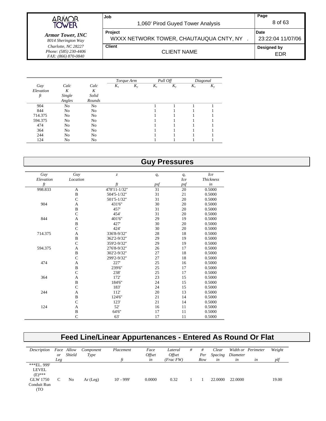|                                                                     | Job                                                       | Page                             |
|---------------------------------------------------------------------|-----------------------------------------------------------|----------------------------------|
|                                                                     | 1,060' Pirod Guyed Tower Analysis                         | 8 of 63                          |
| <b>Armor Tower, INC</b><br>8014 Sherington Way                      | <b>Project</b><br>WXXX NETWORK TOWER, CHAUTAUQUA CNTY, NY | <b>Date</b><br>23:22:04 11/07/06 |
| Charlotte, NC 28227<br>Phone: (585) 230-4406<br>FAX: (866) 870-0840 | <b>Client</b><br><b>CLIENT NAME</b>                       | Designed by<br><b>EDR</b>        |

|           |                |                | Torque Arm |         |         | Pull Off | Diagonal |         |
|-----------|----------------|----------------|------------|---------|---------|----------|----------|---------|
| Guy       | Calc           | Calc           | $K_{x}$    | $K_{v}$ | $K_{x}$ | $K_{v}$  | $K_{x}$  | $K_{v}$ |
| Elevation | K              | K              |            |         |         |          |          |         |
| ft        | Single         | Solid          |            |         |         |          |          |         |
|           | Angles         | Rounds         |            |         |         |          |          |         |
| 904       | N <sub>0</sub> | No             |            |         |         |          |          |         |
| 844       | N <sub>0</sub> | No.            |            |         |         |          |          |         |
| 714.375   | N <sub>0</sub> | No.            |            |         |         |          |          |         |
| 594.375   | N <sub>0</sub> | No.            |            |         |         |          |          |         |
| 474       | N <sub>0</sub> | No.            |            |         |         |          |          |         |
| 364       | N <sub>0</sub> | N <sub>0</sub> |            |         |         |          |          |         |
| 244       | N <sub>0</sub> | No             |            |         |         |          |          |         |
| 124       | No             | No             |            |         |         |          |          |         |

## **Guy Pressures**

| Guy<br>Elevation | Guy<br>Location | Z            | q <sub>z</sub> | $q_z$<br><b>Ice</b> | Ice<br><b>Thickness</b> |
|------------------|-----------------|--------------|----------------|---------------------|-------------------------|
| ft               |                 | ft           |                | psf                 | in                      |
| 998.833          | $\mathbf{A}$    | 478'11-1/32" | psf<br>31      | 20                  | 0.5000                  |
|                  | B               | 504'5-1/32"  | 31             | 21                  | 0.5000                  |
|                  | $\mathcal{C}$   | 501'5-1/32"  | 31             | 20                  |                         |
|                  |                 |              |                |                     | 0.5000                  |
| 904              | A               | 431'6"       | 30             | 20                  | 0.5000                  |
|                  | B               | 457'         | 31             | 20                  | 0.5000                  |
|                  | $\overline{C}$  | 454'         | 31             | 20                  | 0.5000                  |
| 844              | A               | 401'6"       | 29             | 19                  | 0.5000                  |
|                  | B               | 427'         | 30             | 20                  | 0.5000                  |
|                  | $\mathsf{C}$    | 424'         | 30             | 20                  | 0.5000                  |
| 714.375          | A               | 336'8-9/32"  | 28             | 18                  | 0.5000                  |
|                  | $\, {\bf B}$    | 362'2-9/32"  | 29             | 19                  | 0.5000                  |
|                  | $\mathsf{C}$    | 359'2-9/32"  | 29             | 19                  | 0.5000                  |
| 594.375          | A               | 276'8-9/32"  | 26             | 17                  | 0.5000                  |
|                  | $\, {\bf B}$    | 302'2-9/32"  | 27             | 18                  | 0.5000                  |
|                  | $\overline{C}$  | 299'2-9/32"  | 27             | 18                  | 0.5000                  |
| 474              | A               | 227'         | 25             | 16                  | 0.5000                  |
|                  | $\bf{B}$        | 239'6"       | 25             | 17                  | 0.5000                  |
|                  | $\mathsf{C}$    | 238'         | 25             | 17                  | 0.5000                  |
| 364              | A               | 172'         | 23             | 15                  | 0.5000                  |
|                  | $\bf{B}$        | 184'6"       | 24             | 15                  | 0.5000                  |
|                  | $\mathsf{C}$    | 183'         | 24             | 15                  | 0.5000                  |
| 244              | A               | 112'         | 20             | 13                  | 0.5000                  |
|                  | B               | 124'6"       | 21             | 14                  | 0.5000                  |
|                  | $\mathsf{C}$    | 123'         | 21             | 14                  | 0.5000                  |
| 124              | A               | 52'          | 16             | 11                  | 0.5000                  |
|                  | B               | 64'6"        | 17             | 11                  | 0.5000                  |
|                  | $\overline{C}$  | 63'          | 17             | 11                  | 0.5000                  |

# **Feed Line/Linear Appurtenances - Entered As Round Or Flat**

| Description     |           | Face Allow    | Component  | Placement    | Face          | Lateral              | # | #   | Clear   |          | Width or Perimeter | Weight |
|-----------------|-----------|---------------|------------|--------------|---------------|----------------------|---|-----|---------|----------|--------------------|--------|
|                 | <i>or</i> | <b>Shield</b> | Type       |              | <i>Offset</i> | <i><b>Offset</b></i> |   | Per | Spacing | Diameter |                    |        |
|                 | Leg       |               |            |              | in            | $(Frac$ $FW)$        |   | Row | in      | in       | in                 | plf    |
| ***EL. 999'     |           |               |            |              |               |                      |   |     |         |          |                    |        |
| <b>LEVEL</b>    |           |               |            |              |               |                      |   |     |         |          |                    |        |
| $(E)$ ***       |           |               |            |              |               |                      |   |     |         |          |                    |        |
| <b>GLW 1750</b> |           | No            | $Ar$ (Leg) | $10'$ - 999' | 0.0000        | 0.32                 |   |     | 22,0000 | 22,0000  |                    | 19.00  |
| Conduit Run     |           |               |            |              |               |                      |   |     |         |          |                    |        |
| TO              |           |               |            |              |               |                      |   |     |         |          |                    |        |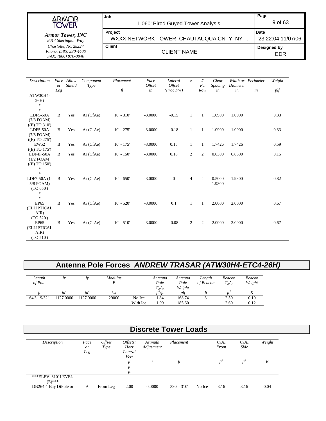| ARMOR                                                               | Job                                     | Page                      |
|---------------------------------------------------------------------|-----------------------------------------|---------------------------|
| <b>TOWFR</b>                                                        | 1,060' Pirod Guyed Tower Analysis       | 9 of 63                   |
| Armor Tower, INC                                                    | <b>Project</b>                          | <b>Date</b>               |
| 8014 Sherington Way                                                 | WXXX NETWORK TOWER, CHAUTAUQUA CNTY, NY | 23:22:04 11/07/06         |
| Charlotte, NC 28227<br>Phone: (585) 230-4406<br>FAX: (866) 870-0840 | <b>Client</b><br><b>CLIENT NAME</b>     | Designed by<br><b>EDR</b> |

| <b>Description</b>                                                  | <i>or</i>    | Face Allow<br>Shield | Component<br>Type | Placement    | Face<br>Offset | Lateral<br>Offset | #              | $^{\#}$<br>Per | Clear<br>Spacing | Diameter | Width or Perimeter | Weight |
|---------------------------------------------------------------------|--------------|----------------------|-------------------|--------------|----------------|-------------------|----------------|----------------|------------------|----------|--------------------|--------|
|                                                                     | Leg          |                      |                   | ft           | in             | $(Frac$ $FW)$     |                | Row            | in               | in       | in                 | p      |
| ATW30H4-<br>26H<br>$\ast$                                           |              |                      |                   |              |                |                   |                |                |                  |          |                    |        |
| $\ast$<br>$LDF5-50A$<br>$(7/8$ FOAM)                                | B            | Yes                  | Ar (CfAe)         | $10' - 310'$ | $-3.0000$      | $-0.15$           | $\mathbf{1}$   | 1              | 1.0900           | 1.0900   |                    | 0.33   |
| ((E) TO 310')<br>$LDF5-50A$<br>$(7/8$ FOAM)<br>((E) TO 275')        | B            | Yes                  | Ar (CfAe)         | $10' - 275'$ | $-3.0000$      | $-0.18$           | $\mathbf{1}$   | $\mathbf{1}$   | 1.0900           | 1.0900   |                    | 0.33   |
| EW52<br>((E) TO 175')                                               | B            | Yes                  | Ar (CfAe)         | $10' - 175'$ | $-3.0000$      | 0.15              | $\mathbf{1}$   | 1              | 1.7426           | 1.7426   |                    | 0.59   |
| LDF4P-50A<br>$(1/2$ FOAM)<br>((E) TO 150')<br>$\ast$<br>$\ast$      | B            | Yes                  | Ar (CfAe)         | $10' - 150'$ | $-3.0000$      | 0.18              | 2              | 2              | 0.6300           | 0.6300   |                    | 0.15   |
| LDF7-50A (1-<br>$5/8$ FOAM)<br>(TO 650')<br>$\frac{1}{2}$<br>$\ast$ | B            | Yes                  | Ar (CfAe)         | $10' - 650'$ | $-3.0000$      | $\mathbf{0}$      | $\overline{4}$ | $\overline{4}$ | 0.5000<br>1.9800 | 1.9800   |                    | 0.82   |
| <b>EP65</b><br>(ELLIPTICAL<br>AIR)<br>(TO 520')                     | $\, {\bf B}$ | Yes                  | Ar (CfAe)         | $10' - 520'$ | $-3.0000$      | 0.1               | $\mathbf{1}$   | $\mathbf{1}$   | 2.0000           | 2.0000   |                    | 0.67   |
| EP65<br>(ELLIPTICAL<br>AIR)<br>(TO 510')                            | B            | Yes                  | Ar (CfAe)         | $10' - 510'$ | $-3.0000$      | $-0.08$           | 2              | 2              | 2.0000           | 2.0000   |                    | 0.67   |

## **Antenna Pole Forces** *ANDREW TRASAR (ATW30H4-ETC4-26H)*

| Length      | 1x           |           | <b>Modulus</b> |          | Antenna      | Antenna | Length    | Beacon    | Beacon |
|-------------|--------------|-----------|----------------|----------|--------------|---------|-----------|-----------|--------|
| of Pole     |              |           |                |          | Pole         | Pole    | of Beacon | $C_A A_A$ | Weight |
|             |              |           |                |          | $C_A A_A$    | Weight  |           |           |        |
|             | $in^{\circ}$ | in        | ksi            |          | ft $t^2$ /ft | plf     |           |           |        |
| 64'3-19/32" | 1127.0000    | 1127.0000 | 29000          | No Ice   | .84          | 168.74  |           | 2.50      | 0.10   |
|             |              |           |                | With Ice | .99          | 185.60  |           | 2.60      | 0.12   |

| <b>Discrete Tower Loads</b>                                |                          |                |                                     |                                  |                 |        |                                       |                             |             |
|------------------------------------------------------------|--------------------------|----------------|-------------------------------------|----------------------------------|-----------------|--------|---------------------------------------|-----------------------------|-------------|
| Description                                                | Face<br><i>or</i><br>Leg | Offset<br>Type | Offsets:<br>Horz<br>Lateral<br>Vert | Azimuth<br>Adjustment<br>$\circ$ | Placement<br>ft |        | $C_A A_A$<br>Front<br>ft <sup>2</sup> | $C_A A_A$<br>Side<br>$ft^2$ | Weight<br>K |
| *** ELEV. 310' LEVEL<br>$(E)$ ***<br>DB264 4-Bay DiPole or | A                        | From Leg       | 2.00                                | 0.0000                           | $330' - 310'$   | No Ice | 3.16                                  | 3.16                        | 0.04        |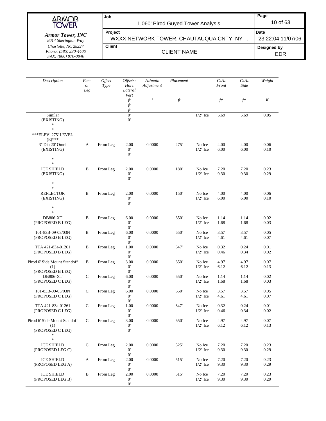|                                                                     | Job<br>1,060' Pirod Guyed Tower Analysis                  | Page<br>10 of 63                 |  |
|---------------------------------------------------------------------|-----------------------------------------------------------|----------------------------------|--|
| <b>Armor Tower, INC</b><br>8014 Sherington Way                      | <b>Project</b><br>WXXX NETWORK TOWER, CHAUTAUQUA CNTY, NY | <b>Date</b><br>23:22:04 11/07/06 |  |
| Charlotte, NC 28227<br>Phone: (585) 230-4406<br>FAX: (866) 870-0840 | <b>Client</b><br><b>CLIENT NAME</b>                       | Designed by<br><b>EDR</b>        |  |

| Description                                                  | Face<br>or<br>Leg | Offset<br>Type | Offsets:<br>Horz<br>Lateral          | Azimuth<br>Adjustment | Placement   |                                   | $C_A A_A$<br>Front | $C_A A_A$<br>Side | Weight       |
|--------------------------------------------------------------|-------------------|----------------|--------------------------------------|-----------------------|-------------|-----------------------------------|--------------------|-------------------|--------------|
|                                                              |                   |                | Vert<br>ft<br>ft<br>$\it ft$         | $\circ$               | $\emph{ft}$ |                                   | $ft^2$             | $ft^2$            | $\cal K$     |
| Similar<br>(EXISTING)<br>∗                                   |                   |                | 0'<br>$0^{\circ}$                    |                       |             | $1/2$ " Ice                       | 5.69               | 5.69              | 0.05         |
| $\ast$<br>*** ELEV. 275' LEVEL<br>$(E)$ ***                  |                   |                |                                      |                       |             |                                   |                    |                   |              |
| 3" Dia 20' Omni<br>(EXISTING)                                | A                 | From Leg       | 2.00<br>0'<br>0'                     | 0.0000                | 275'        | $\rm No$ $\rm Ice$<br>$1/2$ " Ice | 4.00<br>6.00       | 4.00<br>6.00      | 0.06<br>0.10 |
| $\ast$<br>$\ast$                                             |                   |                |                                      |                       |             |                                   |                    |                   |              |
| <b>ICE SHIELD</b><br>(EXISTING)                              | B                 | From Leg       | 2.00<br>$0^{\prime}$<br>0'           | 0.0000                | 180'        | No Ice<br>$1/2$ " Ice             | 7.20<br>9.30       | 7.20<br>9.30      | 0.23<br>0.29 |
| $\ast$<br>$\ast$                                             |                   |                |                                      |                       |             |                                   |                    |                   |              |
| <b>REFLECTOR</b><br>(EXISTING)                               | $\, {\bf B}$      | From Leg       | 2.00<br>0'<br>0'                     | 0.0000                | 150'        | No Ice<br>$1/2$ " Ice             | 4.00<br>6.00       | 4.00<br>6.00      | 0.06<br>0.10 |
| $\ast$<br>$\ast$                                             |                   |                |                                      |                       |             |                                   |                    |                   |              |
| <b>DB806-XT</b><br>(PROPOSED B LEG)                          | $\, {\bf B}$      | From Leg       | 6.00<br>$0^{\prime}$<br>0'           | 0.0000                | 650'        | No Ice<br>$1/2$ " Ice             | 1.14<br>1.68       | 1.14<br>1.68      | 0.02<br>0.03 |
| 101-83B-09-03/03N<br>(PROPOSED B LEG)                        | B                 | From Leg       | 6.00<br>$0^{\prime}$<br>$0^{\prime}$ | 0.0000                | 650'        | No Ice<br>$1/2$ " Ice             | 3.57<br>4.61       | 3.57<br>4.61      | 0.05<br>0.07 |
| TTA 421-83a-01261<br>(PROPOSED B LEG)                        | $\, {\bf B}$      | From Leg       | 1.00<br>$0^{\prime}$<br>0'           | 0.0000                | 647'        | No Ice<br>$1/2$ " Ice             | 0.32<br>0.46       | 0.24<br>0.34      | 0.01<br>0.02 |
| Pirod 6' Side Mount Standoff<br>(1)<br>(PROPOSED B LEG)      | B                 | From Leg       | 3.00<br>$0^{\prime}$<br>0'           | 0.0000                | 650'        | No Ice<br>$1/2$ " Ice             | 4.97<br>6.12       | 4.97<br>6.12      | 0.07<br>0.13 |
| <b>DB806-XT</b><br>(PROPOSED C LEG)                          | $\mathsf{C}$      | From Leg       | 6.00<br>$0^{\prime}$<br>0'           | 0.0000                | 650'        | No Ice<br>$1/2$ " Ice             | 1.14<br>1.68       | 1.14<br>1.68      | 0.02<br>0.03 |
| 101-83B-09-03/03N<br>(PROPOSED C LEG)                        | $\mathbf C$       | From Leg       | 6.00<br>0'<br>0'                     | 0.0000                | 650'        | No Ice<br>$1/2$ " Ice             | 3.57<br>4.61       | 3.57<br>4.61      | 0.05<br>0.07 |
| TTA 421-83a-01261<br>(PROPOSED C LEG)                        | $\mathsf{C}$      | From Leg       | 1.00<br>$0^{\prime}$<br>$0^{\prime}$ | 0.0000                | 647'        | No Ice<br>$1/2$ " Ice             | 0.32<br>0.46       | 0.24<br>0.34      | 0.01<br>0.02 |
| Pirod 6' Side Mount Standoff<br>(1)<br>(PROPOSED C LEG)<br>∗ | C                 | From Leg       | 3.00<br>0'<br>0'                     | 0.0000                | 650'        | No Ice<br>$1/2$ " Ice             | 4.97<br>6.12       | 4.97<br>6.12      | 0.07<br>0.13 |
| $\ast$<br><b>ICE SHIELD</b><br>(PROPOSED LEG C)              | $\mathsf{C}$      | From Leg       | 2.00<br>$0^{\prime}$<br>$0^{\prime}$ | 0.0000                | 525'        | No Ice<br>$1/2$ " Ice             | 7.20<br>9.30       | 7.20<br>9.30      | 0.23<br>0.29 |
| <b>ICE SHIELD</b><br>(PROPOSED LEG A)                        | A                 | From Leg       | 2.00<br>0'                           | 0.0000                | 515'        | No Ice<br>$1/2$ " Ice             | 7.20<br>9.30       | 7.20<br>9.30      | 0.23<br>0.29 |
| <b>ICE SHIELD</b><br>(PROPOSED LEG B)                        | $\, {\bf B}$      | From Leg       | 0'<br>2.00<br>$0^{\prime}$<br>0'     | 0.0000                | 515'        | No Ice<br>$1/2$ " Ice             | 7.20<br>9.30       | 7.20<br>9.30      | 0.23<br>0.29 |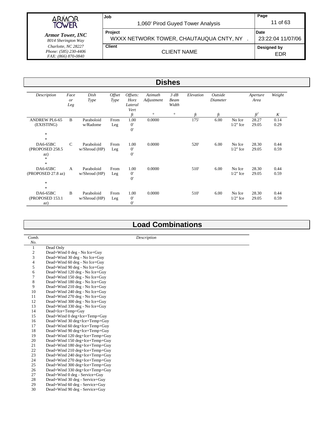| ARMOR        |  |
|--------------|--|
| <b>TOWER</b> |  |

*Armor Tower, INC 8014 Sherington Way Charlotte, NC 28227 Phone: (585) 230-4406 FAX: (866) 870-0840* 

| 1,060' Pirod Guyed Tower Analysis       | 11 of 63          |
|-----------------------------------------|-------------------|
|                                         |                   |
| Project                                 | <b>Date</b>       |
| WXXX NETWORK TOWER, CHAUTAUQUA CNTY, NY | 23:22:04 11/07/06 |
| <b>Client</b>                           | Designed by       |
| <b>CLIENT NAME</b>                      | <b>EDR</b>        |

|                                                      | <b>Dishes</b>     |                               |                       |                                        |                                  |                                  |           |                            |                       |                  |              |
|------------------------------------------------------|-------------------|-------------------------------|-----------------------|----------------------------------------|----------------------------------|----------------------------------|-----------|----------------------------|-----------------------|------------------|--------------|
| Description                                          | Face<br>or<br>Leg | Dish<br>Type                  | Offset<br><i>Type</i> | Offsets:<br>Horz<br>Lateral<br>Vert    | Azimuth<br>Adjustment<br>$\circ$ | 3 dB<br>Beam<br>Width<br>$\circ$ | Elevation | Outside<br><b>Diameter</b> |                       | Aperture<br>Area | Weight       |
|                                                      |                   |                               |                       | ft                                     |                                  |                                  | ft        | ft                         |                       | $ft^2$           | K            |
| <b>ANDREW PL6-65</b><br>(EXISTING)                   | B                 | Paraboloid<br>w/Radome        | From<br>Leg           | 1.00<br>0'<br>0'                       | 0.0000                           |                                  | 175'      | 6.00                       | No Ice<br>$1/2$ " Ice | 28.27<br>29.05   | 0.14<br>0.29 |
| $\frac{1}{2}$<br>$\frac{1}{2}$                       |                   |                               |                       |                                        |                                  |                                  |           |                            |                       |                  |              |
| DA6-65BC<br>(PROPOSED 258.5)<br>az)<br>$\frac{1}{2}$ | $\mathcal{C}$     | Paraboloid<br>w/Shroud (HP)   | From<br>Leg           | 1.00<br>0'<br>0'                       | 0.0000                           |                                  | 520       | 6.00                       | No Ice<br>$1/2$ " Ice | 28.30<br>29.05   | 0.44<br>0.59 |
| $\frac{1}{2}$<br>DA6-65BC<br>(PROPOSED 27.8 az)<br>* | A                 | Paraboloid<br>$w/Shroud$ (HP) | From<br>Leg           | 1.00<br>$\mathbf{0}^{\prime}$<br>0'    | 0.0000                           |                                  | 510'      | 6.00                       | No Ice<br>$1/2$ " Ice | 28.30<br>29.05   | 0.44<br>0.59 |
| $\frac{1}{2}$<br>DA6-65BC<br>(PROPOSED 153.1<br>az)  | B                 | Paraboloid<br>$w/Shroud$ (HP) | From<br>Leg           | 1.00<br>$\overline{0}$<br>$0^{\prime}$ | 0.0000                           |                                  | 510'      | 6.00                       | No Ice<br>$1/2$ " Ice | 28.30<br>29.05   | 0.44<br>0.59 |

## **Load Combinations**

| Comb.          | Description                    |
|----------------|--------------------------------|
| No.            |                                |
| $\mathbf{1}$   | Dead Only                      |
| $\overline{c}$ | Dead+Wind 0 deg - No Ice+Guy   |
| 3              | Dead+Wind 30 deg - No Ice+Guy  |
| $\overline{4}$ | Dead+Wind 60 deg - No Ice+Guy  |
| 5              | Dead+Wind 90 deg - No Ice+Guy  |
| 6              | Dead+Wind 120 deg - No Ice+Guy |
| 7              | Dead+Wind 150 deg - No Ice+Guy |
| 8              | Dead+Wind 180 deg - No Ice+Guy |
| 9              | Dead+Wind 210 deg - No Ice+Guy |
| 10             | Dead+Wind 240 deg - No Ice+Guy |
| 11             | Dead+Wind 270 deg - No Ice+Guy |
| 12             | Dead+Wind 300 deg - No Ice+Guy |
| 13             | Dead+Wind 330 deg - No Ice+Guy |
| 14             | Dead+Ice+Temp+Guy              |
| 15             | Dead+Wind 0 deg+Ice+Temp+Guy   |
| 16             | Dead+Wind 30 deg+Ice+Temp+Guy  |
| 17             | Dead+Wind 60 deg+Ice+Temp+Guy  |
| 18             | Dead+Wind 90 deg+Ice+Temp+Guy  |
| 19             | Dead+Wind 120 deg+Ice+Temp+Guy |
| 20             | Dead+Wind 150 deg+Ice+Temp+Guy |
| 21             | Dead+Wind 180 deg+Ice+Temp+Guy |
| 22             | Dead+Wind 210 deg+Ice+Temp+Guy |
| 23             | Dead+Wind 240 deg+Ice+Temp+Guy |
| 24             | Dead+Wind 270 deg+Ice+Temp+Guy |
| 25             | Dead+Wind 300 deg+Ice+Temp+Guy |
| 26             | Dead+Wind 330 deg+Ice+Temp+Guy |
| 27             | Dead+Wind 0 deg - Service+Guy  |
| 28             | Dead+Wind 30 deg - Service+Guy |
| 29             | Dead+Wind 60 deg - Service+Guy |
| 30             | Dead+Wind 90 deg - Service+Guy |
|                |                                |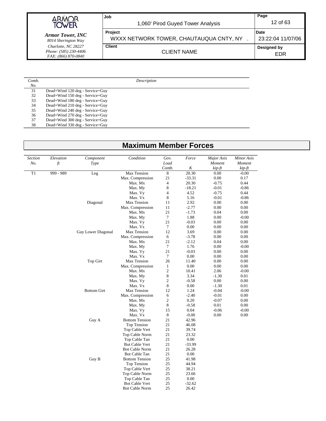| <b>ARMOP</b>                                                        | Job                                     | Page              |  |
|---------------------------------------------------------------------|-----------------------------------------|-------------------|--|
| <b>TOWER</b>                                                        | 1,060' Pirod Guyed Tower Analysis       | 12 of 63          |  |
| <b>Armor Tower, INC</b>                                             | Project                                 | Date              |  |
| 8014 Sherington Way                                                 | WXXX NETWORK TOWER, CHAUTAUQUA CNTY, NY | 23:22:04 11/07/06 |  |
| Charlotte, NC 28227<br>Phone: (585) 230-4406<br>FAX: (866) 870-0840 | <b>Client</b><br><b>CLIENT NAME</b>     |                   |  |

| Comb. | Description                     |
|-------|---------------------------------|
| No.   |                                 |
| 31    | Dead+Wind 120 deg - Service+Guy |
| 32    | Dead+Wind 150 deg - Service+Guy |
| 33    | Dead+Wind 180 deg - Service+Guy |
| 34    | Dead+Wind 210 deg - Service+Guy |
| 35    | Dead+Wind 240 deg - Service+Guy |
| 36    | Dead+Wind 270 deg - Service+Guy |
| 37    | Dead+Wind 300 deg - Service+Guy |
| 38    | Dead+Wind 330 deg - Service+Guy |

## **Maximum Member Forces**

| <b>Section</b><br>No. | Elevation<br>ft | Component<br>Type  | Condition             | Gov.<br>Load     | Force            | Major Axis<br>Moment | Minor Axis<br>Moment |
|-----------------------|-----------------|--------------------|-----------------------|------------------|------------------|----------------------|----------------------|
|                       |                 |                    |                       | Comb.            | $\boldsymbol{K}$ | kip-ft               | kip-ft               |
| T1                    | 999 - 989       | Leg                | Max Tension           | 8                | 20.30            | 0.00                 | $-0.00$              |
|                       |                 |                    | Max. Compression      | 21               | $-33.31$         | 0.00                 | 0.17                 |
|                       |                 |                    | Max. Mx               | $\overline{4}$   | 20.30            | $-0.75$              | 0.44                 |
|                       |                 |                    | Max. My               | 8                | $-18.21$         | $-0.01$              | $-0.86$              |
|                       |                 |                    | Max. Vy               | 4                | 4.52             | $-0.75$              | 0.44                 |
|                       |                 |                    | Max. Vx               | 8                | 5.16             | $-0.01$              | $-0.86$              |
|                       |                 | Diagonal           | <b>Max Tension</b>    | 11               | 2.92             | 0.00                 | 0.00                 |
|                       |                 |                    | Max. Compression      | 11               | $-2.77$          | 0.00                 | 0.00                 |
|                       |                 |                    | Max. Mx               | 21               | $-1.73$          | 0.04                 | 0.00                 |
|                       |                 |                    | Max. My               | $\boldsymbol{7}$ | 1.88             | 0.00                 | $-0.00$              |
|                       |                 |                    | Max. Vy               | 21               | $-0.03$          | 0.00                 | 0.00                 |
|                       |                 |                    | Max. Vx               | 7                | 0.00             | 0.00                 | 0.00                 |
|                       |                 | Guy Lower Diagonal | Max Tension           | 12               | 3.69             | 0.00                 | 0.00                 |
|                       |                 |                    | Max. Compression      | 6                | $-3.78$          | 0.00                 | 0.00                 |
|                       |                 |                    | Max. Mx               | 21               | $-2.12$          | 0.04                 | 0.00                 |
|                       |                 |                    | Max. My               | $\overline{7}$   | 1.76             | 0.00                 | $-0.00$              |
|                       |                 |                    | Max. Vy               | 21               | $-0.03$          | 0.00                 | 0.00                 |
|                       |                 |                    | Max. Vx               | 7                | 0.00             | 0.00                 | 0.00                 |
|                       |                 | <b>Top Girt</b>    | Max Tension           | 26               | 11.40            | 0.00                 | 0.00                 |
|                       |                 |                    | Max. Compression      | $\mathbf{1}$     | 0.00             | 0.00                 | $0.00\,$             |
|                       |                 |                    | Max. Mx               | $\sqrt{2}$       | 10.41            | 2.06                 | $-0.00$              |
|                       |                 |                    | Max. My               | 8                | 3.34             | $-1.30$              | 0.01                 |
|                       |                 |                    | Max. Vy               | $\overline{c}$   | $-0.58$          | 0.00                 | 0.00                 |
|                       |                 |                    | Max. Vx               | $\,$ 8 $\,$      | 0.00             | $-1.30$              | 0.01                 |
|                       |                 | <b>Bottom Girt</b> | Max Tension           | 12               | 1.24             | $-0.04$              | $-0.00$              |
|                       |                 |                    | Max. Compression      | 6                | $-2.40$          | $-0.01$              | 0.00                 |
|                       |                 |                    | Max. Mx               | $\overline{c}$   | 0.20             | $-0.07$              | 0.00                 |
|                       |                 |                    | Max. My               | 8                | $-0.58$          | 0.01                 | 0.00                 |
|                       |                 |                    | Max. Vy               | 15               | 0.04             | $-0.06$              | $-0.00$              |
|                       |                 |                    | Max. Vx               | 8                | $-0.00$          | 0.00                 | 0.00                 |
|                       |                 | Guy A              | <b>Bottom Tension</b> | 21               | 42.96            |                      |                      |
|                       |                 |                    | Top Tension           | 21               | 46.08            |                      |                      |
|                       |                 |                    | Top Cable Vert        | $21\,$           | 39.74            |                      |                      |
|                       |                 |                    | Top Cable Norm        | 21               | 23.32            |                      |                      |
|                       |                 |                    | Top Cable Tan         | 21               | 0.00             |                      |                      |
|                       |                 |                    | <b>Bot Cable Vert</b> | 21               | $-33.99$         |                      |                      |
|                       |                 |                    | <b>Bot Cable Norm</b> | 21               | 26.28            |                      |                      |
|                       |                 |                    | <b>Bot Cable Tan</b>  | 21               | 0.00             |                      |                      |
|                       |                 | Guy B              | <b>Bottom Tension</b> | 25               | 41.98            |                      |                      |
|                       |                 |                    | Top Tension           | 25               | 44.94            |                      |                      |
|                       |                 |                    | Top Cable Vert        | $25\,$           | 38.21            |                      |                      |
|                       |                 |                    | Top Cable Norm        | 25               | 23.66            |                      |                      |
|                       |                 |                    | Top Cable Tan         | 25               | 0.00             |                      |                      |
|                       |                 |                    | <b>Bot Cable Vert</b> | 25               | $-32.62$         |                      |                      |
|                       |                 |                    | <b>Bot Cable Norm</b> | 25               | 26.42            |                      |                      |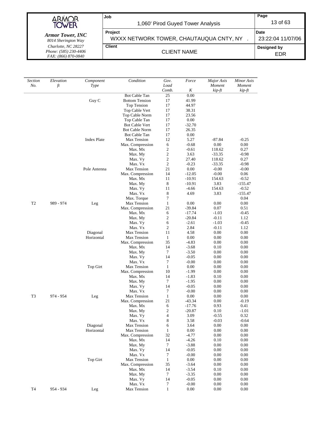| <b>ARMOR</b><br><b>TOWER</b> |
|------------------------------|
|                              |

**Date**

**Project** 

**Job**

**Client**

*Armor Tower, INC 8014 Sherington Way Charlotte, NC 28227 Phone: (585) 230-4406 FAX: (866) 870-0840* 

#### WXXX NETWORK TOWER, CHAUTAUQUA CNTY, NY .

**Designed by**<br>CLIENT NAME

EDR

| Section<br>No. | Elevation<br>ft | Component<br><b>Type</b> | Condition                       | Gov.<br>Load            | Force              | Major Axis<br>Moment | Minor Axis<br>Moment |
|----------------|-----------------|--------------------------|---------------------------------|-------------------------|--------------------|----------------------|----------------------|
|                |                 |                          |                                 | Comb.                   | $\boldsymbol{K}$   | kip-ft               | kip-ft               |
|                |                 |                          | <b>Bot Cable Tan</b>            | 25                      | 0.00               |                      |                      |
|                |                 | Guy C                    | <b>Bottom Tension</b>           | 17                      | 41.99              |                      |                      |
|                |                 |                          | Top Tension                     | 17                      | 44.97              |                      |                      |
|                |                 |                          | Top Cable Vert                  | 17                      | 38.31              |                      |                      |
|                |                 |                          | Top Cable Norm                  | 17                      | 23.56              |                      |                      |
|                |                 |                          | Top Cable Tan                   | 17                      | 0.00               |                      |                      |
|                |                 |                          | <b>Bot Cable Vert</b>           | 17                      | $-32.70$           |                      |                      |
|                |                 |                          | <b>Bot Cable Norm</b>           | 17                      | 26.35              |                      |                      |
|                |                 | <b>Index Plate</b>       | Bot Cable Tan                   | 17<br>12                | 0.00<br>5.27       | $-87.84$             | $-0.25$              |
|                |                 |                          | Max Tension<br>Max. Compression | 6                       | $-0.68$            | 0.00                 | 0.00                 |
|                |                 |                          | Max. Mx                         | $\overline{\mathbf{c}}$ | $-0.61$            | 118.62               | 0.27                 |
|                |                 |                          | Max. My                         | $\boldsymbol{2}$        | 3.63               | $-33.35$             | $-0.98$              |
|                |                 |                          | Max. Vy                         | $\boldsymbol{2}$        | 27.40              | 118.62               | 0.27                 |
|                |                 |                          | Max. Vx                         | 2                       | $-0.23$            | $-33.35$             | $-0.98$              |
|                |                 | Pole Antenna             | Max Tension                     | 21                      | 0.00               | $-0.00$              | $-0.00$              |
|                |                 |                          | Max. Compression                | 14                      | $-12.05$           | $-0.00$              | 0.06                 |
|                |                 |                          | Max. Mx                         | 11                      | $-10.91$           | 154.63               | $-0.52$              |
|                |                 |                          | Max. My                         | 8                       | $-10.91$           | 3.83                 | $-155.47$            |
|                |                 |                          | Max. Vy                         | 11                      | $-4.66$            | 154.63               | $-0.52$              |
|                |                 |                          | Max. Vx                         | 8                       | 4.69               | 3.83                 | $-155.47$            |
|                |                 |                          | Max. Torque                     | 7                       |                    |                      | 0.04                 |
| T <sub>2</sub> | 989 - 974       | Leg                      | Max Tension                     | $\mathbf{1}$            | 0.00               | 0.00                 | 0.00                 |
|                |                 |                          | Max. Compression                | 21                      | $-39.84$           | 0.07                 | 0.51                 |
|                |                 |                          | Max. Mx                         | 6                       | $-17.74$           | $-1.03$              | $-0.45$              |
|                |                 |                          | Max. My                         | 2                       | $-20.84$           | $-0.11$              | 1.12                 |
|                |                 |                          | Max. Vy                         | 6                       | $-2.61$            | $-1.03$              | $-0.45$              |
|                |                 |                          | Max. Vx                         | 2                       | 2.84               | $-0.11$              | 1.12                 |
|                |                 | Diagonal                 | Max Tension                     | 11                      | 4.58               | 0.00                 | 0.00                 |
|                |                 | Horizontal               | Max Tension                     | $\mathbf{1}$            | 0.00               | 0.00                 | 0.00                 |
|                |                 |                          | Max. Compression                | 35                      | $-4.83$            | 0.00                 | 0.00                 |
|                |                 |                          | Max. Mx                         | 14                      | $-3.68$            | 0.10                 | 0.00                 |
|                |                 |                          | Max. My                         | $\tau$                  | $-3.50$            | 0.00                 | 0.00                 |
|                |                 |                          | Max. Vy                         | 14                      | $-0.05$            | 0.00                 | 0.00                 |
|                |                 |                          | Max. Vx                         | 7                       | $-0.00$            | 0.00                 | 0.00                 |
|                |                 | <b>Top Girt</b>          | Max Tension                     | $\mathbf{1}$            | 0.00               | 0.00                 | 0.00                 |
|                |                 |                          | Max. Compression                | 10<br>14                | $-1.99$            | 0.00                 | 0.00<br>0.00         |
|                |                 |                          | Max. Mx                         | 7                       | $-1.83$<br>$-1.95$ | 0.10<br>0.00         | 0.00                 |
|                |                 |                          | Max. My<br>Max. Vy              | 14                      | $-0.05$            | 0.00                 | 0.00                 |
|                |                 |                          | Max. Vx                         | 7                       | $-0.00$            | 0.00                 | 0.00                 |
| T <sub>3</sub> | 974 - 954       | Leg                      | Max Tension                     | $\mathbf{1}$            | 0.00               | 0.00                 | 0.00                 |
|                |                 |                          | Max. Compression                | 21                      | -43.34             | 0.00                 | $-0.19$              |
|                |                 |                          | Max. Mx                         | 6                       | -17.76             | 0.93                 | 0.41                 |
|                |                 |                          | Max. My                         | 2                       | $-20.87$           | 0.10                 | $-1.01$              |
|                |                 |                          | Max. Vy                         | 4                       | 3.09               | $-0.55$              | 0.32                 |
|                |                 |                          | Max. Vx                         | 8                       | 3.58               | $-0.03$              | $-0.64$              |
|                |                 | Diagonal                 | Max Tension                     | 6                       | 3.64               | 0.00                 | 0.00                 |
|                |                 | Horizontal               | Max Tension                     | $\mathbf{1}$            | 0.00               | 0.00                 | 0.00                 |
|                |                 |                          | Max. Compression                | 32                      | $-4.77$            | 0.00                 | 0.00                 |
|                |                 |                          | Max. Mx                         | 14                      | $-4.26$            | 0.10                 | 0.00                 |
|                |                 |                          | Max. My                         | $\tau$                  | $-3.88$            | 0.00                 | 0.00                 |
|                |                 |                          | Max. Vy                         | 14                      | $-0.05$            | 0.00                 | 0.00                 |
|                |                 |                          | Max. Vx                         | 7                       | $-0.00$            | 0.00                 | 0.00                 |
|                |                 | <b>Top Girt</b>          | Max Tension                     | $\mathbf{1}$            | 0.00               | 0.00                 | 0.00                 |
|                |                 |                          | Max. Compression                | 35                      | $-3.64$            | 0.00                 | 0.00                 |
|                |                 |                          | Max. Mx                         | 14                      | $-3.54$            | 0.10                 | 0.00                 |
|                |                 |                          | Max. My                         | 7                       | $-3.35$            | 0.00                 | 0.00                 |
|                |                 |                          | Max. Vy                         | 14                      | $-0.05$            | 0.00                 | 0.00                 |
|                |                 |                          | Max. Vx                         | 7                       | $-0.00$            | 0.00                 | 0.00                 |
| T <sub>4</sub> | 954 - 934       | Leg                      | Max Tension                     | $\mathbf{1}$            | 0.00               | 0.00                 | 0.00                 |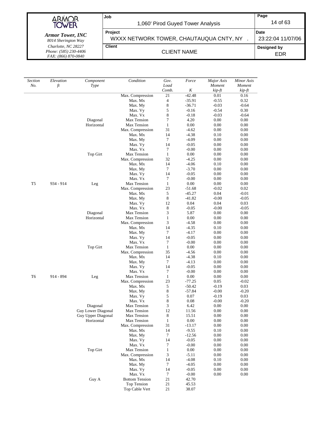| <b>ARMOR</b><br><b>TOWER</b> |  |
|------------------------------|--|
|                              |  |

**Date**

**Project** 

**Job**

**Client**

*Armor Tower, INC 8014 Sherington Way Charlotte, NC 28227 Phone: (585) 230-4406 FAX: (866) 870-0840* 

WXXX NETWORK TOWER, CHAUTAUQUA CNTY, NY .

**Designed by**<br>CLIENT NAME

EDR

| <b>Section</b><br>No. | Elevation<br>ft | Component<br>Type  | Condition                   | Gov.<br>Load      | Force               | Major Axis<br>Moment | Minor Axis<br>Moment |
|-----------------------|-----------------|--------------------|-----------------------------|-------------------|---------------------|----------------------|----------------------|
|                       |                 |                    |                             | Comb.             | K                   | kip-ft               | kip-ft               |
|                       |                 |                    | Max. Compression            | 21                | $-42.48$            | 0.01                 | 0.16                 |
|                       |                 |                    | Max. Mx                     | 4                 | $-35.91$            | $-0.55$              | 0.32                 |
|                       |                 |                    | Max. My                     | 8                 | $-36.71$            | $-0.03$              | $-0.64$              |
|                       |                 |                    | Max. Vy                     | 5                 | $-0.16$             | $-0.54$              | 0.30                 |
|                       |                 |                    | Max. Vx                     | 8                 | $-0.18$             | $-0.03$              | $-0.64$              |
|                       |                 | Diagonal           | Max Tension                 | $\tau$            | 4.20                | 0.00                 | 0.00                 |
|                       |                 | Horizontal         | Max Tension                 | $\mathbf{1}$      | 0.00                | 0.00                 | 0.00                 |
|                       |                 |                    | Max. Compression            | 31                | $-4.62$             | 0.00                 | 0.00                 |
|                       |                 |                    | Max. Mx                     | 14<br>7           | $-4.38$             | 0.10                 | 0.00                 |
|                       |                 |                    | Max. My                     | 14                | $-4.09$<br>$-0.05$  | 0.00<br>0.00         | 0.00<br>0.00         |
|                       |                 |                    | Max. Vy<br>Max. Vx          | 7                 | $-0.00$             | 0.00                 | 0.00                 |
|                       |                 | Top Girt           | Max Tension                 | $\mathbf{1}$      | 0.00                | 0.00                 | 0.00                 |
|                       |                 |                    | Max. Compression            | 32                | $-4.25$             | 0.00                 | 0.00                 |
|                       |                 |                    | Max. Mx                     | 14                | $-4.06$             | 0.10                 | 0.00                 |
|                       |                 |                    | Max. My                     | 7                 | $-3.70$             | 0.00                 | 0.00                 |
|                       |                 |                    | Max. Vy                     | 14                | $-0.05$             | 0.00                 | 0.00                 |
|                       |                 |                    | Max. Vx                     | 7                 | $-0.00$             | 0.00                 | 0.00                 |
| T5                    | 934 - 914       | Leg                | Max Tension                 | $\mathbf{1}$      | 0.00                | 0.00                 | 0.00                 |
|                       |                 |                    | Max. Compression            | 23                | $-51.68$            | $-0.02$              | 0.02                 |
|                       |                 |                    | Max. Mx                     | 5                 | $-45.27$            | 0.04                 | $-0.01$              |
|                       |                 |                    | Max. My                     | 8                 | $-41.82$            | $-0.00$              | $-0.05$              |
|                       |                 |                    | Max. Vy                     | 12                | 0.04                | 0.04                 | 0.03                 |
|                       |                 |                    | Max. Vx                     | 8                 | $-0.05$             | $-0.00$              | $-0.05$              |
|                       |                 | Diagonal           | Max Tension                 | 3                 | 5.87                | 0.00                 | 0.00                 |
|                       |                 | Horizontal         | Max Tension                 | $\mathbf{1}$      | 0.00                | 0.00                 | 0.00                 |
|                       |                 |                    | Max. Compression            | 3                 | $-4.58$             | 0.00                 | 0.00                 |
|                       |                 |                    | Max. Mx                     | 14                | $-4.35$             | 0.10                 | 0.00                 |
|                       |                 |                    | Max. My                     | 7                 | $-4.17$             | 0.00                 | 0.00                 |
|                       |                 |                    | Max. Vy                     | 14                | $-0.05$             | 0.00                 | 0.00                 |
|                       |                 | Top Girt           | Max. Vx<br>Max Tension      | 7<br>$\mathbf{1}$ | $-0.00$<br>0.00     | 0.00<br>0.00         | 0.00<br>0.00         |
|                       |                 |                    | Max. Compression            | 35                | $-4.56$             | 0.00                 | 0.00                 |
|                       |                 |                    | Max. Mx                     | 14                | $-4.38$             | 0.10                 | 0.00                 |
|                       |                 |                    | Max. My                     | $\tau$            | $-4.13$             | 0.00                 | 0.00                 |
|                       |                 |                    | Max. Vy                     | 14                | $-0.05$             | 0.00                 | 0.00                 |
|                       |                 |                    | Max. Vx                     | 7                 | $-0.00$             | 0.00                 | 0.00                 |
| T <sub>6</sub>        | 914 - 894       | Leg                | Max Tension                 | 1                 | 0.00                | 0.00                 | 0.00                 |
|                       |                 |                    | Max. Compression            | 23                | $-77.25$            | 0.05                 | $-0.02$              |
|                       |                 |                    | Max. Mx                     | 5                 | $-50.42$            | $-0.19$              | 0.03                 |
|                       |                 |                    | Max. My                     | 8                 | $-57.84$            | $-0.00$              | $-0.20$              |
|                       |                 |                    | Max. Vy                     | 5                 | 0.07                | $-0.19$              | 0.03                 |
|                       |                 |                    | Max. Vx                     | 8                 | 0.08                | $-0.00$              | $-0.20$              |
|                       |                 | Diagonal           | Max Tension                 | 3                 | 6.42                | 0.00                 | 0.00                 |
|                       |                 | Guy Lower Diagonal | <b>Max Tension</b>          | 12                | 11.56               | 0.00                 | 0.00                 |
|                       |                 | Guy Upper Diagonal | Max Tension                 | $\,8\,$           | 15.51               | 0.00                 | $0.00\,$             |
|                       |                 | Horizontal         | Max Tension                 | $\mathbf{1}$      | 0.00                | 0.00                 | 0.00                 |
|                       |                 |                    | Max. Compression<br>Max. Mx | 31                | $-13.17$            | 0.00                 | 0.00                 |
|                       |                 |                    |                             | 14                | $-9.55$             | 0.10                 | 0.00                 |
|                       |                 |                    | Max. My<br>Max. Vy          | $\tau$<br>14      | $-12.56$<br>$-0.05$ | 0.00<br>0.00         | 0.00<br>0.00         |
|                       |                 |                    | Max. Vx                     | 7                 | $-0.00$             | 0.00                 | 0.00                 |
|                       |                 | Top Girt           | Max Tension                 | $\mathbf{1}$      | 0.00                | 0.00                 | 0.00                 |
|                       |                 |                    | Max. Compression            | $\mathfrak{Z}$    | $-5.11$             | 0.00                 | 0.00                 |
|                       |                 |                    | Max. Mx                     | 14                | $-4.08$             | 0.10                 | 0.00                 |
|                       |                 |                    | Max. My                     | $\tau$            | $-4.05$             | 0.00                 | 0.00                 |
|                       |                 |                    | Max. Vy                     | 14                | $-0.05$             | 0.00                 | 0.00                 |
|                       |                 |                    | Max. Vx                     | $\tau$            | $-0.00$             | 0.00                 | 0.00                 |
|                       |                 | Guy A              | <b>Bottom Tension</b>       | 21                | 42.70               |                      |                      |
|                       |                 |                    | Top Tension                 | 21                | 45.53               |                      |                      |
|                       |                 |                    | Top Cable Vert              | 21                | 38.07               |                      |                      |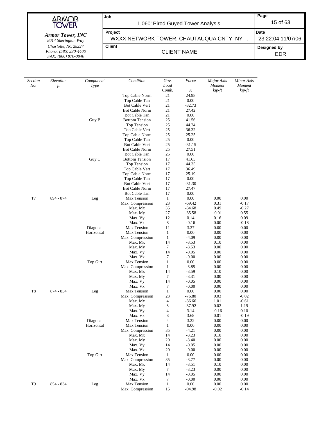| ARMOR        |  |
|--------------|--|
| <b>TOWER</b> |  |

**Date**

**Project** 

**Job**

**Client**

*Armor Tower, INC 8014 Sherington Way Charlotte, NC 28227 Phone: (585) 230-4406 FAX: (866) 870-0840* 

#### WXXX NETWORK TOWER, CHAUTAUQUA CNTY, NY .

**Designed by**<br>CLIENT NAME

EDR

| Section<br>No. | Elevation<br>ft | Component<br>Type | Condition                                     | Gov.<br>Load   | Force            | Major Axis<br>Moment | Minor Axis<br>Moment |
|----------------|-----------------|-------------------|-----------------------------------------------|----------------|------------------|----------------------|----------------------|
|                |                 |                   |                                               | Comb.          | $\boldsymbol{K}$ | kip-ft               | kip-ft               |
|                |                 |                   | Top Cable Norm                                | 21             | 24.98            |                      |                      |
|                |                 |                   | Top Cable Tan                                 | 21             | 0.00             |                      |                      |
|                |                 |                   | <b>Bot Cable Vert</b>                         | 21             | $-32.73$         |                      |                      |
|                |                 |                   | <b>Bot Cable Norm</b>                         | 21             | 27.42            |                      |                      |
|                |                 | Guy B             | <b>Bot Cable Tan</b><br><b>Bottom Tension</b> | 21<br>25       | 0.00<br>41.56    |                      |                      |
|                |                 |                   | Top Tension                                   | 25             | 44.24            |                      |                      |
|                |                 |                   | Top Cable Vert                                | 25             | 36.32            |                      |                      |
|                |                 |                   | Top Cable Norm                                | 25             | 25.25            |                      |                      |
|                |                 |                   | Top Cable Tan                                 | 25             | 0.00             |                      |                      |
|                |                 |                   | <b>Bot Cable Vert</b>                         | 25             | $-31.15$         |                      |                      |
|                |                 |                   | <b>Bot Cable Norm</b>                         | 25             | 27.51            |                      |                      |
|                |                 |                   | <b>Bot Cable Tan</b>                          | 25             | 0.00             |                      |                      |
|                |                 | Guy C             | <b>Bottom Tension</b>                         | 17             | 41.65            |                      |                      |
|                |                 |                   | Top Tension                                   | 17             | 44.35            |                      |                      |
|                |                 |                   | Top Cable Vert                                | 17             | 36.49            |                      |                      |
|                |                 |                   | Top Cable Norm                                | 17             | 25.19            |                      |                      |
|                |                 |                   | Top Cable Tan                                 | 17             | 0.00             |                      |                      |
|                |                 |                   | <b>Bot Cable Vert</b>                         | 17             | $-31.30$         |                      |                      |
|                |                 |                   | <b>Bot Cable Norm</b>                         | 17             | 27.47            |                      |                      |
|                |                 |                   | <b>Bot Cable Tan</b>                          | 17             | 0.00             |                      |                      |
| T7             | 894 - 874       | Leg               | Max Tension                                   | $\mathbf{1}$   | 0.00             | 0.00                 | 0.00                 |
|                |                 |                   | Max. Compression                              | 23             | $-69.42$         | 0.31                 | $-0.17$              |
|                |                 |                   | Max. Mx                                       | 35             | $-34.68$         | 0.49                 | $-0.27$              |
|                |                 |                   | Max. My                                       | 27<br>12       | $-35.58$<br>0.14 | $-0.01$<br>0.16      | 0.55<br>0.09         |
|                |                 |                   | Max. Vy<br>Max. Vx                            | 8              | -0.16            | 0.00                 | $-0.18$              |
|                |                 | Diagonal          | Max Tension                                   | 11             | 3.27             | 0.00                 | 0.00                 |
|                |                 | Horizontal        | Max Tension                                   | $\mathbf{1}$   | 0.00             | 0.00                 | 0.00                 |
|                |                 |                   | Max. Compression                              | $\mathbf{1}$   | -4.09            | 0.00                 | 0.00                 |
|                |                 |                   | Max. Mx                                       | 14             | $-3.53$          | 0.10                 | 0.00                 |
|                |                 |                   | Max. My                                       | 7              | $-3.53$          | 0.00                 | 0.00                 |
|                |                 |                   | Max. Vy                                       | 14             | $-0.05$          | 0.00                 | 0.00                 |
|                |                 |                   | Max. Vx                                       | 7              | $-0.00$          | 0.00                 | 0.00                 |
|                |                 | Top Girt          | Max Tension                                   | $\mathbf{1}$   | 0.00             | 0.00                 | 0.00                 |
|                |                 |                   | Max. Compression                              | $\mathbf{1}$   | $-3.85$          | 0.00                 | 0.00                 |
|                |                 |                   | Max. Mx                                       | 14             | $-3.59$          | 0.10                 | 0.00                 |
|                |                 |                   | Max. My                                       | 7              | $-3.31$          | 0.00                 | 0.00                 |
|                |                 |                   | Max. Vy                                       | 14             | $-0.05$          | 0.00                 | 0.00                 |
|                |                 |                   | Max. Vx                                       | 7              | $-0.00$          | 0.00                 | 0.00                 |
| T <sub>8</sub> | 874 - 854       | Leg               | Max Tension                                   | $\mathbf{1}$   | 0.00             | 0.00                 | 0.00                 |
|                |                 |                   | Max. Compression                              | 23             | $-76.80$         | 0.03                 | $-0.02$              |
|                |                 |                   | Max. Mx                                       | 4              | $-36.66$         | 1.01                 | $-0.61$              |
|                |                 |                   | Max. My                                       | 8<br>4         | $-37.92$<br>3.14 | 0.02                 | 1.19<br>0.10         |
|                |                 |                   | Max. Vy<br>Max. Vx                            | 8              |                  | $-0.16$<br>0.01      | $-0.19$              |
|                |                 | Diagonal          | Max Tension                                   | $\overline{4}$ | 3.68<br>3.22     | 0.00                 | 0.00                 |
|                |                 | Horizontal        | Max Tension                                   | $\mathbf{1}$   | 0.00             | 0.00                 | 0.00                 |
|                |                 |                   | Max. Compression                              | 35             | $-4.21$          | 0.00                 | $0.00\,$             |
|                |                 |                   | Max. Mx                                       | 14             | $-3.23$          | 0.10                 | 0.00                 |
|                |                 |                   | Max. My                                       | 20             | $-3.40$          | 0.00                 | 0.00                 |
|                |                 |                   | Max. Vy                                       | 14             | $-0.05$          | 0.00                 | 0.00                 |
|                |                 |                   | Max. Vx                                       | 20             | $-0.00$          | 0.00                 | 0.00                 |
|                |                 | <b>Top Girt</b>   | Max Tension                                   | $\mathbf{1}$   | $0.00\,$         | 0.00                 | 0.00                 |
|                |                 |                   | Max. Compression                              | 35             | $-3.77$          | 0.00                 | 0.00                 |
|                |                 |                   | Max. Mx                                       | 14             | $-3.51$          | 0.10                 | 0.00                 |
|                |                 |                   | Max. My                                       | 7              | $-3.23$          | 0.00                 | 0.00                 |
|                |                 |                   | Max. Vy                                       | 14             | $-0.05$          | 0.00                 | 0.00                 |
|                |                 |                   | Max. Vx                                       | 7              | $-0.00$          | 0.00                 | 0.00                 |
| T <sub>9</sub> | 854 - 834       | Leg               | Max Tension                                   | $\mathbf{1}$   | 0.00             | 0.00                 | 0.00                 |
|                |                 |                   | Max. Compression                              | 15             | -94.98           | $-0.02$              | $-0.14$              |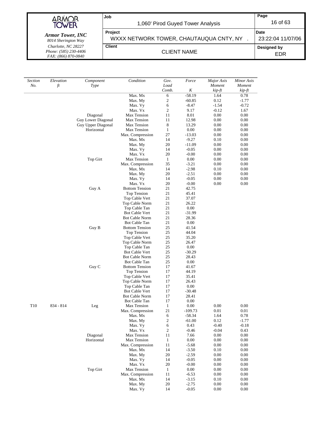| ARMOR<br><b>TOWER</b> |  |
|-----------------------|--|
|                       |  |

**Page**  16 of 63

**Date**

*Armor Tower, INC*

**Job**

**Project** 

**Client**

*8014 Sherington Way Charlotte, NC 28227 Phone: (585) 230-4406* 

*FAX: (866) 870-0840* 

### WXXX NETWORK TOWER, CHAUTAUQUA CNTY, NY .

**Designed by**<br>CLIENT NAME

EDR

| <b>Section</b><br>No. | Elevation<br>ft | Component<br>Type  | Condition                                      | Gov.<br>Load | Force               | Major Axis<br>Moment | Minor Axis<br>Moment |
|-----------------------|-----------------|--------------------|------------------------------------------------|--------------|---------------------|----------------------|----------------------|
|                       |                 |                    |                                                | Comb.        | K                   | kip-ft               | kip-ft               |
|                       |                 |                    | Max. Mx                                        | 6            | $-58.19$            | 1.64                 | 0.78                 |
|                       |                 |                    | Max. My                                        | 2            | $-60.85$            | 0.12                 | $-1.77$              |
|                       |                 |                    | Max. Vy                                        | 6            | $-8.47$             | $-1.54$              | $-0.72$              |
|                       |                 |                    | Max. Vx                                        | 2            | 9.17                | $-0.12$              | 1.67                 |
|                       |                 | Diagonal           | Max Tension                                    | 11           | 8.01                | 0.00                 | 0.00                 |
|                       |                 | Guy Lower Diagonal | Max Tension                                    | 11           | 12.98               | 0.00                 | 0.00                 |
|                       |                 | Guy Upper Diagonal | Max Tension                                    | 8            | 13.29               | 0.00                 | 0.00                 |
|                       |                 | Horizontal         | Max Tension                                    | $\mathbf{1}$ | 0.00                | 0.00                 | 0.00                 |
|                       |                 |                    | Max. Compression                               | 27           | $-13.03$            | 0.00                 | 0.00                 |
|                       |                 |                    | Max. Mx<br>Max. My                             | 14<br>20     | $-9.27$<br>$-11.09$ | 0.10<br>0.00         | 0.00<br>0.00         |
|                       |                 |                    | Max. Vy                                        | 14           | $-0.05$             | 0.00                 | 0.00                 |
|                       |                 |                    | Max. Vx                                        | 20           | $-0.00$             | 0.00                 | 0.00                 |
|                       |                 | Top Girt           | Max Tension                                    | $\mathbf{1}$ | 0.00                | 0.00                 | 0.00                 |
|                       |                 |                    | Max. Compression                               | 35           | $-3.21$             | 0.00                 | 0.00                 |
|                       |                 |                    | Max. Mx                                        | 14           | $-2.98$             | 0.10                 | 0.00                 |
|                       |                 |                    | Max. My                                        | 20           | $-2.51$             | 0.00                 | 0.00                 |
|                       |                 |                    | Max. Vy                                        | 14           | $-0.05$             | 0.00                 | 0.00                 |
|                       |                 |                    | Max. Vx                                        | 20           | $-0.00$             | 0.00                 | 0.00                 |
|                       |                 | Guy A              | <b>Bottom Tension</b>                          | 21           | 42.75               |                      |                      |
|                       |                 |                    | Top Tension                                    | 21           | 45.41               |                      |                      |
|                       |                 |                    | Top Cable Vert                                 | 21           | 37.07               |                      |                      |
|                       |                 |                    | Top Cable Norm                                 | 21           | 26.22               |                      |                      |
|                       |                 |                    | Top Cable Tan                                  | 21           | 0.00                |                      |                      |
|                       |                 |                    | <b>Bot Cable Vert</b><br><b>Bot Cable Norm</b> | 21<br>21     | $-31.99$<br>28.36   |                      |                      |
|                       |                 |                    | <b>Bot Cable Tan</b>                           | 21           | 0.00                |                      |                      |
|                       |                 | Guy B              | <b>Bottom Tension</b>                          | 25           | 41.54               |                      |                      |
|                       |                 |                    | Top Tension                                    | 25           | 44.04               |                      |                      |
|                       |                 |                    | Top Cable Vert                                 | 25           | 35.20               |                      |                      |
|                       |                 |                    | Top Cable Norm                                 | 25           | 26.47               |                      |                      |
|                       |                 |                    | Top Cable Tan                                  | 25           | 0.00                |                      |                      |
|                       |                 |                    | <b>Bot Cable Vert</b>                          | 25           | $-30.29$            |                      |                      |
|                       |                 |                    | <b>Bot Cable Norm</b>                          | 25           | 28.43               |                      |                      |
|                       |                 |                    | Bot Cable Tan                                  | 25           | $0.00\,$            |                      |                      |
|                       |                 | Guy C              | <b>Bottom Tension</b>                          | 17           | 41.67               |                      |                      |
|                       |                 |                    | Top Tension                                    | 17           | 44.19               |                      |                      |
|                       |                 |                    | Top Cable Vert                                 | 17<br>17     | 35.41               |                      |                      |
|                       |                 |                    | Top Cable Norm<br>Top Cable Tan                | 17           | 26.43<br>0.00       |                      |                      |
|                       |                 |                    | <b>Bot Cable Vert</b>                          | 17           | $-30.48$            |                      |                      |
|                       |                 |                    | <b>Bot Cable Norm</b>                          | 17           | 28.41               |                      |                      |
|                       |                 |                    | Bot Cable Tan                                  | 17           | 0.00                |                      |                      |
| T <sub>10</sub>       | 834 - 814       | Leg                | Max Tension                                    | $\mathbf{1}$ | 0.00                | 0.00                 | 0.00                 |
|                       |                 |                    | Max. Compression                               | 21           | $-109.73$           | 0.01                 | 0.01                 |
|                       |                 |                    | Max. Mx                                        | 6            | -58.34              | 1.64                 | 0.78                 |
|                       |                 |                    | Max. My                                        | 2            | $-61.00$            | 0.12                 | $-1.77$              |
|                       |                 |                    | Max. Vy                                        | 6            | 0.43                | $-0.40$              | $-0.18$              |
|                       |                 |                    | Max. Vx                                        | 2            | $-0.46$             | $-0.04$              | 0.43                 |
|                       |                 | Diagonal           | Max Tension                                    | 11           | 7.66                | 0.00                 | 0.00                 |
|                       |                 | Horizontal         | Max Tension                                    | $\mathbf{1}$ | $0.00\,$            | 0.00                 | 0.00                 |
|                       |                 |                    | Max. Compression<br>Max. Mx                    | 11<br>14     | $-5.68$<br>$-3.50$  | 0.00<br>0.10         | 0.00<br>0.00         |
|                       |                 |                    | Max. My                                        | 20           | $-2.59$             | 0.00                 | 0.00                 |
|                       |                 |                    | Max. Vy                                        | 14           | $-0.05$             | 0.00                 | 0.00                 |
|                       |                 |                    | Max. Vx                                        | 20           | $-0.00$             | 0.00                 | 0.00                 |
|                       |                 | Top Girt           | Max Tension                                    | $\mathbf{1}$ | 0.00                | 0.00                 | 0.00                 |
|                       |                 |                    | Max. Compression                               | 11           | $-6.53$             | 0.00                 | 0.00                 |
|                       |                 |                    | Max. Mx                                        | 14           | $-3.15$             | 0.10                 | 0.00                 |
|                       |                 |                    | Max. My                                        | 20           | $-2.75$             | 0.00                 | 0.00                 |
|                       |                 |                    | Max. Vy                                        | 14           | $-0.05$             | 0.00                 | 0.00                 |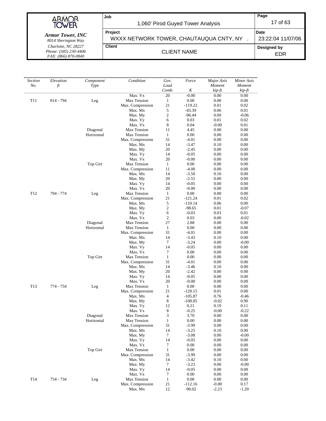| ARMOR        |  |
|--------------|--|
| <b>TOWER</b> |  |

**Date**

**Project** 

**Job**

**Client**

*Armor Tower, INC 8014 Sherington Way Charlotte, NC 28227 Phone: (585) 230-4406 FAX: (866) 870-0840* 

#### WXXX NETWORK TOWER, CHAUTAUQUA CNTY, NY .

**Designed by**<br>CLIENT NAME

EDR

| Section         | Elevation | Component              | Condition              | Gov.             | Force              | Major Axis      | Minor Axis      |
|-----------------|-----------|------------------------|------------------------|------------------|--------------------|-----------------|-----------------|
| No.             | ft        | <b>Type</b>            |                        | Load             |                    | Moment          | Moment          |
|                 |           |                        |                        | Comb.            | K                  | kip-ft          | kip-ft          |
|                 |           |                        | Max. Vx                | 20               | $-0.00$            | 0.00            | 0.00            |
| T <sub>11</sub> | 814 - 794 | Leg                    | Max Tension            | $\mathbf{1}$     | 0.00               | 0.00            | 0.00            |
|                 |           |                        | Max. Compression       | 21               | -119.22            | 0.01            | 0.02            |
|                 |           |                        | Max. Mx                | 5                | $-43.39$           | 0.06            | 0.01            |
|                 |           |                        | Max. My                | 2                | $-96.44$           | 0.00            | $-0.06$         |
|                 |           |                        | Max. Vy                | 6                | 0.03               | 0.01            | 0.02            |
|                 |           |                        | Max. Vx                | 8                | 0.04               | $-0.00$         | 0.01            |
|                 |           | Diagonal               | Max Tension            | 11               | 4.45               | 0.00            | 0.00            |
|                 |           | Horizontal             | Max Tension            | $\mathbf{1}$     | 0.00               | 0.00            | 0.00            |
|                 |           |                        | Max. Compression       | 31               | $-4.01$            | 0.00            | 0.00            |
|                 |           |                        | Max. Mx                | 14               | $-3.47$            | 0.10            | 0.00            |
|                 |           |                        | Max. My                | 20<br>14         | $-2.45$            | 0.00            | 0.00<br>0.00    |
|                 |           |                        | Max. Vy                | 20               | $-0.05$<br>$-0.00$ | 0.00<br>0.00    | 0.00            |
|                 |           | Top Girt               | Max. Vx<br>Max Tension | $\mathbf{1}$     | 0.00               | 0.00            | 0.00            |
|                 |           |                        | Max. Compression       | 11               | $-4.00$            | 0.00            | 0.00            |
|                 |           |                        | Max. Mx                | 14               | $-3.50$            | 0.10            | 0.00            |
|                 |           |                        | Max. My                | 20               | $-2.55$            | 0.00            | 0.00            |
|                 |           |                        | Max. Vy                | 14               | $-0.05$            | 0.00            | 0.00            |
|                 |           |                        | Max. Vx                | 20               | $-0.00$            | 0.00            | 0.00            |
| T <sub>12</sub> | 794 - 774 | Leg                    | Max Tension            | $\mathbf{1}$     | 0.00               | 0.00            | 0.00            |
|                 |           |                        | Max. Compression       | 21               | $-121.24$          | 0.01            | 0.02            |
|                 |           |                        | Max. Mx                | 5                | $-110.14$          | 0.06            | 0.00            |
|                 |           |                        | Max. My                | $\overline{c}$   | -98.65             | 0.01            | $-0.07$         |
|                 |           |                        | Max. Vy                | 6                | $-0.03$            | 0.03            | 0.01            |
|                 |           |                        | Max. Vx                | 2                | 0.03               | 0.00            | $-0.02$         |
|                 |           | Diagonal               | Max Tension            | 27               | 2.88               | 0.00            | 0.00            |
|                 |           | Horizontal             | Max Tension            | $\mathbf{1}$     | 0.00               | 0.00            | 0.00            |
|                 |           |                        | Max. Compression       | 31               | $-4.01$            | 0.00            | 0.00            |
|                 |           |                        | Max. Mx                | 14               | $-3.43$            | 0.10            | 0.00            |
|                 |           |                        | Max. My                | 7                | $-3.24$            | 0.00            | $-0.00$         |
|                 |           |                        | Max. Vy                | 14               | $-0.05$            | 0.00            | 0.00            |
|                 |           |                        | Max. Vx                | $\boldsymbol{7}$ | 0.00               | 0.00            | 0.00            |
|                 |           | <b>Top Girt</b>        | Max Tension            | $\mathbf{1}$     | 0.00               | 0.00            | 0.00            |
|                 |           |                        | Max. Compression       | 31               | $-4.01$            | 0.00            | 0.00            |
|                 |           |                        | Max. Mx                | 14               | $-3.46$            | 0.10            | 0.00            |
|                 |           |                        | Max. My                | 20               | $-2.42$            | 0.00            | 0.00            |
|                 |           |                        | Max. Vy                | 14               | $-0.05$            | 0.00            | 0.00            |
|                 |           |                        | Max. Vx                | 20               | $-0.00$            | 0.00            | 0.00            |
| T <sub>13</sub> | 774 - 754 | Leg                    | Max Tension            | $\mathbf{1}$     | 0.00               | 0.00            | 0.00            |
|                 |           |                        | Max. Compression       | 21               | -120.15            | 0.01            | 0.00            |
|                 |           |                        | Max. Mx                | 4                | $-105.87$          | 0.76            | -0.46           |
|                 |           |                        | Max. My                | 8                | $-108.05$          | $-0.02$         | 0.90            |
|                 |           |                        | Max. Vy                | 12<br>8          | 0.21               | 0.19<br>$-0.00$ | 0.11<br>$-0.22$ |
|                 |           |                        | Max. Vx<br>Max Tension | 3                | $-0.25$<br>3.70    | $0.00\,$        | $0.00\,$        |
|                 |           | Diagonal<br>Horizontal | Max Tension            | $\mathbf{1}$     | 0.00               | 0.00            | 0.00            |
|                 |           |                        | Max. Compression       | 31               | $-3.99$            | 0.00            | 0.00            |
|                 |           |                        | Max. Mx                | 14               | $-3.25$            | 0.10            | 0.00            |
|                 |           |                        | Max. My                | 7                | $-3.08$            | 0.00            | $-0.00$         |
|                 |           |                        | Max. Vy                | 14               | $-0.05$            | 0.00            | 0.00            |
|                 |           |                        | Max. Vx                | 7                | 0.00               | 0.00            | 0.00            |
|                 |           | <b>Top Girt</b>        | Max Tension            | $\mathbf{1}$     | 0.00               | 0.00            | 0.00            |
|                 |           |                        | Max. Compression       | 31               | $-3.99$            | 0.00            | 0.00            |
|                 |           |                        | Max. Mx                | 14               | $-3.42$            | 0.10            | 0.00            |
|                 |           |                        | Max. My                | 7                | $-3.23$            | 0.00            | $-0.00$         |
|                 |           |                        | Max. Vy                | 14               | $-0.05$            | 0.00            | 0.00            |
|                 |           |                        | Max. Vx                | 7                | 0.00               | 0.00            | 0.00            |
| T <sub>14</sub> | 754 - 734 | Leg                    | Max Tension            | $\mathbf{1}$     | 0.00               | 0.00            | 0.00            |
|                 |           |                        | Max. Compression       | 21               | -112.16            | $-0.00$         | 0.17            |
|                 |           |                        | Max. Mx                | 12               | $-90.02$           | $-2.23$         | $-1.20$         |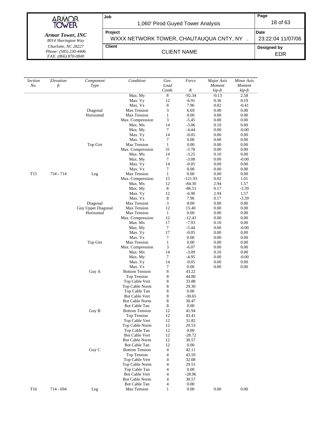| <b>ARMOR</b><br><b>TOWER</b> |
|------------------------------|
|                              |

**Date**

**Project** 

**Job**

**Client**

*Armor Tower, INC 8014 Sherington Way Charlotte, NC 28227 Phone: (585) 230-4406 FAX: (866) 870-0840* 

#### WXXX NETWORK TOWER, CHAUTAUQUA CNTY, NY .

**Designed by**<br>CLIENT NAME

EDR

| <b>Section</b><br>No. | Elevation<br>ft | Component<br><b>Type</b>         | Condition                                      | Gov.<br>Load       | Force          | Major Axis<br>Moment | Minor Axis<br>Moment |
|-----------------------|-----------------|----------------------------------|------------------------------------------------|--------------------|----------------|----------------------|----------------------|
|                       |                 |                                  |                                                | Comb.              | K              | kip-ft               | kip-ft               |
|                       |                 |                                  | Max. My                                        | 8                  | $-92.34$       | $-0.13$              | 2.58                 |
|                       |                 |                                  | Max. Vy                                        | 12                 | $-6.91$        | 0.36                 | 0.19                 |
|                       |                 |                                  | Max. Vx                                        | 8                  | 7.96           | 0.02                 | $-0.41$              |
|                       |                 | Diagonal                         | Max Tension                                    | 3                  | 6.69           | 0.00                 | 0.00                 |
|                       |                 | Horizontal                       | Max Tension                                    | 1                  | 0.00           | 0.00                 | 0.00                 |
|                       |                 |                                  | Max. Compression                               | 3                  | $-5.45$        | 0.00                 | 0.00                 |
|                       |                 |                                  | Max. Mx                                        | 14                 | $-3.06$        | 0.10                 | 0.00                 |
|                       |                 |                                  | Max. My                                        | 7                  | $-4.44$        | 0.00                 | $-0.00$              |
|                       |                 |                                  | Max. Vy                                        | 14                 | $-0.05$        | 0.00                 | 0.00                 |
|                       |                 |                                  | Max. Vx                                        | 7                  | 0.00           | 0.00                 | 0.00                 |
|                       |                 | Top Girt                         | Max Tension                                    | $\mathbf{1}$       | 0.00           | 0.00                 | $0.00\,$             |
|                       |                 |                                  | Max. Compression                               | 31                 | $-3.78$        | 0.00                 | 0.00                 |
|                       |                 |                                  | Max. Mx                                        | 14                 | $-3.25$        | 0.10                 | 0.00                 |
|                       |                 |                                  | Max. My                                        | 7                  | $-3.08$        | 0.00                 | $-0.00$              |
|                       |                 |                                  | Max. Vy                                        | 14                 | $-0.05$        | 0.00                 | 0.00                 |
|                       |                 |                                  | Max. Vx                                        | 7                  | 0.00           | 0.00                 | 0.00                 |
| T15                   | 734 - 714       | Leg                              | Max Tension                                    | $\mathbf{1}$       | 0.00           | 0.00                 | 0.00                 |
|                       |                 |                                  | Max. Compression                               | 15                 | $-121.93$      | 0.02                 | 1.01                 |
|                       |                 |                                  | Max. Mx                                        | 12                 | $-84.30$       | 2.94                 | 1.57                 |
|                       |                 |                                  | Max. My                                        | 8                  | $-86.53$       | 0.17                 | $-3.39$              |
|                       |                 |                                  | Max. Vy                                        | 12                 | $-6.90$        | 2.94                 | 1.57                 |
|                       |                 |                                  | Max. Vx                                        | 8                  | 7.96           | 0.17                 | $-3.39$              |
|                       |                 | Diagonal                         | Max Tension                                    | 3                  | 8.00           | 0.00                 | 0.00                 |
|                       |                 | Guy Upper Diagonal<br>Horizontal | Max Tension                                    | 12                 | 15.40          | 0.00                 | 0.00                 |
|                       |                 |                                  | Max Tension                                    | $\mathbf{1}$<br>12 | 0.00<br>-12.43 | 0.00<br>0.00         | 0.00<br>0.00         |
|                       |                 |                                  | Max. Compression<br>Max. Mx                    | 17                 | $-7.93$        | 0.10                 | 0.00                 |
|                       |                 |                                  | Max. My                                        | 7                  | $-5.44$        | 0.00                 | $-0.00$              |
|                       |                 |                                  | Max. Vy                                        | 17                 | $-0.05$        | 0.00                 | 0.00                 |
|                       |                 |                                  | Max. Vx                                        | 7                  | 0.00           | 0.00                 | 0.00                 |
|                       |                 | Top Girt                         | Max Tension                                    | $\mathbf{1}$       | 0.00           | 0.00                 | 0.00                 |
|                       |                 |                                  | Max. Compression                               | 3                  | $-6.07$        | 0.00                 | 0.00                 |
|                       |                 |                                  | Max. Mx                                        | 14                 | $-3.09$        | 0.10                 | 0.00                 |
|                       |                 |                                  | Max. My                                        | 7                  | $-4.95$        | 0.00                 | $-0.00$              |
|                       |                 |                                  | Max. Vy                                        | 14                 | $-0.05$        | 0.00                 | 0.00                 |
|                       |                 |                                  | Max. Vx                                        | 7                  | 0.00           | 0.00                 | 0.00                 |
|                       |                 | Guy A                            | <b>Bottom Tension</b>                          | 8                  | 43.22          |                      |                      |
|                       |                 |                                  | Top Tension                                    | 8                  | 44.80          |                      |                      |
|                       |                 |                                  | Top Cable Vert                                 | 8                  | 33.88          |                      |                      |
|                       |                 |                                  | Top Cable Norm                                 | 8                  | 29.30          |                      |                      |
|                       |                 |                                  | Top Cable Tan                                  | 8                  | $0.00\,$       |                      |                      |
|                       |                 |                                  | <b>Bot Cable Vert</b>                          | 8                  | -30.65         |                      |                      |
|                       |                 |                                  | <b>Bot Cable Norm</b>                          | 8                  | 30.47          |                      |                      |
|                       |                 |                                  | <b>Bot Cable Tan</b>                           | 8                  | 0.00           |                      |                      |
|                       |                 | Guy B                            | <b>Bottom Tension</b>                          | 12                 | 41.94          |                      |                      |
|                       |                 |                                  | Top Tension                                    | 12                 | 43.41          |                      |                      |
|                       |                 |                                  | Top Cable Vert                                 | 12                 | 31.82          |                      |                      |
|                       |                 |                                  | Top Cable Norm                                 | 12                 | 29.53          |                      |                      |
|                       |                 |                                  | Top Cable Tan                                  | 12                 | 0.00           |                      |                      |
|                       |                 |                                  | <b>Bot Cable Vert</b>                          | 12                 | $-28.72$       |                      |                      |
|                       |                 |                                  | <b>Bot Cable Norm</b>                          | 12                 | 30.57          |                      |                      |
|                       |                 |                                  | <b>Bot Cable Tan</b>                           | 12                 | 0.00           |                      |                      |
|                       |                 | Guy C                            | <b>Bottom Tension</b>                          | 4                  | 42.11          |                      |                      |
|                       |                 |                                  | Top Tension                                    | 4                  | 43.59          |                      |                      |
|                       |                 |                                  | Top Cable Vert                                 | 4                  | 32.08          |                      |                      |
|                       |                 |                                  | Top Cable Norm                                 | 4                  | 29.51          |                      |                      |
|                       |                 |                                  | Top Cable Tan                                  | 4                  | 0.00           |                      |                      |
|                       |                 |                                  | <b>Bot Cable Vert</b><br><b>Bot Cable Norm</b> | 4<br>4             | $-28.96$       |                      |                      |
|                       |                 |                                  | Bot Cable Tan                                  | 4                  | 30.57<br>0.00  |                      |                      |
| T <sub>16</sub>       | 714 - 694       | Leg                              | Max Tension                                    | $\mathbf{1}$       | 0.00           | 0.00                 | 0.00                 |
|                       |                 |                                  |                                                |                    |                |                      |                      |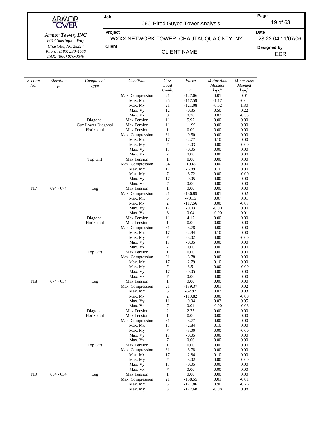| ARMOR<br><b>TOWER</b> |  |
|-----------------------|--|
|                       |  |

**Date**

**Project** 

**Job**

**Client**

*Armor Tower, INC 8014 Sherington Way Charlotte, NC 28227 Phone: (585) 230-4406 FAX: (866) 870-0840* 

WXXX NETWORK TOWER, CHAUTAUQUA CNTY, NY .

**Designed by**<br>CLIENT NAME

EDR

| <b>Section</b>  | Elevation   | Component          | Condition                       | Gov.               | Force             | Major Axis       | Minor Axis         |
|-----------------|-------------|--------------------|---------------------------------|--------------------|-------------------|------------------|--------------------|
| No.             | ft          | Type               |                                 | Load<br>Comb.      | K                 | Moment<br>kip-ft | Moment<br>kip-ft   |
|                 |             |                    | Max. Compression                | 21                 | $-127.06$         | 0.01             | 0.01               |
|                 |             |                    | Max. Mx                         | 25                 | $-117.59$         | $-1.17$          | $-0.64$            |
|                 |             |                    | Max. My                         | 21                 | $-121.08$         | $-0.02$          | 1.30               |
|                 |             |                    | Max. Vy                         | 12                 | $-0.35$           | 0.50             | 0.22               |
|                 |             |                    | Max. Vx                         | 8                  | 0.38              | 0.03             | $-0.53$            |
|                 |             | Diagonal           | Max Tension                     | 11                 | 5.97              | 0.00             | 0.00               |
|                 |             | Guy Lower Diagonal | Max Tension                     | 11                 | 11.99             | 0.00             | 0.00               |
|                 |             | Horizontal         | Max Tension                     | $\mathbf{1}$       | 0.00              | 0.00             | 0.00               |
|                 |             |                    | Max. Compression                | 31                 | $-9.50$           | 0.00             | 0.00               |
|                 |             |                    | Max. Mx                         | 17                 | $-2.77$           | 0.10             | 0.00               |
|                 |             |                    | Max. My                         | $\tau$             | $-4.03$           | 0.00             | $-0.00$            |
|                 |             |                    | Max. Vy                         | 17                 | $-0.05$           | 0.00             | 0.00               |
|                 |             |                    | Max. Vx                         | 7                  | 0.00              | 0.00             | 0.00               |
|                 |             | Top Girt           | Max Tension                     | $\mathbf{1}$       | 0.00              | 0.00             | 0.00               |
|                 |             |                    | Max. Compression                | 34                 | $-10.65$          | 0.00             | 0.00               |
|                 |             |                    | Max. Mx                         | 17                 | $-6.89$           | 0.10             | 0.00               |
|                 |             |                    | Max. My                         | $\tau$             | $-6.72$           | 0.00             | $-0.00$            |
|                 |             |                    | Max. Vy<br>Max. Vx              | 17<br>7            | $-0.05$<br>0.00   | 0.00<br>0.00     | 0.00<br>0.00       |
| T <sub>17</sub> | 694 - 674   | Leg                | Max Tension                     | $\mathbf{1}$       | 0.00              | 0.00             | 0.00               |
|                 |             |                    | Max. Compression                | 21                 | $-136.89$         | 0.01             | 0.02               |
|                 |             |                    | Max. Mx                         | 5                  | $-70.15$          | 0.07             | 0.01               |
|                 |             |                    | Max. My                         | 2                  | $-117.56$         | 0.00             | $-0.07$            |
|                 |             |                    | Max. Vy                         | 12                 | $-0.03$           | $-0.00$          | 0.00               |
|                 |             |                    | Max. Vx                         | 8                  | 0.04              | $-0.00$          | 0.01               |
|                 |             | Diagonal           | Max Tension                     | 11                 | 4.17              | 0.00             | 0.00               |
|                 |             | Horizontal         | Max Tension                     | $\mathbf{1}$       | 0.00              | 0.00             | 0.00               |
|                 |             |                    | Max. Compression                | 31                 | $-3.78$           | 0.00             | 0.00               |
|                 |             |                    | Max. Mx                         | 17                 | $-2.84$           | 0.10             | 0.00               |
|                 |             |                    | Max. My                         | $\tau$             | $-3.02$           | 0.00             | $-0.00$            |
|                 |             |                    | Max. Vy                         | 17                 | $-0.05$           | 0.00             | 0.00               |
|                 |             |                    | Max. Vx                         | $\tau$             | 0.00              | 0.00             | 0.00               |
|                 |             | Top Girt           | Max Tension                     | $\mathbf{1}$       | 0.00              | 0.00             | 0.00               |
|                 |             |                    | Max. Compression                | 31                 | $-3.78$           | 0.00             | 0.00               |
|                 |             |                    | Max. Mx                         | 17                 | $-2.79$           | 0.10             | 0.00               |
|                 |             |                    | Max. My                         | $\tau$             | $-3.51$           | 0.00             | $-0.00$            |
|                 |             |                    | Max. Vy<br>Max. Vx              | 17<br>7            | $-0.05$           | 0.00<br>0.00     | 0.00               |
| T18             | $674 - 654$ |                    | Max Tension                     | $\mathbf{1}$       | 0.00<br>0.00      | 0.00             | 0.00<br>0.00       |
|                 |             | Leg                | Max. Compression                | 21                 | -139.37           | 0.01             | 0.02               |
|                 |             |                    | Max. Mx                         | 6                  | $-52.97$          | 0.07             | 0.03               |
|                 |             |                    | Max. My                         | 2                  | $-119.82$         | 0.00             | $-0.08$            |
|                 |             |                    | Max. Vy                         | 11                 | $-0.04$           | 0.03             | 0.05               |
|                 |             |                    | Max. Vx                         | $\tau$             | 0.04              | $-0.00$          | $-0.03$            |
|                 |             | Diagonal           | Max Tension                     | $\overline{c}$     | 2.75              | 0.00             | 0.00               |
|                 |             | Horizontal         | Max Tension                     | $\mathbf{1}$       | $0.00\,$          | 0.00             | 0.00               |
|                 |             |                    | Max. Compression                | 31                 | $-3.77$           | 0.00             | 0.00               |
|                 |             |                    | Max. Mx                         | 17                 | $-2.84$           | 0.10             | 0.00               |
|                 |             |                    | Max. My                         | $\tau$             | $-3.00$           | 0.00             | $-0.00$            |
|                 |             |                    | Max. Vy                         | 17                 | $-0.05$           | 0.00             | 0.00               |
|                 |             |                    | Max. Vx                         | 7                  | 0.00              | 0.00             | 0.00               |
|                 |             | Top Girt           | Max Tension                     | $\mathbf{1}$       | 0.00              | 0.00             | 0.00               |
|                 |             |                    | Max. Compression                | 31                 | $-3.78$           | 0.00             | 0.00               |
|                 |             |                    | Max. Mx                         | 17                 | $-2.84$           | 0.10             | 0.00               |
|                 |             |                    | Max. My                         | $\tau$             | $-3.02$           | 0.00             | $-0.00$            |
|                 |             |                    | Max. Vy                         | 17                 | $-0.05$           | 0.00             | 0.00               |
|                 |             |                    | Max. Vx                         | 7                  | $0.00\,$          | 0.00             | 0.00               |
| T <sub>19</sub> | 654 - 634   | Leg                | Max Tension<br>Max. Compression | $\mathbf{1}$<br>21 | 0.00<br>$-138.55$ | 0.00             | 0.00               |
|                 |             |                    | Max. Mx                         | 5                  | $-121.86$         | 0.01<br>0.90     | $-0.01$<br>$-0.26$ |
|                 |             |                    | Max. My                         | $\,8\,$            | $-122.68$         | $-0.08$          | 0.98               |
|                 |             |                    |                                 |                    |                   |                  |                    |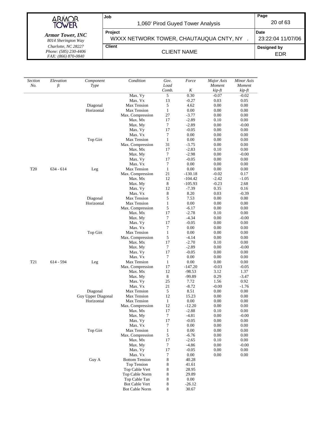| <b>ARMOR</b><br><b>TOWER</b> |  |
|------------------------------|--|
|                              |  |

**Date**

**Project** 

**Job**

**Client**

*Armor Tower, INC 8014 Sherington Way Charlotte, NC 28227 Phone: (585) 230-4406 FAX: (866) 870-0840* 

#### WXXX NETWORK TOWER, CHAUTAUQUA CNTY, NY .

**Designed by**<br>CLIENT NAME

EDR

| <b>Section</b>  | Elevation   | Component          | Condition                   | Gov.               | Force                  | Major Axis      | Minor Axis      |
|-----------------|-------------|--------------------|-----------------------------|--------------------|------------------------|-----------------|-----------------|
| No.             | ft          | Type               |                             | Load               |                        | Moment          | Moment          |
|                 |             |                    |                             | Comb.              | K                      | kip-ft          | kip-ft          |
|                 |             |                    | Max. Vy                     | 5                  | 0.30                   | $-0.07$         | $-0.02$         |
|                 |             |                    | Max. Vx                     | 13                 | $-0.27$                | 0.03            | 0.05            |
|                 |             | Diagonal           | Max Tension                 | 5                  | 4.62                   | 0.00            | 0.00            |
|                 |             | Horizontal         | Max Tension                 | $\mathbf{1}$       | 0.00                   | 0.00            | 0.00            |
|                 |             |                    | Max. Compression            | 27                 | $-3.77$                | 0.00            | 0.00            |
|                 |             |                    | Max. Mx                     | 17                 | $-2.89$                | 0.10            | 0.00            |
|                 |             |                    | Max. My                     | $\boldsymbol{7}$   | $-2.89$                | 0.00            | $-0.00$         |
|                 |             |                    | Max. Vy                     | 17                 | $-0.05$                | 0.00            | 0.00            |
|                 |             |                    | Max. Vx                     | 7                  | 0.00                   | 0.00            | 0.00            |
|                 |             | Top Girt           | Max Tension                 | $\mathbf{1}$       | 0.00                   | 0.00            | 0.00            |
|                 |             |                    | Max. Compression            | 31                 | $-3.75$                | 0.00            | 0.00            |
|                 |             |                    | Max. Mx                     | 17                 | $-2.83$                | 0.10            | 0.00            |
|                 |             |                    | Max. My                     | $\boldsymbol{7}$   | $-2.98$                | 0.00            | $-0.00$         |
|                 |             |                    | Max. Vy                     | 17                 | $-0.05$                | 0.00            | 0.00            |
|                 |             |                    | Max. Vx                     | 7                  | 0.00                   | 0.00            | 0.00            |
| T <sub>20</sub> | $634 - 614$ | Leg                | Max Tension                 | $\mathbf{1}$<br>21 | 0.00                   | 0.00<br>$-0.02$ | 0.00            |
|                 |             |                    | Max. Compression<br>Max. Mx | 12                 | $-130.18$<br>$-104.42$ | $-2.42$         | 0.17<br>$-1.05$ |
|                 |             |                    | Max. My                     | 8                  | $-105.93$              | $-0.23$         | 2.68            |
|                 |             |                    | Max. Vy                     | 12                 | $-7.39$                | 0.35            | 0.16            |
|                 |             |                    | Max. Vx                     | 8                  | 8.20                   | 0.03            | $-0.39$         |
|                 |             | Diagonal           | Max Tension                 | 5                  | 7.53                   | 0.00            | 0.00            |
|                 |             | Horizontal         | Max Tension                 | $\mathbf{1}$       | 0.00                   | 0.00            | 0.00            |
|                 |             |                    | Max. Compression            | 5                  | $-6.17$                | 0.00            | $0.00\,$        |
|                 |             |                    | Max. Mx                     | 17                 | $-2.78$                | 0.10            | 0.00            |
|                 |             |                    | Max. My                     | 7                  | $-4.34$                | 0.00            | $-0.00$         |
|                 |             |                    | Max. Vy                     | 17                 | $-0.05$                | 0.00            | 0.00            |
|                 |             |                    | Max. Vx                     | 7                  | 0.00                   | 0.00            | 0.00            |
|                 |             | Top Girt           | Max Tension                 | $\mathbf{1}$       | 0.00                   | 0.00            | $0.00\,$        |
|                 |             |                    | Max. Compression            | 5                  | $-4.14$                | 0.00            | $0.00\,$        |
|                 |             |                    | Max. Mx                     | 17                 | $-2.70$                | 0.10            | 0.00            |
|                 |             |                    | Max. My                     | 7                  | $-2.89$                | 0.00            | $-0.00$         |
|                 |             |                    | Max. Vy                     | 17                 | $-0.05$                | 0.00            | 0.00            |
|                 |             |                    | Max. Vx                     | 7                  | 0.00                   | 0.00            | 0.00            |
| T <sub>21</sub> | 614 - 594   | Leg                | Max Tension                 | $\mathbf{1}$       | 0.00                   | 0.00            | 0.00            |
|                 |             |                    | Max. Compression            | 17                 | $-147.20$              | $-0.03$         | -0.05           |
|                 |             |                    | Max. Mx                     | 12                 | $-98.53$               | 3.12            | 1.37            |
|                 |             |                    | Max. My                     | 8                  | -99.89                 | 0.29<br>1.56    | -3.47           |
|                 |             |                    | Max. Vy<br>Max. Vx          | 25<br>21           | 7.72<br>$-8.72$        | $-0.00$         | 0.92<br>-1.76   |
|                 |             | Diagonal           | Max Tension                 | 5                  | 8.51                   | 0.00            | 0.00            |
|                 |             | Guy Upper Diagonal | Max Tension                 | 12                 | 15.23                  | 0.00            | 0.00            |
|                 |             | Horizontal         | Max Tension                 | $\mathbf{1}$       | 0.00                   | 0.00            | 0.00            |
|                 |             |                    | Max. Compression            | 12                 | $-12.20$               | 0.00            | 0.00            |
|                 |             |                    | Max. Mx                     | 17                 | $-2.88$                | 0.10            | 0.00            |
|                 |             |                    | Max. My                     | 7                  | -4.81                  | 0.00            | $-0.00$         |
|                 |             |                    | Max. Vy                     | 17                 | $-0.05$                | 0.00            | 0.00            |
|                 |             |                    | Max. Vx                     | 7                  | 0.00                   | 0.00            | 0.00            |
|                 |             | Top Girt           | Max Tension                 | $\mathbf{1}$       | $0.00\,$               | 0.00            | 0.00            |
|                 |             |                    | Max. Compression            | 5                  | $-6.76$                | 0.00            | 0.00            |
|                 |             |                    | Max. Mx                     | 17                 | $-2.65$                | 0.10            | 0.00            |
|                 |             |                    | Max. My                     | $\boldsymbol{7}$   | $-4.86$                | 0.00            | $-0.00$         |
|                 |             |                    | Max. Vy                     | 17                 | $-0.05$                | 0.00            | 0.00            |
|                 |             |                    | Max. Vx                     | 7                  | $0.00\,$               | 0.00            | 0.00            |
|                 |             | Guy A              | <b>Bottom Tension</b>       | $\,$ 8 $\,$        | 40.28                  |                 |                 |
|                 |             |                    | Top Tension                 | 8                  | 41.61                  |                 |                 |
|                 |             |                    | Top Cable Vert              | 8                  | 28.95                  |                 |                 |
|                 |             |                    | Top Cable Norm              | 8                  | 29.89                  |                 |                 |
|                 |             |                    | Top Cable Tan               | 8                  | 0.00                   |                 |                 |
|                 |             |                    | <b>Bot Cable Vert</b>       | 8                  | $-26.12$               |                 |                 |
|                 |             |                    | <b>Bot Cable Norm</b>       | 8                  | 30.67                  |                 |                 |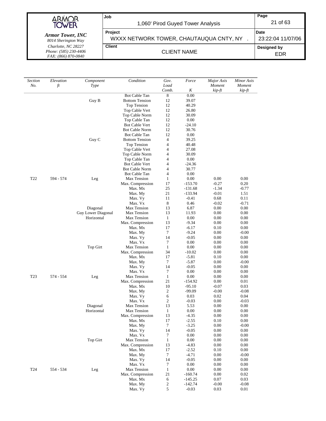| ARMOR<br><b>TOWER</b> |  |
|-----------------------|--|
|                       |  |

**Date**

**Project** 

**Job**

**Client**

*Armor Tower, INC 8014 Sherington Way Charlotte, NC 28227 Phone: (585) 230-4406 FAX: (866) 870-0840* 

#### WXXX NETWORK TOWER, CHAUTAUQUA CNTY, NY .

**Designed by**<br>CLIENT NAME

EDR

| Section         | Elevation | Component          | Condition             | Gov.             | Force     | Major Axis | Minor Axis |
|-----------------|-----------|--------------------|-----------------------|------------------|-----------|------------|------------|
| No.             | $\it ft$  | Type               |                       | Load             |           | Moment     | Moment     |
|                 |           |                    |                       | Comb.            | K         | kip-ft     | kip-ft     |
|                 |           |                    | <b>Bot Cable Tan</b>  | 8                | 0.00      |            |            |
|                 |           | Guy B              | <b>Bottom Tension</b> | 12               | 39.07     |            |            |
|                 |           |                    | Top Tension           | 12               | 40.29     |            |            |
|                 |           |                    | Top Cable Vert        | 12               | 26.80     |            |            |
|                 |           |                    | Top Cable Norm        | 12               | 30.09     |            |            |
|                 |           |                    | Top Cable Tan         | 12               | 0.00      |            |            |
|                 |           |                    | <b>Bot Cable Vert</b> | 12               | $-24.10$  |            |            |
|                 |           |                    | <b>Bot Cable Norm</b> | 12               | 30.76     |            |            |
|                 |           |                    | Bot Cable Tan         | 12               | 0.00      |            |            |
|                 |           | Guy C              | <b>Bottom Tension</b> | 4                | 39.25     |            |            |
|                 |           |                    | Top Tension           | 4                | 40.48     |            |            |
|                 |           |                    | Top Cable Vert        | 4                | 27.08     |            |            |
|                 |           |                    | Top Cable Norm        | 4                | 30.09     |            |            |
|                 |           |                    | Top Cable Tan         | 4                | 0.00      |            |            |
|                 |           |                    | <b>Bot Cable Vert</b> | 4                | $-24.36$  |            |            |
|                 |           |                    | <b>Bot Cable Norm</b> | 4                | 30.77     |            |            |
|                 |           |                    | <b>Bot Cable Tan</b>  | 4                | 0.00      |            |            |
| T <sub>22</sub> | 594 - 574 |                    | Max Tension           | $\mathbf{1}$     | 0.00      | 0.00       | 0.00       |
|                 |           | Leg                | Max. Compression      | 17               | -153.70   | $-0.27$    | 0.20       |
|                 |           |                    |                       | 25               |           | $-1.34$    |            |
|                 |           |                    | Max. Mx               |                  | $-131.68$ |            | $-0.77$    |
|                 |           |                    | Max. My               | 21               | $-133.94$ | $-0.01$    | 1.51       |
|                 |           |                    | Max. Vy               | 11               | $-0.41$   | 0.68       | 0.11       |
|                 |           |                    | Max. Vx               | 8                | 0.46      | $-0.02$    | $-0.71$    |
|                 |           | Diagonal           | Max Tension           | 13               | 6.87      | 0.00       | 0.00       |
|                 |           | Guy Lower Diagonal | Max Tension           | 13               | 11.93     | 0.00       | 0.00       |
|                 |           | Horizontal         | Max Tension           | $\mathbf{1}$     | 0.00      | 0.00       | 0.00       |
|                 |           |                    | Max. Compression      | 13               | $-9.34$   | 0.00       | 0.00       |
|                 |           |                    | Max. Mx               | 17               | $-6.17$   | 0.10       | 0.00       |
|                 |           |                    | Max. My               | 7                | $-9.24$   | 0.00       | $-0.00$    |
|                 |           |                    | Max. Vy               | 14               | $-0.05$   | 0.00       | 0.00       |
|                 |           |                    | Max. Vx               | 7                | 0.00      | 0.00       | 0.00       |
|                 |           | Top Girt           | Max Tension           | $\mathbf{1}$     | 0.00      | 0.00       | 0.00       |
|                 |           |                    | Max. Compression      | 34               | $-10.02$  | 0.00       | 0.00       |
|                 |           |                    | Max. Mx               | 17               | $-5.81$   | 0.10       | 0.00       |
|                 |           |                    | Max. My               | 7                | $-5.87$   | 0.00       | $-0.00$    |
|                 |           |                    | Max. Vy               | 14               | $-0.05$   | 0.00       | 0.00       |
|                 |           |                    | Max. Vx               | 7                | 0.00      | 0.00       | 0.00       |
| T <sub>23</sub> | 574 - 554 | Leg                | Max Tension           | $\mathbf{1}$     | 0.00      | 0.00       | 0.00       |
|                 |           |                    | Max. Compression      | 21               | -154.92   | 0.00       | 0.01       |
|                 |           |                    | Max. Mx               | 10               | $-95.10$  | $-0.07$    | 0.03       |
|                 |           |                    | Max. My               | $\boldsymbol{2}$ | $-99.09$  | $-0.00$    | $-0.08$    |
|                 |           |                    | Max. Vy               | 6                | 0.03      | 0.02       | 0.04       |
|                 |           |                    | Max. Vx               | 2                | $-0.03$   | 0.00       | $-0.03$    |
|                 |           | Diagonal           | Max Tension           | 13               | 5.53      | 0.00       | 0.00       |
|                 |           | Horizontal         | Max Tension           | $\mathbf{1}$     | 0.00      | 0.00       | 0.00       |
|                 |           |                    | Max. Compression      | 13               | $-4.35$   | 0.00       | 0.00       |
|                 |           |                    | Max. Mx               | 17               | $-2.55$   | 0.10       | 0.00       |
|                 |           |                    | Max. My               | 7                | $-3.25$   | 0.00       | $-0.00$    |
|                 |           |                    | Max. Vy               | 14               | $-0.05$   | 0.00       | 0.00       |
|                 |           |                    | Max. Vx               | 7                | 0.00      | 0.00       | 0.00       |
|                 |           | Top Girt           | Max Tension           | $\mathbf{1}$     | 0.00      | 0.00       | 0.00       |
|                 |           |                    | Max. Compression      | 13               | $-4.83$   | 0.00       | 0.00       |
|                 |           |                    | Max. Mx               | 17               | $-2.52$   | 0.10       | 0.00       |
|                 |           |                    | Max. My               | 7                | $-4.71$   | 0.00       | $-0.00$    |
|                 |           |                    | Max. Vy               | 14               | $-0.05$   | 0.00       | 0.00       |
|                 |           |                    | Max. Vx               | 7                | 0.00      | 0.00       | 0.00       |
| T <sub>24</sub> | 554 - 534 | Leg                | Max Tension           | $\mathbf{1}$     | 0.00      | 0.00       | 0.00       |
|                 |           |                    | Max. Compression      | 21               | -160.74   | 0.00       | 0.02       |
|                 |           |                    | Max. Mx               | 6                | -145.25   | 0.07       | 0.03       |
|                 |           |                    | Max. My               | 2                | -142.74   | $-0.00$    | $-0.08$    |
|                 |           |                    | Max. Vy               | 5                | $-0.03$   | 0.03       | 0.01       |
|                 |           |                    |                       |                  |           |            |            |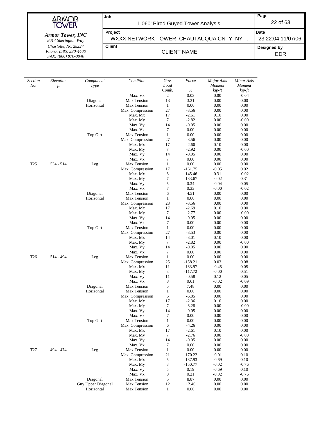| <b>ARMOR</b><br><b>TOWER</b> |  |
|------------------------------|--|
|                              |  |

**Date**

**Project** 

**Job**

**Client**

*Armor Tower, INC 8014 Sherington Way Charlotte, NC 28227 Phone: (585) 230-4406 FAX: (866) 870-0840* 

#### WXXX NETWORK TOWER, CHAUTAUQUA CNTY, NY .

**Designed by**<br>CLIENT NAME

EDR

| Section         | Elevation | Component              | Condition                  | Gov.             | Force        | Major Axis   | Minor Axis    |
|-----------------|-----------|------------------------|----------------------------|------------------|--------------|--------------|---------------|
| No.             | ft        | Type                   |                            | Load             |              | Moment       | <b>Moment</b> |
|                 |           |                        |                            | Comb.            | K            | kip-ft       | kip-ft        |
|                 |           |                        | Max. Vx                    | $\boldsymbol{2}$ | 0.03         | 0.00         | $-0.04$       |
|                 |           | Diagonal               | Max Tension                | 13               | 3.31         | 0.00         | 0.00          |
|                 |           | Horizontal             | Max Tension                | $\mathbf{1}$     | 0.00         | 0.00         | 0.00          |
|                 |           |                        | Max. Compression           | 27               | $-3.56$      | 0.00         | 0.00          |
|                 |           |                        | Max. Mx                    | 17               | $-2.61$      | 0.10         | 0.00          |
|                 |           |                        | Max. My                    | $\tau$           | $-2.82$      | 0.00         | $-0.00$       |
|                 |           |                        | Max. Vy                    | 14               | $-0.05$      | 0.00         | 0.00          |
|                 |           |                        | Max. Vx                    | $\tau$           | 0.00         | 0.00         | 0.00          |
|                 |           | Top Girt               | Max Tension                | $\mathbf{1}$     | 0.00         | 0.00         | 0.00          |
|                 |           |                        | Max. Compression           | 27               | $-3.56$      | 0.00         | 0.00          |
|                 |           |                        | Max. Mx                    | 17               | $-2.60$      | 0.10         | 0.00          |
|                 |           |                        | Max. My                    | $\tau$           | $-2.92$      | 0.00         | $-0.00$       |
|                 |           |                        | Max. Vy                    | 14               | $-0.05$      | 0.00         | 0.00          |
|                 |           |                        | Max. Vx                    | $\boldsymbol{7}$ | 0.00         | 0.00         | 0.00          |
| T <sub>25</sub> | 534 - 514 | Leg                    | Max Tension                | $\mathbf{1}$     | 0.00         | 0.00         | 0.00          |
|                 |           |                        | Max. Compression           | 17               | $-161.75$    | $-0.05$      | 0.02          |
|                 |           |                        | Max. Mx                    | 6                | $-145.46$    | 0.31         | $-0.02$       |
|                 |           |                        | Max. My                    | 7                | $-133.67$    | $-0.02$      | 0.31          |
|                 |           |                        | Max. Vy                    | 5                | 0.34         | $-0.04$      | 0.05          |
|                 |           |                        | Max. Vx                    | 7                | 0.33         | $-0.00$      | $-0.02$       |
|                 |           | Diagonal               | Max Tension                | 6                | 4.51         | 0.00         | 0.00          |
|                 |           | Horizontal             | Max Tension                | $\mathbf{1}$     | 0.00         | 0.00         | 0.00          |
|                 |           |                        | Max. Compression           | 28               | $-3.56$      | 0.00         | 0.00          |
|                 |           |                        | Max. Mx                    | 17               | $-2.69$      | 0.10         | 0.00          |
|                 |           |                        | Max. My                    | 7                | $-2.77$      | 0.00         | $-0.00$       |
|                 |           |                        | Max. Vy                    | 14               | $-0.05$      | 0.00         | 0.00          |
|                 |           |                        | Max. Vx                    | $\tau$           | 0.00         | 0.00         | 0.00          |
|                 |           | <b>Top Girt</b>        | Max Tension                | $\mathbf{1}$     | 0.00         | 0.00         | 0.00          |
|                 |           |                        | Max. Compression           | 27               | $-3.53$      | 0.00         | 0.00          |
|                 |           |                        | Max. Mx                    | 14               | $-3.01$      | 0.10         | 0.00          |
|                 |           |                        | Max. My                    | $\tau$           | $-2.82$      | 0.00         | $-0.00$       |
|                 |           |                        | Max. Vy                    | 14               | $-0.05$      | 0.00         | 0.00          |
|                 |           |                        | Max. Vx                    | 7                | 0.00         | 0.00         | 0.00          |
| T <sub>26</sub> | 514 - 494 | Leg                    | Max Tension                | $\mathbf{1}$     | 0.00         | 0.00         | 0.00          |
|                 |           |                        | Max. Compression           | 25               | $-158.21$    | 0.03         | 0.08          |
|                 |           |                        | Max. Mx                    | 11               | -133.97      | $-0.45$      | 0.05          |
|                 |           |                        | Max. My                    | $\,8\,$          | -117.72      | $-0.00$      | 0.51          |
|                 |           |                        | Max. Vy                    | 11               | -0.58        | 0.12         | 0.05          |
|                 |           |                        | Max. Vx                    | 8<br>5           | 0.61         | $-0.02$      | $-0.09$       |
|                 |           | Diagonal<br>Horizontal | Max Tension<br>Max Tension | $\mathbf{1}$     | 7.48<br>0.00 | 0.00<br>0.00 | 0.00<br>0.00  |
|                 |           |                        | Max. Compression           | 6                | $-6.05$      | 0.00         | 0.00          |
|                 |           |                        | Max. Mx                    | 17               | $-2.36$      | 0.10         | 0.00          |
|                 |           |                        | Max. My                    | 7                | $-3.28$      | 0.00         | $-0.00$       |
|                 |           |                        | Max. Vy                    | 14               | $-0.05$      | 0.00         | 0.00          |
|                 |           |                        | Max. Vx                    | 7                | 0.00         | $0.00\,$     | $0.00\,$      |
|                 |           | Top Girt               | Max Tension                | $\mathbf{1}$     | 0.00         | 0.00         | 0.00          |
|                 |           |                        | Max. Compression           | 6                | $-4.26$      | 0.00         | 0.00          |
|                 |           |                        | Max. Mx                    | 17               | $-2.61$      | 0.10         | 0.00          |
|                 |           |                        | Max. My                    | $\tau$           | $-2.76$      | 0.00         | $-0.00$       |
|                 |           |                        | Max. Vy                    | 14               | $-0.05$      | 0.00         | 0.00          |
|                 |           |                        | Max. Vx                    | 7                | 0.00         | 0.00         | 0.00          |
| T <sub>27</sub> | 494 - 474 | Leg                    | Max Tension                | $\mathbf{1}$     | 0.00         | 0.00         | 0.00          |
|                 |           |                        | Max. Compression           | 21               | $-170.22$    | $-0.01$      | 0.10          |
|                 |           |                        | Max. Mx                    | 5                | $-137.93$    | $-0.69$      | 0.10          |
|                 |           |                        | Max. My                    | 8                | $-150.77$    | $-0.02$      | $-0.76$       |
|                 |           |                        | Max. Vy                    | $\sqrt{5}$       | 0.19         | $-0.69$      | 0.10          |
|                 |           |                        | Max. Vx                    | $\,8\,$          | 0.21         | $-0.02$      | $-0.76$       |
|                 |           | Diagonal               | Max Tension                | $\sqrt{5}$       | 8.87         | 0.00         | 0.00          |
|                 |           | Guy Upper Diagonal     | Max Tension                | 12               | 12.40        | 0.00         | 0.00          |
|                 |           | Horizontal             | Max Tension                | $\mathbf{1}$     | 0.00         | 0.00         | 0.00          |
|                 |           |                        |                            |                  |              |              |               |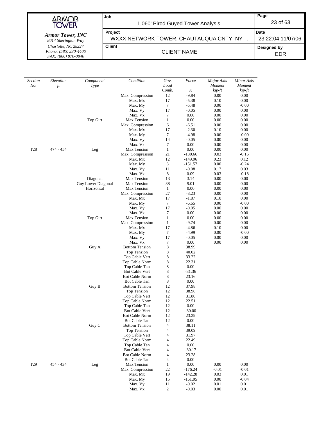| ARMOR<br><b>TOWER</b> |  |
|-----------------------|--|
|                       |  |

**Date**

**Project** 

**Client**

**Job**

*Armor Tower, INC 8014 Sherington Way Charlotte, NC 28227 Phone: (585) 230-4406 FAX: (866) 870-0840* 

#### WXXX NETWORK TOWER, CHAUTAUQUA CNTY, NY .

**Designed by**<br>CLIENT NAME

EDR

| Section         | Elevation | Component          | Condition             | Gov.             | Force     | Major Axis       | Minor Axis       |
|-----------------|-----------|--------------------|-----------------------|------------------|-----------|------------------|------------------|
| No.             | ft        | <b>Type</b>        |                       | Load<br>Comb.    | K         | Moment<br>kip-ft | Moment<br>kip-ft |
|                 |           |                    | Max. Compression      | 12               | $-9.84$   | 0.00             | 0.00             |
|                 |           |                    | Max. Mx               | 17               | $-5.38$   | 0.10             | 0.00             |
|                 |           |                    | Max. My               | $\boldsymbol{7}$ | $-5.48$   | 0.00             | $-0.00$          |
|                 |           |                    | Max. Vy               | 17               | $-0.05$   | 0.00             | 0.00             |
|                 |           |                    | Max. Vx               | 7                | 0.00      | 0.00             | 0.00             |
|                 |           | Top Girt           | Max Tension           | $\mathbf{1}$     | 0.00      | 0.00             | 0.00             |
|                 |           |                    | Max. Compression      | 6                | $-6.51$   | 0.00             | 0.00             |
|                 |           |                    | Max. Mx               | 17               | $-2.30$   | 0.10             | 0.00             |
|                 |           |                    | Max. My               | 7                | $-4.98$   | 0.00             | $-0.00$          |
|                 |           |                    | Max. Vy               | 14               | $-0.05$   | 0.00             | 0.00             |
|                 |           |                    | Max. Vx               | 7                | 0.00      | 0.00             | 0.00             |
| T <sub>28</sub> | 474 - 454 | Leg                | Max Tension           | $\mathbf{1}$     | 0.00      | 0.00             | 0.00             |
|                 |           |                    | Max. Compression      | 21               | $-180.66$ | 0.03             | $-0.15$          |
|                 |           |                    | Max. Mx               | 12               | $-149.96$ | 0.23             | 0.12             |
|                 |           |                    | Max. My               | 8                | $-151.57$ | 0.00             | $-0.24$          |
|                 |           |                    | Max. Vy               | 11               | $-0.08$   | 0.17             | 0.03             |
|                 |           |                    | Max. Vx               | 8                | 0.09      | 0.03             | $-0.18$          |
|                 |           | Diagonal           | Max Tension           | 13               | 3.14      | 0.00             | 0.00             |
|                 |           | Guy Lower Diagonal | Max Tension           | 38               | 9.01      | 0.00             | 0.00             |
|                 |           | Horizontal         | Max Tension           | $\mathbf{1}$     | 0.00      | 0.00             | 0.00             |
|                 |           |                    | Max. Compression      | 27               | $-8.23$   | 0.00             | 0.00             |
|                 |           |                    | Max. Mx               | 17               | $-1.87$   | 0.10             | 0.00             |
|                 |           |                    | Max. My               | $\tau$           | $-6.65$   | 0.00             | $-0.00$          |
|                 |           |                    | Max. Vy               | 17               | $-0.05$   | 0.00             | 0.00             |
|                 |           |                    | Max. Vx               | 7                | 0.00      | 0.00             | 0.00             |
|                 |           | Top Girt           | Max Tension           | $\mathbf{1}$     | 0.00      | 0.00             | 0.00             |
|                 |           |                    | Max. Compression      | $\mathbf{1}$     | $-9.74$   | 0.00             | 0.00             |
|                 |           |                    | Max. Mx               | 17               | $-4.86$   | 0.10             | 0.00             |
|                 |           |                    | Max. My               | 7                | $-4.99$   | 0.00             | $-0.00$          |
|                 |           |                    | Max. Vy               | 17               | $-0.05$   | 0.00             | 0.00             |
|                 |           |                    | Max. Vx               | 7                | 0.00      | 0.00             | 0.00             |
|                 |           | Guy A              | <b>Bottom Tension</b> | 8                | 38.99     |                  |                  |
|                 |           |                    | Top Tension           | 8                | 40.02     |                  |                  |
|                 |           |                    | Top Cable Vert        | 8                | 33.22     |                  |                  |
|                 |           |                    | Top Cable Norm        | 8                | 22.31     |                  |                  |
|                 |           |                    | Top Cable Tan         | 8                | 0.00      |                  |                  |
|                 |           |                    | <b>Bot Cable Vert</b> | 8                | $-31.36$  |                  |                  |
|                 |           |                    | <b>Bot Cable Norm</b> | 8                | 23.16     |                  |                  |
|                 |           |                    | <b>Bot Cable Tan</b>  | 8                | 0.00      |                  |                  |
|                 |           | Guy B              | <b>Bottom Tension</b> | 12               | 37.98     |                  |                  |
|                 |           |                    | Top Tension           | 12               | 38.96     |                  |                  |
|                 |           |                    | Top Cable Vert        | 12               | 31.80     |                  |                  |
|                 |           |                    | Top Cable Norm        | 12               | 22.51     |                  |                  |
|                 |           |                    | Top Cable Tan         | 12               | 0.00      |                  |                  |
|                 |           |                    | <b>Bot Cable Vert</b> | 12               | $-30.00$  |                  |                  |
|                 |           |                    | <b>Bot Cable Norm</b> | 12               | 23.29     |                  |                  |
|                 |           |                    | Bot Cable Tan         | 12               | 0.00      |                  |                  |
|                 |           | Guy C              | <b>Bottom Tension</b> | $\overline{4}$   | 38.11     |                  |                  |
|                 |           |                    | Top Tension           | 4                | 39.09     |                  |                  |
|                 |           |                    | Top Cable Vert        | 4                | 31.97     |                  |                  |
|                 |           |                    | Top Cable Norm        | 4                | 22.49     |                  |                  |
|                 |           |                    | Top Cable Tan         | $\overline{4}$   | 0.00      |                  |                  |
|                 |           |                    | <b>Bot Cable Vert</b> | 4                | $-30.17$  |                  |                  |
|                 |           |                    | <b>Bot Cable Norm</b> | 4                | 23.28     |                  |                  |
|                 |           |                    | <b>Bot Cable Tan</b>  | 4                | 0.00      |                  |                  |
| T29             | 454 - 434 | Leg                | Max Tension           | $\mathbf{1}$     | 0.00      | 0.00             | 0.00             |
|                 |           |                    | Max. Compression      | 22               | $-176.24$ | $-0.01$          | $-0.01$          |
|                 |           |                    | Max. Mx               | 19               | $-142.28$ | 0.03             | 0.01             |
|                 |           |                    | Max. My               | 15               | $-161.95$ | 0.00             | $-0.04$          |
|                 |           |                    | Max. Vy               | 11               | $-0.02$   | 0.01             | 0.01             |
|                 |           |                    | Max. Vx               | $\overline{c}$   | $-0.03$   | 0.00             | 0.01             |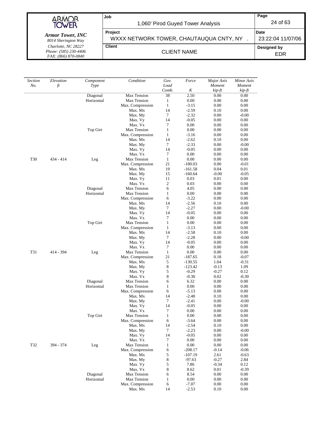| <b>ARMOR</b><br><b>TOWER</b> |
|------------------------------|
|                              |

**Date**

**Project** 

**Job**

**Client**

*Armor Tower, INC 8014 Sherington Way Charlotte, NC 28227 Phone: (585) 230-4406 FAX: (866) 870-0840* 

#### WXXX NETWORK TOWER, CHAUTAUQUA CNTY, NY .

**Designed by**<br>CLIENT NAME

EDR

| <b>Section</b>  | Elevation | Component              | Condition              | Gov.                 | Force            | Major Axis         | Minor Axis      |
|-----------------|-----------|------------------------|------------------------|----------------------|------------------|--------------------|-----------------|
| No.             | ft        | Type                   |                        | Load                 |                  | Moment             | <b>Moment</b>   |
|                 |           |                        | Max Tension            | Comb.<br>38          | $\cal K$<br>2.50 | kip-ft             | kip-ft          |
|                 |           | Diagonal<br>Horizontal | Max Tension            | $\mathbf{1}$         | 0.00             | 0.00<br>0.00       | 0.00<br>0.00    |
|                 |           |                        | Max. Compression       | $\mathbf{1}$         | $-3.15$          | 0.00               | 0.00            |
|                 |           |                        | Max. Mx                | 14                   | $-2.59$          | 0.10               | 0.00            |
|                 |           |                        | Max. My                | 7                    | $-2.32$          | 0.00               | $-0.00$         |
|                 |           |                        | Max. Vy                | 14                   | $-0.05$          | 0.00               | 0.00            |
|                 |           |                        | Max. Vx                | 7                    | 0.00             | 0.00               | 0.00            |
|                 |           | Top Girt               | Max Tension            | $\mathbf{1}$         | 0.00             | 0.00               | 0.00            |
|                 |           |                        | Max. Compression       | $\mathbf{1}$         | $-3.16$          | 0.00               | 0.00            |
|                 |           |                        | Max. Mx                | 14                   | $-2.62$          | 0.10               | 0.00            |
|                 |           |                        | Max. My                | 7                    | $-2.33$          | 0.00               | $-0.00$         |
|                 |           |                        | Max. Vy                | 14                   | $-0.05$          | 0.00               | 0.00            |
|                 |           |                        | Max. Vx                | 7                    | 0.00             | 0.00               | 0.00            |
| T <sub>30</sub> | 434 - 414 | Leg                    | Max Tension            | $\mathbf{1}$         | 0.00             | 0.00               | 0.00            |
|                 |           |                        | Max. Compression       | 21                   | -180.03          | 0.00               | $-0.01$         |
|                 |           |                        | Max. Mx                | 19                   | -161.58          | 0.04               | 0.01            |
|                 |           |                        | Max. My                | 15                   | $-160.64$        | $-0.00$            | $-0.05$         |
|                 |           |                        | Max. Vy                | 11<br>$\mathfrak{2}$ | 0.03             | 0.01               | 0.00            |
|                 |           | Diagonal               | Max. Vx<br>Max Tension | 6                    | 0.03<br>4.05     | 0.00<br>0.00       | 0.00<br>0.00    |
|                 |           | Horizontal             | Max Tension            | 1                    | 0.00             | 0.00               | 0.00            |
|                 |           |                        | Max. Compression       | 6                    | $-3.22$          | 0.00               | 0.00            |
|                 |           |                        | Max. Mx                | 14                   | $-2.56$          | 0.10               | 0.00            |
|                 |           |                        | Max. My                | 7                    | $-2.27$          | 0.00               | $-0.00$         |
|                 |           |                        | Max. Vy                | 14                   | $-0.05$          | 0.00               | 0.00            |
|                 |           |                        | Max. Vx                | 7                    | 0.00             | 0.00               | 0.00            |
|                 |           | Top Girt               | Max Tension            | $\mathbf{1}$         | 0.00             | 0.00               | 0.00            |
|                 |           |                        | Max. Compression       | $\mathbf{1}$         | $-3.13$          | 0.00               | 0.00            |
|                 |           |                        | Max. Mx                | 14                   | $-2.58$          | 0.10               | 0.00            |
|                 |           |                        | Max. My                | 7                    | $-2.28$          | 0.00               | $-0.00$         |
|                 |           |                        | Max. Vy                | 14                   | $-0.05$          | 0.00               | 0.00            |
|                 |           |                        | Max. Vx                | 7                    | 0.00             | 0.00               | 0.00            |
| T31             | 414 - 394 | Leg                    | Max Tension            | $\mathbf{1}$         | 0.00             | 0.00               | 0.00            |
|                 |           |                        | Max. Compression       | 21                   | $-187.65$        | 0.18               | $-0.07$         |
|                 |           |                        | Max. Mx                | 5                    | $-130.55$        | 1.04               | $-0.31$         |
|                 |           |                        | Max. My                | 8                    | $-123.42$        | $-0.13$            | 1.09            |
|                 |           |                        | Max. Vy                | 5                    | $-0.29$          | $-0.27$            | 0.12            |
|                 |           | Diagonal               | Max. Vx<br>Max Tension | 8<br>6               | $-0.30$<br>6.32  | 0.02<br>0.00       | $-0.30$<br>0.00 |
|                 |           | Horizontal             | Max Tension            | $\,1$                | 0.00             | 0.00               | 0.00            |
|                 |           |                        | Max. Compression       | 6                    | $-5.13$          | 0.00               | 0.00            |
|                 |           |                        | Max. Mx                | 14                   | $-2.48$          | 0.10               | 0.00            |
|                 |           |                        | Max. My                | 7                    | $-2.41$          | 0.00               | $-0.00$         |
|                 |           |                        | Max. Vy                | 14                   | $-0.05$          | 0.00               | 0.00            |
|                 |           |                        | Max. Vx                | 7                    | 0.00             | 0.00               | 0.00            |
|                 |           | Top Girt               | Max Tension            | $\mathbf{1}$         | 0.00             | 0.00               | 0.00            |
|                 |           |                        | Max. Compression       | 6                    | $-3.64$          | 0.00               | 0.00            |
|                 |           |                        | Max. Mx                | 14                   | $-2.54$          | 0.10               | 0.00            |
|                 |           |                        | Max. My                | $\tau$               | $-2.23$          | 0.00               | $-0.00$         |
|                 |           |                        | Max. Vy                | 14                   | $-0.05$          | 0.00               | 0.00            |
|                 |           |                        | Max. Vx                | 7                    | 0.00             | 0.00               | 0.00            |
| T32             | 394 - 374 | Leg                    | Max Tension            | $\mathbf{1}$         | 0.00             | 0.00               | $0.00\,$        |
|                 |           |                        | Max. Compression       | 6                    | $-208.17$        | $-0.14$            | $-0.06$         |
|                 |           |                        | Max. Mx                | 5                    | -107.19          | 2.61               | $-0.63$         |
|                 |           |                        | Max. My                | 8<br>5               | $-97.63$<br>7.86 | $-0.27$<br>$-0.34$ | 2.84<br>0.12    |
|                 |           |                        | Max. Vy<br>Max. Vx     | 8                    | 8.62             | 0.01               | $-0.39$         |
|                 |           | Diagonal               | Max Tension            | 6                    | 8.54             | 0.00               | $0.00\,$        |
|                 |           | Horizontal             | Max Tension            | 1                    | 0.00             | 0.00               | $0.00\,$        |
|                 |           |                        | Max. Compression       | 6                    | $-7.07$          | 0.00               | 0.00            |
|                 |           |                        | Max. Mx                | 14                   | $-2.53$          | 0.10               | 0.00            |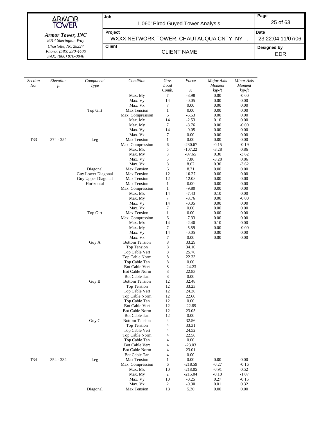| <b>ARMOR</b><br><b>TOWER</b> |
|------------------------------|
|                              |

**Date**

**Project** 

**Job**

**Client**

*Armor Tower, INC 8014 Sherington Way Charlotte, NC 28227 Phone: (585) 230-4406 FAX: (866) 870-0840* 

#### WXXX NETWORK TOWER, CHAUTAUQUA CNTY, NY .

**Designed by**<br>CLIENT NAME

EDR

| Section | Elevation | Component          | Condition             | Gov.             | Force     | Major Axis | Minor Axis |
|---------|-----------|--------------------|-----------------------|------------------|-----------|------------|------------|
| No.     | ft        | <b>Type</b>        |                       | Load             |           | Moment     | Moment     |
|         |           |                    |                       | Comb.            | K         | kip-ft     | kip-ft     |
|         |           |                    | Max. My               | 7                | $-3.98$   | 0.00       | $-0.00$    |
|         |           |                    | Max. Vy               | 14               | $-0.05$   | 0.00       | 0.00       |
|         |           |                    | Max. Vx               | 7                | 0.00      | 0.00       | 0.00       |
|         |           | <b>Top Girt</b>    | Max Tension           | $\mathbf{1}$     | 0.00      | 0.00       | 0.00       |
|         |           |                    | Max. Compression      | 6                | $-5.53$   | 0.00       | 0.00       |
|         |           |                    | Max. Mx               | 14               | $-2.53$   | 0.10       | 0.00       |
|         |           |                    | Max. My               | 7                | $-3.76$   | 0.00       | $-0.00$    |
|         |           |                    | Max. Vy               | 14               | $-0.05$   | 0.00       | 0.00       |
|         |           |                    | Max. Vx               | 7                | 0.00      | 0.00       | 0.00       |
| T33     | 374 - 354 | Leg                | Max Tension           | $\mathbf{1}$     | 0.00      | 0.00       | 0.00       |
|         |           |                    | Max. Compression      | 6                | -230.67   | $-0.15$    | $-0.19$    |
|         |           |                    | Max. Mx               | 5                | $-107.22$ | $-3.28$    | 0.86       |
|         |           |                    | Max. My               | 8                | $-97.65$  | 0.30       | $-3.62$    |
|         |           |                    | Max. Vy               | 5                | 7.86      | $-3.28$    | 0.86       |
|         |           |                    | Max. Vx               | 8                | 8.62      | 0.30       | $-3.62$    |
|         |           | Diagonal           | Max Tension           | 6                | 8.71      | 0.00       | 0.00       |
|         |           | Guy Lower Diagonal | Max Tension           | 12               | 10.27     | 0.00       | 0.00       |
|         |           | Guy Upper Diagonal | Max Tension           | 12               | 12.08     | 0.00       | 0.00       |
|         |           | Horizontal         | Max Tension           | $\mathbf{1}$     | 0.00      | 0.00       | 0.00       |
|         |           |                    | Max. Compression      | $\mathbf{1}$     | $-9.80$   | 0.00       | 0.00       |
|         |           |                    | Max. Mx               | 14               | $-7.43$   | 0.10       | 0.00       |
|         |           |                    | Max. My               | 7                | $-8.76$   | 0.00       | $-0.00$    |
|         |           |                    | Max. Vy               | 14               | $-0.05$   | 0.00       | 0.00       |
|         |           |                    | Max. Vx               | 7                | 0.00      | 0.00       | 0.00       |
|         |           | Top Girt           | Max Tension           | $\mathbf{1}$     | 0.00      | 0.00       | 0.00       |
|         |           |                    | Max. Compression      | 6                | $-7.33$   | 0.00       | 0.00       |
|         |           |                    | Max. Mx               | 14               | $-2.40$   | 0.10       | 0.00       |
|         |           |                    | Max. My               | $\boldsymbol{7}$ | $-5.59$   | 0.00       | $-0.00$    |
|         |           |                    | Max. Vy               | 14               | $-0.05$   | 0.00       | 0.00       |
|         |           |                    | Max. Vx               | 7                | 0.00      | 0.00       | 0.00       |
|         |           | Guy A              | <b>Bottom Tension</b> | 8                | 33.29     |            |            |
|         |           |                    | Top Tension           | 8                | 34.10     |            |            |
|         |           |                    | Top Cable Vert        | 8                | 25.76     |            |            |
|         |           |                    | Top Cable Norm        | 8                | 22.33     |            |            |
|         |           |                    | Top Cable Tan         | 8                | 0.00      |            |            |
|         |           |                    | <b>Bot Cable Vert</b> | 8                | $-24.23$  |            |            |
|         |           |                    | <b>Bot Cable Norm</b> | 8                | 22.83     |            |            |
|         |           |                    | Bot Cable Tan         | 8                | 0.00      |            |            |
|         |           | Guy B              | <b>Bottom Tension</b> | 12               | 32.48     |            |            |
|         |           |                    | Top Tension           | 12               | 33.23     |            |            |
|         |           |                    | Top Cable Vert        | 12               | 24.36     |            |            |
|         |           |                    | Top Cable Norm        | 12               | 22.60     |            |            |
|         |           |                    | Top Cable Tan         | 12               | 0.00      |            |            |
|         |           |                    | <b>Bot Cable Vert</b> | 12               | $-22.89$  |            |            |
|         |           |                    | <b>Bot Cable Norm</b> | 12               | 23.05     |            |            |
|         |           |                    | <b>Bot Cable Tan</b>  | 12               | 0.00      |            |            |
|         |           | Guy C              | <b>Bottom Tension</b> | 4                | 32.56     |            |            |
|         |           |                    | Top Tension           | 4                | 33.31     |            |            |
|         |           |                    | Top Cable Vert        | 4                | 24.52     |            |            |
|         |           |                    | Top Cable Norm        | 4                | 22.56     |            |            |
|         |           |                    | Top Cable Tan         | 4                | 0.00      |            |            |
|         |           |                    | <b>Bot Cable Vert</b> | 4                | $-23.03$  |            |            |
|         |           |                    | <b>Bot Cable Norm</b> | 4                | 23.01     |            |            |
|         |           |                    | Bot Cable Tan         | 4                | 0.00      |            |            |
| T34     | 354 - 334 | Leg                | Max Tension           | $\mathbf{1}$     | 0.00      | 0.00       | 0.00       |
|         |           |                    | Max. Compression      | 6                | $-218.59$ | $-0.27$    | $-0.16$    |
|         |           |                    | Max. Mx               | 10               | $-218.05$ | $-0.91$    | 0.52       |
|         |           |                    | Max. My               | $\overline{c}$   | $-215.04$ | $-0.10$    | $-1.07$    |
|         |           |                    | Max. Vy               | 10               | $-0.25$   | 0.27       | $-0.15$    |
|         |           |                    | Max. Vx               | 2                | $-0.30$   | 0.01       | 0.32       |
|         |           | Diagonal           | Max Tension           | 13               | 5.30      | 0.00       | 0.00       |
|         |           |                    |                       |                  |           |            |            |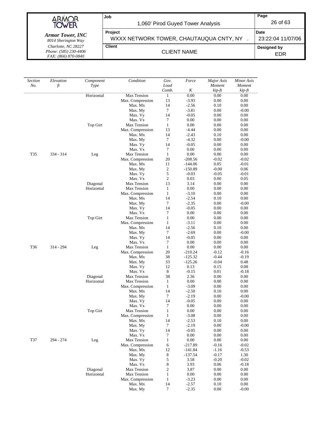| ARMOR        |  |
|--------------|--|
| <b>TOWER</b> |  |

**Date**

**Project** 

**Job**

**Client**

*Armor Tower, INC 8014 Sherington Way Charlotte, NC 28227 Phone: (585) 230-4406 FAX: (866) 870-0840* 

#### WXXX NETWORK TOWER, CHAUTAUQUA CNTY, NY .

**Designed by**<br>CLIENT NAME

EDR

| <b>Section</b><br>No. | Elevation<br>ft | Component<br>Type | Condition                   | Gov.<br>Load    | Force              | Major Axis<br>Moment | Minor Axis<br>Moment |
|-----------------------|-----------------|-------------------|-----------------------------|-----------------|--------------------|----------------------|----------------------|
|                       |                 |                   |                             | Comb.           | $\cal K$           | kip-ft               | kip-ft               |
|                       |                 | Horizontal        | Max Tension                 | $\mathbf{1}$    | 0.00               | 0.00                 | 0.00                 |
|                       |                 |                   | Max. Compression            | 13              | $-3.93$            | 0.00                 | 0.00                 |
|                       |                 |                   | Max. Mx                     | 14              | $-2.56$            | 0.10                 | 0.00                 |
|                       |                 |                   | Max. My                     | 7               | $-3.81$            | 0.00                 | $-0.00$              |
|                       |                 |                   | Max. Vy                     | 14              | $-0.05$            | 0.00                 | 0.00                 |
|                       |                 |                   | Max. Vx                     | 7               | 0.00               | 0.00                 | 0.00                 |
|                       |                 | Top Girt          | Max Tension                 | $\mathbf{1}$    | 0.00<br>$-4.44$    | 0.00                 | 0.00                 |
|                       |                 |                   | Max. Compression<br>Max. Mx | 13<br>14        | $-2.43$            | 0.00<br>0.10         | 0.00<br>0.00         |
|                       |                 |                   | Max. My                     | 7               | $-4.32$            | 0.00                 | $-0.00$              |
|                       |                 |                   | Max. Vy                     | 14              | $-0.05$            | 0.00                 | 0.00                 |
|                       |                 |                   | Max. Vx                     | 7               | 0.00               | 0.00                 | 0.00                 |
| T35                   | 334 - 314       | Leg               | Max Tension                 | $\mathbf{1}$    | 0.00               | 0.00                 | 0.00                 |
|                       |                 |                   | Max. Compression            | 20              | $-208.56$          | $-0.02$              | $-0.02$              |
|                       |                 |                   | Max. Mx                     | 11              | $-144.06$          | 0.05                 | $-0.01$              |
|                       |                 |                   | Max. My                     | 2               | $-150.89$          | $-0.00$              | 0.06                 |
|                       |                 |                   | Max. Vy                     | 5               | $-0.03$            | $-0.05$              | $-0.01$              |
|                       |                 |                   | Max. Vx                     | $\overline{c}$  | 0.03               | 0.00                 | 0.05                 |
|                       |                 | Diagonal          | Max Tension                 | 13              | 3.14               | 0.00                 | 0.00                 |
|                       |                 | Horizontal        | <b>Max Tension</b>          | $\mathbf{1}$    | 0.00               | 0.00                 | 0.00                 |
|                       |                 |                   | Max. Compression            | $\mathbf{1}$    | $-3.10$            | 0.00                 | 0.00                 |
|                       |                 |                   | Max. Mx                     | 14              | $-2.54$            | 0.10                 | 0.00                 |
|                       |                 |                   | Max. My                     | $\tau$          | $-2.35$            | 0.00                 | $-0.00$              |
|                       |                 |                   | Max. Vy                     | 14              | $-0.05$            | 0.00                 | 0.00                 |
|                       |                 |                   | Max. Vx                     | 7               | 0.00               | 0.00                 | 0.00                 |
|                       |                 | Top Girt          | Max Tension                 | $\mathbf{1}$    | 0.00               | 0.00                 | 0.00                 |
|                       |                 |                   | Max. Compression            | $\mathbf{1}$    | $-3.11$            | 0.00                 | 0.00                 |
|                       |                 |                   | Max. Mx                     | 14              | $-2.56$            | 0.10                 | 0.00                 |
|                       |                 |                   | Max. My                     | 7<br>14         | $-2.69$            | 0.00                 | $-0.00$              |
|                       |                 |                   | Max. Vy<br>Max. Vx          | 7               | $-0.05$<br>0.00    | 0.00<br>0.00         | 0.00                 |
| T36                   | 314 - 294       |                   | Max Tension                 | $\mathbf{1}$    | 0.00               | 0.00                 | 0.00<br>0.00         |
|                       |                 | Leg               | Max. Compression            | 20              | $-210.24$          | $-0.12$              | $-0.16$              |
|                       |                 |                   | Max. Mx                     | 38              | $-125.32$          | $-0.44$              | $-0.19$              |
|                       |                 |                   | Max. My                     | 33              | $-125.26$          | $-0.04$              | 0.48                 |
|                       |                 |                   | Max. Vy                     | 12              | 0.13               | 0.15                 | 0.08                 |
|                       |                 |                   | Max. Vx                     | 8               | $-0.15$            | 0.01                 | $-0.18$              |
|                       |                 | Diagonal          | Max Tension                 | 38              | 2.36               | 0.00                 | 0.00                 |
|                       |                 | Horizontal        | Max Tension                 | $\mathbf{1}$    | 0.00               | 0.00                 | 0.00                 |
|                       |                 |                   | Max. Compression            | $\mathbf{1}$    | $-3.09$            | 0.00                 | 0.00                 |
|                       |                 |                   | Max. Mx                     | 14              | $-2.50$            | 0.10                 | 0.00                 |
|                       |                 |                   | Max. My                     | 7               | $-2.19$            | 0.00                 | $-0.00$              |
|                       |                 |                   | Max. Vy                     | 14              | $-0.05$            | 0.00                 | 0.00                 |
|                       |                 |                   | Max. Vx                     | 7               | 0.00               | 0.00                 | 0.00                 |
|                       |                 | Top Girt          | Max Tension                 | $\mathbf{1}$    | 0.00               | 0.00                 | 0.00                 |
|                       |                 |                   | Max. Compression            | $\mathbf{1}$    | $-3.08$            | $0.00\,$             | $0.00\,$             |
|                       |                 |                   | Max. Mx                     | 14              | $-2.53$            | 0.10                 | 0.00                 |
|                       |                 |                   | Max. My                     | 7               | $-2.19$<br>$-0.05$ | 0.00                 | $-0.00$              |
|                       |                 |                   | Max. Vy<br>Max. Vx          | 14<br>7         | 0.00               | 0.00<br>0.00         | 0.00<br>0.00         |
| T37                   | 294 - 274       |                   | Max Tension                 | $\mathbf{1}$    | 0.00               | 0.00                 | 0.00                 |
|                       |                 | Leg               | Max. Compression            | 6               | $-217.89$          | $-0.16$              | $-0.02$              |
|                       |                 |                   | Max. Mx                     | 12              | $-141.84$          | $-1.16$              | $-0.53$              |
|                       |                 |                   | Max. My                     | 8               | $-137.54$          | $-0.17$              | 1.30                 |
|                       |                 |                   | Max. Vy                     | 5               | 3.58               | $-0.20$              | $-0.02$              |
|                       |                 |                   | Max. Vx                     | 8               | 3.93               | 0.06                 | $-0.18$              |
|                       |                 | Diagonal          | Max Tension                 | 2               | 3.87               | 0.00                 | $0.00\,$             |
|                       |                 | Horizontal        | Max Tension                 | $\mathbf{1}$    | 0.00               | 0.00                 | 0.00                 |
|                       |                 |                   | Max. Compression            | $\mathbf{1}$    | $-3.23$            | 0.00                 | 0.00                 |
|                       |                 |                   | Max. Mx                     | 14              | $-2.57$            | 0.10                 | 0.00                 |
|                       |                 |                   | Max. My                     | $7\phantom{.0}$ | $-2.35$            | 0.00                 | $-0.00$              |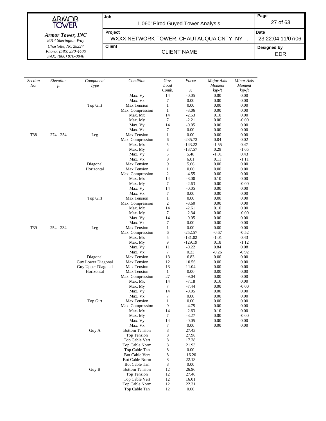| <b>ARMOR</b><br><b>TOWER</b> |
|------------------------------|
|                              |

**Date**

**Project** 

**Client**

**Job**

*Armor Tower, INC 8014 Sherington Way Charlotte, NC 28227 Phone: (585) 230-4406 FAX: (866) 870-0840* 

#### WXXX NETWORK TOWER, CHAUTAUQUA CNTY, NY .

**Designed by**<br>CLIENT NAME

EDR

| <b>Section</b> | Elevation   | Component          | Condition                     | Gov.              | Force                  | Major Axis         | Minor Axis       |
|----------------|-------------|--------------------|-------------------------------|-------------------|------------------------|--------------------|------------------|
| No.            | ft          | <b>Type</b>        |                               | Load              |                        | Moment             | Moment           |
|                |             |                    |                               | Comb.             | K                      | kip-ft             | kip-ft           |
|                |             |                    | Max. Vy<br>Max. Vx            | 14<br>7           | $-0.05$<br>0.00        | 0.00               | 0.00             |
|                |             | Top Girt           | Max Tension                   | $\mathbf{1}$      | 0.00                   | 0.00<br>0.00       | 0.00<br>$0.00\,$ |
|                |             |                    | Max. Compression              | $\mathbf{1}$      | $-3.06$                | 0.00               | $0.00\,$         |
|                |             |                    | Max. Mx                       | 14                | $-2.53$                | 0.10               | 0.00             |
|                |             |                    | Max. My                       | 7                 | $-2.21$                | 0.00               | $-0.00$          |
|                |             |                    | Max. Vy                       | 14                | $-0.05$                | 0.00               | 0.00             |
|                |             |                    | Max. Vx                       | 7                 | 0.00                   | 0.00               | 0.00             |
| T38            | $274 - 254$ | Leg                | Max Tension                   | $\mathbf{1}$      | 0.00                   | 0.00               | 0.00             |
|                |             |                    | Max. Compression              | 6                 | $-235.73$              | 0.04               | 0.02             |
|                |             |                    | Max. Mx                       | 5                 | $-143.22$              | $-1.55$            | 0.47             |
|                |             |                    | Max. My                       | 8                 | $-137.57$              | 0.29               | -1.65            |
|                |             |                    | Max. Vy                       | 5                 | 5.48                   | $-1.01$            | 0.43             |
|                |             | Diagonal           | Max. Vx<br>Max Tension        | 8<br>9            | 6.01<br>5.66           | 0.11<br>0.00       | -1.11<br>0.00    |
|                |             | Horizontal         | Max Tension                   | $\mathbf{1}$      | 0.00                   | 0.00               | 0.00             |
|                |             |                    | Max. Compression              | $\boldsymbol{2}$  | $-4.55$                | 0.00               | $0.00\,$         |
|                |             |                    | Max. Mx                       | 14                | $-3.00$                | 0.10               | 0.00             |
|                |             |                    | Max. My                       | 7                 | $-2.63$                | 0.00               | $-0.00$          |
|                |             |                    | Max. Vy                       | 14                | $-0.05$                | 0.00               | 0.00             |
|                |             |                    | Max. Vx                       | 7                 | 0.00                   | 0.00               | 0.00             |
|                |             | <b>Top Girt</b>    | Max Tension                   | $\mathbf{1}$      | 0.00                   | 0.00               | 0.00             |
|                |             |                    | Max. Compression              | $\boldsymbol{2}$  | $-3.60$                | 0.00               | 0.00             |
|                |             |                    | Max. Mx                       | 14                | $-2.61$                | 0.10               | 0.00             |
|                |             |                    | Max. My                       | $\tau$            | $-2.34$                | 0.00               | $-0.00$          |
|                |             |                    | Max. Vy                       | 14                | $-0.05$                | 0.00               | 0.00             |
|                |             |                    | Max. Vx                       | 7                 | 0.00                   | 0.00               | 0.00             |
| T39            | 254 - 234   | Leg                | Max Tension                   | $\mathbf{1}$      | 0.00                   | 0.00               | 0.00             |
|                |             |                    | Max. Compression<br>Max. Mx   | 6<br>5            | $-252.57$<br>$-131.02$ | $-0.67$<br>$-1.01$ | $-0.52$<br>0.43  |
|                |             |                    | Max. My                       | 9                 | $-129.19$              | 0.18               | -1.12            |
|                |             |                    | Max. Vy                       | 11                | $-0.22$                | 0.84               | 0.08             |
|                |             |                    | Max. Vx                       | $\boldsymbol{7}$  | 0.23                   | $-0.26$            | -0.92            |
|                |             | Diagonal           | Max Tension                   | 13                | 6.83                   | 0.00               | 0.00             |
|                |             | Guy Lower Diagonal | Max Tension                   | 12                | 10.56                  | 0.00               | 0.00             |
|                |             | Guy Upper Diagonal | Max Tension                   | 13                | 11.04                  | 0.00               | 0.00             |
|                |             | Horizontal         | Max Tension                   | $\mathbf{1}$      | 0.00                   | 0.00               | 0.00             |
|                |             |                    | Max. Compression              | 27                | $-9.04$                | 0.00               | 0.00             |
|                |             |                    | Max. Mx                       | 14                | $-7.18$                | 0.10               | 0.00             |
|                |             |                    | Max. My                       | 7                 | $-7.44$                | 0.00               | $-0.00$          |
|                |             |                    | Max. Vy                       | 14                | $-0.05$                | 0.00               | 0.00             |
|                |             |                    | Max. Vx                       | 7                 | 0.00                   | 0.00               | 0.00             |
|                |             | <b>Top Girt</b>    | Max Tension                   | $\mathbf{1}$<br>9 | 0.00<br>$-4.75$        | 0.00<br>0.00       | $0.00\,$<br>0.00 |
|                |             |                    | Max. Compression<br>Max. Mx   | 14                | $-2.63$                | 0.10               | 0.00             |
|                |             |                    | Max. My                       | 7                 | -3.27                  | 0.00               | -0.00            |
|                |             |                    | Max. Vy                       | 14                | $-0.05$                | 0.00               | 0.00             |
|                |             |                    | Max. Vx                       | 7                 | 0.00                   | 0.00               | 0.00             |
|                |             | Guy A              | <b>Bottom Tension</b>         | 8                 | 27.43                  |                    |                  |
|                |             |                    | Top Tension                   | 8                 | 27.98                  |                    |                  |
|                |             |                    | Top Cable Vert                | 8                 | 17.38                  |                    |                  |
|                |             |                    | Top Cable Norm                | 8                 | 21.93                  |                    |                  |
|                |             |                    | Top Cable Tan                 | 8                 | 0.00                   |                    |                  |
|                |             |                    | <b>Bot Cable Vert</b>         | 8                 | $-16.20$               |                    |                  |
|                |             |                    | <b>Bot Cable Norm</b>         | $\,$ 8 $\,$       | 22.13                  |                    |                  |
|                |             |                    | Bot Cable Tan                 | 8                 | 0.00                   |                    |                  |
|                |             | Guy B              | <b>Bottom Tension</b>         | 12                | 26.96                  |                    |                  |
|                |             |                    | Top Tension<br>Top Cable Vert | 12                | 27.46                  |                    |                  |
|                |             |                    | Top Cable Norm                | 12<br>12          | 16.01<br>22.31         |                    |                  |
|                |             |                    | Top Cable Tan                 | 12                | 0.00                   |                    |                  |
|                |             |                    |                               |                   |                        |                    |                  |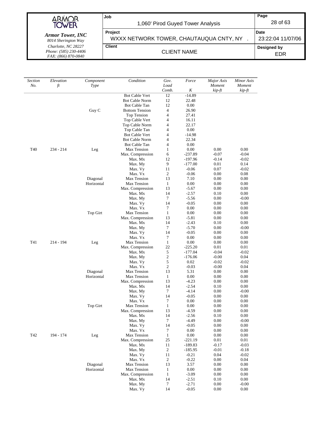| ARMOR        |  |
|--------------|--|
| <b>TOWER</b> |  |

**Date**

**Project** 

**Job**

*Armor Tower, INC 8014 Sherington Way Charlotte, NC 28227 Phone: (585) 230-4406 FAX: (866) 870-0840* 

#### WXXX NETWORK TOWER, CHAUTAUQUA CNTY, NY .

**Designed by**<br>CLIENT NAME

EDR

23:22:04 11/07/06

| <b>Section</b><br>No. | Elevation<br>ft | Component<br>Type | Condition                                     | Gov.<br>Load       | Force              | Major Axis<br>Moment | Minor Axis<br>Moment |
|-----------------------|-----------------|-------------------|-----------------------------------------------|--------------------|--------------------|----------------------|----------------------|
|                       |                 |                   |                                               | Comb.              | K                  | kip-ft               | kip-ft               |
|                       |                 |                   | <b>Bot Cable Vert</b>                         | 12                 | $-14.89$           |                      |                      |
|                       |                 |                   | <b>Bot Cable Norm</b><br><b>Bot Cable Tan</b> | 12<br>12           | 22.48<br>0.00      |                      |                      |
|                       |                 | Guy C             | <b>Bottom Tension</b>                         | 4                  | 26.90              |                      |                      |
|                       |                 |                   | Top Tension                                   | 4                  | 27.41              |                      |                      |
|                       |                 |                   | Top Cable Vert                                | 4                  | 16.11              |                      |                      |
|                       |                 |                   | Top Cable Norm                                | 4                  | 22.17              |                      |                      |
|                       |                 |                   | Top Cable Tan                                 | $\overline{4}$     | 0.00               |                      |                      |
|                       |                 |                   | <b>Bot Cable Vert</b>                         | 4                  | $-14.98$           |                      |                      |
|                       |                 |                   | <b>Bot Cable Norm</b>                         | $\overline{4}$     | 22.34              |                      |                      |
|                       |                 |                   | <b>Bot Cable Tan</b>                          | 4                  | 0.00               |                      |                      |
| T40                   | 234 - 214       | Leg               | Max Tension                                   | $\mathbf{1}$       | 0.00               | 0.00                 | 0.00                 |
|                       |                 |                   | Max. Compression                              | 6                  | $-237.89$          | $-0.07$              | $-0.04$              |
|                       |                 |                   | Max. Mx                                       | 12                 | -197.96            | $-0.14$              | $-0.02$              |
|                       |                 |                   | Max. My                                       | 9                  | $-177.00$          | 0.01                 | 0.14                 |
|                       |                 |                   | Max. Vy                                       | 11                 | $-0.06$            | 0.07                 | $-0.02$              |
|                       |                 |                   | Max. Vx                                       | 2                  | $-0.06$            | 0.00                 | 0.08                 |
|                       |                 | Diagonal          | Max Tension                                   | 13                 | 7.10               | 0.00                 | 0.00                 |
|                       |                 | Horizontal        | Max Tension                                   | $\mathbf{1}$<br>13 | 0.00               | 0.00<br>0.00         | 0.00                 |
|                       |                 |                   | Max. Compression<br>Max. Mx                   | 14                 | $-5.67$<br>$-2.57$ | 0.10                 | 0.00<br>0.00         |
|                       |                 |                   | Max. My                                       | 7                  | $-5.56$            | 0.00                 | $-0.00$              |
|                       |                 |                   | Max. Vy                                       | 14                 | $-0.05$            | 0.00                 | 0.00                 |
|                       |                 |                   | Max. Vx                                       | 7                  | 0.00               | 0.00                 | 0.00                 |
|                       |                 | Top Girt          | <b>Max Tension</b>                            | $\mathbf{1}$       | 0.00               | 0.00                 | 0.00                 |
|                       |                 |                   | Max. Compression                              | 13                 | $-5.81$            | 0.00                 | 0.00                 |
|                       |                 |                   | Max. Mx                                       | 14                 | $-2.43$            | 0.10                 | 0.00                 |
|                       |                 |                   | Max. My                                       | $\tau$             | $-5.70$            | 0.00                 | $-0.00$              |
|                       |                 |                   | Max. Vy                                       | 14                 | $-0.05$            | 0.00                 | 0.00                 |
|                       |                 |                   | Max. Vx                                       | 7                  | 0.00               | 0.00                 | 0.00                 |
| T41                   | 214 - 194       | Leg               | Max Tension                                   | $\mathbf{1}$       | 0.00               | 0.00                 | 0.00                 |
|                       |                 |                   | Max. Compression                              | 22                 | $-225.20$          | 0.01                 | 0.01                 |
|                       |                 |                   | Max. Mx                                       | 5                  | $-177.04$          | $-0.04$              | $-0.02$              |
|                       |                 |                   | Max. My                                       | $\overline{c}$     | $-176.06$          | $-0.00$              | 0.04                 |
|                       |                 |                   | Max. Vy                                       | 5                  | 0.02               | $-0.02$              | $-0.02$              |
|                       |                 |                   | Max. Vx                                       | $\overline{c}$     | $-0.03$            | $-0.00$              | 0.04                 |
|                       |                 | Diagonal          | Max Tension                                   | 13                 | 5.31               | 0.00                 | 0.00                 |
|                       |                 | Horizontal        | Max Tension                                   | $\mathbf{1}$       | 0.00               | 0.00                 | 0.00                 |
|                       |                 |                   | Max. Compression                              | 13<br>14           | $-4.23$            | 0.00                 | 0.00                 |
|                       |                 |                   | Max. Mx<br>Max. My                            | 7                  | $-2.54$<br>-4.14   | 0.10<br>0.00         | 0.00<br>$-0.00$      |
|                       |                 |                   | Max. Vy                                       | 14                 | $-0.05$            | 0.00                 | 0.00                 |
|                       |                 |                   | Max. Vx                                       | 7                  | 0.00               | 0.00                 | 0.00                 |
|                       |                 | Top Girt          | Max Tension                                   | $\mathbf{1}$       | 0.00               | 0.00                 | 0.00                 |
|                       |                 |                   | Max. Compression                              | 13                 | -4.59              | 0.00                 | 0.00                 |
|                       |                 |                   | Max. Mx                                       | 14                 | -2.56              | 0.10                 | 0.00                 |
|                       |                 |                   | Max. My                                       | $\boldsymbol{7}$   | $-4.49$            | 0.00                 | $-0.00$              |
|                       |                 |                   | Max. Vy                                       | 14                 | $-0.05$            | 0.00                 | 0.00                 |
|                       |                 |                   | Max. Vx                                       | 7                  | $0.00\,$           | 0.00                 | 0.00                 |
| T42                   | 194 - 174       | Leg               | Max Tension                                   | $\mathbf{1}$       | 0.00               | 0.00                 | 0.00                 |
|                       |                 |                   | Max. Compression                              | 25                 | $-221.19$          | 0.01                 | 0.01                 |
|                       |                 |                   | Max. Mx                                       | 11                 | $-189.83$          | $-0.17$              | $-0.03$              |
|                       |                 |                   | Max. My                                       | $\sqrt{2}$         | $-185.95$          | $-0.01$              | $-0.18$              |
|                       |                 |                   | Max. Vy                                       | 11                 | $-0.21$            | 0.04                 | $-0.02$              |
|                       |                 |                   | Max. Vx                                       | $\sqrt{2}$         | $-0.22$            | 0.00                 | 0.04                 |
|                       |                 | Diagonal          | Max Tension                                   | 13                 | 3.57               | 0.00                 | 0.00                 |
|                       |                 | Horizontal        | Max Tension                                   | $\mathbf{1}$       | 0.00               | 0.00                 | 0.00                 |
|                       |                 |                   | Max. Compression                              | $\mathbf{1}$       | $-3.09$            | 0.00                 | 0.00                 |
|                       |                 |                   | Max. Mx                                       | 14                 | $-2.51$            | 0.10                 | 0.00                 |
|                       |                 |                   | Max. My                                       | 7                  | $-2.71$            | 0.00                 | $-0.00$              |
|                       |                 |                   | Max. Vy                                       | 14                 | $-0.05$            | 0.00                 | 0.00                 |

**Client**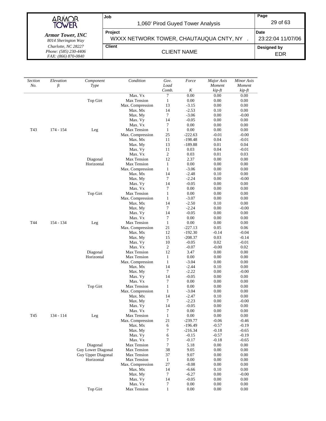| <b>ARMOR</b><br><b>TOWER</b> |  |
|------------------------------|--|
|                              |  |

**Date**

**Project** 

**Client**

**Job**

*Armor Tower, INC 8014 Sherington Way Charlotte, NC 28227 Phone: (585) 230-4406 FAX: (866) 870-0840* 

#### WXXX NETWORK TOWER, CHAUTAUQUA CNTY, NY .

**Designed by**<br>CLIENT NAME

EDR

| Section | Elevation | Component                             | Condition                       | Gov.               | Force        | Major Axis   | Minor Axis   |
|---------|-----------|---------------------------------------|---------------------------------|--------------------|--------------|--------------|--------------|
| No.     | ft        | Type                                  |                                 | Load               |              | Moment       | Moment       |
|         |           |                                       |                                 | Comb.              | K            | kip-ft       | kip-ft       |
|         |           |                                       | Max. Vx                         | 7                  | 0.00         | 0.00         | 0.00         |
|         |           | Top Girt                              | Max Tension                     | $\mathbf{1}$       | 0.00         | 0.00         | 0.00         |
|         |           |                                       | Max. Compression                | 13                 | $-3.15$      | 0.00         | 0.00         |
|         |           |                                       | Max. Mx                         | 14                 | $-2.53$      | 0.10         | 0.00         |
|         |           |                                       | Max. My                         | 7                  | $-3.06$      | 0.00         | $-0.00$      |
|         |           |                                       | Max. Vy                         | 14                 | $-0.05$      | 0.00         | 0.00         |
|         |           |                                       | Max. Vx                         | 7                  | 0.00         | 0.00         | 0.00         |
| T43     | 174 - 154 | Leg                                   | Max Tension                     | $\mathbf{1}$       | 0.00         | 0.00         | 0.00         |
|         |           |                                       | Max. Compression                | 25                 | $-222.63$    | $-0.01$      | $-0.00$      |
|         |           |                                       | Max. Mx                         | 11                 | -198.48      | 0.04         | $-0.01$      |
|         |           |                                       | Max. My                         | 13                 | -189.88      | 0.01         | 0.04         |
|         |           |                                       | Max. Vy                         | 11                 | 0.03         | 0.04         | $-0.01$      |
|         |           |                                       | Max. Vx                         | 2                  | 0.03         | 0.01         | 0.03         |
|         |           | Diagonal                              | Max Tension                     | 12                 | 2.37         | 0.00         | 0.00         |
|         |           | Horizontal                            | Max Tension                     | $\mathbf{1}$       | 0.00         | 0.00         | 0.00         |
|         |           |                                       | Max. Compression                | $\mathbf{1}$       | $-3.06$      | 0.00         | 0.00         |
|         |           |                                       | Max. Mx                         | 14                 | $-2.48$      | 0.10         | 0.00         |
|         |           |                                       | Max. My                         | 7                  | $-2.24$      | 0.00         | $-0.00$      |
|         |           |                                       | Max. Vy                         | 14                 | $-0.05$      | 0.00         | 0.00         |
|         |           |                                       | Max. Vx                         | 7                  | 0.00         | 0.00         | 0.00         |
|         |           | Top Girt                              | Max Tension                     | $\mathbf{1}$       | 0.00         | 0.00         | 0.00         |
|         |           |                                       | Max. Compression                | $\mathbf{1}$       | $-3.07$      | 0.00         | 0.00         |
|         |           |                                       | Max. Mx                         | 14                 | $-2.50$      | 0.10         | 0.00         |
|         |           |                                       | Max. My                         | $\tau$             | $-2.24$      | 0.00         | $-0.00$      |
|         |           |                                       | Max. Vy                         | 14                 | $-0.05$      | 0.00         | 0.00         |
|         |           |                                       | Max. Vx                         | 7                  | 0.00         | 0.00         | 0.00         |
| T44     | 154 - 134 | Leg                                   | Max Tension                     | $\mathbf{1}$       | 0.00         | 0.00         | 0.00         |
|         |           |                                       | Max. Compression                | 21                 | -227.13      | 0.05         | 0.06         |
|         |           |                                       | Max. Mx                         | 12                 | $-192.30$    | $-0.14$      | $-0.04$      |
|         |           |                                       | Max. My                         | 15                 | $-208.37$    | 0.03         | $-0.14$      |
|         |           |                                       | Max. Vy                         | 10                 | $-0.05$      | 0.02         | $-0.01$      |
|         |           |                                       | Max. Vx                         | $\boldsymbol{2}$   | $-0.07$      | $-0.00$      | 0.02         |
|         |           | Diagonal                              | Max Tension                     | 12                 | 3.47         | 0.00         | 0.00         |
|         |           | Horizontal                            | Max Tension                     | $\mathbf{1}$       | 0.00         | 0.00         | 0.00         |
|         |           |                                       | Max. Compression                | $\mathbf{1}$       | $-3.04$      | 0.00         | 0.00         |
|         |           |                                       | Max. Mx                         | 14                 | $-2.44$      | 0.10         | 0.00         |
|         |           |                                       | Max. My                         | $\tau$             | $-2.22$      | 0.00         | $-0.00$      |
|         |           |                                       | Max. Vy                         | 14                 | $-0.05$      | 0.00         | 0.00         |
|         |           |                                       | Max. Vx                         | 7                  | 0.00         | 0.00         | 0.00         |
|         |           | Top Girt                              | Max Tension                     | $\mathbf{1}$       | 0.00         | 0.00         | 0.00         |
|         |           |                                       | Max. Compression                | $\mathbf{1}$       | $-3.04$      | 0.00         | 0.00         |
|         |           |                                       | Max. Mx                         | 14                 | $-2.47$      | 0.10         | 0.00         |
|         |           |                                       | Max. My                         | 7                  | $-2.23$      | 0.00         | $-0.00$      |
|         |           |                                       | Max. Vy                         | 14                 | $-0.05$      | 0.00         | 0.00         |
|         |           |                                       | Max. Vx                         | 7                  | 0.00         | 0.00         | 0.00         |
| T45     | 134 - 114 | ${\rm Leg}$                           | Max Tension                     | $\mathbf{1}$       | $0.00\,$     | $0.00\,$     | $0.00\,$     |
|         |           |                                       | Max. Compression                | 21                 | -239.77      | $-0.06$      | $-0.46$      |
|         |           |                                       | Max. Mx                         | 6                  | -196.49      | $-0.57$      | $-0.19$      |
|         |           |                                       | Max. My                         | 7                  | $-216.34$    | $-0.18$      | $-0.65$      |
|         |           |                                       | Max. Vy<br>Max. Vx              | 6                  | $-0.15$      | $-0.57$      | $-0.19$      |
|         |           |                                       |                                 | 7                  | $-0.17$      | $-0.18$      | $-0.65$      |
|         |           | Diagonal<br><b>Guy Lower Diagonal</b> | Max Tension<br>Max Tension      | 7                  | 5.18         | 0.00         | 0.00         |
|         |           |                                       |                                 | 38<br>37           | 9.05         | 0.00<br>0.00 | 0.00<br>0.00 |
|         |           | Guy Upper Diagonal<br>Horizontal      | Max Tension                     |                    | 9.07         |              |              |
|         |           |                                       | Max Tension<br>Max. Compression | $\mathbf{1}$<br>27 | 0.00         | 0.00         | 0.00         |
|         |           |                                       |                                 |                    | $-8.08$      | 0.00         | 0.00         |
|         |           |                                       | Max. Mx                         | 14                 | $-6.66$      | 0.10         | 0.00         |
|         |           |                                       | Max. My                         | 7                  | $-6.27$      | 0.00         | $-0.00$      |
|         |           |                                       | Max. Vy                         | 14                 | $-0.05$      | 0.00         | 0.00         |
|         |           |                                       | Max. Vx<br>Max Tension          | 7<br>$\mathbf{1}$  | 0.00<br>0.00 | 0.00         | 0.00<br>0.00 |
|         |           | Top Girt                              |                                 |                    |              | 0.00         |              |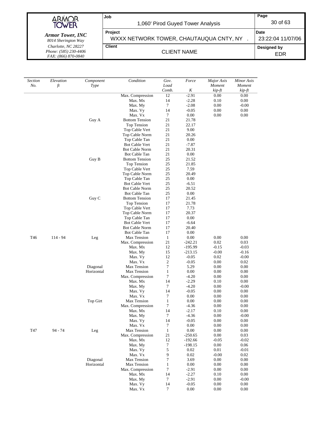| <b>ARMOR</b> |  |
|--------------|--|
| <b>TOWER</b> |  |

**Date**

**Project** 

**Job**

**Client**

*Armor Tower, INC 8014 Sherington Way Charlotte, NC 28227 Phone: (585) 230-4406 FAX: (866) 870-0840* 

WXXX NETWORK TOWER, CHAUTAUQUA CNTY, NY .

**Designed by**<br>CLIENT NAME

EDR

| Section<br>No.  | Elevation<br>ft | Component<br>Type | Condition             | Gov.<br>Load     | Force     | Major Axis<br>Moment | Minor Axis<br>Moment |
|-----------------|-----------------|-------------------|-----------------------|------------------|-----------|----------------------|----------------------|
|                 |                 |                   |                       | Comb.            | $\cal K$  | kip-ft               | kip-ft               |
|                 |                 |                   | Max. Compression      | 12               | $-2.91$   | 0.00                 | 0.00                 |
|                 |                 |                   | Max. Mx               | 14               | $-2.28$   | 0.10                 | 0.00                 |
|                 |                 |                   | Max. My               | 7                | $-2.08$   | 0.00                 | $-0.00$              |
|                 |                 |                   | Max. Vy               | 14               | $-0.05$   | 0.00                 | 0.00                 |
|                 |                 |                   | Max. Vx               | $\tau$           | 0.00      | 0.00                 | 0.00                 |
|                 |                 | Guy A             | <b>Bottom Tension</b> | 21               | 21.78     |                      |                      |
|                 |                 |                   | Top Tension           | 21               | 22.17     |                      |                      |
|                 |                 |                   | Top Cable Vert        | 21               | 9.00      |                      |                      |
|                 |                 |                   | Top Cable Norm        | 21               | 20.26     |                      |                      |
|                 |                 |                   | Top Cable Tan         | 21               | 0.00      |                      |                      |
|                 |                 |                   | <b>Bot Cable Vert</b> | 21               | $-7.87$   |                      |                      |
|                 |                 |                   | <b>Bot Cable Norm</b> | 21               | 20.31     |                      |                      |
|                 |                 |                   | <b>Bot Cable Tan</b>  | 21               | 0.00      |                      |                      |
|                 |                 | Guy B             | <b>Bottom Tension</b> | 25               | 21.52     |                      |                      |
|                 |                 |                   | Top Tension           | 25               | 21.85     |                      |                      |
|                 |                 |                   | Top Cable Vert        | 25               | 7.59      |                      |                      |
|                 |                 |                   | Top Cable Norm        | 25               | 20.49     |                      |                      |
|                 |                 |                   | Top Cable Tan         | 25               | 0.00      |                      |                      |
|                 |                 |                   | <b>Bot Cable Vert</b> | 25               | $-6.51$   |                      |                      |
|                 |                 |                   | <b>Bot Cable Norm</b> | 25               | 20.52     |                      |                      |
|                 |                 |                   | <b>Bot Cable Tan</b>  | 25               | 0.00      |                      |                      |
|                 |                 | Guy C             | <b>Bottom Tension</b> | 17               | 21.45     |                      |                      |
|                 |                 |                   | Top Tension           | 17               | 21.78     |                      |                      |
|                 |                 |                   | Top Cable Vert        | 17               | 7.73      |                      |                      |
|                 |                 |                   | Top Cable Norm        | 17               | 20.37     |                      |                      |
|                 |                 |                   | Top Cable Tan         | 17               | 0.00      |                      |                      |
|                 |                 |                   | <b>Bot Cable Vert</b> | 17               | $-6.64$   |                      |                      |
|                 |                 |                   | <b>Bot Cable Norm</b> | 17               | 20.40     |                      |                      |
|                 |                 |                   | <b>Bot Cable Tan</b>  | 17               | 0.00      |                      |                      |
| T <sub>46</sub> | $114 - 94$      | Leg               | Max Tension           | $\mathbf{1}$     | 0.00      | 0.00                 | 0.00                 |
|                 |                 |                   | Max. Compression      | 21               | $-242.21$ | 0.02                 | 0.03                 |
|                 |                 |                   | Max. Mx               | 12               | $-195.99$ | $-0.15$              | $-0.03$              |
|                 |                 |                   | Max. My               | 15               | $-213.15$ | $-0.00$              | $-0.16$              |
|                 |                 |                   | Max. Vy               | 12               | $-0.05$   | 0.02                 | $-0.00$              |
|                 |                 |                   | Max. Vx               | $\mathfrak{2}$   | $-0.05$   | 0.00                 | 0.02                 |
|                 |                 | Diagonal          | Max Tension           | 7                | 5.29      | 0.00                 | 0.00                 |
|                 |                 | Horizontal        | Max Tension           | $\mathbf{1}$     | 0.00      | 0.00                 | 0.00                 |
|                 |                 |                   | Max. Compression      | 7                | $-4.20$   | 0.00                 | 0.00                 |
|                 |                 |                   | Max. Mx               | 14               | $-2.29$   | 0.10                 | 0.00                 |
|                 |                 |                   | Max. My               | 7                | $-4.20$   | 0.00                 | $-0.00$              |
|                 |                 |                   | Max. Vy               | 14               | $-0.05$   | 0.00                 | 0.00                 |
|                 |                 |                   | Max. Vx               | $\boldsymbol{7}$ | 0.00      | 0.00                 | 0.00                 |
|                 |                 | Top Girt          | Max Tension           | $\mathbf{1}$     | 0.00      | 0.00                 | 0.00                 |
|                 |                 |                   | Max. Compression      | 7                | $-4.36$   | 0.00                 | 0.00                 |
|                 |                 |                   | Max. Mx               | 14               | $-2.17$   | 0.10                 | 0.00                 |
|                 |                 |                   | Max. My               | 7                | $-4.36$   | 0.00                 | $-0.00$              |
|                 |                 |                   | Max. Vy               | 14               | $-0.05$   | 0.00                 | 0.00                 |
|                 |                 |                   | Max. Vx               | 7                | $0.00\,$  | 0.00                 | 0.00                 |
| T47             | 94 - 74         | Leg               | Max Tension           | $\mathbf{1}$     | 0.00      | 0.00                 | 0.00                 |
|                 |                 |                   | Max. Compression      | 21               | $-250.65$ | 0.00                 | 0.03                 |
|                 |                 |                   | Max. Mx               | 12               | $-192.66$ | -0.05                | $-0.02$              |
|                 |                 |                   | Max. My               | 7                | $-198.15$ | 0.00                 | 0.06                 |
|                 |                 |                   | Max. Vy               | 5                | 0.02      | 0.01                 | $-0.01$              |
|                 |                 |                   | Max. Vx               | 9                | 0.02      | -0.00                | 0.02                 |
|                 |                 | Diagonal          | Max Tension           | 7                | 3.69      | 0.00                 | 0.00                 |
|                 |                 | Horizontal        | Max Tension           | $\mathbf{1}$     | 0.00      | 0.00                 | 0.00                 |
|                 |                 |                   | Max. Compression      | 7                | $-2.91$   | 0.00                 | 0.00                 |
|                 |                 |                   | Max. Mx               | 14               | $-2.27$   | 0.10                 | 0.00                 |
|                 |                 |                   | Max. My               | $\tau$           | $-2.91$   | 0.00                 | $-0.00$              |
|                 |                 |                   | Max. Vy               | 14               | $-0.05$   | 0.00                 | 0.00                 |
|                 |                 |                   | Max. Vx               | $\tau$           | 0.00      | 0.00                 | 0.00                 |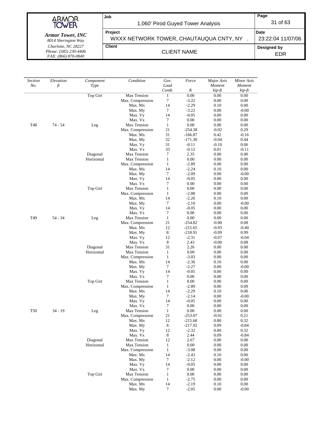| <b>ARMOR</b><br><b>TOWER</b> |
|------------------------------|
|                              |

**Date**

**Project** 

**Client**

**Job**

*Armor Tower, INC 8014 Sherington Way Charlotte, NC 28227 Phone: (585) 230-4406 FAX: (866) 870-0840* 

#### WXXX NETWORK TOWER, CHAUTAUQUA CNTY, NY .

**Designed by**<br>CLIENT NAME

EDR

| <b>Section</b><br>No. | Elevation<br>ft | Component<br>Type | Condition                   | Gov.<br>Load      | Force                  | Major Axis<br>Moment | Minor Axis<br>Moment |
|-----------------------|-----------------|-------------------|-----------------------------|-------------------|------------------------|----------------------|----------------------|
|                       |                 |                   |                             | Comb.             | K                      | kip-ft               | kip-ft               |
|                       |                 | <b>Top Girt</b>   | Max Tension                 | $\mathbf{1}$      | 0.00                   | 0.00                 | 0.00                 |
|                       |                 |                   | Max. Compression            | 7                 | $-3.22$                | 0.00                 | 0.00                 |
|                       |                 |                   | Max. Mx                     | 14                | $-2.29$                | 0.10                 | 0.00                 |
|                       |                 |                   | Max. My                     | 7                 | $-3.22$                | 0.00                 | $-0.00$              |
|                       |                 |                   | Max. Vy                     | 14                | $-0.05$                | 0.00                 | 0.00                 |
|                       |                 |                   | Max. Vx                     | 7                 | 0.00                   | 0.00                 | 0.00                 |
| T48                   | 74 - 54         | Leg               | Max Tension                 | $\mathbf{1}$      | 0.00                   | 0.00                 | 0.00                 |
|                       |                 |                   | Max. Compression            | 21                | $-254.38$              | $-0.02$              | 0.29                 |
|                       |                 |                   | Max. Mx                     | 31                | $-166.87$              | 0.42                 | $-0.16$              |
|                       |                 |                   | Max. My                     | 32                | $-171.30$              | $-0.04$              | 0.44                 |
|                       |                 |                   | Max. Vy                     | 31                | $-0.11$                | $-0.10$              | 0.06                 |
|                       |                 |                   | Max. Vx                     | 33                | $-0.12$                | 0.01                 | $-0.11$              |
|                       |                 | Diagonal          | Max Tension                 | 7                 | 2.35                   | 0.00                 | 0.00                 |
|                       |                 | Horizontal        | Max Tension                 | $\mathbf{1}$      | 0.00                   | 0.00                 | 0.00                 |
|                       |                 |                   | Max. Compression            | $\mathbf{1}$      | $-2.89$                | 0.00                 | 0.00                 |
|                       |                 |                   | Max. Mx                     | 14                | $-2.24$                | 0.10                 | 0.00                 |
|                       |                 |                   | Max. My                     | 7<br>14           | $-2.09$<br>$-0.05$     | 0.00<br>0.00         | $-0.00$<br>0.00      |
|                       |                 |                   | Max. Vy<br>Max. Vx          | 7                 | 0.00                   | 0.00                 | 0.00                 |
|                       |                 | Top Girt          | Max Tension                 | $\mathbf{1}$      | 0.00                   | 0.00                 | 0.00                 |
|                       |                 |                   | Max. Compression            | $\mathbf{1}$      | $-2.88$                | 0.00                 | 0.00                 |
|                       |                 |                   | Max. Mx                     | 14                | $-2.26$                | 0.10                 | 0.00                 |
|                       |                 |                   | Max. My                     | 7                 | $-2.10$                | 0.00                 | $-0.00$              |
|                       |                 |                   | Max. Vy                     | 14                | $-0.05$                | 0.00                 | 0.00                 |
|                       |                 |                   | Max. Vx                     | 7                 | 0.00                   | 0.00                 | 0.00                 |
| T49                   | 54 - 34         | Leg               | Max Tension                 | $\mathbf{1}$      | 0.00                   | 0.00                 | 0.00                 |
|                       |                 |                   | Max. Compression            | 21                | -254.82                | $-0.00$              | 0.08                 |
|                       |                 |                   | Max. Mx                     | 12                | $-215.65$              | $-0.93$              | $-0.40$              |
|                       |                 |                   | Max. My                     | 8                 | -218.91                | $-0.09$              | 0.99                 |
|                       |                 |                   | Max. Vy                     | 12                | $-2.31$                | $-0.07$              | $-0.04$              |
|                       |                 |                   | Max. Vx                     | 8                 | 2.43                   | $-0.00$              | 0.08                 |
|                       |                 | Diagonal          | Max Tension                 | 31                | 2.26                   | 0.00                 | 0.00                 |
|                       |                 | Horizontal        | Max Tension                 | $\mathbf{1}$      | 0.00                   | 0.00                 | 0.00                 |
|                       |                 |                   | Max. Compression            | $\mathbf{1}$      | $-3.03$                | 0.00                 | 0.00                 |
|                       |                 |                   | Max. Mx                     | 14                | $-2.36$                | 0.10                 | 0.00                 |
|                       |                 |                   | Max. My                     | 7                 | $-2.27$                | 0.00                 | $-0.00$              |
|                       |                 |                   | Max. Vy                     | 14                | $-0.05$                | 0.00                 | 0.00                 |
|                       |                 |                   | Max. Vx                     | 7                 | 0.00                   | 0.00                 | 0.00                 |
|                       |                 | <b>Top Girt</b>   | Max Tension                 | $\mathbf{1}$      | 0.00                   | 0.00                 | 0.00                 |
|                       |                 |                   | Max. Compression            | $\mathbf{1}$      | $-2.89$                | 0.00                 | 0.00                 |
|                       |                 |                   | Max. Mx                     | 14                | $-2.29$                | 0.10                 | 0.00                 |
|                       |                 |                   | Max. My                     | 7                 | $-2.14$                | 0.00                 | $-0.00$              |
|                       |                 |                   | Max. Vy                     | 14                | $-0.05$                | 0.00                 | 0.00                 |
| <b>T50</b>            | 34 - 19         |                   | Max. Vx<br>Max Tension      | 7<br>$\mathbf{1}$ | 0.00                   | 0.00                 | 0.00<br>0.00         |
|                       |                 | Leg               |                             | 21                | 0.00                   | 0.00                 |                      |
|                       |                 |                   | Max. Compression<br>Max. Mx | 12                | $-253.07$<br>$-215.68$ | $-0.01$<br>0.80      | 0.21<br>0.32         |
|                       |                 |                   | Max. My                     | 8                 | $-217.92$              | 0.09                 | $-0.84$              |
|                       |                 |                   | Max. Vy                     | 12                | $-2.32$                | 0.80                 | 0.32                 |
|                       |                 |                   | Max. Vx                     | 8                 | 2.44                   | 0.09                 | $-0.84$              |
|                       |                 | Diagonal          | Max Tension                 | 12                | 2.67                   | 0.00                 | 0.00                 |
|                       |                 | Horizontal        | Max Tension                 | $\mathbf{1}$      | 0.00                   | 0.00                 | 0.00                 |
|                       |                 |                   | Max. Compression            | $\mathbf{1}$      | $-3.08$                | 0.00                 | 0.00                 |
|                       |                 |                   | Max. Mx                     | 14                | $-2.43$                | 0.10                 | 0.00                 |
|                       |                 |                   | Max. My                     | 7                 | $-2.12$                | 0.00                 | $-0.00$              |
|                       |                 |                   | Max. Vy                     | 14                | $-0.05$                | 0.00                 | 0.00                 |
|                       |                 |                   | Max. Vx                     | 7                 | 0.00                   | 0.00                 | 0.00                 |
|                       |                 | <b>Top Girt</b>   | Max Tension                 | $\mathbf{1}$      | 0.00                   | 0.00                 | 0.00                 |
|                       |                 |                   | Max. Compression            | $\mathbf{1}$      | $-2.75$                | 0.00                 | 0.00                 |
|                       |                 |                   | Max. Mx                     | 14                | $-2.19$                | 0.10                 | 0.00                 |
|                       |                 |                   | Max. My                     | $\tau$            | $-2.05$                | 0.00                 | $-0.00$              |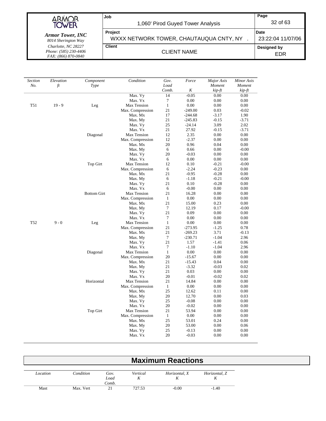| <b>ARMOR</b><br><b>TOWER</b> |
|------------------------------|
|                              |

**Date**

**Project** 

**Job**

**Client**

*Armor Tower, INC 8014 Sherington Way Charlotte, NC 28227 Phone: (585) 230-4406 FAX: (866) 870-0840* 

#### WXXX NETWORK TOWER, CHAUTAUQUA CNTY, NY .

**Designed by**<br>CLIENT NAME

EDR

| No.<br>ft<br>Type<br>Load<br>Moment<br>Moment<br>K<br>Comb.<br>kip-ft<br>kip-ft<br>Max. Vy<br>14<br>$-0.05$<br>0.00<br>0.00<br>0.00<br>Max. Vx<br>7<br>0.00<br>0.00<br>$\mathbf{1}$<br>T <sub>51</sub><br>$19 - 9$<br>0.00<br>0.00<br>0.00<br>Max Tension<br>Leg<br>21<br>$-249.00$<br>0.03<br>$-0.02$<br>Max. Compression<br>17<br>$-3.17$<br>1.90<br>Max. Mx<br>$-244.68$<br>21<br>$-0.15$<br>$-245.83$<br>$-3.71$<br>Max. My<br>25<br>$-24.14$<br>3.09<br>2.02<br>Max. Vy<br>21<br>27.92<br>$-3.71$<br>Max. Vx<br>$-0.15$<br>12<br>0.00<br>Diagonal<br>Max Tension<br>2.35<br>0.00<br>0.00<br>12<br>$-2.37$<br>0.00<br>Max. Compression<br>20<br>0.96<br>0.04<br>0.00<br>Max. Mx<br>6<br>0.66<br>0.00<br>$-0.00$<br>Max. My<br>20<br>0.00<br>Max. Vy<br>$-0.03$<br>0.00<br>6<br>0.00<br>0.00<br>0.00<br>Max. Vx<br>Top Girt<br>12<br>Max Tension<br>0.10<br>$-0.21$<br>$-0.00$<br>6<br>Max. Compression<br>$-2.24$<br>$-0.23$<br>0.00<br>21<br>$-0.95$<br>$-0.28$<br>0.00<br>Max. Mx<br>6<br>$-1.18$<br>$-0.21$<br>$-0.00$<br>Max. My<br>21<br>$-0.28$<br>0.00<br>0.10<br>Max. Vy<br>6<br>$-0.00$<br>0.00<br>0.00<br>Max. Vx<br>21<br><b>Bottom Girt</b><br>Max Tension<br>0.00<br>16.28<br>0.00<br>$\mathbf{1}$<br>0.00<br>0.00<br>0.00<br>Max. Compression<br>21<br>0.00<br>Max. Mx<br>15.00<br>0.23<br>$\overline{7}$<br>12.19<br>0.17<br>$-0.00$<br>Max. My<br>21<br>0.09<br>0.00<br>0.00<br>Max. Vy<br>$\tau$<br>Max. Vx<br>0.00<br>0.00<br>0.00<br>T <sub>52</sub><br>$9 - 0$<br>Max Tension<br>$\mathbf{1}$<br>0.00<br>0.00<br>0.00<br>Leg<br>21<br>0.78<br>$-273.95$<br>$-1.25$<br>Max. Compression<br>21<br>$-0.13$<br>Max. Mx<br>$-269.23$<br>3.71<br>$\tau$<br>2.96<br>$-230.71$<br>$-1.04$<br>Max. My<br>21<br>0.06<br>1.57<br>$-1.41$<br>Max. Vy<br>$\boldsymbol{7}$<br>$-1.04$<br>Max. Vx<br>$-1.10$<br>2.96<br>$\mathbf{1}$<br>0.00<br>0.00<br>Diagonal<br>Max Tension<br>0.00<br>20<br>Max. Compression<br>$-15.67$<br>0.00<br>0.00<br>21<br>$-15.43$<br>0.04<br>0.00<br>Max. Mx<br>21<br>$-3.32$<br>$-0.03$<br>0.02<br>Max. My<br>21<br>0.03<br>0.00<br>0.00<br>Max. Vy<br>Max. Vx<br>20<br>$-0.01$<br>$-0.02$<br>0.02<br>21<br>Horizontal<br>Max Tension<br>14.84<br>0.00<br>0.00<br>$\mathbf{1}$<br>0.00<br>0.00<br>0.00<br>Max. Compression<br>25<br>12.62<br>0.00<br>Max. Mx<br>0.11<br>20<br>0.03<br>12.70<br>0.00<br>Max. My<br>Max. Vy<br>25<br>$-0.08$<br>0.00<br>0.00<br>20<br>$-0.02$<br>0.00<br>Max. Vx<br>0.00<br><b>Top Girt</b><br>21<br>Max Tension<br>53.94<br>0.00<br>0.00<br>$\mathbf{1}$<br>0.00<br>Max. Compression<br>0.00<br>0.00<br>25<br>0.00<br>Max. Mx<br>53.01<br>0.24<br>20<br>0.06<br>Max. My<br>53.00<br>0.00<br>25<br>$-0.13$<br>0.00<br>0.00<br>Max. Vy<br>20<br>$-0.03$<br>0.00<br>Max. Vx<br>0.00 | <b>Section</b> | Elevation | Component | Condition | Gov. | Force | Major Axis | Minor Axis |
|---------------------------------------------------------------------------------------------------------------------------------------------------------------------------------------------------------------------------------------------------------------------------------------------------------------------------------------------------------------------------------------------------------------------------------------------------------------------------------------------------------------------------------------------------------------------------------------------------------------------------------------------------------------------------------------------------------------------------------------------------------------------------------------------------------------------------------------------------------------------------------------------------------------------------------------------------------------------------------------------------------------------------------------------------------------------------------------------------------------------------------------------------------------------------------------------------------------------------------------------------------------------------------------------------------------------------------------------------------------------------------------------------------------------------------------------------------------------------------------------------------------------------------------------------------------------------------------------------------------------------------------------------------------------------------------------------------------------------------------------------------------------------------------------------------------------------------------------------------------------------------------------------------------------------------------------------------------------------------------------------------------------------------------------------------------------------------------------------------------------------------------------------------------------------------------------------------------------------------------------------------------------------------------------------------------------------------------------------------------------------------------------------------------------------------------------------------------------------------------------------------------------------------------------------------------------------------------------------------------------------------------------------------------------------------------------------------------------------------------------------------|----------------|-----------|-----------|-----------|------|-------|------------|------------|
|                                                                                                                                                                                                                                                                                                                                                                                                                                                                                                                                                                                                                                                                                                                                                                                                                                                                                                                                                                                                                                                                                                                                                                                                                                                                                                                                                                                                                                                                                                                                                                                                                                                                                                                                                                                                                                                                                                                                                                                                                                                                                                                                                                                                                                                                                                                                                                                                                                                                                                                                                                                                                                                                                                                                                         |                |           |           |           |      |       |            |            |
|                                                                                                                                                                                                                                                                                                                                                                                                                                                                                                                                                                                                                                                                                                                                                                                                                                                                                                                                                                                                                                                                                                                                                                                                                                                                                                                                                                                                                                                                                                                                                                                                                                                                                                                                                                                                                                                                                                                                                                                                                                                                                                                                                                                                                                                                                                                                                                                                                                                                                                                                                                                                                                                                                                                                                         |                |           |           |           |      |       |            |            |
|                                                                                                                                                                                                                                                                                                                                                                                                                                                                                                                                                                                                                                                                                                                                                                                                                                                                                                                                                                                                                                                                                                                                                                                                                                                                                                                                                                                                                                                                                                                                                                                                                                                                                                                                                                                                                                                                                                                                                                                                                                                                                                                                                                                                                                                                                                                                                                                                                                                                                                                                                                                                                                                                                                                                                         |                |           |           |           |      |       |            |            |
|                                                                                                                                                                                                                                                                                                                                                                                                                                                                                                                                                                                                                                                                                                                                                                                                                                                                                                                                                                                                                                                                                                                                                                                                                                                                                                                                                                                                                                                                                                                                                                                                                                                                                                                                                                                                                                                                                                                                                                                                                                                                                                                                                                                                                                                                                                                                                                                                                                                                                                                                                                                                                                                                                                                                                         |                |           |           |           |      |       |            |            |
|                                                                                                                                                                                                                                                                                                                                                                                                                                                                                                                                                                                                                                                                                                                                                                                                                                                                                                                                                                                                                                                                                                                                                                                                                                                                                                                                                                                                                                                                                                                                                                                                                                                                                                                                                                                                                                                                                                                                                                                                                                                                                                                                                                                                                                                                                                                                                                                                                                                                                                                                                                                                                                                                                                                                                         |                |           |           |           |      |       |            |            |
|                                                                                                                                                                                                                                                                                                                                                                                                                                                                                                                                                                                                                                                                                                                                                                                                                                                                                                                                                                                                                                                                                                                                                                                                                                                                                                                                                                                                                                                                                                                                                                                                                                                                                                                                                                                                                                                                                                                                                                                                                                                                                                                                                                                                                                                                                                                                                                                                                                                                                                                                                                                                                                                                                                                                                         |                |           |           |           |      |       |            |            |
|                                                                                                                                                                                                                                                                                                                                                                                                                                                                                                                                                                                                                                                                                                                                                                                                                                                                                                                                                                                                                                                                                                                                                                                                                                                                                                                                                                                                                                                                                                                                                                                                                                                                                                                                                                                                                                                                                                                                                                                                                                                                                                                                                                                                                                                                                                                                                                                                                                                                                                                                                                                                                                                                                                                                                         |                |           |           |           |      |       |            |            |
|                                                                                                                                                                                                                                                                                                                                                                                                                                                                                                                                                                                                                                                                                                                                                                                                                                                                                                                                                                                                                                                                                                                                                                                                                                                                                                                                                                                                                                                                                                                                                                                                                                                                                                                                                                                                                                                                                                                                                                                                                                                                                                                                                                                                                                                                                                                                                                                                                                                                                                                                                                                                                                                                                                                                                         |                |           |           |           |      |       |            |            |
|                                                                                                                                                                                                                                                                                                                                                                                                                                                                                                                                                                                                                                                                                                                                                                                                                                                                                                                                                                                                                                                                                                                                                                                                                                                                                                                                                                                                                                                                                                                                                                                                                                                                                                                                                                                                                                                                                                                                                                                                                                                                                                                                                                                                                                                                                                                                                                                                                                                                                                                                                                                                                                                                                                                                                         |                |           |           |           |      |       |            |            |
|                                                                                                                                                                                                                                                                                                                                                                                                                                                                                                                                                                                                                                                                                                                                                                                                                                                                                                                                                                                                                                                                                                                                                                                                                                                                                                                                                                                                                                                                                                                                                                                                                                                                                                                                                                                                                                                                                                                                                                                                                                                                                                                                                                                                                                                                                                                                                                                                                                                                                                                                                                                                                                                                                                                                                         |                |           |           |           |      |       |            |            |
|                                                                                                                                                                                                                                                                                                                                                                                                                                                                                                                                                                                                                                                                                                                                                                                                                                                                                                                                                                                                                                                                                                                                                                                                                                                                                                                                                                                                                                                                                                                                                                                                                                                                                                                                                                                                                                                                                                                                                                                                                                                                                                                                                                                                                                                                                                                                                                                                                                                                                                                                                                                                                                                                                                                                                         |                |           |           |           |      |       |            |            |
|                                                                                                                                                                                                                                                                                                                                                                                                                                                                                                                                                                                                                                                                                                                                                                                                                                                                                                                                                                                                                                                                                                                                                                                                                                                                                                                                                                                                                                                                                                                                                                                                                                                                                                                                                                                                                                                                                                                                                                                                                                                                                                                                                                                                                                                                                                                                                                                                                                                                                                                                                                                                                                                                                                                                                         |                |           |           |           |      |       |            |            |
|                                                                                                                                                                                                                                                                                                                                                                                                                                                                                                                                                                                                                                                                                                                                                                                                                                                                                                                                                                                                                                                                                                                                                                                                                                                                                                                                                                                                                                                                                                                                                                                                                                                                                                                                                                                                                                                                                                                                                                                                                                                                                                                                                                                                                                                                                                                                                                                                                                                                                                                                                                                                                                                                                                                                                         |                |           |           |           |      |       |            |            |
|                                                                                                                                                                                                                                                                                                                                                                                                                                                                                                                                                                                                                                                                                                                                                                                                                                                                                                                                                                                                                                                                                                                                                                                                                                                                                                                                                                                                                                                                                                                                                                                                                                                                                                                                                                                                                                                                                                                                                                                                                                                                                                                                                                                                                                                                                                                                                                                                                                                                                                                                                                                                                                                                                                                                                         |                |           |           |           |      |       |            |            |
|                                                                                                                                                                                                                                                                                                                                                                                                                                                                                                                                                                                                                                                                                                                                                                                                                                                                                                                                                                                                                                                                                                                                                                                                                                                                                                                                                                                                                                                                                                                                                                                                                                                                                                                                                                                                                                                                                                                                                                                                                                                                                                                                                                                                                                                                                                                                                                                                                                                                                                                                                                                                                                                                                                                                                         |                |           |           |           |      |       |            |            |
|                                                                                                                                                                                                                                                                                                                                                                                                                                                                                                                                                                                                                                                                                                                                                                                                                                                                                                                                                                                                                                                                                                                                                                                                                                                                                                                                                                                                                                                                                                                                                                                                                                                                                                                                                                                                                                                                                                                                                                                                                                                                                                                                                                                                                                                                                                                                                                                                                                                                                                                                                                                                                                                                                                                                                         |                |           |           |           |      |       |            |            |
|                                                                                                                                                                                                                                                                                                                                                                                                                                                                                                                                                                                                                                                                                                                                                                                                                                                                                                                                                                                                                                                                                                                                                                                                                                                                                                                                                                                                                                                                                                                                                                                                                                                                                                                                                                                                                                                                                                                                                                                                                                                                                                                                                                                                                                                                                                                                                                                                                                                                                                                                                                                                                                                                                                                                                         |                |           |           |           |      |       |            |            |
|                                                                                                                                                                                                                                                                                                                                                                                                                                                                                                                                                                                                                                                                                                                                                                                                                                                                                                                                                                                                                                                                                                                                                                                                                                                                                                                                                                                                                                                                                                                                                                                                                                                                                                                                                                                                                                                                                                                                                                                                                                                                                                                                                                                                                                                                                                                                                                                                                                                                                                                                                                                                                                                                                                                                                         |                |           |           |           |      |       |            |            |
|                                                                                                                                                                                                                                                                                                                                                                                                                                                                                                                                                                                                                                                                                                                                                                                                                                                                                                                                                                                                                                                                                                                                                                                                                                                                                                                                                                                                                                                                                                                                                                                                                                                                                                                                                                                                                                                                                                                                                                                                                                                                                                                                                                                                                                                                                                                                                                                                                                                                                                                                                                                                                                                                                                                                                         |                |           |           |           |      |       |            |            |
|                                                                                                                                                                                                                                                                                                                                                                                                                                                                                                                                                                                                                                                                                                                                                                                                                                                                                                                                                                                                                                                                                                                                                                                                                                                                                                                                                                                                                                                                                                                                                                                                                                                                                                                                                                                                                                                                                                                                                                                                                                                                                                                                                                                                                                                                                                                                                                                                                                                                                                                                                                                                                                                                                                                                                         |                |           |           |           |      |       |            |            |
|                                                                                                                                                                                                                                                                                                                                                                                                                                                                                                                                                                                                                                                                                                                                                                                                                                                                                                                                                                                                                                                                                                                                                                                                                                                                                                                                                                                                                                                                                                                                                                                                                                                                                                                                                                                                                                                                                                                                                                                                                                                                                                                                                                                                                                                                                                                                                                                                                                                                                                                                                                                                                                                                                                                                                         |                |           |           |           |      |       |            |            |
|                                                                                                                                                                                                                                                                                                                                                                                                                                                                                                                                                                                                                                                                                                                                                                                                                                                                                                                                                                                                                                                                                                                                                                                                                                                                                                                                                                                                                                                                                                                                                                                                                                                                                                                                                                                                                                                                                                                                                                                                                                                                                                                                                                                                                                                                                                                                                                                                                                                                                                                                                                                                                                                                                                                                                         |                |           |           |           |      |       |            |            |
|                                                                                                                                                                                                                                                                                                                                                                                                                                                                                                                                                                                                                                                                                                                                                                                                                                                                                                                                                                                                                                                                                                                                                                                                                                                                                                                                                                                                                                                                                                                                                                                                                                                                                                                                                                                                                                                                                                                                                                                                                                                                                                                                                                                                                                                                                                                                                                                                                                                                                                                                                                                                                                                                                                                                                         |                |           |           |           |      |       |            |            |
|                                                                                                                                                                                                                                                                                                                                                                                                                                                                                                                                                                                                                                                                                                                                                                                                                                                                                                                                                                                                                                                                                                                                                                                                                                                                                                                                                                                                                                                                                                                                                                                                                                                                                                                                                                                                                                                                                                                                                                                                                                                                                                                                                                                                                                                                                                                                                                                                                                                                                                                                                                                                                                                                                                                                                         |                |           |           |           |      |       |            |            |
|                                                                                                                                                                                                                                                                                                                                                                                                                                                                                                                                                                                                                                                                                                                                                                                                                                                                                                                                                                                                                                                                                                                                                                                                                                                                                                                                                                                                                                                                                                                                                                                                                                                                                                                                                                                                                                                                                                                                                                                                                                                                                                                                                                                                                                                                                                                                                                                                                                                                                                                                                                                                                                                                                                                                                         |                |           |           |           |      |       |            |            |
|                                                                                                                                                                                                                                                                                                                                                                                                                                                                                                                                                                                                                                                                                                                                                                                                                                                                                                                                                                                                                                                                                                                                                                                                                                                                                                                                                                                                                                                                                                                                                                                                                                                                                                                                                                                                                                                                                                                                                                                                                                                                                                                                                                                                                                                                                                                                                                                                                                                                                                                                                                                                                                                                                                                                                         |                |           |           |           |      |       |            |            |
|                                                                                                                                                                                                                                                                                                                                                                                                                                                                                                                                                                                                                                                                                                                                                                                                                                                                                                                                                                                                                                                                                                                                                                                                                                                                                                                                                                                                                                                                                                                                                                                                                                                                                                                                                                                                                                                                                                                                                                                                                                                                                                                                                                                                                                                                                                                                                                                                                                                                                                                                                                                                                                                                                                                                                         |                |           |           |           |      |       |            |            |
|                                                                                                                                                                                                                                                                                                                                                                                                                                                                                                                                                                                                                                                                                                                                                                                                                                                                                                                                                                                                                                                                                                                                                                                                                                                                                                                                                                                                                                                                                                                                                                                                                                                                                                                                                                                                                                                                                                                                                                                                                                                                                                                                                                                                                                                                                                                                                                                                                                                                                                                                                                                                                                                                                                                                                         |                |           |           |           |      |       |            |            |
|                                                                                                                                                                                                                                                                                                                                                                                                                                                                                                                                                                                                                                                                                                                                                                                                                                                                                                                                                                                                                                                                                                                                                                                                                                                                                                                                                                                                                                                                                                                                                                                                                                                                                                                                                                                                                                                                                                                                                                                                                                                                                                                                                                                                                                                                                                                                                                                                                                                                                                                                                                                                                                                                                                                                                         |                |           |           |           |      |       |            |            |
|                                                                                                                                                                                                                                                                                                                                                                                                                                                                                                                                                                                                                                                                                                                                                                                                                                                                                                                                                                                                                                                                                                                                                                                                                                                                                                                                                                                                                                                                                                                                                                                                                                                                                                                                                                                                                                                                                                                                                                                                                                                                                                                                                                                                                                                                                                                                                                                                                                                                                                                                                                                                                                                                                                                                                         |                |           |           |           |      |       |            |            |
|                                                                                                                                                                                                                                                                                                                                                                                                                                                                                                                                                                                                                                                                                                                                                                                                                                                                                                                                                                                                                                                                                                                                                                                                                                                                                                                                                                                                                                                                                                                                                                                                                                                                                                                                                                                                                                                                                                                                                                                                                                                                                                                                                                                                                                                                                                                                                                                                                                                                                                                                                                                                                                                                                                                                                         |                |           |           |           |      |       |            |            |
|                                                                                                                                                                                                                                                                                                                                                                                                                                                                                                                                                                                                                                                                                                                                                                                                                                                                                                                                                                                                                                                                                                                                                                                                                                                                                                                                                                                                                                                                                                                                                                                                                                                                                                                                                                                                                                                                                                                                                                                                                                                                                                                                                                                                                                                                                                                                                                                                                                                                                                                                                                                                                                                                                                                                                         |                |           |           |           |      |       |            |            |
|                                                                                                                                                                                                                                                                                                                                                                                                                                                                                                                                                                                                                                                                                                                                                                                                                                                                                                                                                                                                                                                                                                                                                                                                                                                                                                                                                                                                                                                                                                                                                                                                                                                                                                                                                                                                                                                                                                                                                                                                                                                                                                                                                                                                                                                                                                                                                                                                                                                                                                                                                                                                                                                                                                                                                         |                |           |           |           |      |       |            |            |
|                                                                                                                                                                                                                                                                                                                                                                                                                                                                                                                                                                                                                                                                                                                                                                                                                                                                                                                                                                                                                                                                                                                                                                                                                                                                                                                                                                                                                                                                                                                                                                                                                                                                                                                                                                                                                                                                                                                                                                                                                                                                                                                                                                                                                                                                                                                                                                                                                                                                                                                                                                                                                                                                                                                                                         |                |           |           |           |      |       |            |            |
|                                                                                                                                                                                                                                                                                                                                                                                                                                                                                                                                                                                                                                                                                                                                                                                                                                                                                                                                                                                                                                                                                                                                                                                                                                                                                                                                                                                                                                                                                                                                                                                                                                                                                                                                                                                                                                                                                                                                                                                                                                                                                                                                                                                                                                                                                                                                                                                                                                                                                                                                                                                                                                                                                                                                                         |                |           |           |           |      |       |            |            |
|                                                                                                                                                                                                                                                                                                                                                                                                                                                                                                                                                                                                                                                                                                                                                                                                                                                                                                                                                                                                                                                                                                                                                                                                                                                                                                                                                                                                                                                                                                                                                                                                                                                                                                                                                                                                                                                                                                                                                                                                                                                                                                                                                                                                                                                                                                                                                                                                                                                                                                                                                                                                                                                                                                                                                         |                |           |           |           |      |       |            |            |
|                                                                                                                                                                                                                                                                                                                                                                                                                                                                                                                                                                                                                                                                                                                                                                                                                                                                                                                                                                                                                                                                                                                                                                                                                                                                                                                                                                                                                                                                                                                                                                                                                                                                                                                                                                                                                                                                                                                                                                                                                                                                                                                                                                                                                                                                                                                                                                                                                                                                                                                                                                                                                                                                                                                                                         |                |           |           |           |      |       |            |            |
|                                                                                                                                                                                                                                                                                                                                                                                                                                                                                                                                                                                                                                                                                                                                                                                                                                                                                                                                                                                                                                                                                                                                                                                                                                                                                                                                                                                                                                                                                                                                                                                                                                                                                                                                                                                                                                                                                                                                                                                                                                                                                                                                                                                                                                                                                                                                                                                                                                                                                                                                                                                                                                                                                                                                                         |                |           |           |           |      |       |            |            |
|                                                                                                                                                                                                                                                                                                                                                                                                                                                                                                                                                                                                                                                                                                                                                                                                                                                                                                                                                                                                                                                                                                                                                                                                                                                                                                                                                                                                                                                                                                                                                                                                                                                                                                                                                                                                                                                                                                                                                                                                                                                                                                                                                                                                                                                                                                                                                                                                                                                                                                                                                                                                                                                                                                                                                         |                |           |           |           |      |       |            |            |
|                                                                                                                                                                                                                                                                                                                                                                                                                                                                                                                                                                                                                                                                                                                                                                                                                                                                                                                                                                                                                                                                                                                                                                                                                                                                                                                                                                                                                                                                                                                                                                                                                                                                                                                                                                                                                                                                                                                                                                                                                                                                                                                                                                                                                                                                                                                                                                                                                                                                                                                                                                                                                                                                                                                                                         |                |           |           |           |      |       |            |            |
|                                                                                                                                                                                                                                                                                                                                                                                                                                                                                                                                                                                                                                                                                                                                                                                                                                                                                                                                                                                                                                                                                                                                                                                                                                                                                                                                                                                                                                                                                                                                                                                                                                                                                                                                                                                                                                                                                                                                                                                                                                                                                                                                                                                                                                                                                                                                                                                                                                                                                                                                                                                                                                                                                                                                                         |                |           |           |           |      |       |            |            |
|                                                                                                                                                                                                                                                                                                                                                                                                                                                                                                                                                                                                                                                                                                                                                                                                                                                                                                                                                                                                                                                                                                                                                                                                                                                                                                                                                                                                                                                                                                                                                                                                                                                                                                                                                                                                                                                                                                                                                                                                                                                                                                                                                                                                                                                                                                                                                                                                                                                                                                                                                                                                                                                                                                                                                         |                |           |           |           |      |       |            |            |
|                                                                                                                                                                                                                                                                                                                                                                                                                                                                                                                                                                                                                                                                                                                                                                                                                                                                                                                                                                                                                                                                                                                                                                                                                                                                                                                                                                                                                                                                                                                                                                                                                                                                                                                                                                                                                                                                                                                                                                                                                                                                                                                                                                                                                                                                                                                                                                                                                                                                                                                                                                                                                                                                                                                                                         |                |           |           |           |      |       |            |            |
|                                                                                                                                                                                                                                                                                                                                                                                                                                                                                                                                                                                                                                                                                                                                                                                                                                                                                                                                                                                                                                                                                                                                                                                                                                                                                                                                                                                                                                                                                                                                                                                                                                                                                                                                                                                                                                                                                                                                                                                                                                                                                                                                                                                                                                                                                                                                                                                                                                                                                                                                                                                                                                                                                                                                                         |                |           |           |           |      |       |            |            |
|                                                                                                                                                                                                                                                                                                                                                                                                                                                                                                                                                                                                                                                                                                                                                                                                                                                                                                                                                                                                                                                                                                                                                                                                                                                                                                                                                                                                                                                                                                                                                                                                                                                                                                                                                                                                                                                                                                                                                                                                                                                                                                                                                                                                                                                                                                                                                                                                                                                                                                                                                                                                                                                                                                                                                         |                |           |           |           |      |       |            |            |
|                                                                                                                                                                                                                                                                                                                                                                                                                                                                                                                                                                                                                                                                                                                                                                                                                                                                                                                                                                                                                                                                                                                                                                                                                                                                                                                                                                                                                                                                                                                                                                                                                                                                                                                                                                                                                                                                                                                                                                                                                                                                                                                                                                                                                                                                                                                                                                                                                                                                                                                                                                                                                                                                                                                                                         |                |           |           |           |      |       |            |            |
|                                                                                                                                                                                                                                                                                                                                                                                                                                                                                                                                                                                                                                                                                                                                                                                                                                                                                                                                                                                                                                                                                                                                                                                                                                                                                                                                                                                                                                                                                                                                                                                                                                                                                                                                                                                                                                                                                                                                                                                                                                                                                                                                                                                                                                                                                                                                                                                                                                                                                                                                                                                                                                                                                                                                                         |                |           |           |           |      |       |            |            |
|                                                                                                                                                                                                                                                                                                                                                                                                                                                                                                                                                                                                                                                                                                                                                                                                                                                                                                                                                                                                                                                                                                                                                                                                                                                                                                                                                                                                                                                                                                                                                                                                                                                                                                                                                                                                                                                                                                                                                                                                                                                                                                                                                                                                                                                                                                                                                                                                                                                                                                                                                                                                                                                                                                                                                         |                |           |           |           |      |       |            |            |
|                                                                                                                                                                                                                                                                                                                                                                                                                                                                                                                                                                                                                                                                                                                                                                                                                                                                                                                                                                                                                                                                                                                                                                                                                                                                                                                                                                                                                                                                                                                                                                                                                                                                                                                                                                                                                                                                                                                                                                                                                                                                                                                                                                                                                                                                                                                                                                                                                                                                                                                                                                                                                                                                                                                                                         |                |           |           |           |      |       |            |            |
|                                                                                                                                                                                                                                                                                                                                                                                                                                                                                                                                                                                                                                                                                                                                                                                                                                                                                                                                                                                                                                                                                                                                                                                                                                                                                                                                                                                                                                                                                                                                                                                                                                                                                                                                                                                                                                                                                                                                                                                                                                                                                                                                                                                                                                                                                                                                                                                                                                                                                                                                                                                                                                                                                                                                                         |                |           |           |           |      |       |            |            |
|                                                                                                                                                                                                                                                                                                                                                                                                                                                                                                                                                                                                                                                                                                                                                                                                                                                                                                                                                                                                                                                                                                                                                                                                                                                                                                                                                                                                                                                                                                                                                                                                                                                                                                                                                                                                                                                                                                                                                                                                                                                                                                                                                                                                                                                                                                                                                                                                                                                                                                                                                                                                                                                                                                                                                         |                |           |           |           |      |       |            |            |
|                                                                                                                                                                                                                                                                                                                                                                                                                                                                                                                                                                                                                                                                                                                                                                                                                                                                                                                                                                                                                                                                                                                                                                                                                                                                                                                                                                                                                                                                                                                                                                                                                                                                                                                                                                                                                                                                                                                                                                                                                                                                                                                                                                                                                                                                                                                                                                                                                                                                                                                                                                                                                                                                                                                                                         |                |           |           |           |      |       |            |            |

|          |           | <b>Maximum Reactions</b> |          |               |               |  |  |
|----------|-----------|--------------------------|----------|---------------|---------------|--|--|
| Location | Condition | Gov.<br>Load<br>Comb.    | Vertical | Horizontal, X | Horizontal, Z |  |  |
| Mast     | Max. Vert | 21                       | 727.53   | $-0.00$       | $-1.40$       |  |  |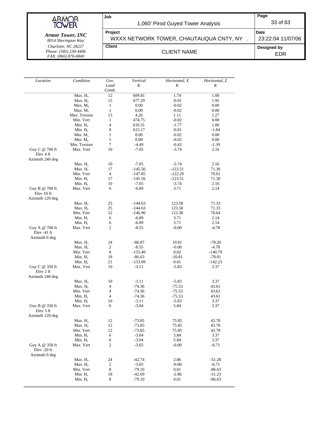| ARMOR        |  |
|--------------|--|
| <b>TOWER</b> |  |

**Date**

**Project** 

**Job**

**Client**

*Armor Tower, INC 8014 Sherington Way Charlotte, NC 28227 Phone: (585) 230-4406 FAX: (866) 870-0840* 

#### WXXX NETWORK TOWER, CHAUTAUQUA CNTY, NY .

**Designed by**<br>CLIENT NAME

EDR

| Location        | Condition           | Gov.           | Vertical  | Horizontal, X | Horizontal, Z |
|-----------------|---------------------|----------------|-----------|---------------|---------------|
|                 |                     | Load           | K         | K             | K             |
|                 |                     | Comb.          |           |               |               |
|                 | Max. $H_x$          | 12             | 609.81    | 1.74          | 1.00          |
|                 | Max. H <sub>z</sub> | 15             | 677.29    | $-0.01$       | 1.95          |
|                 | Max. $M_x$          | $\mathbf{1}$   | $0.00\,$  | $-0.02$       | 0.00          |
|                 | Max. $M_z$          | 1              | $0.00\,$  | $-0.02$       | 0.00          |
|                 | Max. Torsion        | 13             | 4.26      | 1.11          | 1.27          |
|                 | Min. Vert           | 1              | 474.75    | $-0.02$       | 0.00          |
|                 | Min. $H_x$          | 4              | 610.31    | $-1.77$       | 1.00          |
|                 | Min. $H_z$          | 8              | 615.17    | $-0.01$       | $-1.84$       |
|                 | Min. $M_x$          | 1              | 0.00      | $-0.02$       | 0.00          |
|                 | Min. $M_z$          | $\mathbf{1}$   | 0.00      | $-0.02$       | 0.00          |
|                 | Min. Torsion        | 7              | $-4.49$   | $-0.43$       | $-1.39$       |
| Guy C @ 700 ft  | Max. Vert           | 10             | $-7.05$   | $-3.74$       | 2.16          |
| Elev 4 ft       |                     |                |           |               |               |
| Azimuth 240 deg |                     |                |           |               |               |
|                 | Max. $H_x$          | 10             | $-7.05$   | $-3.74$       | 2.16          |
|                 | Max. $H_z$          | 17             | $-145.56$ | $-123.51$     | 71.30         |
|                 | Min. Vert           | 4              | $-147.85$ | $-122.29$     | 70.61         |
|                 | Min. $H_x$          | 17             | $-145.56$ | $-123.51$     | 71.30         |
|                 | Min. $H_z$          | 10             | $-7.05$   | $-3.74$       | 2.16          |
| Guy B @ 700 ft  | Max. Vert           | 6              | $-6.89$   | 3.71          | 2.14          |
| Elev 10 ft      |                     |                |           |               |               |
| Azimuth 120 deg |                     |                |           |               |               |
|                 | Max. $H_x$          | 25             | $-144.63$ | 123.58        | 71.33         |
|                 | Max. $H_z$          | 25             | $-144.63$ | 123.58        | 71.33         |
|                 | Min. Vert           | 12             | $-146.90$ | 122.38        | 70.64         |
|                 | Min. $H_x$          | 6              | $-6.89$   | 3.71          | 2.14          |
|                 | Min. $H_z$          | 6              | $-6.89$   | 3.71          | 2.14          |
| Guy A @ 700 ft  | Max. Vert           | $\overline{2}$ | $-8.55$   | $-0.00$       | $-4.78$       |
| $Elev -41$ ft   |                     |                |           |               |               |
| Azimuth 0 deg   |                     |                |           |               |               |
|                 | Max. $H_x$          | 24             | $-86.87$  | 10.81         | $-78.20$      |
|                 | Max. $H_z$          | 2              | $-8.55$   | $-0.00$       | $-4.78$       |
|                 | Min. Vert           | 8              | $-155.49$ | 0.02          | $-140.79$     |
|                 | Min. $H_x$          | 18             | $-86.63$  | $-10.81$      | -78.01        |
|                 | Min. $H_z$          | 21             | $-153.09$ | 0.01          | $-142.23$     |
| Guy C @ 350 ft  | Max. Vert           | 10             | $-3.11$   | $-5.83$       | 3.37          |
| Elev 2 ft       |                     |                |           |               |               |
| Azimuth 240 deg |                     |                |           |               |               |
|                 | Max. $H_x$          | 10             | $-3.11$   | $-5.83$       | 3.37          |
|                 | Max. $H_z$          | 4              | $-74.36$  | $-75.53$      | 43.61         |
|                 | Min. Vert           | 4              | $-74.36$  | $-75.53$      | 43.61         |
|                 | Min. $H_x$          | 4              | $-74.36$  | $-75.53$      | 43.61         |
|                 | Min. $H_z$          | 10             | $-3.11$   | $-5.83$       | 3.37          |
| Guy B @ 350 ft  | Max. Vert           | 6              | $-3.04$   | 5.84          | 3.37          |
| Elev 5 ft       |                     |                |           |               |               |
| Azimuth 120 deg |                     |                |           |               |               |
|                 | Max. $H_x$          | 12             | $-73.85$  | 75.85         | 43.78         |
|                 | Max. H <sub>z</sub> | 12             | $-73.85$  | 75.85         | 43.78         |
|                 | Min. Vert           | 12             | $-73.85$  | 75.85         | 43.78         |
|                 | Min. $H_x$          | 6              | $-3.04$   | 5.84          | 3.37          |
|                 | Min. $H_z$          | 6              | $-3.04$   | 5.84          | 3.37          |
| Guy A @ 350 ft  | Max. Vert           | $\overline{c}$ | $-3.65$   | $-0.00$       | $-6.71$       |
| $Elev -20$ ft   |                     |                |           |               |               |
| Azimuth 0 deg   |                     |                |           |               |               |
|                 | Max. $H_x$          | 24             | -42.74    | 2.86          | $-51.28$      |
|                 | Max. $H_z$          | $\overline{c}$ | $-3.65$   | $-0.00$       | $-6.71$       |
|                 | Min. Vert           | 8              | -79.10    | 0.01          | $-86.63$      |
|                 | Min. $H_x$          | 18             | -42.69    | $-2.86$       | $-51.23$      |
|                 | Min. $H_z$          | 8              | $-79.10$  | 0.01          | -86.63        |
|                 |                     |                |           |               |               |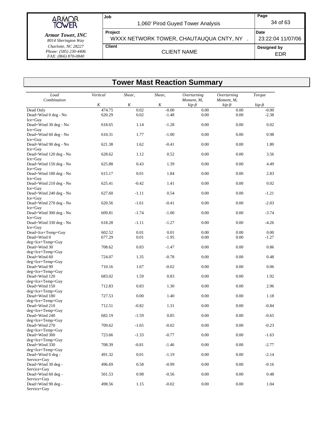| ARMOR<br><b>TOWER</b> |  |
|-----------------------|--|
|                       |  |

**Page**  34 of 63

**Date**

**Project**  WXXX NETWORK TOWER, CHAUTAUQUA CNTY, NY .

**Client**

**Job**

*Armor Tower, INC 8014 Sherington Way Charlotte, NC 28227 Phone: (585) 230-4406 FAX: (866) 870-0840* 

23:22:04 11/07/06 **Designed by**<br>CLIENT NAME EDR

### **Tower Mast Reaction Summary**

| Load<br>Combination                                     | Vertical         | $\overline{Shear}_x$ | Shear <sub>z</sub> | Overturning<br>Moment, $M_{x}$ | Overturning<br>Moment, $M_z$ | Torque             |
|---------------------------------------------------------|------------------|----------------------|--------------------|--------------------------------|------------------------------|--------------------|
|                                                         | K                | K                    | K                  | kip-ft                         | kip-ft                       | kip-ft             |
| Dead Only<br>Dead+Wind 0 deg - No                       | 474.75<br>620.29 | 0.02<br>0.02         | $-0.00$<br>$-1.48$ | 0.00<br>0.00                   | 0.00<br>0.00                 | $-0.00$<br>$-2.38$ |
| $Ice+Guv$<br>Dead+Wind 30 deg - No                      | 618.65           | 1.14                 | $-1.28$            | 0.00                           | 0.00                         | 0.02               |
| $Ice+Guy$<br>Dead+Wind 60 deg - No<br>$Ice+Guy$         | 610.31           | 1.77                 | $-1.00$            | 0.00                           | 0.00                         | 0.98               |
| Dead+Wind 90 deg - No<br>$Ice+Guv$                      | 621.38           | 1.62                 | $-0.41$            | 0.00                           | 0.00                         | 1.80               |
| Dead+Wind 120 deg - No<br>$Ice+Guv$                     | 628.62           | 1.12                 | 0.52               | 0.00                           | 0.00                         | 3.56               |
| Dead+Wind 150 deg - No<br>$Ice+Guy$                     | 625.88           | 0.43                 | 1.39               | 0.00                           | 0.00                         | 4.49               |
| Dead+Wind 180 deg - No<br>$Ice+Guy$                     | 615.17           | 0.01                 | 1.84               | 0.00                           | 0.00                         | 2.83               |
| Dead+Wind 210 deg - No<br>$Ice+Guy$                     | 625.41           | $-0.42$              | 1.41               | 0.00                           | 0.00                         | 0.02               |
| Dead+Wind 240 deg - No<br>$Ice+Guv$                     | 627.60           | $-1.11$              | 0.54               | 0.00                           | 0.00                         | $-1.21$            |
| Dead+Wind 270 deg - No<br>$Ice+Guy$                     | 620.56           | $-1.61$              | $-0.41$            | 0.00                           | 0.00                         | $-2.03$            |
| Dead+Wind 300 deg - No<br>$Ice+Guv$                     | 609.81           | $-1.74$              | $-1.00$            | 0.00                           | 0.00                         | $-3.74$            |
| Dead+Wind 330 deg - No<br>$Ice+Guy$                     | 618.28           | $-1.11$              | $-1.27$            | 0.00                           | 0.00                         | $-4.26$            |
| Dead+Ice+Temp+Guy<br>Dead+Wind 0                        | 602.52<br>677.29 | 0.01<br>0.01         | 0.01<br>$-1.95$    | 0.00<br>0.00                   | 0.00<br>0.00                 | 0.00<br>$-1.27$    |
| deg+Ice+Temp+Guy<br>Dead+Wind 30                        | 708.62           | 0.83                 | $-1.47$            | 0.00                           | 0.00                         | 0.86               |
| $deg+Ice+Temp+Guy$<br>Dead+Wind 60<br>deg+Ice+Temp+Guy  | 724.07           | 1.35                 | $-0.78$            | 0.00                           | 0.00                         | 0.48               |
| Dead+Wind 90<br>deg+Ice+Temp+Guy                        | 710.16           | 1.67                 | $-0.02$            | 0.00                           | 0.00                         | 0.06               |
| Dead+Wind 120<br>deg+Ice+Temp+Guy                       | 683.02           | 1.59                 | 0.83               | 0.00                           | 0.00                         | 1.92               |
| Dead+Wind 150<br>$deg+Ice+Temp+Guy$                     | 712.83           | 0.83                 | 1.30               | 0.00                           | 0.00                         | 2.96               |
| Dead+Wind 180<br>$deg+Ice+Temp+Guy$                     | 727.53           | 0.00                 | 1.40               | 0.00                           | 0.00                         | 1.18               |
| Dead+Wind 210<br>deg+Ice+Temp+Guy                       | 712.51           | $-0.82$              | 1.31               | 0.00                           | 0.00                         | $-0.84$            |
| Dead+Wind 240<br>deg+Ice+Temp+Guy                       | 682.19           | $-1.59$              | 0.85               | 0.00                           | 0.00                         | $-0.65$            |
| Dead+Wind 270<br>deg+Ice+Temp+Guy                       | 709.62           | $-1.65$              | $-0.02$            | 0.00                           | 0.00                         | $-0.23$            |
| Dead+Wind 300<br>deg+Ice+Temp+Guy                       | 723.66           | $-1.33$              | $-0.77$            | $0.00\,$                       | 0.00                         | $-1.63$            |
| Dead+Wind 330<br>deg+Ice+Temp+Guy                       | 708.39           | $-0.81$              | $-1.46$            | 0.00                           | 0.00                         | $-2.77$            |
| Dead+Wind 0 deg -<br>Service+Guy                        | 491.32           | $0.01\,$             | $-1.19$            | 0.00                           | 0.00                         | $-2.14$            |
| Dead+Wind 30 deg -<br>Service+Guy<br>Dead+Wind 60 deg - | 496.69<br>501.53 | 0.58<br>0.98         | $-0.99$<br>$-0.56$ | 0.00<br>0.00                   | 0.00<br>0.00                 | $-0.16$<br>0.48    |
| Service+Guy<br>Dead+Wind 90 deg -                       | 498.56           | 1.15                 | $-0.02$            | 0.00                           | 0.00                         | 1.04               |
| Service+Guy                                             |                  |                      |                    |                                |                              |                    |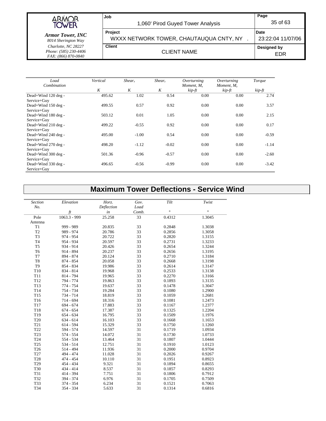|                                              | Job                                     | Page              |
|----------------------------------------------|-----------------------------------------|-------------------|
| <b>TOWER</b>                                 | 1,060' Pirod Guyed Tower Analysis       | 35 of 63          |
|                                              | <b>Project</b>                          | <b>Date</b>       |
| Armor Tower, INC<br>8014 Sherington Way      | WXXX NETWORK TOWER, CHAUTAUQUA CNTY, NY | 23:22:04 11/07/06 |
| Charlotte, NC 28227                          | <b>Client</b>                           | Designed by       |
| Phone: (585) 230-4406<br>FAX: (866) 870-0840 | <b>CLIENT NAME</b>                      | <b>EDR</b>        |
|                                              |                                         |                   |

| Load                | Vertical | $Shear_{r}$ | Shear,  | Overturning     | Overturning        | Torque    |
|---------------------|----------|-------------|---------|-----------------|--------------------|-----------|
| Combination         |          |             |         | Moment, $M_{x}$ | Moment, $M_{\tau}$ |           |
|                     | K        | K           | K       | $kip-fit$       | kip-ft             | $kip-fit$ |
| Dead+Wind 120 deg - | 495.62   | 1.02        | 0.54    | 0.00            | 0.00               | 2.74      |
| Service+Guy         |          |             |         |                 |                    |           |
| Dead+Wind 150 deg - | 499.55   | 0.57        | 0.92    | 0.00            | 0.00               | 3.57      |
| Service+Guy         |          |             |         |                 |                    |           |
| Dead+Wind 180 deg - | 503.12   | 0.01        | 1.05    | 0.00            | 0.00               | 2.15      |
| Service+Guy         |          |             |         |                 |                    |           |
| Dead+Wind 210 deg - | 499.22   | $-0.55$     | 0.92    | 0.00            | 0.00               | 0.17      |
| Service+Guy         |          |             |         |                 |                    |           |
| Dead+Wind 240 deg - | 495.00   | $-1.00$     | 0.54    | 0.00            | 0.00               | $-0.59$   |
| Service+Guy         |          |             |         |                 |                    |           |
| Dead+Wind 270 deg - | 498.20   | $-1.12$     | $-0.02$ | 0.00            | 0.00               | $-1.14$   |
| Service+Guy         |          |             |         |                 |                    |           |
| Dead+Wind 300 deg - | 501.36   | $-0.96$     | $-0.57$ | 0.00            | 0.00               | $-2.60$   |
| Service+Guy         |          |             |         |                 |                    |           |
| Dead+Wind 330 deg - | 496.65   | $-0.56$     | $-0.99$ | 0.00            | 0.00               | $-3.42$   |
| Service+Guy         |          |             |         |                 |                    |           |

### **Maximum Tower Deflections - Service Wind**

| Section         | Elevation      | Horz.      | Gov.  | Tilt    | Twist   |
|-----------------|----------------|------------|-------|---------|---------|
| No.             |                | Deflection | Load  |         |         |
|                 | ft             | $\it in$   | Comb. | $\circ$ | $\circ$ |
| Pole            | $1063.3 - 999$ | 25.258     | 33    | 0.4312  | 1.3045  |
| Antenna         |                |            |       |         |         |
| T1              | 999 - 989      | 20.835     | 33    | 0.2848  | 1.3038  |
| T <sub>2</sub>  | 989 - 974      | 20.786     | 33    | 0.2856  | 1.3058  |
| T <sub>3</sub>  | 974 - 954      | 20.722     | 33    | 0.2820  | 1.3155  |
| T <sub>4</sub>  | $954 - 934$    | 20.597     | 33    | 0.2731  | 1.3233  |
| T <sub>5</sub>  | 934 - 914      | 20.426     | 33    | 0.2654  | 1.3244  |
| T <sub>6</sub>  | 914 - 894      | 20.237     | 33    | 0.2656  | 1.3195  |
| T7              | 894 - 874      | 20.124     | 33    | 0.2710  | 1.3184  |
| T <sub>8</sub>  | 874 - 854      | 20.058     | 33    | 0.2668  | 1.3198  |
| T <sub>9</sub>  | 854 - 834      | 19.986     | 33    | 0.2614  | 1.3147  |
| T10             | 834 - 814      | 19.968     | 33    | 0.2533  | 1.3138  |
| T11             | 814 - 794      | 19.965     | 33    | 0.2270  | 1.3166  |
| T <sub>12</sub> | 794 - 774      | 19.863     | 33    | 0.1893  | 1.3135  |
| T13             | 774 - 754      | 19.637     | 33    | 0.1478  | 1.3047  |
| T14             | 754 - 734      | 19.284     | 33    | 0.1080  | 1.2900  |
| T <sub>15</sub> | 734 - 714      | 18.819     | 33    | 0.1059  | 1.2681  |
| T16             | 714 - 694      | 18.316     | 33    | 0.1081  | 1.2473  |
| T17             | $694 - 674$    | 17.883     | 33    | 0.1167  | 1.2377  |
| T18             | $674 - 654$    | 17.387     | 33    | 0.1325  | 1.2204  |
| T19             | $654 - 634$    | 16.795     | 33    | 0.1509  | 1.1976  |
| T20             | $634 - 614$    | 16.103     | 33    | 0.1668  | 1.1653  |
| T <sub>21</sub> | $614 - 594$    | 15.329     | 33    | 0.1750  | 1.1260  |
| T <sub>22</sub> | 594 - 574      | 14.597     | 31    | 0.1719  | 1.0934  |
| T <sub>23</sub> | 574 - 554      | 14.072     | 31    | 0.1730  | 1.0733  |
| T24             | 554 - 534      | 13.464     | 31    | 0.1807  | 1.0444  |
| T <sub>25</sub> | 534 - 514      | 12.751     | 31    | 0.1910  | 1.0123  |
| T <sub>26</sub> | 514 - 494      | 11.936     | 31    | 0.2000  | 0.9704  |
| T27             | 494 - 474      | 11.028     | 31    | 0.2026  | 0.9267  |
| <b>T28</b>      | 474 - 454      | 10.110     | 31    | 0.1951  | 0.8923  |
| T29             | 454 - 434      | 9.321      | 31    | 0.1894  | 0.8655  |
| T30             | $434 - 414$    | 8.537      | 31    | 0.1857  | 0.8293  |
| T31             | 414 - 394      | 7.751      | 31    | 0.1806  | 0.7912  |
| T32             | 394 - 374      | 6.976      | 31    | 0.1705  | 0.7509  |
| T33             | 374 - 354      | 6.234      | 31    | 0.1521  | 0.7063  |
| T34             | 354 - 334      | 5.633      | 31    | 0.1314  | 0.6816  |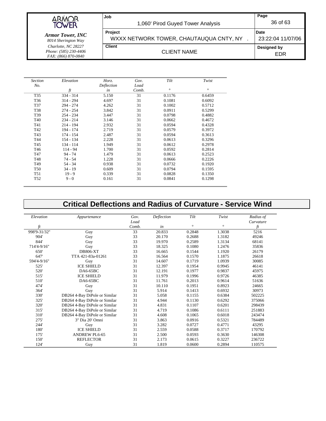| ARMOR        |  |
|--------------|--|
| <b>TOWER</b> |  |

|                          | Job                                                | Page                             |
|--------------------------|----------------------------------------------------|----------------------------------|
|                          | 1,060' Pirod Guyed Tower Analysis                  | 36 of 63                         |
| . INC $\,$<br>ı Wav      | Project<br>WXXX NETWORK TOWER, CHAUTAUQUA CNTY, NY | <b>Date</b><br>23:22:04 11/07/06 |
| 28227<br>9-4406<br>-0840 | <b>Client</b><br><b>CLIENT NAME</b>                | Designed by<br><b>EDR</b>        |

| <b>Section</b>  | Elevation   | Horz.      | Gov.  | Tilt    | Twist   |
|-----------------|-------------|------------|-------|---------|---------|
| No.             |             | Deflection | Load  |         |         |
|                 | ft          | in         | Comb. | $\circ$ | $\circ$ |
| T <sub>35</sub> | $334 - 314$ | 5.150      | 31    | 0.1176  | 0.6459  |
| T36             | $314 - 294$ | 4.697      | 31    | 0.1081  | 0.6092  |
| T37             | 294 - 274   | 4.262      | 31    | 0.1002  | 0.5712  |
| T38             | $274 - 254$ | 3.842      | 31    | 0.0911  | 0.5299  |
| T39             | $254 - 234$ | 3.447      | 31    | 0.0798  | 0.4882  |
| T40             | $234 - 214$ | 3.146      | 31    | 0.0662  | 0.4672  |
| T41             | $214 - 194$ | 2.932      | 31    | 0.0594  | 0.4328  |
| T42             | 194 - 174   | 2.719      | 31    | 0.0579  | 0.3972  |
| T43             | 174 - 154   | 2.487      | 31    | 0.0594  | 0.3613  |
| T44             | 154 - 134   | 2.228      | 31    | 0.0613  | 0.3296  |
| T45             | 134 - 114   | 1.949      | 31    | 0.0612  | 0.2978  |
| T <sub>46</sub> | $114 - 94$  | 1.700      | 31    | 0.0592  | 0.2814  |
| T47             | $94 - 74$   | 1.479      | 31    | 0.0613  | 0.2523  |
| T48             | 74 - 54     | 1.228      | 31    | 0.0666  | 0.2226  |
| T49             | $54 - 34$   | 0.938      | 31    | 0.0732  | 0.1920  |
| <b>T50</b>      | $34 - 19$   | 0.609      | 31    | 0.0794  | 0.1595  |
| T51             | $19 - 9$    | 0.339      | 31    | 0.0828  | 0.1350  |
| T <sub>52</sub> | $9 - 0$     | 0.161      | 31    | 0.0841  | 0.1298  |

### **Critical Deflections and Radius of Curvature - Service Wind**

| Elevation    | Appurtenance                  | Gov.  | Deflection | Tilt    | Twist   | Radius of |
|--------------|-------------------------------|-------|------------|---------|---------|-----------|
|              |                               | Load  |            | $\circ$ | $\circ$ | Curvature |
| ft           |                               | Comb. | in         |         |         | ft        |
| 998'9-31/32" | Guy                           | 33    | 20.833     | 0.2848  | 1.3038  | 5216      |
| 904'         | Guy                           | 33    | 20.170     | 0.2688  | 1.3182  | 49246     |
| 844'         | Guy                           | 33    | 19.970     | 0.2589  | 1.3134  | 68141     |
| 714'4-9/16"  | Guy                           | 33    | 18.325     | 0.1080  | 1.2476  | 35836     |
| 650'         | <b>DB806-XT</b>               | 33    | 16.665     | 0.1544  | 1.1920  | 26179     |
| 647'         | TTA 421-83a-01261             | 33    | 16.564     | 0.1570  | 1.1875  | 26618     |
| 594'4-9/16"  | Guy                           | 31    | 14.607     | 0.1719  | 1.0939  | 30085     |
| 525'         | <b>ICE SHIELD</b>             | 31    | 12.397     | 0.1954  | 0.9945  | 46141     |
| 520'         | $DA6-65BC$                    | 31    | 12.191     | 0.1977  | 0.9837  | 45975     |
| 515'         | <b>ICE SHIELD</b>             | 31    | 11.979     | 0.1996  | 0.9726  | 46385     |
| 510'         | DA6-65BC                      | 31    | 11.761     | 0.2013  | 0.9614  | 51636     |
| 474'         | Guy                           | 31    | 10.110     | 0.1951  | 0.8923  | 24665     |
| 364'         | Guy                           | 31    | 5.914      | 0.1413  | 0.6932  | 30973     |
| 330'         | DB264 4-Bay DiPole or Similar | 31    | 5.058      | 0.1155  | 0.6384  | 502225    |
| 325'         | DB264 4-Bay DiPole or Similar | 31    | 4.944      | 0.1130  | 0.6292  | 375066    |
| 320'         | DB264 4-Bay DiPole or Similar | 31    | 4.831      | 0.1107  | 0.6201  | 298439    |
| 315'         | DB264 4-Bay DiPole or Similar | 31    | 4.719      | 0.1086  | 0.6111  | 251883    |
| 310'         | DB264 4-Bay DiPole or Similar | 31    | 4.608      | 0.1065  | 0.6018  | 243474    |
| 275'         | 3" Dia 20' Omni               | 31    | 3.863      | 0.0916  | 0.5321  | 784489    |
| 244'         | Guy                           | 31    | 3.282      | 0.0727  | 0.4771  | 43295     |
| 180'         | <b>ICE SHIELD</b>             | 31    | 2.559      | 0.0588  | 0.3717  | 170792    |
| 175'         | <b>ANDREW PL6-65</b>          | 31    | 2.500      | 0.0593  | 0.3630  | 146308    |
| 150'         | <b>REFLECTOR</b>              | 31    | 2.173      | 0.0615  | 0.3227  | 236722    |
| 124'         | Guy                           | 31    | 1.819      | 0.0600  | 0.2894  | 110575    |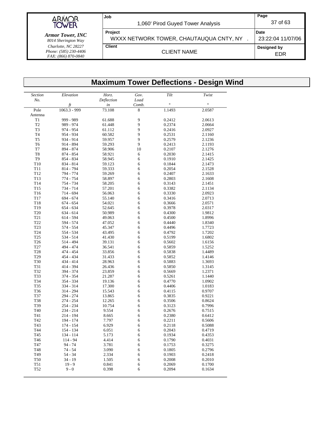| ARMOR        |  |
|--------------|--|
| <b>TOWER</b> |  |

**Project**  WXXX NETWORK TOWER, CHAUTAUQUA CNTY, NY .

**Client**

**Job**

*8014 Sherington Way Charlotte, NC 28227 Phone: (585) 230-4406 FAX: (866) 870-0840* 

*Armor Tower, INC*

23:22:04 11/07/06 **CLIENT NAME** Designed by EDR

### **Maximum Tower Deflections - Design Wind**

| Section                | Elevation    | Horz.      | $Gov$ . | Tilt    | Twist   |
|------------------------|--------------|------------|---------|---------|---------|
| No.                    |              | Deflection | Load    |         |         |
|                        | ft           | in         | Comb.   | $\circ$ | $\circ$ |
| Pole                   | 1063.3 - 999 | 73.108     | 8       | 1.1493  | 2.0587  |
| Antenna                |              |            |         |         |         |
| $\mathrm{T}1$          | 999 - 989    | 61.688     | 9       | 0.2412  | 2.0613  |
| T <sub>2</sub>         | 989 - 974    | 61.448     | 9       | 0.2374  | 2.0664  |
| T <sub>3</sub>         | 974 - 954    | 61.112     | 9       | 0.2416  | 2.0927  |
| T <sub>4</sub>         | 954 - 934    | 60.582     | 9       | 0.2531  | 2.1160  |
| T <sub>5</sub>         | 934 - 914    | 59.957     | 9       | 0.2579  | 2.1236  |
| T <sub>6</sub>         | 914 - 894    | 59.293     | 9       | 0.2413  | 2.1193  |
| T7                     | 894 - 874    | 58.906     | 10      | 0.2107  | 2.1276  |
| T <sub>8</sub>         | 874 - 854    | 58.921     | 6       | 0.2030  | 2.1415  |
| T <sub>9</sub>         | 854 - 834    | 58.945     | 6       | 0.1910  | 2.1425  |
| T10                    | 834 - 814    | 59.123     | 6       | 0.1844  | 2.1473  |
| <b>T11</b>             | 814 - 794    | 59.333     | 6       | 0.2054  | 2.1528  |
| T <sub>12</sub>        | 794 - 774    | 59.269     | 6       | 0.2407  | 2.1633  |
| T <sub>13</sub>        | 774 - 754    | 58.897     | 6       | 0.2803  | 2.1608  |
| T14                    | 754 - 734    | 58.205     | 6       | 0.3143  | 2.1451  |
| T15                    | 734 - 714    | 57.201     | 6       | 0.3382  | 2.1134  |
| T16                    | 714 - 694    | 56.063     | 6       | 0.3330  | 2.0923  |
| T17                    | 694 - 674    | 55.140     | 6       | 0.3416  | 2.0713  |
| T18                    | 674 - 654    | 54.021     | 6       | 0.3666  | 2.0571  |
| T19                    | 654 - 634    | 52.645     | 6       | 0.3978  | 2.0317  |
| T20                    | 634 - 614    | 50.989     | 6       | 0.4300  | 1.9812  |
| T <sub>21</sub>        | 614 - 594    | 49.063     | 6       | 0.4500  | 1.8996  |
| T <sub>22</sub>        | 594 - 574    | 47.052     | 6       | 0.4440  | 1.8340  |
| T <sub>23</sub>        | 574 - 554    | 45.347     | 6       | 0.4496  | 1.7723  |
| T24                    | 554 - 534    | 43.495     | 6       | 0.4792  | 1.7202  |
| T <sub>25</sub>        | 534 - 514    | 41.430     | 6       | 0.5199  | 1.6802  |
| T <sub>26</sub>        |              |            | 6       |         |         |
| T27                    | 514 - 494    | 39.131     |         | 0.5602  | 1.6156  |
|                        | 494 - 474    | 36.541     | 6       | 0.5859  | 1.5252  |
| T <sub>28</sub><br>T29 | 474 - 454    | 33.856     | 6       | 0.5838  | 1.4489  |
| T30                    | 454 - 434    | 31.433     | 6       | 0.5852  | 1.4146  |
|                        | 434 - 414    | 28.963     | 6       | 0.5883  | 1.3693  |
| T31<br>T32             | 414 - 394    | 26.436     | 6       | 0.5850  | 1.3145  |
|                        | 394 - 374    | 23.859     | 6       | 0.5669  | 1.2371  |
| T33<br>T34             | 374 - 354    | 21.287     | 6       | 0.5261  | 1.1440  |
|                        | 354 - 334    | 19.136     | 6       | 0.4770  | 1.0902  |
| T35                    | 334 - 314    | 17.300     | 6       | 0.4406  | 1.0183  |
| T <sub>36</sub>        | 314 - 294    | 15.543     | 6       | 0.4115  | 0.9707  |
| T37                    | 294 - 274    | 13.865     | 6       | 0.3835  | 0.9221  |
| T38                    | $274 - 254$  | 12.265     | 6       | 0.3506  | 0.8624  |
| T39<br>T40             | 254 - 234    | 10.754     | 6       | 0.3123  | 0.7996  |
|                        | 234 - 214    | 9.554      | 6       | 0.2676  | 0.7515  |
| T41                    | 214 - 194    | 8.665      | 6       | 0.2380  | 0.6412  |
| T42                    | 194 - 174    | 7.797      | 6       | 0.2211  | 0.5606  |
| T43                    | $174 - 154$  | 6.929      | 6       | 0.2118  | 0.5088  |
| T44                    | 154 - 134    | 6.051      | 6       | 0.2043  | 0.4719  |
| T45                    | 134 - 114    | 5.173      | 6       | 0.1934  | 0.4353  |
| T46                    | $114 - 94$   | 4.414      | 6       | 0.1790  | 0.4031  |
| T47                    | $94 - 74$    | 3.781      | 6       | 0.1753  | 0.3275  |
| T48                    | $74 - 54$    | 3.090      | 6       | 0.1805  | 0.2796  |
| T49                    | 54 - 34      | 2.334      | 6       | 0.1903  | 0.2418  |
| <b>T50</b>             | $34 - 19$    | 1.505      | 6       | 0.2008  | 0.2010  |
| T51                    | $19 - 9$     | 0.841      | 6       | 0.2069  | 0.1700  |
| T52                    | $9 - 0$      | 0.398      | 6       | 0.2094  | 0.1634  |
|                        |              |            |         |         |         |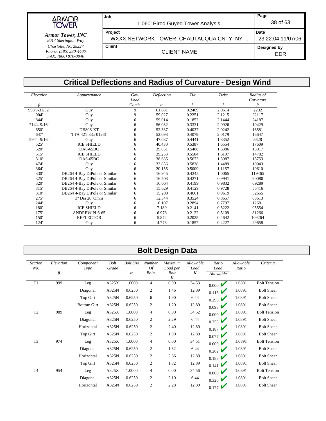|                                                        | Job                                                                   | Page              |
|--------------------------------------------------------|-----------------------------------------------------------------------|-------------------|
| <b>TOWFR</b>                                           | 1,060' Pirod Guyed Tower Analysis                                     | 38 of 63          |
|                                                        | <b>Project</b>                                                        | <b>Date</b>       |
| <b>Armor Tower, INC</b><br>8014 Sherington Way         | WXXX NETWORK TOWER, CHAUTAUQUA CNTY, NY                               | 23:22:04 11/07/06 |
| Charlotte, NC 28227<br>$DL_{222}$ , $(505)$ 220 $1106$ | <b>Client</b><br>$\bigcap$ if $\bigcap$ $\bigcap$ $\bigcap$ $\bigcap$ | Designed by       |

#### *Phone: (585) 230-4406 FAX: (866) 870-0840*

**CLIENT NAME** 

EDR

# **Critical Deflections and Radius of Curvature - Design Wind**

| Elevation    | Appurtenance                  | Gov.  | Deflection | Tilt    | Twist   | Radius of |
|--------------|-------------------------------|-------|------------|---------|---------|-----------|
|              |                               | Load  |            |         |         | Curvature |
| ft           |                               | Comb. | in         | $\circ$ | $\circ$ | ft        |
| 998'9-31/32" | Guy                           | 9     | 61.681     | 0.2409  | 2.0614  | 2292      |
| 904'         | Guy                           | 9     | 59.027     | 0.2251  | 2.1215  | 22117     |
| 844'         | Guy                           | 6     | 59.014     | 0.1852  | 2.1444  | 24187     |
| 714'4-9/16"  | Guy                           | 6     | 56.082     | 0.3331  | 2.0926  | 10429     |
| 650'         | <b>DB806-XT</b>               | 6     | 52.337     | 0.4037  | 2.0242  | 16581     |
| 647'         | TTA 421-83a-01261             | 6     | 52.098     | 0.4079  | 2.0179  | 16647     |
| 594'4-9/16"  | Guy                           | 6     | 47.087     | 0.4441  | 1.8352  | 8628      |
| 525'         | <b>ICE SHIELD</b>             | 6     | 40.430     | 0.5387  | 1.6554  | 17609     |
| 520'         | DA6-65BC                      | 6     | 39.851     | 0.5488  | 1.6386  | 15917     |
| 515'         | <b>ICE SHIELD</b>             | 6     | 39.253     | 0.5584  | 1.6197  | 14782     |
| 510'         | DA6-65BC                      | 6     | 38.635     | 0.5673  | 1.5987  | 15753     |
| 474'         | Guy                           | 6     | 33.856     | 0.5838  | 1.4489  | 10043     |
| 364'         | Guy                           | 6     | 20.155     | 0.5009  | 1.1157  | 10610     |
| 330'         | DB264 4-Bay DiPole or Similar | 6     | 16.945     | 0.4345  | 1.0065  | 119465    |
| 325'         | DB264 4-Bay DiPole or Similar | 6     | 16.503     | 0.4271  | 0.9941  | 90080     |
| 320'         | DB264 4-Bay DiPole or Similar | 6     | 16.064     | 0.4199  | 0.9832  | 69289     |
| 315'         | DB264 4-Bay DiPole or Similar | 6     | 15.629     | 0.4129  | 0.9728  | 55416     |
| 310'         | DB264 4-Bay DiPole or Similar | 6     | 15.200     | 0.4061  | 0.9619  | 52655     |
| 275'         | 3" Dia 20' Omni               | 6     | 12.344     | 0.3524  | 0.8657  | 88613     |
| 244'         | Guy                           | 6     | 10.107     | 0.2894  | 0.7797  | 12681     |
| 180'         | <b>ICE SHIELD</b>             | 6     | 7.189      | 0.2141  | 0.5222  | 95554     |
| 175'         | <b>ANDREW PL6-65</b>          | 6     | 6.973      | 0.2122  | 0.5109  | 81266     |
| 150'         | <b>REFLECTOR</b>              | 6     | 5.872      | 0.2025  | 0.4642  | 109264    |
| 124'         | Guy                           | 6     | 4.773      | 0.1857  | 0.4227  | 29658     |

### **Bolt Design Data**

| Section<br>No. | Elevation | Component<br>Type  | <b>Bolt</b><br>Grade | <b>Bolt Size</b> | Number<br><b>Of</b> | Maximum<br>Load per | Allowable<br>Load | Ratio<br>Load | Allowable<br>Ratio | Criteria            |
|----------------|-----------|--------------------|----------------------|------------------|---------------------|---------------------|-------------------|---------------|--------------------|---------------------|
|                | ft        |                    |                      | in               | <b>Bolts</b>        | <b>Bolt</b><br>K    | K                 | Allowable     |                    |                     |
| T1             | 999       | Leg                | A325X                | 1.0000           | $\overline{4}$      | 0.00                | 34.53             | 0.000         | 1.0891             | <b>Bolt Tension</b> |
|                |           | Diagonal           | A325N                | 0.6250           | 2                   | 1.46                | 12.89             | 0.113         | 1.0891             | <b>Bolt Shear</b>   |
|                |           | Top Girt           | A325N                | 0.6250           | 6                   | 1.90                | 6.44              | 0.295         | 1.0891             | <b>Bolt Shear</b>   |
|                |           | <b>Bottom Girt</b> | A325N                | 0.6250           | $\boldsymbol{2}$    | 1.20                | 12.89             | 0.093         | 1.0891             | <b>Bolt Shear</b>   |
| T <sub>2</sub> | 989       | Leg                | A325X                | 1.0000           | 4                   | 0.00                | 34.52             | 0.000         | 1.0891             | <b>Bolt Tension</b> |
|                |           | Diagonal           | A325N                | 0.6250           | $\boldsymbol{2}$    | 2.29                | 6.44              | 0.355         | 1.0891             | <b>Bolt Shear</b>   |
|                |           | Horizontal         | A325N                | 0.6250           | $\boldsymbol{2}$    | 2.40                | 12.89             | 0.187         | 1.0891             | <b>Bolt Shear</b>   |
|                |           | Top Girt           | A325N                | 0.6250           | $\boldsymbol{2}$    | 1.00                | 12.89             | 0.077         | 1.0891             | <b>Bolt Shear</b>   |
| T <sub>3</sub> | 974       | Leg                | A325X                | 1.0000           | 4                   | 0.00                | 34.51             | 0.000         | 1.0891             | <b>Bolt Tension</b> |
|                |           | Diagonal           | A325N                | 0.6250           | 2                   | 1.82                | 6.44              | 0.282         | 1.0891             | <b>Bolt Shear</b>   |
|                |           | Horizontal         | A325N                | 0.6250           | $\boldsymbol{2}$    | 2.36                | 12.89             | 0.183         | 1.0891             | <b>Bolt Shear</b>   |
|                |           | Top Girt           | A325N                | 0.6250           | $\boldsymbol{2}$    | 1.82                | 12.89             | 0.141         | 1.0891             | <b>Bolt Shear</b>   |
| T <sub>4</sub> | 954       | Leg                | A325X                | 1.0000           | 4                   | 0.00                | 34.56             | 0.000         | 1.0891             | <b>Bolt Tension</b> |
|                |           | Diagonal           | A325N                | 0.6250           | 2                   | 2.10                | 6.44              | 0.326         | 1.0891             | <b>Bolt Shear</b>   |
|                |           | Horizontal         | A325N                | 0.6250           | $\mathfrak{2}$      | 2.28                | 12.89             | 0.177         | 1.0891             | <b>Bolt Shear</b>   |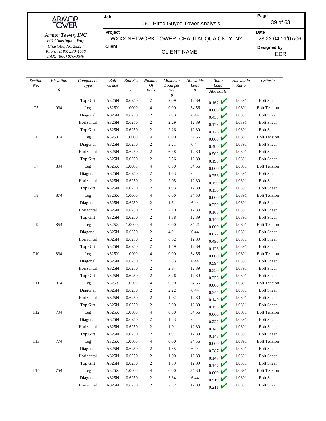**ARMOR**<br>**TOWER** 

**Page**  39 of 63

**Date**

**Project** 

**Client**

**Job**

*Armor Tower, INC 8014 Sherington Way Charlotte, NC 28227 Phone: (585) 230-4406 FAX: (866) 870-0840* 

#### WXXX NETWORK TOWER, CHAUTAUQUA CNTY, NY .

**Designed by**<br>CLIENT NAME

EDR

| Section<br>No.  | Elevation | Component<br>Type | Bolt<br>Grade | <b>Bolt Size</b> | <b>Number</b><br>0f     | Maximum<br>Load per | Allowable<br>Load | Ratio<br>Load | Allowable<br>Ratio | Criteria            |
|-----------------|-----------|-------------------|---------------|------------------|-------------------------|---------------------|-------------------|---------------|--------------------|---------------------|
|                 | $\it{ft}$ |                   |               | in               | <b>Bolts</b>            | <b>Bolt</b><br>K    | K                 | Allowable     |                    |                     |
|                 |           | Top Girt          | A325N         | 0.6250           | $\boldsymbol{2}$        | 2.09                | 12.89             | 0.162         | 1.0891             | <b>Bolt Shear</b>   |
| T <sub>5</sub>  | 934       | Leg               | A325X         | 1.0000           | $\overline{4}$          | 0.00                | 34.56             | 0.000         | 1.0891             | <b>Bolt Tension</b> |
|                 |           | Diagonal          | A325N         | 0.6250           | $\overline{c}$          | 2.93                | 6.44              | 0.455         | 1.0891             | <b>Bolt Shear</b>   |
|                 |           | Horizontal        | A325N         | 0.6250           | $\overline{\mathbf{c}}$ | 2.29                | 12.89             | 0.178         | 1.0891             | <b>Bolt Shear</b>   |
|                 |           | Top Girt          | A325N         | 0.6250           | $\sqrt{2}$              | 2.26                | 12.89             | 0.176         | 1.0891             | <b>Bolt Shear</b>   |
| T <sub>6</sub>  | 914       | Leg               | A325X         | 1.0000           | $\overline{4}$          | $0.00\,$            | 34.56             | 0.000         | 1.0891             | <b>Bolt Tension</b> |
|                 |           | Diagonal          | A325N         | 0.6250           | $\overline{c}$          | 3.21                | 6.44              | 0.499         | 1.0891             | <b>Bolt Shear</b>   |
|                 |           | Horizontal        | A325N         | 0.6250           | $\overline{c}$          | 6.48                | 12.89             | 0.503         | 1.0891             | <b>Bolt Shear</b>   |
|                 |           | Top Girt          | A325N         | 0.6250           | $\overline{c}$          | 2.56                | 12.89             | 0.198         | 1.0891             | <b>Bolt Shear</b>   |
| T7              | 894       | Leg               | A325X         | 1.0000           | $\overline{4}$          | 0.00                | 34.56             | 0.000         | 1.0891             | <b>Bolt Tension</b> |
|                 |           | Diagonal          | A325N         | 0.6250           | $\overline{c}$          | 1.63                | 6.44              | 0.253         | 1.0891             | <b>Bolt Shear</b>   |
|                 |           | Horizontal        | A325N         | 0.6250           | $\sqrt{2}$              | 2.05                | 12.89             | 0.159         | 1.0891             | <b>Bolt Shear</b>   |
|                 |           | Top Girt          | A325N         | 0.6250           | $\overline{c}$          | 1.93                | 12.89             | 0.150         | 1.0891             | <b>Bolt Shear</b>   |
| T <sub>8</sub>  | 874       | Leg               | A325X         | 1.0000           | $\overline{4}$          | 0.00                | 34.50             | 0.000         | 1.0891             | <b>Bolt Tension</b> |
|                 |           | Diagonal          | A325N         | 0.6250           | $\overline{c}$          | 1.61                | 6.44              | 0.250         | 1.0891             | <b>Bolt Shear</b>   |
|                 |           | Horizontal        | A325N         | 0.6250           | $\overline{c}$          | 2.10                | 12.89             | 0.163         | 1.0891             | <b>Bolt Shear</b>   |
|                 |           | Top Girt          | A325N         | 0.6250           | $\overline{c}$          | 1.88                | 12.89             | 0.146         | 1.0891             | <b>Bolt Shear</b>   |
| T <sub>9</sub>  | 854       | Leg               | A325X         | 1.0000           | $\overline{4}$          | 0.00                | 34.21             | 0.000         | 1.0891             | <b>Bolt Tension</b> |
|                 |           | Diagonal          | A325N         | 0.6250           | $\sqrt{2}$              | 4.01                | 6.44              | 0.622         | 1.0891             | <b>Bolt Shear</b>   |
|                 |           | Horizontal        | A325N         | 0.6250           | $\overline{c}$          | 6.32                | 12.89             | 0.490         | 1.0891             | <b>Bolt Shear</b>   |
|                 |           | Top Girt          | A325N         | 0.6250           | $\overline{c}$          | 1.59                | 12.89             | 0.123         | 1.0891             | <b>Bolt Shear</b>   |
| T10             | 834       | Leg               | A325X         | 1.0000           | $\overline{4}$          | 0.00                | 34.56             | 0.000         | 1.0891             | <b>Bolt Tension</b> |
|                 |           | Diagonal          | A325N         | 0.6250           | $\overline{c}$          | 3.83                | 6.44              | 0.594         | 1.0891             | <b>Bolt Shear</b>   |
|                 |           | Horizontal        | A325N         | 0.6250           | $\overline{c}$          | 2.84                | 12.89             | 0.220         | 1.0891             | <b>Bolt Shear</b>   |
|                 |           | Top Girt          | A325N         | 0.6250           | $\overline{c}$          | 3.26                | 12.89             | 0.253         | 1.0891             | <b>Bolt Shear</b>   |
| T11             | 814       | Leg               | A325X         | 1.0000           | $\overline{4}$          | 0.00                | 34.56             | 0.000         | 1.0891             | <b>Bolt Tension</b> |
|                 |           | Diagonal          | A325N         | 0.6250           | $\overline{c}$          | 2.22                | 6.44              | 0.345         | 1.0891             | <b>Bolt Shear</b>   |
|                 |           | Horizontal        | A325N         | 0.6250           | $\overline{c}$          | 1.92                | 12.89             | 0.149         | 1.0891             | <b>Bolt Shear</b>   |
|                 |           | Top Girt          | A325N         | 0.6250           | $\boldsymbol{2}$        | 2.00                | 12.89             | 0.155         | 1.0891             | <b>Bolt Shear</b>   |
| T <sub>12</sub> | 794       | Leg               | A325X         | 1.0000           | 4                       | 0.00                | 34.56             | 0.000         | 1.0891             | <b>Bolt Tension</b> |
|                 |           | Diagonal          | A325N         | 0.6250           | $\overline{\mathbf{c}}$ | 1.43                | 6.44              | 0.222         | 1.0891             | <b>Bolt Shear</b>   |
|                 |           | Horizontal        | A325N         | 0.6250           | $\overline{\mathbf{c}}$ | 1.91                | 12.89             | 0.148         | 1.0891             | <b>Bolt Shear</b>   |
|                 |           | Top Girt          | A325N         | 0.6250           | $\overline{\mathbf{c}}$ | 1.91                | 12.89             | 0.148         | 1.0891             | <b>Bolt Shear</b>   |
| T <sub>13</sub> | 774       | Leg               | A325X         | 1.0000           | $\overline{4}$          | $0.00\,$            | 34.56             | 0.000         | 1.0891             | <b>Bolt Tension</b> |
|                 |           | Diagonal          | A325N         | 0.6250           | $\overline{\mathbf{c}}$ | 1.85                | 6.44              | 0.287         | 1.0891             | <b>Bolt Shear</b>   |
|                 |           | Horizontal        | A325N         | 0.6250           | $\sqrt{2}$              | 1.90                | 12.89             | 0.147         | 1.0891             | <b>Bolt Shear</b>   |
|                 |           | Top Girt          | A325N         | 0.6250           | $\sqrt{2}$              | 1.89                | 12.89             | 0.147         | 1.0891             | <b>Bolt Shear</b>   |
| T14             | 754       | Leg               | A325X         | $1.0000\,$       | $\overline{4}$          | $0.00\,$            | 34.30             | 0.000         | 1.0891             | <b>Bolt Tension</b> |
|                 |           | Diagonal          | A325N         | 0.6250           | $\overline{c}$          | 3.34                | 6.44              | 0.519         | 1.0891             | <b>Bolt Shear</b>   |
|                 |           | Horizontal        | A325N         | 0.6250           | $\sqrt{2}$              | 2.72                | 12.89             | 0.211         | 1.0891             | <b>Bolt Shear</b>   |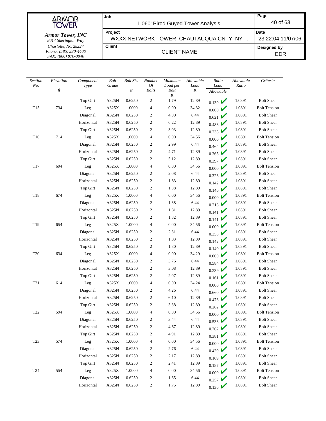| ARMOR        |  |
|--------------|--|
| <b>TOWER</b> |  |

**Page**  40 of 63

**Date**

**Project** 

**Client**

**Job**

*Armor Tower, INC 8014 Sherington Way Charlotte, NC 28227 Phone: (585) 230-4406 FAX: (866) 870-0840* 

#### WXXX NETWORK TOWER, CHAUTAUQUA CNTY, NY .

**Designed by**<br>CLIENT NAME

23:22:04 11/07/06 EDR

| Section<br>No.  | Elevation   | Component<br>Type | Bolt<br>Grade | <b>Bolt Size</b> | Number<br>Of            | Maximum<br>Load per | Allowable<br>Load | Ratio<br>Load | Allowable<br>Ratio | Criteria            |
|-----------------|-------------|-------------------|---------------|------------------|-------------------------|---------------------|-------------------|---------------|--------------------|---------------------|
|                 | $\emph{ft}$ |                   |               | in               | <b>Bolts</b>            | <b>Bolt</b><br>K    | K                 | Allowable     |                    |                     |
|                 |             | Top Girt          | A325N         | 0.6250           | $\overline{c}$          | 1.79                | 12.89             | 0.139         | 1.0891             | <b>Bolt Shear</b>   |
| T <sub>15</sub> | 734         | Leg               | A325X         | 1.0000           | $\overline{4}$          | 0.00                | 34.32             | 0.000         | 1.0891             | <b>Bolt Tension</b> |
|                 |             | Diagonal          | A325N         | 0.6250           | $\overline{c}$          | 4.00                | 6.44              | 0.621         | 1.0891             | <b>Bolt Shear</b>   |
|                 |             | Horizontal        | A325N         | 0.6250           | $\overline{c}$          | 6.22                | 12.89             | 0.483         | 1.0891             | <b>Bolt Shear</b>   |
|                 |             | Top Girt          | A325N         | 0.6250           | $\overline{c}$          | 3.03                | 12.89             | 0.235         | 1.0891             | <b>Bolt Shear</b>   |
| T16             | 714         | Leg               | A325X         | 1.0000           | $\overline{4}$          | 0.00                | 34.56             | 0.000         | 1.0891             | <b>Bolt Tension</b> |
|                 |             | Diagonal          | A325N         | 0.6250           | $\overline{c}$          | 2.99                | 6.44              | 0.464         | 1.0891             | <b>Bolt Shear</b>   |
|                 |             | Horizontal        | A325N         | 0.6250           | 2                       | 4.71                | 12.89             | 0.365         | 1.0891             | <b>Bolt Shear</b>   |
|                 |             | Top Girt          | A325N         | 0.6250           | 2                       | 5.12                | 12.89             | 0.397         | 1.0891             | <b>Bolt Shear</b>   |
| T <sub>17</sub> | 694         | Leg               | A325X         | 1.0000           | $\overline{4}$          | 0.00                | 34.56             | 0.000         | 1.0891             | <b>Bolt Tension</b> |
|                 |             | Diagonal          | A325N         | 0.6250           | $\overline{c}$          | 2.08                | 6.44              | 0.323         | 1.0891             | <b>Bolt Shear</b>   |
|                 |             | Horizontal        | A325N         | 0.6250           | $\overline{c}$          | 1.83                | 12.89             | 0.142         | 1.0891             | <b>Bolt Shear</b>   |
|                 |             | Top Girt          | A325N         | 0.6250           | $\overline{c}$          | 1.88                | 12.89             | 0.146         | 1.0891             | <b>Bolt Shear</b>   |
| T18             | 674         | Leg               | A325X         | 1.0000           | $\overline{4}$          | $0.00\,$            | 34.56             | 0.000         | 1.0891             | <b>Bolt Tension</b> |
|                 |             | Diagonal          | A325N         | 0.6250           | 2                       | 1.38                | 6.44              | 0.213         | 1.0891             | <b>Bolt Shear</b>   |
|                 |             | Horizontal        | A325N         | 0.6250           | $\overline{c}$          | 1.81                | 12.89             | 0.141         | 1.0891             | <b>Bolt Shear</b>   |
|                 |             | Top Girt          | A325N         | 0.6250           | $\overline{c}$          | 1.82                | 12.89             | 0.141         | 1.0891             | <b>Bolt Shear</b>   |
| T19             | 654         | Leg               | A325X         | 1.0000           | 4                       | 0.00                | 34.56             | 0.000         | 1.0891             | <b>Bolt Tension</b> |
|                 |             | Diagonal          | A325N         | 0.6250           | $\overline{c}$          | 2.31                | 6.44              | 0.358         | 1.0891             | <b>Bolt Shear</b>   |
|                 |             | Horizontal        | A325N         | 0.6250           | $\overline{c}$          | 1.83                | 12.89             | 0.142         | 1.0891             | <b>Bolt Shear</b>   |
|                 |             | Top Girt          | A325N         | 0.6250           | $\overline{c}$          | 1.80                | 12.89             | 0.140         | 1.0891             | <b>Bolt Shear</b>   |
| T20             | 634         | Leg               | A325X         | 1.0000           | $\overline{4}$          | 0.00                | 34.29             | 0.000         | 1.0891             | <b>Bolt Tension</b> |
|                 |             | Diagonal          | A325N         | 0.6250           | 2                       | 3.76                | 6.44              | 0.584         | 1.0891             | <b>Bolt Shear</b>   |
|                 |             | Horizontal        | A325N         | 0.6250           | $\overline{c}$          | 3.08                | 12.89             | 0.239         | 1.0891             | <b>Bolt Shear</b>   |
|                 |             | Top Girt          | A325N         | 0.6250           | $\overline{c}$          | 2.07                | 12.89             | 0.161         | 1.0891             | <b>Bolt Shear</b>   |
| T <sub>21</sub> | 614         | Leg               | A325X         | 1.0000           | $\overline{4}$          | 0.00                | 34.24             | 0.000         | 1.0891             | <b>Bolt Tension</b> |
|                 |             | Diagonal          | A325N         | 0.6250           | $\overline{c}$          | 4.26                | 6.44              | 0.660         | 1.0891             | <b>Bolt Shear</b>   |
|                 |             | Horizontal        | A325N         | 0.6250           | 2                       | 6.10                | 12.89             | 0.473         | 1.0891             | <b>Bolt Shear</b>   |
|                 |             | Top Girt          | A325N         | 0.6250           | 2                       | 3.38                | 12.89             | 0.262         | 1.0891             | <b>Bolt Shear</b>   |
| T22             | 594         | Leg               | A325X         | 1.0000           | 4                       | 0.00                | 34.56             | 0.000         | 1.0891             | <b>Bolt Tension</b> |
|                 |             | Diagonal          | A325N         | 0.6250           | $\overline{c}$          | 3.44                | 6.44              | 0.533         | 1.0891             | <b>Bolt Shear</b>   |
|                 |             | Horizontal        | A325N         | 0.6250           | 2                       | 4.67                | 12.89             | 0.362         | 1.0891             | <b>Bolt Shear</b>   |
|                 |             | Top Girt          | A325N         | 0.6250           | $\overline{\mathbf{c}}$ | 4.91                | 12.89             | 0.381         | 1.0891             | <b>Bolt Shear</b>   |
| T <sub>23</sub> | 574         | Leg               | A325X         | 1.0000           | $\overline{4}$          | $0.00\,$            | 34.56             | 0.000         | 1.0891             | <b>Bolt Tension</b> |
|                 |             | Diagonal          | A325N         | 0.6250           | $\overline{c}$          | 2.76                | 6.44              | 0.429         | 1.0891             | <b>Bolt Shear</b>   |
|                 |             | Horizontal        | A325N         | 0.6250           | $\overline{c}$          | 2.17                | 12.89             | 0.169         | 1.0891             | <b>Bolt Shear</b>   |
|                 |             | Top Girt          | A325N         | 0.6250           | $\overline{c}$          | 2.41                | 12.89             | 0.187         | 1.0891             | <b>Bolt Shear</b>   |
| T <sub>24</sub> | 554         | Leg               | A325X         | 1.0000           | $\overline{4}$          | $0.00\,$            | 34.56             | 0.000         | 1.0891             | <b>Bolt Tension</b> |
|                 |             | Diagonal          | A325N         | 0.6250           | $\overline{c}$          | 1.65                | 6.44              | 0.257         | 1.0891             | <b>Bolt Shear</b>   |
|                 |             | Horizontal        | A325N         | 0.6250           | $\boldsymbol{2}$        | 1.75                | 12.89             | 0.136         | 1.0891             | <b>Bolt Shear</b>   |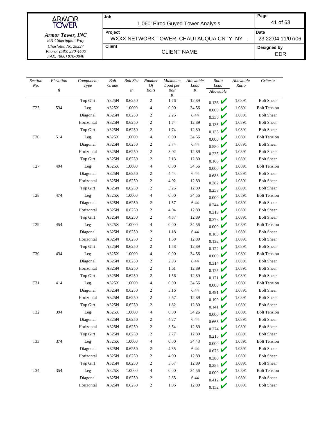| ARMOR        |  |
|--------------|--|
| <b>TOWER</b> |  |

**Page**  41 of 63

**Date**

**Project** 

**Client**

**Job**

*Armor Tower, INC 8014 Sherington Way Charlotte, NC 28227 Phone: (585) 230-4406 FAX: (866) 870-0840* 

#### WXXX NETWORK TOWER, CHAUTAUQUA CNTY, NY .

**Designed by**<br>CLIENT NAME

23:22:04 11/07/06 EDR

| <b>Section</b>  | Elevation | Component  | Bolt    | <b>Bolt Size</b> | Number                   | Maximum                 | Allowable | Ratio     | Allowable | Criteria            |
|-----------------|-----------|------------|---------|------------------|--------------------------|-------------------------|-----------|-----------|-----------|---------------------|
| No.             | $\it{ft}$ | Type       | Grade   | in               | 0f<br><b>Bolts</b>       | Load per<br><b>Bolt</b> | Load<br>K | Load      | Ratio     |                     |
|                 |           |            |         |                  |                          | K                       |           | Allowable |           |                     |
|                 |           | Top Girt   | A325N   | 0.6250           | $\overline{c}$           | 1.76                    | 12.89     | 0.136     | 1.0891    | <b>Bolt Shear</b>   |
| T <sub>25</sub> | 534       | Leg        | A325X   | 1.0000           | 4                        | 0.00                    | 34.56     | 0.000     | 1.0891    | <b>Bolt Tension</b> |
|                 |           | Diagonal   | A325N   | 0.6250           | 2                        | 2.25                    | 6.44      | 0.350     | 1.0891    | <b>Bolt Shear</b>   |
|                 |           | Horizontal | A325N   | 0.6250           | 2                        | 1.74                    | 12.89     | 0.135     | 1.0891    | <b>Bolt Shear</b>   |
|                 |           | Top Girt   | A325N   | 0.6250           | $\overline{c}$           | 1.74                    | 12.89     | 0.135     | 1.0891    | <b>Bolt Shear</b>   |
| T <sub>26</sub> | 514       | Leg        | A325X   | 1.0000           | 4                        | 0.00                    | 34.56     | 0.000     | 1.0891    | <b>Bolt Tension</b> |
|                 |           | Diagonal   | A325N   | 0.6250           | 2                        | 3.74                    | 6.44      | 0.580     | 1.0891    | <b>Bolt Shear</b>   |
|                 |           | Horizontal | A325N   | 0.6250           | 2                        | 3.02                    | 12.89     | 0.235     | 1.0891    | <b>Bolt Shear</b>   |
|                 |           | Top Girt   | A325N   | 0.6250           | 2                        | 2.13                    | 12.89     | 0.165     | 1.0891    | <b>Bolt Shear</b>   |
| T27             | 494       | Leg        | A325X   | 1.0000           | 4                        | 0.00                    | 34.56     | 0.000     | 1.0891    | <b>Bolt Tension</b> |
|                 |           | Diagonal   | A325N   | 0.6250           | 2                        | 4.44                    | 6.44      | 0.688     | 1.0891    | <b>Bolt Shear</b>   |
|                 |           | Horizontal | A325N   | 0.6250           | $\overline{c}$           | 4.92                    | 12.89     | 0.382     | 1.0891    | <b>Bolt Shear</b>   |
|                 |           | Top Girt   | A325N   | 0.6250           | $\overline{c}$           | 3.25                    | 12.89     | 0.253     | 1.0891    | <b>Bolt Shear</b>   |
| <b>T28</b>      | 474       | Leg        | A325X   | 1.0000           | $\overline{\mathcal{A}}$ | 0.00                    | 34.56     | 0.000     | 1.0891    | <b>Bolt Tension</b> |
|                 |           | Diagonal   | A325N   | 0.6250           | 2                        | 1.57                    | 6.44      | 0.244     | 1.0891    | <b>Bolt Shear</b>   |
|                 |           | Horizontal | A325N   | 0.6250           | 2                        | 4.04                    | 12.89     | 0.313     | 1.0891    | <b>Bolt Shear</b>   |
|                 |           | Top Girt   | A325N   | 0.6250           | 2                        | 4.87                    | 12.89     | 0.378     | 1.0891    | <b>Bolt Shear</b>   |
| T <sub>29</sub> | 454       | Leg        | A325X   | 1.0000           | 4                        | 0.00                    | 34.56     | 0.000     | 1.0891    | <b>Bolt Tension</b> |
|                 |           | Diagonal   | A325N   | 0.6250           | $\overline{c}$           | 1.18                    | 6.44      | 0.183     | 1.0891    | <b>Bolt Shear</b>   |
|                 |           | Horizontal | A325N   | 0.6250           | $\overline{c}$           | 1.58                    | 12.89     | 0.122     | 1.0891    | <b>Bolt Shear</b>   |
|                 |           | Top Girt   | A325N   | 0.6250           | 2                        | 1.58                    | 12.89     | 0.122     | 1.0891    | <b>Bolt Shear</b>   |
| T30             | 434       | Leg        | A325X   | 1.0000           | 4                        | 0.00                    | 34.56     | 0.000     | 1.0891    | <b>Bolt Tension</b> |
|                 |           | Diagonal   | A325N   | 0.6250           | 2                        | 2.03                    | 6.44      | 0.314     | 1.0891    | <b>Bolt Shear</b>   |
|                 |           | Horizontal | A325N   | 0.6250           | 2                        | 1.61                    | 12.89     | 0.125     | 1.0891    | <b>Bolt Shear</b>   |
|                 |           | Top Girt   | A325N   | 0.6250           | $\overline{c}$           | 1.56                    | 12.89     | 0.121     | 1.0891    | <b>Bolt Shear</b>   |
| T31             | 414       | Leg        | A325X   | 1.0000           | 4                        | 0.00                    | 34.56     | 0.000     | 1.0891    | <b>Bolt Tension</b> |
|                 |           | Diagonal   | A325N   | 0.6250           | $\overline{c}$           | 3.16                    | 6.44      | 0.491     | 1.0891    | <b>Bolt Shear</b>   |
|                 |           | Horizontal | A325N   | 0.6250           | $\overline{c}$           | 2.57                    | 12.89     | 0.199     | 1.0891    | <b>Bolt Shear</b>   |
|                 |           | Top Girt   | A325N   | 0.6250           | 2                        | 1.82                    | 12.89     | 0.141     | 1.0891    | <b>Bolt Shear</b>   |
| T32             | 394       | Leg        | A325X   | 1.0000           | 4                        | 0.00                    | 34.26     | 0.000     | 1.0891    | <b>Bolt Tension</b> |
|                 |           | Diagonal   | A325N   | 0.6250           | $\overline{c}$           | 4.27                    | 6.44      | 0.663     | 1.0891    | <b>Bolt Shear</b>   |
|                 |           | Horizontal | A325N   | 0.6250           | 2                        | 3.54                    | 12.89     | 0.274     | 1.0891    | <b>Bolt Shear</b>   |
|                 |           | Top Girt   | A325N   | 0.6250           | $\boldsymbol{2}$         | 2.77                    | 12.89     | 0.215     | 1.0891    | <b>Bolt Shear</b>   |
| T33             | 374       | Leg        | A325X   | 1.0000           | 4                        | $0.00\,$                | 34.43     | 0.000     | 1.0891    | <b>Bolt Tension</b> |
|                 |           | Diagonal   | A325N   | 0.6250           | 2                        | 4.35                    | 6.44      | 0.676     | 1.0891    | <b>Bolt Shear</b>   |
|                 |           | Horizontal | A325N   | 0.6250           | 2                        | 4.90                    | 12.89     | 0.380     | 1.0891    | <b>Bolt Shear</b>   |
|                 |           | Top Girt   | A325N   | 0.6250           | 2                        | 3.67                    | 12.89     | 0.285     | 1.0891    | <b>Bolt Shear</b>   |
| T34             | 354       | Leg        | $A325X$ | 1.0000           | 4                        | $0.00\,$                | 34.56     | 0.000     | 1.0891    | <b>Bolt Tension</b> |
|                 |           | Diagonal   | A325N   | 0.6250           | $\boldsymbol{2}$         | 2.65                    | 6.44      | 0.412     | 1.0891    | <b>Bolt Shear</b>   |
|                 |           | Horizontal | A325N   | 0.6250           | $\overline{c}$           | 1.96                    | 12.89     |           | 1.0891    | <b>Bolt Shear</b>   |
|                 |           |            |         |                  |                          |                         |           | 0.152     |           |                     |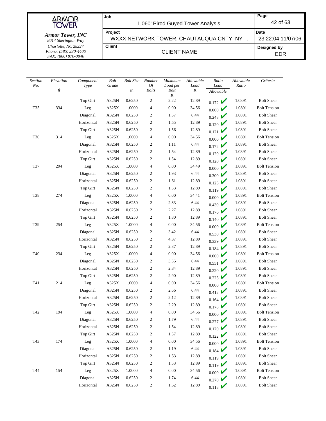| ARMOR        |  |
|--------------|--|
| <b>TOWER</b> |  |

**Page**  42 of 63

**Date**

**Project** 

**Job**

*Armor Tower, INC 8014 Sherington Way Charlotte, NC 28227 Phone: (585) 230-4406 FAX: (866) 870-0840* 

#### WXXX NETWORK TOWER, CHAUTAUQUA CNTY, NY .

**Designed by**<br>CLIENT NAME

23:22:04 11/07/06 EDR

| Section<br>No. | Elevation | Component<br>Type | Bolt<br>Grade | <b>Bolt Size</b> | Number<br>Of             | Maximum<br>Load per | Allowable<br>Load | Ratio<br>Load | Allowable<br>Ratio | Criteria            |
|----------------|-----------|-------------------|---------------|------------------|--------------------------|---------------------|-------------------|---------------|--------------------|---------------------|
|                | $\it{ft}$ |                   |               | in               | <b>Bolts</b>             | <b>Bolt</b><br>K    | K                 | Allowable     |                    |                     |
|                |           | Top Girt          | A325N         | 0.6250           | $\mathbf{2}$             | 2.22                | 12.89             | 0.172         | 1.0891             | <b>Bolt Shear</b>   |
| T35            | 334       | Leg               | A325X         | 1.0000           | $\overline{4}$           | 0.00                | 34.56             | 0.000         | 1.0891             | <b>Bolt Tension</b> |
|                |           | Diagonal          | A325N         | 0.6250           | 2                        | 1.57                | 6.44              | 0.243         | 1.0891             | <b>Bolt Shear</b>   |
|                |           | Horizontal        | A325N         | 0.6250           | $\overline{c}$           | 1.55                | 12.89             | 0.120         | 1.0891             | <b>Bolt Shear</b>   |
|                |           | Top Girt          | A325N         | 0.6250           | $\overline{c}$           | 1.56                | 12.89             | 0.121         | 1.0891             | <b>Bolt Shear</b>   |
| T36            | 314       | Leg               | A325X         | 1.0000           | $\overline{\mathcal{A}}$ | $0.00\,$            | 34.56             | 0.000         | 1.0891             | <b>Bolt Tension</b> |
|                |           | Diagonal          | A325N         | 0.6250           | 2                        | 1.11                | 6.44              | 0.172         | 1.0891             | <b>Bolt Shear</b>   |
|                |           | Horizontal        | A325N         | 0.6250           | $\overline{c}$           | 1.54                | 12.89             | 0.120         | 1.0891             | <b>Bolt Shear</b>   |
|                |           | Top Girt          | A325N         | 0.6250           | $\overline{c}$           | 1.54                | 12.89             | 0.120         | 1.0891             | <b>Bolt Shear</b>   |
| T37            | 294       | Leg               | A325X         | 1.0000           | $\overline{4}$           | 0.00                | 34.49             | 0.000         | 1.0891             | <b>Bolt Tension</b> |
|                |           | Diagonal          | A325N         | 0.6250           | 2                        | 1.93                | 6.44              | 0.300         | 1.0891             | <b>Bolt Shear</b>   |
|                |           | Horizontal        | A325N         | 0.6250           | $\overline{c}$           | 1.61                | 12.89             | 0.125         | 1.0891             | <b>Bolt Shear</b>   |
|                |           | Top Girt          | A325N         | 0.6250           | $\overline{c}$           | 1.53                | 12.89             | 0.119         | 1.0891             | <b>Bolt Shear</b>   |
| <b>T38</b>     | 274       | Leg               | A325X         | 1.0000           | $\overline{4}$           | $0.00\,$            | 34.41             | 0.000         | 1.0891             | <b>Bolt Tension</b> |
|                |           | Diagonal          | A325N         | 0.6250           | 2                        | 2.83                | 6.44              | 0.439         | 1.0891             | <b>Bolt Shear</b>   |
|                |           | Horizontal        | A325N         | 0.6250           | $\overline{\mathbf{c}}$  | 2.27                | 12.89             | 0.176         | 1.0891             | <b>Bolt Shear</b>   |
|                |           | Top Girt          | A325N         | 0.6250           | $\overline{c}$           | 1.80                | 12.89             | 0.140         | 1.0891             | <b>Bolt Shear</b>   |
| T39            | 254       | Leg               | A325X         | 1.0000           | 4                        | 0.00                | 34.56             | 0.000         | 1.0891             | <b>Bolt Tension</b> |
|                |           | Diagonal          | A325N         | 0.6250           | $\overline{c}$           | 3.42                | 6.44              | 0.530         | 1.0891             | <b>Bolt Shear</b>   |
|                |           | Horizontal        | A325N         | 0.6250           | 2                        | 4.37                | 12.89             | 0.339         | 1.0891             | <b>Bolt Shear</b>   |
|                |           | Top Girt          | A325N         | 0.6250           | 2                        | 2.37                | 12.89             | 0.184         | 1.0891             | <b>Bolt Shear</b>   |
| T40            | 234       | Leg               | A325X         | 1.0000           | $\overline{4}$           | 0.00                | 34.56             | 0.000         | 1.0891             | <b>Bolt Tension</b> |
|                |           | Diagonal          | A325N         | 0.6250           | $\overline{c}$           | 3.55                | 6.44              | 0.551         | 1.0891             | <b>Bolt Shear</b>   |
|                |           | Horizontal        | A325N         | 0.6250           | $\overline{\mathbf{c}}$  | 2.84                | 12.89             | 0.220         | 1.0891             | <b>Bolt Shear</b>   |
|                |           | Top Girt          | A325N         | 0.6250           | $\overline{c}$           | 2.90                | 12.89             | 0.225         | 1.0891             | <b>Bolt Shear</b>   |
| T41            | 214       | Leg               | A325X         | 1.0000           | $\overline{\mathcal{A}}$ | 0.00                | 34.56             | 0.000         | 1.0891             | <b>Bolt Tension</b> |
|                |           | Diagonal          | A325N         | 0.6250           | $\overline{c}$           | 2.66                | 6.44              | 0.412         | 1.0891             | <b>Bolt Shear</b>   |
|                |           | Horizontal        | A325N         | 0.6250           | 2                        | 2.12                | 12.89             | 0.164         | 1.0891             | <b>Bolt Shear</b>   |
|                |           | Top Girt          | A325N         | 0.6250           | $\overline{c}$           | 2.29                | 12.89             | 0.178         | 1.0891             | <b>Bolt Shear</b>   |
| T42            | 194       | Leg               | A325X         | 1.0000           | 4                        | 0.00                | 34.56             | 0.000         | 1.0891             | <b>Bolt Tension</b> |
|                |           | Diagonal          | A325N         | 0.6250           | $\overline{c}$           | 1.79                | 6.44              | 0.277         | 1.0891             | <b>Bolt Shear</b>   |
|                |           | Horizontal        | A325N         | 0.6250           | $\overline{\mathbf{c}}$  | 1.54                | 12.89             | 0.120         | 1.0891             | <b>Bolt Shear</b>   |
|                |           | Top Girt          | A325N         | 0.6250           | $\overline{c}$           | 1.57                | 12.89             | 0.122         | 1.0891             | <b>Bolt Shear</b>   |
| T43            | 174       | Leg               | A325X         | 1.0000           | $\overline{4}$           | $0.00\,$            | 34.56             | 0.000         | 1.0891             | <b>Bolt Tension</b> |
|                |           | Diagonal          | A325N         | 0.6250           | $\overline{c}$           | 1.19                | 6.44              | 0.184         | 1.0891             | <b>Bolt Shear</b>   |
|                |           | Horizontal        | A325N         | 0.6250           | $\overline{\mathbf{c}}$  | 1.53                | 12.89             | 0.119         | 1.0891             | <b>Bolt Shear</b>   |
|                |           | Top Girt          | A325N         | 0.6250           | $\overline{\mathbf{c}}$  | 1.53                | 12.89             | 0.119         | 1.0891             | <b>Bolt Shear</b>   |
| T44            | 154       | Leg               | A325X         | $1.0000\,$       | $\overline{4}$           | $0.00\,$            | 34.56             | 0.000         | 1.0891             | <b>Bolt Tension</b> |
|                |           | Diagonal          | A325N         | 0.6250           | $\overline{\mathbf{c}}$  | 1.74                | 6.44              | 0.270         | 1.0891             | <b>Bolt Shear</b>   |
|                |           | Horizontal        | A325N         | 0.6250           | $\sqrt{2}$               | 1.52                | 12.89             | 0.118         | 1.0891             | <b>Bolt Shear</b>   |

**Client**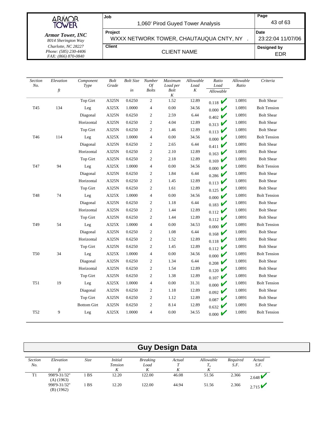| ARMOR        |  |
|--------------|--|
| <b>TOWER</b> |  |

**Page**  43 of 63

**Date**

**Project** 

**Client**

**Job**

*Armor Tower, INC 8014 Sherington Way Charlotte, NC 28227 Phone: (585) 230-4406 FAX: (866) 870-0840* 

#### WXXX NETWORK TOWER, CHAUTAUQUA CNTY, NY .

**Designed by**<br>CLIENT NAME

23:22:04 11/07/06 EDR

| Section<br>No.  | Elevation   | Component<br>Type  | $Bolt$<br>Grade | <b>Bolt Size</b> | Number<br>Of     | Maximum<br>Load per | Allowable<br>Load | Ratio<br>Load | Allowable<br>Ratio | Criteria            |
|-----------------|-------------|--------------------|-----------------|------------------|------------------|---------------------|-------------------|---------------|--------------------|---------------------|
|                 | $\emph{ft}$ |                    |                 | in               | <b>Bolts</b>     | <b>Bolt</b><br>K    | K                 | Allowable     |                    |                     |
|                 |             | Top Girt           | A325N           | 0.6250           | $\overline{c}$   | 1.52                | 12.89             | 0.118         | 1.0891             | <b>Bolt Shear</b>   |
| T45             | 134         | Leg                | A325X           | 1.0000           | $\overline{4}$   | 0.00                | 34.56             | 0.000         | 1.0891             | <b>Bolt Tension</b> |
|                 |             | Diagonal           | A325N           | 0.6250           | $\overline{c}$   | 2.59                | 6.44              | 0.402         | 1.0891             | <b>Bolt Shear</b>   |
|                 |             | Horizontal         | A325N           | 0.6250           | $\sqrt{2}$       | 4.04                | 12.89             | 0.313         | 1.0891             | <b>Bolt Shear</b>   |
|                 |             | Top Girt           | A325N           | 0.6250           | $\boldsymbol{2}$ | 1.46                | 12.89             | 0.113         | 1.0891             | <b>Bolt Shear</b>   |
| T46             | 114         | Leg                | A325X           | 1.0000           | $\overline{4}$   | 0.00                | 34.56             | 0.000         | 1.0891             | <b>Bolt Tension</b> |
|                 |             | Diagonal           | A325N           | 0.6250           | $\boldsymbol{2}$ | 2.65                | 6.44              | 0.411         | 1.0891             | <b>Bolt Shear</b>   |
|                 |             | Horizontal         | A325N           | 0.6250           | $\boldsymbol{2}$ | 2.10                | 12.89             | 0.163         | 1.0891             | <b>Bolt Shear</b>   |
|                 |             | Top Girt           | A325N           | 0.6250           | $\boldsymbol{2}$ | 2.18                | 12.89             | 0.169         | 1.0891             | <b>Bolt Shear</b>   |
| T47             | 94          | Leg                | A325X           | 1.0000           | $\overline{4}$   | 0.00                | 34.56             | 0.000         | 1.0891             | <b>Bolt Tension</b> |
|                 |             | Diagonal           | A325N           | 0.6250           | $\overline{c}$   | 1.84                | 6.44              | 0.286         | 1.0891             | <b>Bolt Shear</b>   |
|                 |             | Horizontal         | A325N           | 0.6250           | $\sqrt{2}$       | 1.45                | 12.89             | 0.113         | 1.0891             | <b>Bolt Shear</b>   |
|                 |             | Top Girt           | A325N           | 0.6250           | $\boldsymbol{2}$ | 1.61                | 12.89             | 0.125         | 1.0891             | <b>Bolt Shear</b>   |
| T48             | 74          | Leg                | A325X           | 1.0000           | $\overline{4}$   | 0.00                | 34.56             | 0.000         | 1.0891             | <b>Bolt Tension</b> |
|                 |             | Diagonal           | A325N           | 0.6250           | $\sqrt{2}$       | 1.18                | 6.44              | 0.183         | 1.0891             | <b>Bolt Shear</b>   |
|                 |             | Horizontal         | A325N           | 0.6250           | $\boldsymbol{2}$ | 1.44                | 12.89             | 0.112         | 1.0891             | <b>Bolt Shear</b>   |
|                 |             | Top Girt           | A325N           | 0.6250           | $\overline{c}$   | 1.44                | 12.89             | 0.112         | 1.0891             | <b>Bolt Shear</b>   |
| T49             | 54          | Leg                | A325X           | 1.0000           | $\overline{4}$   | 0.00                | 34.53             | 0.000         | 1.0891             | <b>Bolt Tension</b> |
|                 |             | Diagonal           | A325N           | 0.6250           | $\overline{c}$   | 1.08                | 6.44              | 0.168         | 1.0891             | <b>Bolt Shear</b>   |
|                 |             | Horizontal         | A325N           | 0.6250           | $\sqrt{2}$       | 1.52                | 12.89             | 0.118         | 1.0891             | <b>Bolt Shear</b>   |
|                 |             | Top Girt           | A325N           | 0.6250           | $\boldsymbol{2}$ | 1.45                | 12.89             | 0.112         | 1.0891             | <b>Bolt Shear</b>   |
| <b>T50</b>      | 34          | Leg                | A325X           | 1.0000           | $\overline{4}$   | 0.00                | 34.56             | 0.000         | 1.0891             | <b>Bolt Tension</b> |
|                 |             | Diagonal           | A325N           | 0.6250           | $\boldsymbol{2}$ | 1.34                | 6.44              | 0.208         | 1.0891             | <b>Bolt Shear</b>   |
|                 |             | Horizontal         | A325N           | 0.6250           | $\overline{c}$   | 1.54                | 12.89             | 0.120         | 1.0891             | <b>Bolt Shear</b>   |
|                 |             | Top Girt           | A325N           | 0.6250           | $\overline{c}$   | 1.38                | 12.89             | 0.107         | 1.0891             | <b>Bolt Shear</b>   |
| T51             | 19          | Leg                | A325X           | 1.0000           | $\overline{4}$   | $0.00\,$            | 31.31             | 0.000         | 1.0891             | <b>Bolt Tension</b> |
|                 |             | Diagonal           | A325N           | 0.6250           | $\overline{c}$   | 1.18                | 12.89             | 0.092         | 1.0891             | <b>Bolt Shear</b>   |
|                 |             | Top Girt           | A325N           | 0.6250           | $\sqrt{2}$       | 1.12                | 12.89             | 0.087         | 1.0891             | <b>Bolt Shear</b>   |
|                 |             | <b>Bottom Girt</b> | A325N           | 0.6250           | $\overline{c}$   | 8.14                | 12.89             | 0.632         | 1.0891             | <b>Bolt Shear</b>   |
| T <sub>52</sub> | 9           | Leg                | A325X           | 1.0000           | $\overline{4}$   | 0.00                | 34.55             | 0.000         | 1.0891             | <b>Bolt Tension</b> |

|                       | <b>Guy Design Data</b>       |             |                           |                         |             |                                   |                  |                             |  |  |  |
|-----------------------|------------------------------|-------------|---------------------------|-------------------------|-------------|-----------------------------------|------------------|-----------------------------|--|--|--|
| <b>Section</b><br>No. | Elevation                    | <i>Size</i> | <i>Initial</i><br>Tension | <b>Breaking</b><br>Load | Actual<br>т | Allowable<br>$\bm{\tau}$<br>$I_a$ | Required<br>S.F. | Actual<br>S.F.              |  |  |  |
|                       |                              |             |                           | $\boldsymbol{\nu}$<br>Λ | K           | K                                 |                  |                             |  |  |  |
| T1                    | 998'9-31/32"<br>$(A)$ (1963) | l BS        | 12.20                     | 122.00                  | 46.08       | 51.56                             | 2.366            | 2.648 $\blacktriangleright$ |  |  |  |
|                       | 998'9-31/32"<br>$(B)$ (1962) | l BS        | 12.20                     | 122.00                  | 44.94       | 51.56                             | 2.366            | 2.715 $\triangledown$       |  |  |  |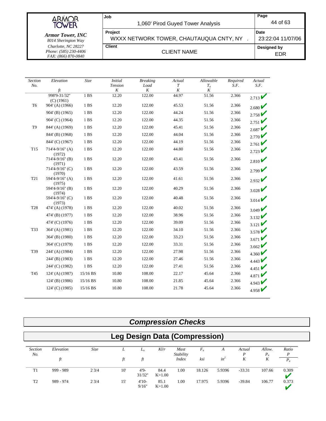| ARMOR        |  |
|--------------|--|
| <b>TOWER</b> |  |

**Page**  44 of 63

**Project** 

**Client**

**Job**

*Armor Tower, INC 8014 Sherington Way Charlotte, NC 28227 Phone: (585) 230-4406 FAX: (866) 870-0840* 

## WXXX NETWORK TOWER, CHAUTAUQUA CNTY, NY .

**Date** 23:22:04 11/07/06 **Designed by**<br>CLIENT NAME EDR

| <b>Section</b><br>No. | Elevation                    | Size     | <b>Initial</b><br><b>Tension</b> | <b>Breaking</b><br>Load | Actual<br>$\boldsymbol{T}$ | Allowable<br>$T_a$ | Required<br>S.F. | Actual<br>S.F.              |
|-----------------------|------------------------------|----------|----------------------------------|-------------------------|----------------------------|--------------------|------------------|-----------------------------|
|                       | ft                           |          | $\cal K$                         | $K_{\rm}$               | $\cal K$                   | $\cal K$           |                  |                             |
|                       | 998'9-31/32"<br>$(C)$ (1961) | 1 BS     | 12.20                            | 122.00                  | 44.97                      | 51.56              | 2.366            | 2.713                       |
| T6                    | 904' (A) (1966)              | 1BS      | 12.20                            | 122.00                  | 45.53                      | 51.56              | 2.366            | 2.680                       |
|                       | 904' (B) (1965)              | 1BS      | 12.20                            | 122.00                  | 44.24                      | 51.56              | 2.366            | 2.758                       |
|                       | 904' (C) (1964)              | 1BS      | 12.20                            | 122.00                  | 44.35                      | 51.56              | 2.366            | 2.751                       |
| T <sub>9</sub>        | 844' (A) (1969)              | 1BS      | 12.20                            | 122.00                  | 45.41                      | 51.56              | 2.366            | 2.687                       |
|                       | 844' (B) (1968)              | 1BS      | 12.20                            | 122.00                  | 44.04                      | 51.56              | 2.366            | 2.770                       |
|                       | 844' (C) (1967)              | 1 BS     | 12.20                            | 122.00                  | 44.19                      | 51.56              | 2.366            | 2.761                       |
| T <sub>15</sub>       | $714'4-9/16'' (A)$<br>(1972) | 1 BS     | 12.20                            | 122.00                  | 44.80                      | 51.56              | 2.366            | 2.723                       |
|                       | $714'4-9/16''$ (B)<br>(1971) | 1BS      | 12.20                            | 122.00                  | 43.41                      | 51.56              | 2.366            | 2.810                       |
|                       | 714'4-9/16" (C)<br>(1970)    | 1BS      | 12.20                            | 122.00                  | 43.59                      | 51.56              | 2.366            | 2.799                       |
| T <sub>21</sub>       | 594'4-9/16" (A)<br>(1975)    | 1BS      | 12.20                            | 122.00                  | 41.61                      | 51.56              | 2.366            | 2.932                       |
|                       | 594'4-9/16" (B)<br>(1974)    | 1 BS     | 12.20                            | 122.00                  | 40.29                      | 51.56              | 2.366            | 3.028                       |
|                       | 594'4-9/16" (C)<br>(1973)    | 1BS      | 12.20                            | 122.00                  | 40.48                      | 51.56              | 2.366            | 3.014                       |
| <b>T28</b>            | 474' (A) (1978)              | 1 BS     | 12.20                            | 122.00                  | 40.02                      | 51.56              | 2.366            | 3.049                       |
|                       | 474' (B) (1977)              | 1BS      | 12.20                            | 122.00                  | 38.96                      | 51.56              | 2.366            | 3.132                       |
|                       | 474' (C) (1976)              | 1BS      | 12.20                            | 122.00                  | 39.09                      | 51.56              | 2.366            | 3.121                       |
| T33                   | 364' (A) (1981)              | 1BS      | 12.20                            | 122.00                  | 34.10                      | 51.56              | 2.366            | 3.578 $\blacktriangleright$ |
|                       | 364' (B) (1980)              | 1BS      | 12.20                            | 122.00                  | 33.23                      | 51.56              | 2.366            | 3.671                       |
|                       | 364' (C) (1979)              | 1 BS     | 12.20                            | 122.00                  | 33.31                      | 51.56              | 2.366            | 3.662                       |
| T39                   | 244' (A) (1984)              | 1 BS     | 12.20                            | 122.00                  | 27.98                      | 51.56              | 2.366            | 4.360 $\blacktriangledown$  |
|                       | 244' (B) (1983)              | 1 BS     | 12.20                            | 122.00                  | 27.46                      | 51.56              | 2.366            | 4.443                       |
|                       | 244' (C) (1982)              | 1BS      | 12.20                            | 122.00                  | 27.41                      | 51.56              | 2.366            | 4.451 $\triangledown$       |
| T45                   | 124' (A) (1987)              | 15/16 BS | 10.80                            | 108.00                  | 22.17                      | 45.64              | 2.366            | 4.871                       |
|                       | $124'$ (B) (1986)            | 15/16 BS | 10.80                            | 108.00                  | 21.85                      | 45.64              | 2.366            | 4.943 $\blacktriangleright$ |
|                       | $124'$ (C) (1985)            | 15/16 BS | 10.80                            | 108.00                  | 21.78                      | 45.64              | 2.366            | 4.958                       |

### *Compression Checks*

|                       | <b>Leg Design Data (Compression)</b> |      |     |                  |                  |                   |        |        |             |                 |            |  |  |  |  |
|-----------------------|--------------------------------------|------|-----|------------------|------------------|-------------------|--------|--------|-------------|-----------------|------------|--|--|--|--|
| <b>Section</b><br>No. | Elevation                            | Size | L   | $L_{\mu}$        | Kl/r             | Mast<br>Stability | $F_a$  | A      | Actual<br>P | Allow.<br>$P_a$ | Ratio<br>P |  |  |  |  |
|                       | ft                                   |      | ft  | ft               |                  | <b>Index</b>      | ksi    | $in^2$ | K           | Λ               | $P_a$      |  |  |  |  |
| T1                    | 999 - 989                            | 23/4 | 10' | $4'9-$<br>31/32" | 84.4<br>$K=1.00$ | 1.00              | 18.126 | 5.9396 | $-33.31$    | 107.66          | 0.309      |  |  |  |  |
| T <sub>2</sub>        | 989 - 974                            | 23/4 | 15' | $4'10-$<br>9/16" | 85.1<br>$K=1.00$ | 1.00              | 17.975 | 5.9396 | $-39.84$    | 106.77          | 0.373      |  |  |  |  |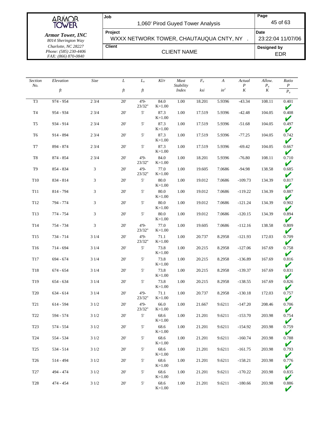**ARMOR**<br>**TOWER** 

**Page**  45 of 63

**Date**

**Job**

**Project** 

**Client**

*Armor Tower, INC 8014 Sherington Way Charlotte, NC 28227 Phone: (585) 230-4406 FAX: (866) 870-0840* 

WXXX NETWORK TOWER, CHAUTAUQUA CNTY, NY .

23:22:04 11/07/06 **Designed by** EDR

| Section<br>No.  | Elevation   | Size            | L            | $L_u$            | Kl/r               | Mast<br>Stability | $F_a$  | A      | Actual<br>P | Allow.<br>$P_a$ | Ratio<br>$\boldsymbol{P}$ |
|-----------------|-------------|-----------------|--------------|------------------|--------------------|-------------------|--------|--------|-------------|-----------------|---------------------------|
|                 | $\it{ft}$   |                 | ft           | ft               |                    | <i>Index</i>      | ksi    | $in^2$ | $\cal K$    | K               | $P_a$                     |
| T <sub>3</sub>  | 974 - 954   | 23/4            | 20'          | 4'9-<br>23/32"   | 84.0<br>$K = 1.00$ | 1.00              | 18.201 | 5.9396 | $-43.34$    | 108.11          | 0.401<br>✓                |
| T <sub>4</sub>  | 954 - 934   | 23/4            | 20'          | 5'               | 87.3<br>$K = 1.00$ | 1.00              | 17.519 | 5.9396 | $-42.48$    | 104.05          | 0.408<br>V                |
| T5              | 934 - 914   | $2 \frac{3}{4}$ | 20'          | 5'               | 87.3<br>$K=1.00$   | 1.00              | 17.519 | 5.9396 | $-51.68$    | 104.05          | 0.497<br>V                |
| T6              | 914 - 894   | 23/4            | 20'          | 5'               | 87.3<br>$K=1.00$   | 1.00              | 17.519 | 5.9396 | $-77.25$    | 104.05          | 0.742<br>V                |
| T7              | 894 - 874   | 23/4            | 20'          | 5'               | 87.3<br>$K = 1.00$ | 1.00              | 17.519 | 5.9396 | $-69.42$    | 104.05          | 0.667<br>V                |
| T8              | 874 - 854   | 23/4            | 20'          | 4'9-<br>23/32"   | 84.0<br>$K=1.00$   | 1.00              | 18.201 | 5.9396 | $-76.80$    | 108.11          | 0.710<br>V                |
| T <sub>9</sub>  | 854 - 834   | 3               | 20'          | 4'9-<br>23/32"   | 77.0<br>$K=1.00$   | 1.00              | 19.605 | 7.0686 | $-94.98$    | 138.58          | 0.685<br>✓                |
| T10             | 834 - 814   | 3               | 20'          | 5'               | 80.0<br>$K=1.00$   | 1.00              | 19.012 | 7.0686 | $-109.73$   | 134.39          | 0.817<br>V                |
| T11             | 814 - 794   | 3               | 20'          | 5'               | 80.0<br>$K = 1.00$ | 1.00              | 19.012 | 7.0686 | $-119.22$   | 134.39          | 0.887<br>V                |
| T12             | 794 - 774   | 3               | 20'          | 5'               | 80.0<br>$K=1.00$   | 1.00              | 19.012 | 7.0686 | $-121.24$   | 134.39          | 0.902<br>✓                |
| T13             | 774 - 754   | 3               | 20'          | 5'               | 80.0<br>$K=1.00$   | 1.00              | 19.012 | 7.0686 | $-120.15$   | 134.39          | 0.894<br>V                |
| T <sub>14</sub> | 754 - 734   | 3               | 20'          | 4'9-<br>23/32"   | 77.0<br>$K=1.00$   | 1.00              | 19.605 | 7.0686 | $-112.16$   | 138.58          | 0.809<br>V                |
| T <sub>15</sub> | 734 - 714   | 31/4            | 20'          | 4'9-<br>23/32"   | 71.1<br>$K = 1.00$ | 1.00              | 20.737 | 8.2958 | $-121.93$   | 172.03          | 0.709<br>V                |
| T16             | 714 - 694   | 31/4            | 20'          | $5^{\circ}$      | 73.8<br>$K = 1.00$ | 1.00              | 20.215 | 8.2958 | $-127.06$   | 167.69          | 0.758<br>✓                |
| T17             | 694 - 674   | 31/4            | 20'          | 5'               | 73.8<br>$K = 1.00$ | 1.00              | 20.215 | 8.2958 | $-136.89$   | 167.69          | 0.816<br>V                |
| T18             | $674 - 654$ | 31/4            | 20'          | 5'               | 73.8<br>$K=1.00$   | 1.00              | 20.215 | 8.2958 | $-139.37$   | 167.69          | 0.831<br>V                |
| T19             | 654 - 634   | 31/4            | 20'          | 5'               | 73.8<br>$K = 1.00$ | 1.00              | 20.215 | 8.2958 | $-138.55$   | 167.69          | 0.826<br>V                |
| T20             | $634 - 614$ | 31/4            | 20'          | $4'9-$<br>23/32" | 71.1<br>$K=1.00$   | 1.00              | 20.737 | 8.2958 | $-130.18$   | 172.03          | 0.757<br>V                |
| T21             | $614 - 594$ | 31/2            | 20'          | 4'9-<br>23/32"   | 66.0<br>$K=1.00$   | 1.00              | 21.667 | 9.6211 | $-147.20$   | 208.46          | 0.706<br>V                |
| T <sub>22</sub> | 594 - 574   | 31/2            | 20'          | $5^{\circ}$      | 68.6<br>$K=1.00$   | 1.00              | 21.201 | 9.6211 | $-153.70$   | 203.98          | 0.754<br>V                |
| T <sub>23</sub> | 574 - 554   | 31/2            | 20'          | $5^{\circ}$      | 68.6<br>$K=1.00$   | 1.00              | 21.201 | 9.6211 | $-154.92$   | 203.98          | 0.759<br>✓                |
| T24             | 554 - 534   | 31/2            | 20'          | $5^{\circ}$      | 68.6<br>$K=1.00$   | 1.00              | 21.201 | 9.6211 | $-160.74$   | 203.98          | 0.788<br>V                |
| T <sub>25</sub> | 534 - 514   | 31/2            | 20'          | $5^{\circ}$      | 68.6<br>$K=1.00$   | 1.00              | 21.201 | 9.6211 | $-161.75$   | 203.98          | 0.793<br>↙                |
| T <sub>26</sub> | 514 - 494   | 31/2            | 20'          | 5'               | 68.6<br>$K=1.00$   | 1.00              | 21.201 | 9.6211 | $-158.21$   | 203.98          | 0.776<br>✓                |
| T27             | 494 - 474   | 31/2            | 20'          | $5^{\circ}$      | 68.6<br>$K=1.00$   | 1.00              | 21.201 | 9.6211 | $-170.22$   | 203.98          | 0.835<br>✓                |
| T <sub>28</sub> | 474 - 454   | 31/2            | $20^{\circ}$ | 5'               | 68.6<br>$K=1.00$   | 1.00              | 21.201 | 9.6211 | $-180.66$   | 203.98          | 0.886<br>V                |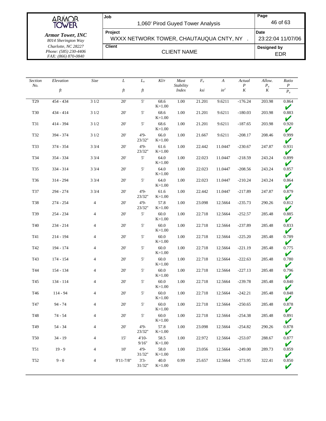**ARMOR**<br>**TOWER** 

**Job**

**Project** 

**Client**

1,060' Pirod Guyed Tower Analysis

WXXX NETWORK TOWER, CHAUTAUQUA CNTY, NY .

**Page**  46 of 63

**Designed by**<br>CLIENT NAME

**Date** 23:22:04 11/07/06

EDR

*Armor Tower, INC 8014 Sherington Way Charlotte, NC 28227 Phone: (585) 230-4406 FAX: (866) 870-0840* 

| Section<br>No.  | Elevation   | Size           | L             | $L_u$                      | Kl/r                             | Mast<br>Stability | $\mathcal{F}_a$ | A       | Actual<br>$\boldsymbol{P}$ | Allow.<br>$P_a$ | Ratio<br>$\boldsymbol{P}$ |
|-----------------|-------------|----------------|---------------|----------------------------|----------------------------------|-------------------|-----------------|---------|----------------------------|-----------------|---------------------------|
|                 | $\it{ft}$   |                | $\emph{ft}$   | $\it ft$                   |                                  | <i>Index</i>      | ksi             | $in^2$  | $\cal K$                   | K               | $P_a$                     |
| T <sub>29</sub> | 454 - 434   | 31/2           | 20'           | 5'                         | 68.6<br>$K=1.00$                 | 1.00              | 21.201          | 9.6211  | $-176.24$                  | 203.98          | 0.864<br>V                |
| <b>T30</b>      | $434 - 414$ | 31/2           | 20'           | 5'                         | 68.6<br>$K=1.00$                 | 1.00              | 21.201          | 9.6211  | $-180.03$                  | 203.98          | 0.883<br>✓                |
| T31             | $414 - 394$ | 31/2           | 20'           | 5'                         | 68.6<br>$K=1.00$                 | 1.00              | 21.201          | 9.6211  | $-187.65$                  | 203.98          | 0.920<br>V                |
| T32             | 394 - 374   | 31/2           | 20'           | $4'9-$<br>23/32"           | 66.0<br>$K=1.00$                 | 1.00              | 21.667          | 9.6211  | $-208.17$                  | 208.46          | 0.999<br>✓                |
| T33             | $374 - 354$ | 33/4           | 20'           | $4'9-$<br>23/32"           | 61.6<br>$K=1.00$                 | 1.00              | 22.442          | 11.0447 | $-230.67$                  | 247.87          | 0.931<br>V                |
| T34             | 354 - 334   | 33/4           | 20'           | 5'                         | 64.0<br>$K=1.00$                 | 1.00              | 22.023          | 11.0447 | $-218.59$                  | 243.24          | 0.899<br>V                |
| T35             | $334 - 314$ | 33/4           | 20'           | 5'                         | 64.0<br>$K=1.00$                 | 1.00              | 22.023          | 11.0447 | $-208.56$                  | 243.24          | 0.857<br>V                |
| T <sub>36</sub> | $314 - 294$ | 33/4           | 20'           | 5'                         | 64.0<br>$K=1.00$                 | 1.00              | 22.023          | 11.0447 | $-210.24$                  | 243.24          | 0.864<br>V                |
| T37             | 294 - 274   | 33/4           | 20'           | $4'9-$<br>23/32"           | 61.6<br>$K=1.00$                 | 1.00              | 22.442          | 11.0447 | $-217.89$                  | 247.87          | 0.879<br>V                |
| T38             | $274 - 254$ | $\overline{4}$ | 20'           | $4'9-$<br>23/32"           | 57.8<br>$K = 1.00$               | 1.00              | 23.098          | 12.5664 | $-235.73$                  | 290.26          | 0.812<br>V                |
| T39             | $254 - 234$ | 4              | 20'           | 5'                         | 60.0<br>$K=1.00$                 | 1.00              | 22.718          | 12.5664 | $-252.57$                  | 285.48          | 0.885<br>✓                |
| T40             | $234 - 214$ | $\overline{4}$ | 20'           | 5'                         | 60.0<br>$K=1.00$                 | 1.00              | 22.718          | 12.5664 | $-237.89$                  | 285.48          | 0.833<br>V                |
| T41             | $214 - 194$ | 4              | 20'           | 5'                         | 60.0<br>$K=1.00$                 | 1.00              | 22.718          | 12.5664 | $-225.20$                  | 285.48          | 0.789<br>✓                |
| T42             | 194 - 174   | 4              | 20'           | 5'                         | 60.0<br>$K = 1.00$               | 1.00              | 22.718          | 12.5664 | $-221.19$                  | 285.48          | 0.775<br>V                |
| T43             | 174 - 154   | 4              | 20'           | 5'                         | 60.0<br>$K=1.00$                 | 1.00              | 22.718          | 12.5664 | $-222.63$                  | 285.48          | 0.780<br>✓                |
| T44             | 154 - 134   | 4              | 20'           | 5'                         | 60.0<br>$K=1.00$                 | 1.00              | 22.718          | 12.5664 | $-227.13$                  | 285.48          | 0.796                     |
| T45             | 134 - 114   | 4              | 20'           | 5'                         | 60.0<br>$K=1.00$                 | 1.00              | 22.718          | 12.5664 | $-239.78$                  | 285.48          | V<br>0.840<br>✓           |
| T <sub>46</sub> | $114 - 94$  | 4              | 20'           | 5'                         | 60.0<br>$K=1.00$                 | 1.00              | 22.718          | 12.5664 | $-242.21$                  | 285.48          | 0.848                     |
| T47             | 94 - 74     | 4              | 20'           | 5'                         | 60.0<br>$K = 1.00$               | 1.00              | 22.718          | 12.5664 | $-250.65$                  | 285.48          | V<br>0.878                |
| T48             | $74 - 54$   | 4              | 20'           | 5'                         | 60.0                             | 1.00              | 22.718          | 12.5664 | $-254.38$                  | 285.48          | V<br>0.891                |
| T49             | $54 - 34$   | 4              | 20'           | $4'9-$                     | $K = 1.00$<br>57.8               | 1.00              | 23.098          | 12.5664 | $-254.82$                  | 290.26          | V<br>0.878                |
| <b>T50</b>      | $34 - 19$   | 4              | 15'           | 23/32"<br>$4'10-$          | $K = 1.00$<br>58.5               | 1.00              | 22.972          | 12.5664 | $-253.07$                  | 288.67          | V<br>0.877                |
| <b>T51</b>      | $19 - 9$    | 4              | 10'           | 9/16"<br>$4'9-$            | $K = 1.00$<br>58.0               | 1.00              | 23.056          | 12.5664 | $-249.00$                  | 289.73          | ✓<br>0.859                |
| T52             | $9 - 0$     | $\overline{4}$ | $9'11 - 7/8"$ | 31/32"<br>$3'3-$<br>31/32" | $K = 1.00$<br>40.0<br>$K = 1.00$ | 0.99              | 25.657          | 12.5664 | $-273.95$                  | 322.41          | V<br>0.850<br>V           |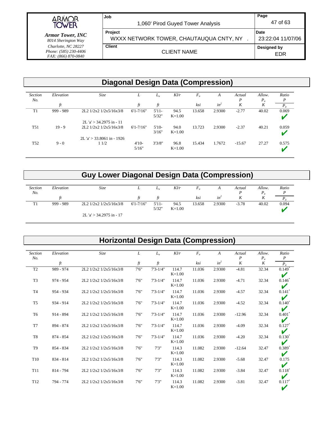

*Phone: (585) 230-4406 FAX: (866) 870-0840* 

*Armor Tower, INC 8014 Sherington Way*  **Project**  *Charlotte, NC 28227*  **Client**

**Job**

WXXX NETWORK TOWER, CHAUTAUQUA CNTY, NY .

1,060' Pirod Guyed Tower Analysis

### **Diagonal Design Data (Compression)**

| <b>Section</b><br>No. | Elevation | <i>Size</i>                                                 | L                | $L_u$            | Kl/r             | $F_a$  | A      | Actual<br>P | Allow.<br>$P_a$ | Ratio<br>P |
|-----------------------|-----------|-------------------------------------------------------------|------------------|------------------|------------------|--------|--------|-------------|-----------------|------------|
|                       | ft        |                                                             | ft               | ft               |                  | ksi    | $in^2$ | K           | K               | $P_a$      |
| T1                    | 999 - 989 | $2L2 \frac{1}{2x^2} \frac{1}{2x^5/16x^3/8}$                 | $6'1 - 7/16''$   | $5'11-$<br>5/32" | 94.5<br>$K=1.00$ | 13.658 | 2.9300 | $-2.77$     | 40.02           | 0.069      |
| T <sub>51</sub>       | $19 - 9$  | $2L 'a' > 34.2975$ in - 11<br>$2L.2$ $1/2x2$ $1/2x5/16x3/8$ | $6'1 - 7/16''$   | $5'10-$<br>3/16" | 94.0<br>$K=1.00$ | 13.723 | 2.9300 | $-2.37$     | 40.21           | 0.059      |
| T <sub>52</sub>       | $9 - 0$   | $2L 'a' > 33.8061$ in - 1926<br>11/2                        | $4'10-$<br>5/16" | 3'3/8"           | 96.8<br>$K=1.00$ | 15.434 | 1.7672 | $-15.67$    | 27.27           | 0.575      |

### **Guy Lower Diagonal Design Data (Compression)**

| <b>Section</b><br>No. | Elevation | <i>Size</i>                                 | ∸              | $L_{\mu}$        | Kl/r             |        |        | Actual  | Allow. | Ratio |
|-----------------------|-----------|---------------------------------------------|----------------|------------------|------------------|--------|--------|---------|--------|-------|
|                       |           |                                             |                |                  |                  | ksi    | in     |         | A      |       |
|                       | 999 - 989 | $2L2 \frac{1}{2x^2} \frac{1}{2x^5/16x^3/8}$ | $6'1 - 7/16''$ | $5'11-$<br>5/32" | 94.5<br>$K=1.00$ | 13.658 | 2.9300 | $-3.78$ | 40.02  | 0.094 |
|                       |           | $2L 'a' > 34.2975$ in - 17                  |                |                  |                  |        |        |         |        |       |

### **Horizontal Design Data (Compression)**

| <b>Section</b><br>No. | Elevation   | <i>Size</i>            | L     | $L_u$        | Kl/r              | $F_a$  | $\boldsymbol{A}$ | Actual<br>$\boldsymbol{P}$ | Allow.<br>$P_a$ | Ratio<br>$\boldsymbol{P}$ |
|-----------------------|-------------|------------------------|-------|--------------|-------------------|--------|------------------|----------------------------|-----------------|---------------------------|
|                       | ft          |                        | ft    | ft           |                   | ksi    | $in^2$           | K                          | K               | $P_a$                     |
| T <sub>2</sub>        | 989 - 974   | 2L2 1/2x2 1/2x5/16x3/8 | 7'6'' | $7'3 - 1/4"$ | 114.7<br>$K=1.00$ | 11.036 | 2.9300           | $-4.81$                    | 32.34           | $0.149*$                  |
| T <sub>3</sub>        | $974 - 954$ | 2L2 1/2x2 1/2x5/16x3/8 | 7'6'' | $7'3 - 1/4"$ | 114.7<br>$K=1.00$ | 11.036 | 2.9300           | $-4.71$                    | 32.34           | $0.146^*$<br>v            |
| T <sub>4</sub>        | $954 - 934$ | 2L2 1/2x2 1/2x5/16x3/8 | 7'6'' | $7'3 - 1/4"$ | 114.7<br>$K=1.00$ | 11.036 | 2.9300           | $-4.57$                    | 32.34           | $0.141$ <sup>*</sup><br>v |
| T <sub>5</sub>        | $934 - 914$ | 2L2 1/2x2 1/2x5/16x3/8 | 7'6'' | $7'3 - 1/4"$ | 114.7<br>$K=1.00$ | 11.036 | 2.9300           | $-4.52$                    | 32.34           | $0.140^*$<br>v            |
| T6                    | $914 - 894$ | 2L2 1/2x2 1/2x5/16x3/8 | 7'6'' | $7'3 - 1/4"$ | 114.7<br>$K=1.00$ | 11.036 | 2.9300           | $-12.96$                   | 32.34           | $0.401^*$<br>v            |
| T7                    | 894 - 874   | 2L2 1/2x2 1/2x5/16x3/8 | 7'6'' | $7'3 - 1/4"$ | 114.7<br>$K=1.00$ | 11.036 | 2.9300           | $-4.09$                    | 32.34           | 0.127<br>v                |
| T <sub>8</sub>        | $874 - 854$ | 2L2 1/2x2 1/2x5/16x3/8 | 7'6'' | $7'3 - 1/4"$ | 114.7<br>$K=1.00$ | 11.036 | 2.9300           | $-4.20$                    | 32.34           | $0.130^{*}$<br>v          |
| T9                    | $854 - 834$ | 2L2 1/2x2 1/2x5/16x3/8 | 7'6'' | 7'3''        | 114.3<br>$K=1.00$ | 11.082 | 2.9300           | $-12.64$                   | 32.47           | $0.389$ <sup>*</sup><br>v |
| T <sub>10</sub>       | $834 - 814$ | 2L2 1/2x2 1/2x5/16x3/8 | 7'6'' | 7'3''        | 114.3<br>$K=1.00$ | 11.082 | 2.9300           | $-5.68$                    | 32.47           | 0.175<br>v                |
| T <sub>11</sub>       | 814 - 794   | 2L2 1/2x2 1/2x5/16x3/8 | 7'6'' | 7'3''        | 114.3<br>$K=1.00$ | 11.082 | 2.9300           | $-3.84$                    | 32.47           | $0.118^{^{\circ}}$<br>v   |
| T <sub>12</sub>       | 794 - 774   | 2L2 1/2x2 1/2x5/16x3/8 | 7'6'' | 7'3''        | 114.3<br>$K=1.00$ | 11.082 | 2.9300           | $-3.81$                    | 32.47           | $0.117$ <sup>*</sup><br>v |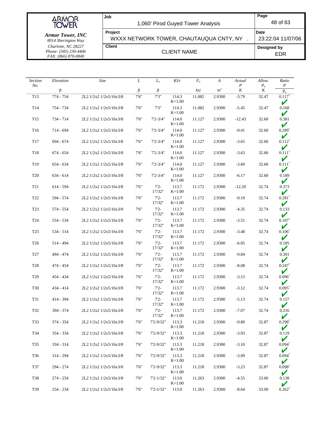**ARMOR**<br>**TOWER** 

**Job**

**Project** 

**Client**

1,060' Pirod Guyed Tower Analysis

**Page** 

**Date** 23:22:04 11/07/06

48 of 63

*Armor Tower, INC 8014 Sherington Way Charlotte, NC 28227 Phone: (585) 230-4406 FAX: (866) 870-0840* 

WXXX NETWORK TOWER, CHAUTAUQUA CNTY, NY .

**Designed by** EDR

| Section         | Elevation   | Size                   | L     | $L_u$            | Kl/r                | $F_a$  | A      | Actual   | Allow.     | Ratio                     |
|-----------------|-------------|------------------------|-------|------------------|---------------------|--------|--------|----------|------------|---------------------------|
| No.             | ft          |                        | ft    | ft               |                     | ksi    | $in^2$ | P<br>K   | $P_a$<br>K | $\boldsymbol{P}$<br>$P_a$ |
| T <sub>13</sub> | 774 - 754   | 2L2 1/2x2 1/2x5/16x3/8 | 7'6'' | 7'3''            | 114.3<br>$K=1.00$   | 11.082 | 2.9300 | $-3.79$  | 32.47      | 0.117<br>✓                |
| T <sub>14</sub> | 754 - 734   | 2L2 1/2x2 1/2x5/16x3/8 | 7'6'' | 7'3''            | 114.3<br>$K = 1.00$ | 11.082 | 2.9300 | $-5.45$  | 32.47      | 0.168<br>V                |
| T <sub>15</sub> | 734 - 714   | 2L2 1/2x2 1/2x5/16x3/8 | 7'6'' | $7'2 - 3/4"$     | 114.0<br>$K=1.00$   | 11.127 | 2.9300 | $-12.43$ | 32.60      | 0.381<br>✓                |
| T16             | 714 - 694   | 2L2 1/2x2 1/2x5/16x3/8 | 7'6'' | $7'2 - 3/4"$     | 114.0<br>$K=1.00$   | 11.127 | 2.9300 | $-9.41$  | 32.60      | $0.289*$<br>v             |
| T17             | $694 - 674$ | 2L2 1/2x2 1/2x5/16x3/8 | 7'6'' | $7'2 - 3/4"$     | 114.0<br>$K=1.00$   | 11.127 | 2.9300 | $-3.65$  | 32.60      | $0.112^*$<br>✓            |
| T <sub>18</sub> | $674 - 654$ | 2L2 1/2x2 1/2x5/16x3/8 | 7'6'' | $7'2 - 3/4"$     | 114.0<br>$K=1.00$   | 11.127 | 2.9300 | $-3.63$  | 32.60      | $0.111^{\degree}$<br>V    |
| T <sub>19</sub> | $654 - 634$ | 2L2 1/2x2 1/2x5/16x3/8 | 7'6'' | $7'2 - 3/4"$     | 114.0<br>$K=1.00$   | 11.127 | 2.9300 | $-3.60$  | 32.60      | $0.111$ <sup>*</sup><br>V |
| <b>T20</b>      | $634 - 614$ | 2L2 1/2x2 1/2x5/16x3/8 | 7'6'' | $7'2 - 3/4"$     | 114.0<br>$K=1.00$   | 11.127 | 2.9300 | $-6.17$  | 32.60      | 0.189<br>✓                |
| T <sub>21</sub> | $614 - 594$ | 2L2 1/2x2 1/2x5/16x3/8 | 7'6'' | $7'2-$<br>17/32" | 113.7<br>$K=1.00$   | 11.172 | 2.9300 | $-12.20$ | 32.74      | 0.373                     |
| T <sub>22</sub> | 594 - 574   | 2L2 1/2x2 1/2x5/16x3/8 | 7'6'' | $7'2-$<br>17/32" | 113.7<br>$K=1.00$   | 11.172 | 2.9300 | $-9.19$  | 32.74      | $0.281$ <sup>*</sup><br>✓ |
| T <sub>23</sub> | 574 - 554   | 2L2 1/2x2 1/2x5/16x3/8 | 7'6'' | $7'2-$<br>17/32" | 113.7<br>$K=1.00$   | 11.172 | 2.9300 | $-4.35$  | 32.74      | 0.133<br>V                |
| T <sub>24</sub> | 554 - 534   | 2L2 1/2x2 1/2x5/16x3/8 | 7'6'' | $7'2-$<br>17/32" | 113.7<br>$K=1.00$   | 11.172 | 2.9300 | $-3.51$  | 32.74      | $0.107*$<br>✓             |
| T <sub>25</sub> | 534 - 514   | 2L2 1/2x2 1/2x5/16x3/8 | 7'6'' | $7'2-$<br>17/32" | 113.7<br>$K=1.00$   | 11.172 | 2.9300 | $-3.48$  | 32.74      | $0.106^*$                 |
| T <sub>26</sub> | 514 - 494   | 2L2 1/2x2 1/2x5/16x3/8 | 7'6'' | $7'2-$<br>17/32" | 113.7<br>$K=1.00$   | 11.172 | 2.9300 | $-6.05$  | 32.74      | 0.185<br>✓                |
| T <sub>27</sub> | 494 - 474   | 2L2 1/2x2 1/2x5/16x3/8 | 7'6'' | $7'2-$<br>17/32" | 113.7<br>$K=1.00$   | 11.172 | 2.9300 | $-9.84$  | 32.74      | 0.301<br>✓                |
| T <sub>28</sub> | 474 - 454   | 2L2 1/2x2 1/2x5/16x3/8 | 7'6'' | $7'2-$<br>17/32" | 113.7<br>$K=1.00$   | 11.172 | 2.9300 | $-8.08$  | 32.74      | 0.247<br>✓                |
| T <sub>29</sub> | 454 - 434   | 2L2 1/2x2 1/2x5/16x3/8 | 7'6'' | $7'2-$<br>17/32" | 113.7<br>$K=1.00$   | 11.172 | 2.9300 | $-3.15$  | 32.74      | $0.096*$                  |
| <b>T30</b>      | $434 - 414$ | 2L2 1/2x2 1/2x5/16x3/8 | 7'6'' | $7'2-$<br>17/32" | 113.7<br>$K=1.00$   | 11.172 | 2.9300 | $-3.12$  | 32.74      | $0.095*$<br>✓             |
| T31             | 414 - 394   | 2L2 1/2x2 1/2x5/16x3/8 | 7'6'' | $7'2-$<br>17/32" | 113.7<br>$K=1.00$   | 11.172 | 2.9300 | $-5.13$  | 32.74      | 0.157<br>✓                |
| T32             | 394 - 374   | 2L2 1/2x2 1/2x5/16x3/8 | 7'6'' | $7'2-$<br>17/32" | 113.7<br>$K=1.00$   | 11.172 | 2.9300 | $-7.07$  | 32.74      | 0.216<br>v                |
| T33             | 374 - 354   | 2L2 1/2x2 1/2x5/16x3/8 | 7'6'' | $7'2 - 9/32"$    | 113.3<br>$K = 1.00$ | 11.218 | 2.9300 | $-9.80$  | 32.87      | $0.298*$<br>V             |
| T34             | 354 - 334   | 2L2 1/2x2 1/2x5/16x3/8 | 7'6'' | $7'2 - 9/32"$    | 113.3<br>$K = 1.00$ | 11.218 | 2.9300 | $-3.93$  | 32.87      | 0.119<br>✓                |
| T <sub>35</sub> | 334 - 314   | 2L2 1/2x2 1/2x5/16x3/8 | 7'6'' | $7'2 - 9/32"$    | 113.3<br>$K = 1.00$ | 11.218 | 2.9300 | $-3.10$  | 32.87      | $0.094^{\degree}$<br>v    |
| T <sub>36</sub> | $314 - 294$ | 2L2 1/2x2 1/2x5/16x3/8 | 7'6'' | 7'2-9/32"        | 113.3<br>$K = 1.00$ | 11.218 | 2.9300 | $-3.09$  | 32.87      | 0.094<br>v                |
| T37             | 294 - 274   | 2L2 1/2x2 1/2x5/16x3/8 | 7'6'' | 7'2-9/32"        | 113.3<br>$K = 1.00$ | 11.218 | 2.9300 | $-3.23$  | 32.87      | $0.098*$<br>V             |
| T38             | $274 - 254$ | 2L2 1/2x2 1/2x5/16x3/8 | 7'6'' | $7'2 - 1/32"$    | 113.0<br>$K = 1.00$ | 11.263 | 2.9300 | $-4.55$  | 33.00      | 0.138<br>V                |
| T39             | $254 - 234$ | 2L2 1/2x2 1/2x5/16x3/8 | 7'6'' | $7'2 - 1/32"$    | 113.0               | 11.263 | 2.9300 | $-8.64$  | 33.00      | $0.262^*$                 |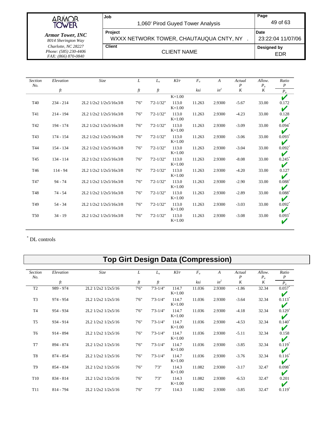| <b>ARMOR</b> |  |
|--------------|--|
| <b>TOWER</b> |  |

|                            | Job                                                       | Page                      |
|----------------------------|-----------------------------------------------------------|---------------------------|
| )R<br>R                    | 1,060' Pirod Guyed Tower Analysis                         | 49 of 63                  |
| r, INC<br>on Wav           | <b>Project</b><br>WXXX NETWORK TOWER, CHAUTAUQUA CNTY, NY | Date<br>23:22:04 11/07/06 |
| 28227<br>30-4406<br>0-0840 | <b>Client</b><br>CLIENT NAME                              | Designed by<br><b>EDR</b> |

| <b>Section</b><br>No. | Elevation   | <i>Size</i>            | L     | $L_u$         | Kl/r              | $F_a$  | A      | Actual<br>P | Allow.<br>$P_a$ | Ratio<br>P                |
|-----------------------|-------------|------------------------|-------|---------------|-------------------|--------|--------|-------------|-----------------|---------------------------|
|                       | ft          |                        | ft    | ft            |                   | ksi    | $in^2$ | K           | K               | $P_a$                     |
|                       |             |                        |       |               | $K = 1.00$        |        |        |             |                 | v                         |
| T40                   | $234 - 214$ | 2L2 1/2x2 1/2x5/16x3/8 | 7'6'' | $7'2 - 1/32"$ | 113.0<br>$K=1.00$ | 11.263 | 2.9300 | $-5.67$     | 33.00           | 0.172                     |
| T41                   | $214 - 194$ | 2L2 1/2x2 1/2x5/16x3/8 | 7'6'' | $7'2 - 1/32"$ | 113.0<br>$K=1.00$ | 11.263 | 2.9300 | $-4.23$     | 33.00           | 0.128<br>✓                |
| T42                   | 194 - 174   | 2L2 1/2x2 1/2x5/16x3/8 | 7'6'' | $7'2 - 1/32"$ | 113.0<br>$K=1.00$ | 11.263 | 2.9300 | $-3.09$     | 33.00           | $0.094$ <sup>*</sup><br>✓ |
| T43                   | 174 - 154   | 2L2 1/2x2 1/2x5/16x3/8 | 7'6'' | $7'2 - 1/32"$ | 113.0<br>$K=1.00$ | 11.263 | 2.9300 | $-3.06$     | 33.00           | $0.093*$                  |
| T44                   | 154 - 134   | 2L2 1/2x2 1/2x5/16x3/8 | 7'6'' | $7'2 - 1/32"$ | 113.0<br>$K=1.00$ | 11.263 | 2.9300 | $-3.04$     | 33.00           | $0.092$ <sup>*</sup><br>v |
| T <sub>45</sub>       | 134 - 114   | 2L2 1/2x2 1/2x5/16x3/8 | 7'6'' | $7'2 - 1/32"$ | 113.0<br>$K=1.00$ | 11.263 | 2.9300 | $-8.08$     | 33.00           | 0.245                     |
| T <sub>46</sub>       | $114 - 94$  | 2L2 1/2x2 1/2x5/16x3/8 | 7'6'' | $7'2 - 1/32"$ | 113.0<br>$K=1.00$ | 11.263 | 2.9300 | $-4.20$     | 33.00           | 0.127<br>v                |
| T47                   | $94 - 74$   | 2L2 1/2x2 1/2x5/16x3/8 | 7'6'' | $7'2 - 1/32"$ | 113.0<br>$K=1.00$ | 11.263 | 2.9300 | $-2.90$     | 33.00           | $0.088$ <sup>*</sup>      |
| T48                   | 74 - 54     | 2L2 1/2x2 1/2x5/16x3/8 | 7'6'' | $7'2 - 1/32"$ | 113.0<br>$K=1.00$ | 11.263 | 2.9300 | $-2.89$     | 33.00           | 0.088                     |
| T49                   | $54 - 34$   | 2L2 1/2x2 1/2x5/16x3/8 | 7'6'' | $7'2 - 1/32"$ | 113.0<br>$K=1.00$ | 11.263 | 2.9300 | $-3.03$     | 33.00           | $0.092$ <sup>*</sup><br>v |
| <b>T50</b>            | $34 - 19$   | 2L2 1/2x2 1/2x5/16x3/8 | 7'6'' | $7'2 - 1/32"$ | 113.0<br>$K=1.00$ | 11.263 | 2.9300 | $-3.08$     | 33.00           | $0.093$ <sup>*</sup><br>v |

\* DL controls

## **Top Girt Design Data (Compression)**

| <b>Section</b><br>No. | Elevation   | Size                                   | L     | $L_u$        | Kl/r                | $F_a$  | $\boldsymbol{A}$ | Actual<br>$\boldsymbol{P}$ | Allow.<br>$P_a$ | Ratio<br>$\boldsymbol{P}$ |
|-----------------------|-------------|----------------------------------------|-------|--------------|---------------------|--------|------------------|----------------------------|-----------------|---------------------------|
|                       | ft          |                                        | ft    | ft           |                     | ksi    | $in^2$           | K                          | K               | $P_a$                     |
| T <sub>2</sub>        | 989 - 974   | 2L2 1/2x2 1/2x5/16                     | 7'6'' | $7'3 - 1/4"$ | 114.7<br>$K=1.00$   | 11.036 | 2.9300           | $-1.86$                    | 32.34           | $0.057^{*}$<br>v          |
| T <sub>3</sub>        | $974 - 954$ | $2L2 \frac{1}{2x^2} \frac{1}{2x^5/16}$ | 7'6'' | $7'3 - 1/4"$ | 114.7<br>$K=1.00$   | 11.036 | 2.9300           | $-3.64$                    | 32.34           | $0.113*$<br>v             |
| T <sub>4</sub>        | $954 - 934$ | $2L2 \frac{1}{2x^2} \frac{1}{2x^5/16}$ | 7'6'' | $7'3 - 1/4"$ | 114.7<br>$K = 1.00$ | 11.036 | 2.9300           | $-4.18$                    | 32.34           | 0.129                     |
| T5                    | $934 - 914$ | $2L2 \frac{1}{2x^2} \frac{1}{2x^5/16}$ | 7'6'' | $7'3 - 1/4"$ | 114.7<br>$K=1.00$   | 11.036 | 2.9300           | $-4.53$                    | 32.34           | $0.140^*$<br>v            |
| T6                    | 914 - 894   | 2L2 1/2x2 1/2x5/16                     | 7'6'' | $7'3 - 1/4"$ | 114.7<br>$K=1.00$   | 11.036 | 2.9300           | $-5.11$                    | 32.34           | 0.158                     |
| T <sub>7</sub>        | 894 - 874   | 2L2 1/2x2 1/2x5/16                     | 7'6'' | $7'3 - 1/4"$ | 114.7<br>$K = 1.00$ | 11.036 | 2.9300           | $-3.85$                    | 32.34           | $0.119*$                  |
| T8                    | 874 - 854   | 2L2 1/2x2 1/2x5/16                     | 7'6'' | $7'3 - 1/4"$ | 114.7<br>$K=1.00$   | 11.036 | 2.9300           | $-3.76$                    | 32.34           | $0.116^*$<br>v            |
| T <sub>9</sub>        | $854 - 834$ | $2L2 \frac{1}{2x^2} \frac{1}{2x^5/16}$ | 7'6'' | 7'3''        | 114.3<br>$K=1.00$   | 11.082 | 2.9300           | $-3.17$                    | 32.47           | $0.098^*$                 |
| T <sub>10</sub>       | 834 - 814   | 2L2 1/2x2 1/2x5/16                     | 7'6'' | 7'3''        | 114.3<br>$K=1.00$   | 11.082 | 2.9300           | $-6.53$                    | 32.47           | 0.201                     |
| T <sub>11</sub>       | $814 - 794$ | 2L2 1/2x2 1/2x5/16                     | 7'6'' | 7'3''        | 114.3               | 11.082 | 2.9300           | $-3.85$                    | 32.47           | $0.119*$                  |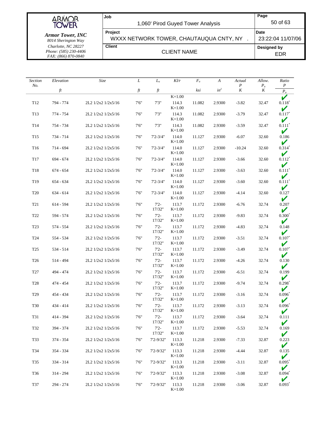| <b>ARMOR</b> |  |
|--------------|--|
| <b>TOWER</b> |  |

|                 | Job                                                       | Page                      |
|-----------------|-----------------------------------------------------------|---------------------------|
|                 | 1,060' Pirod Guyed Tower Analysis                         | 50 of 63                  |
| 'NC<br>Vav      | <b>Project</b><br>WXXX NETWORK TOWER, CHAUTAUQUA CNTY, NY | Date<br>23:22:04 11/07/06 |
| 27<br>1406<br>. | <b>Client</b><br>CLIENT NAME                              | Designed by<br>EDR        |

EDR

| <b>Section</b><br>No. | Elevation   | Size               | L     | $L_u$            | Kl/r                | $F_a$  | A      | Actual<br>P | Allow.<br>$P_a$ | Ratio<br>P                |
|-----------------------|-------------|--------------------|-------|------------------|---------------------|--------|--------|-------------|-----------------|---------------------------|
|                       | $\it{ft}$   |                    | ft    | $\it{ft}$        |                     | ksi    | $in^2$ | K           | K               | $P_a$                     |
|                       |             |                    |       |                  | $K = 1.00$          |        |        |             |                 |                           |
| T <sub>12</sub>       | 794 - 774   | 2L2 1/2x2 1/2x5/16 | 7'6'' | 7'3''            | 114.3<br>$K = 1.00$ | 11.082 | 2.9300 | $-3.82$     | 32.47           | $0.118$ <sup>*</sup>      |
| T <sub>13</sub>       | 774 - 754   | 2L2 1/2x2 1/2x5/16 | 7'6'' | 7'3''            | 114.3<br>$K=1.00$   | 11.082 | 2.9300 | $-3.79$     | 32.47           | $0.117$ <sup>*</sup><br>✓ |
| T <sub>14</sub>       | 754 - 734   | 2L2 1/2x2 1/2x5/16 | 7'6'' | 7'3''            | 114.3<br>$K=1.00$   | 11.082 | 2.9300 | $-3.59$     | 32.47           | $0.111$ <sup>*</sup><br>✓ |
| T <sub>15</sub>       | 734 - 714   | 2L2 1/2x2 1/2x5/16 | 7'6'' | $7'2 - 3/4"$     | 114.0<br>$K=1.00$   | 11.127 | 2.9300 | $-6.07$     | 32.60           | 0.186<br>V                |
| T <sub>16</sub>       | 714 - 694   | 2L2 1/2x2 1/2x5/16 | 7'6'' | $7'2 - 3/4"$     | 114.0<br>$K = 1.00$ | 11.127 | 2.9300 | $-10.24$    | 32.60           | $0.314^{\degree}$         |
| T <sub>17</sub>       | 694 - 674   | 2L2 1/2x2 1/2x5/16 | 7'6'' | $7'2 - 3/4"$     | 114.0<br>$K = 1.00$ | 11.127 | 2.9300 | $-3.66$     | 32.60           | $0.112^*$                 |
| T18                   | $674 - 654$ | 2L2 1/2x2 1/2x5/16 | 7'6'' | $7'2 - 3/4"$     | 114.0<br>$K = 1.00$ | 11.127 | 2.9300 | $-3.63$     | 32.60           | $0.111$ <sup>*</sup><br>v |
| T <sub>19</sub>       | $654 - 634$ | 2L2 1/2x2 1/2x5/16 | 7'6'' | $7'2 - 3/4"$     | 114.0<br>$K = 1.00$ | 11.127 | 2.9300 | $-3.60$     | 32.60           | $0.111$ <sup>*</sup><br>V |
| <b>T20</b>            | $634 - 614$ | 2L2 1/2x2 1/2x5/16 | 7'6'' | $7'2 - 3/4"$     | 114.0<br>$K=1.00$   | 11.127 | 2.9300 | $-4.14$     | 32.60           | 0.127<br>v                |
| <b>T21</b>            | 614 - 594   | 2L2 1/2x2 1/2x5/16 | 7'6'' | $7'2-$<br>17/32" | 113.7<br>$K=1.00$   | 11.172 | 2.9300 | $-6.76$     | 32.74           | 0.207<br>V                |
| T <sub>22</sub>       | 594 - 574   | 2L2 1/2x2 1/2x5/16 | 7'6'' | $7'2-$<br>17/32" | 113.7<br>$K=1.00$   | 11.172 | 2.9300 | $-9.83$     | 32.74           | $0.300*$<br>v             |
| T <sub>23</sub>       | 574 - 554   | 2L2 1/2x2 1/2x5/16 | 7'6'' | $7'2-$<br>17/32" | 113.7<br>$K = 1.00$ | 11.172 | 2.9300 | $-4.83$     | 32.74           | 0.148<br>V                |
| T <sub>24</sub>       | 554 - 534   | 2L2 1/2x2 1/2x5/16 | 7'6'' | $7'2-$<br>17/32" | 113.7<br>$K = 1.00$ | 11.172 | 2.9300 | $-3.51$     | 32.74           | $0.107*$<br>✓             |
| T <sub>25</sub>       | 534 - 514   | 2L2 1/2x2 1/2x5/16 | 7'6'' | $7'2-$<br>17/32" | 113.7<br>$K = 1.00$ | 11.172 | 2.9300 | $-3.49$     | 32.74           | $0.107^{*}$<br>V          |
| T <sub>26</sub>       | 514 - 494   | 2L2 1/2x2 1/2x5/16 | 7'6'' | $7'2-$<br>17/32" | 113.7<br>$K=1.00$   | 11.172 | 2.9300 | $-4.26$     | 32.74           | 0.130<br>✓                |
| T <sub>27</sub>       | 494 - 474   | 2L2 1/2x2 1/2x5/16 | 7'6'' | $7'2-$<br>17/32" | 113.7<br>$K=1.00$   | 11.172 | 2.9300 | $-6.51$     | 32.74           | 0.199<br>✓                |
| T <sub>28</sub>       | $474 - 454$ | 2L2 1/2x2 1/2x5/16 | 7'6'' | $7'2-$<br>17/32" | 113.7<br>$K=1.00$   | 11.172 | 2.9300 | $-9.74$     | 32.74           | $0.298*$<br>✓             |
| T <sub>29</sub>       | 454 - 434   | 2L2 1/2x2 1/2x5/16 | 7'6'' | $7'2-$<br>17/32" | 113.7<br>$K=1.00$   | 11.172 | 2.9300 | $-3.16$     | 32.74           | $0.096*$                  |
| <b>T30</b>            | 434 - 414   | 2L2 1/2x2 1/2x5/16 | 7'6'' | $7'2-$<br>17/32" | 113.7<br>$K=1.00$   | 11.172 | 2.9300 | $-3.13$     | 32.74           | $0.096*$                  |
| T31                   | 414 - 394   | 2L2 1/2x2 1/2x5/16 | 7'6'' | $7'2-$<br>17/32" | 113.7<br>$K = 1.00$ | 11.172 | 2.9300 | $-3.64$     | 32.74           | 0.111<br>✓                |
| T32                   | 394 - 374   | 2L2 1/2x2 1/2x5/16 | 7'6'' | $7'2-$<br>17/32" | 113.7<br>$K = 1.00$ | 11.172 | 2.9300 | $-5.53$     | 32.74           | 0.169<br>V                |
| T33                   | 374 - 354   | 2L2 1/2x2 1/2x5/16 | 7'6'' | 7'2-9/32"        | 113.3<br>$K=1.00$   | 11.218 | 2.9300 | $-7.33$     | 32.87           | 0.223<br>V                |
| T34                   | 354 - 334   | 2L2 1/2x2 1/2x5/16 | 7'6'' | 7'2-9/32"        | 113.3<br>$K = 1.00$ | 11.218 | 2.9300 | $-4.44$     | 32.87           | 0.135<br>V                |
| T35                   | 334 - 314   | 2L2 1/2x2 1/2x5/16 | 7'6'' | 7'2-9/32"        | 113.3<br>$K=1.00$   | 11.218 | 2.9300 | $-3.11$     | 32.87           | 0.095<br>v                |
| T36                   | $314 - 294$ | 2L2 1/2x2 1/2x5/16 | 7'6'' | $7'2 - 9/32"$    | 113.3<br>$K=1.00$   | 11.218 | 2.9300 | $-3.08$     | 32.87           | $0.094*$                  |
| T37                   | 294 - 274   | 2L2 1/2x2 1/2x5/16 | 7'6'' | 7'2-9/32"        | 113.3<br>$K=1.00$   | 11.218 | 2.9300 | $-3.06$     | 32.87           | $0.093$ <sup>*</sup>      |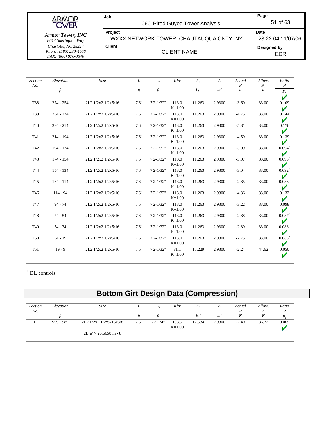| <b>TOWER</b> | ARMOR |  |
|--------------|-------|--|
|--------------|-------|--|

| R                        | Job                                                       | Page                      |
|--------------------------|-----------------------------------------------------------|---------------------------|
|                          | 1,060' Pirod Guyed Tower Analysis                         | 51 of 63                  |
| ; INC $\,$<br>n Wav      | <b>Project</b><br>WXXX NETWORK TOWER, CHAUTAUQUA CNTY, NY | Date<br>23:22:04 11/07/06 |
| 28227<br>0-4406<br>LO840 | <b>Client</b><br><b>CLIENT NAME</b>                       | Designed by<br><b>EDR</b> |

| <b>Section</b><br>No. | Elevation   | <i>Size</i>        | L     | $L_u$         | Kl/r              | $F_a$  | A      | Actual<br>$\boldsymbol{P}$ | Allow.<br>$P_a$ | Ratio<br>$\boldsymbol{P}$ |
|-----------------------|-------------|--------------------|-------|---------------|-------------------|--------|--------|----------------------------|-----------------|---------------------------|
|                       | ft          |                    | ft    | ft            |                   | ksi    | $in^2$ | K                          | K               | $P_a$                     |
|                       |             |                    |       |               |                   |        |        |                            |                 | V                         |
| <b>T38</b>            | $274 - 254$ | 2L2 1/2x2 1/2x5/16 | 7'6'' | $7'2 - 1/32"$ | 113.0<br>$K=1.00$ | 11.263 | 2.9300 | $-3.60$                    | 33.00           | 0.109                     |
| T39                   | $254 - 234$ | 2L2 1/2x2 1/2x5/16 | 7'6'' | $7'2 - 1/32"$ | 113.0<br>$K=1.00$ | 11.263 | 2.9300 | $-4.75$                    | 33.00           | 0.144<br>✓                |
| T <sub>40</sub>       | $234 - 214$ | 2L2 1/2x2 1/2x5/16 | 7'6'' | $7'2 - 1/32"$ | 113.0<br>$K=1.00$ | 11.263 | 2.9300 | $-5.81$                    | 33.00           | 0.176                     |
| T41                   | $214 - 194$ | 2L2 1/2x2 1/2x5/16 | 7'6'' | $7'2 - 1/32"$ | 113.0<br>$K=1.00$ | 11.263 | 2.9300 | $-4.59$                    | 33.00           | 0.139<br>V                |
| T42                   | 194 - 174   | 2L2 1/2x2 1/2x5/16 | 7'6'' | $7'2 - 1/32"$ | 113.0<br>$K=1.00$ | 11.263 | 2.9300 | $-3.09$                    | 33.00           | 0.094<br>V                |
| T43                   | $174 - 154$ | 2L2 1/2x2 1/2x5/16 | 7'6'' | $7'2 - 1/32"$ | 113.0<br>$K=1.00$ | 11.263 | 2.9300 | $-3.07$                    | 33.00           | $0.093$ <sup>*</sup>      |
| T44                   | 154 - 134   | 2L2 1/2x2 1/2x5/16 | 7'6'' | $7'2 - 1/32"$ | 113.0<br>$K=1.00$ | 11.263 | 2.9300 | $-3.04$                    | 33.00           | $0.092$ <sup>*</sup><br>V |
| T <sub>45</sub>       | $134 - 114$ | 2L2 1/2x2 1/2x5/16 | 7'6'' | $7'2 - 1/32"$ | 113.0<br>$K=1.00$ | 11.263 | 2.9300 | $-2.85$                    | 33.00           | $0.086^*$<br>V            |
| T <sub>46</sub>       | $114 - 94$  | 2L2 1/2x2 1/2x5/16 | 7'6'' | $7'2 - 1/32"$ | 113.0<br>$K=1.00$ | 11.263 | 2.9300 | $-4.36$                    | 33.00           | 0.132<br>V                |
| T47                   | $94 - 74$   | 2L2 1/2x2 1/2x5/16 | 7'6'' | $7'2 - 1/32"$ | 113.0<br>$K=1.00$ | 11.263 | 2.9300 | $-3.22$                    | 33.00           | 0.098                     |
| T48                   | $74 - 54$   | 2L2 1/2x2 1/2x5/16 | 7'6'' | $7'2 - 1/32"$ | 113.0<br>$K=1.00$ | 11.263 | 2.9300 | $-2.88$                    | 33.00           | $0.087*$<br>V             |
| T <sub>49</sub>       | $54 - 34$   | 2L2 1/2x2 1/2x5/16 | 7'6'' | $7'2 - 1/32"$ | 113.0<br>$K=1.00$ | 11.263 | 2.9300 | $-2.89$                    | 33.00           | $0.088*$<br>V             |
| <b>T50</b>            | $34 - 19$   | 2L2 1/2x2 1/2x5/16 | 7'6'' | $7'2 - 1/32"$ | 113.0<br>$K=1.00$ | 11.263 | 2.9300 | $-2.75$                    | 33.00           | $0.083^{*}$               |
| T <sub>51</sub>       | $19 - 9$    | 2L2 1/2x2 1/2x5/16 | 7'6'' | $7'2 - 1/32"$ | 81.1<br>$K=1.00$  | 15.229 | 2.9300 | $-2.24$                    | 44.62           | 0.050<br>V                |

\* DL controls

|                       |           | <b>Bottom Girt Design Data (Compression)</b>            |       |              |                   |        |        |         |                 |       |
|-----------------------|-----------|---------------------------------------------------------|-------|--------------|-------------------|--------|--------|---------|-----------------|-------|
| <b>Section</b><br>No. | Elevation | <i>Size</i>                                             | ⊷     | $L_{\mu}$    | Kl/r              | $F_a$  | А      | Actual  | Allow.<br>$P_a$ | Ratio |
|                       |           |                                                         | Ħ     |              |                   | ksi    | $in^2$ |         | A               |       |
| Τ1                    | 999 - 989 | $2L2 \frac{1}{2x} \frac{2 \times 21}{2x} \frac{5}{16x}$ | 7'6'' | $7'3 - 1/4"$ | 103.5<br>$K=1.00$ | 12.534 | 2.9300 | $-2.40$ | 36.72           | 0.065 |
|                       |           | $2L$ 'a' > 26.6658 in - 8                               |       |              |                   |        |        |         |                 |       |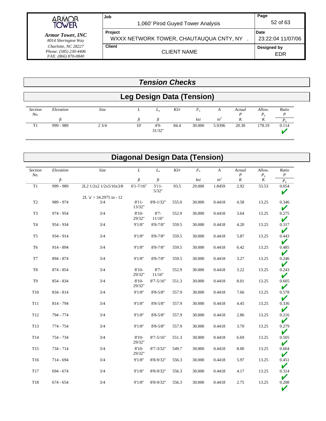

*Armor Towe* 8014 Sheringt *Charlotte, NC 28227 Phone: (585) 230-4406 FAX:* (866) 87

|                               | Job                                                       | Page                      |
|-------------------------------|-----------------------------------------------------------|---------------------------|
| ⊃P<br>∃R                      | 1,060' Pirod Guyed Tower Analysis                         | 52 of 63                  |
| er, INC<br>ton Way            | <b>Project</b><br>WXXX NETWORK TOWER, CHAUTAUQUA CNTY, NY | Date<br>23:22:04 11/07/06 |
| C28227<br>230-4406<br>70-0840 | <b>Client</b><br><b>CLIENT NAME</b>                       | Designed by<br><b>EDR</b> |
|                               |                                                           |                           |

## *Tension Checks*

# **Leg Design Data (Tension)**

| <b>Section</b> | Elevation | Size | ∸   | $L_{\mu}$ | Kl/r |        | A      | Actual | Allow. | Ratio |
|----------------|-----------|------|-----|-----------|------|--------|--------|--------|--------|-------|
| No.            |           |      |     |           |      |        |        |        |        |       |
|                |           |      |     |           |      | ksi    | $in^2$ |        | 11     |       |
| T <sub>1</sub> | 999 - 989 | 23/4 | 10' | 4'9-      | 84.4 | 30.000 | 5.9396 | 20.30  | 178.19 | 0.114 |
|                |           |      |     | 31/32"    |      |        |        |        |        |       |

### **Diagonal Design Data (Tension)**

| <b>Section</b><br>No. | Elevation   | <b>Size</b>              | L                 | $L_u$            | Kl/r  | $F_a$  | A      | Actual<br>$\boldsymbol{P}$ | Allow.<br>$P_a$ | Ratio<br>$\boldsymbol{P}$ |
|-----------------------|-------------|--------------------------|-------------------|------------------|-------|--------|--------|----------------------------|-----------------|---------------------------|
|                       | $\emph{ft}$ |                          | ft                | $\emph{ft}$      |       | ksi    | $in^2$ | $\cal K$                   | $K_{\rm}$       | $P_a$                     |
| T1                    | 999 - 989   | 2L2 1/2x2 1/2x5/16x3/8   | $6'1 - 7/16''$    | $5'11-$<br>5/32" | 93.5  | 29.000 | 1.8459 | 2.92                       | 53.53           | 0.054<br>V                |
|                       |             | 2L 'a' > 34.2975 in - 12 |                   |                  |       |        |        |                            |                 |                           |
| T2                    | 989 - 974   | 3/4                      | $8'11-$<br>13/32" | $8'8 - 1/32''$   | 555.0 | 30.000 | 0.4418 | 4.58                       | 13.25           | 0.346<br>✓                |
| T <sub>3</sub>        | 974 - 954   | 3/4                      | $8'10-$<br>29/32" | $8'7-$<br>11/16" | 552.9 | 30.000 | 0.4418 | 3.64                       | 13.25           | 0.275<br>V                |
| T4                    | 954 - 934   | 3/4                      | 9'1/8"            | $8'8 - 7/8"$     | 559.5 | 30.000 | 0.4418 | 4.20                       | 13.25           | 0.317<br>✓                |
| T <sub>5</sub>        | 934 - 914   | 3/4                      | 9'1/8"            | $8'8 - 7/8"$     | 559.5 | 30.000 | 0.4418 | 5.87                       | 13.25           | 0.443<br>✓                |
| T <sub>6</sub>        | 914 - 894   | 3/4                      | 9'1/8"            | $8'8 - 7/8"$     | 559.5 | 30.000 | 0.4418 | 6.42                       | 13.25           | 0.485                     |
| T7                    | 894 - 874   | 3/4                      | 9'1/8"            | $8'8 - 7/8''$    | 559.5 | 30.000 | 0.4418 | 3.27                       | 13.25           | V<br>0.246                |
| T8                    | 874 - 854   | 3/4                      | $8'10-$<br>29/32" | $8'7-$<br>11/16" | 552.9 | 30.000 | 0.4418 | 3.22                       | 13.25           | V<br>0.243<br>✓           |
| T <sub>9</sub>        | 854 - 834   | 3/4                      | $8'10-$<br>29/32" | $8'7 - 5/16''$   | 551.3 | 30.000 | 0.4418 | 8.01                       | 13.25           | 0.605<br>V                |
| T10                   | 834 - 814   | 3/4                      | 9'1/8"            | $8'8 - 5/8"$     | 557.9 | 30.000 | 0.4418 | 7.66                       | 13.25           | 0.578                     |
| T11                   | 814 - 794   | 3/4                      | 9'1/8"            | $8'8 - 5/8"$     | 557.9 | 30.000 | 0.4418 | 4.45                       | 13.25           | ✓<br>0.336                |
| T12                   | 794 - 774   | 3/4                      | 9'1/8"            | $8'8 - 5/8"$     | 557.9 | 30.000 | 0.4418 | 2.86                       | 13.25           | ✓<br>0.216                |
| T <sub>13</sub>       | 774 - 754   | 3/4                      | 9'1/8"            | $8'8 - 5/8"$     | 557.9 | 30.000 | 0.4418 | 3.70                       | 13.25           | V<br>0.279                |
| T <sub>14</sub>       | 754 - 734   | 3/4                      | $8'10-$<br>29/32" | $8'7 - 5/16''$   | 551.3 | 30.000 | 0.4418 | 6.69                       | 13.25           | ✓<br>0.505<br>V           |
| T <sub>15</sub>       | 734 - 714   | 3/4                      | $8'10-$<br>29/32" | $8'7 - 3/32''$   | 549.7 | 30.000 | 0.4418 | 8.00                       | 13.25           | 0.604<br>✓                |
| T <sub>16</sub>       | 714 - 694   | 3/4                      | 9'1/8"            | 8'8-9/32"        | 556.3 | 30.000 | 0.4418 | 5.97                       | 13.25           | 0.451                     |
| T17                   | 694 - 674   | 3/4                      | 9'1/8"            | 8'8-9/32"        | 556.3 | 30.000 | 0.4418 | 4.17                       | 13.25           | V<br>0.314                |
| T18                   | $674 - 654$ | 3/4                      | 9'1/8"            | 8'8-9/32"        | 556.3 | 30.000 | 0.4418 | 2.75                       | 13.25           | ✓<br>0.208<br>V           |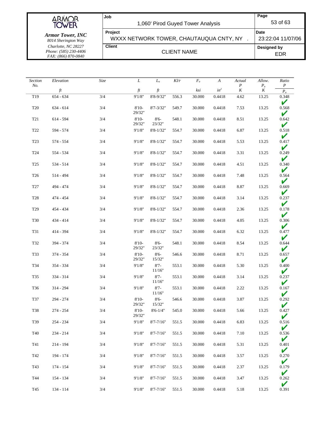| ARMOR        |  |
|--------------|--|
| <b>TOWER</b> |  |

|                              | Job                                                       | Page                             |
|------------------------------|-----------------------------------------------------------|----------------------------------|
|                              | 1,060' Pirod Guyed Tower Analysis                         | 53 of 63                         |
| INC<br>Vay                   | <b>Project</b><br>WXXX NETWORK TOWER, CHAUTAUQUA CNTY, NY | <b>Date</b><br>23:22:04 11/07/06 |
| 227<br>4406<br>$840^{\circ}$ | <b>Client</b><br><b>CLIENT NAME</b>                       | Designed by<br><b>EDR</b>        |

| <b>Section</b><br>No. | Elevation   | Size  | L                 | $L_u$            | Kl/r  | $F_a$  | A      | Actual<br>P | Allow.<br>$P_a$ | Ratio<br>$\boldsymbol{P}$ |
|-----------------------|-------------|-------|-------------------|------------------|-------|--------|--------|-------------|-----------------|---------------------------|
|                       | ft          |       | $\it{ft}$         | $\emph{ft}$      |       | ksi    | $in^2$ | $\cal K$    | K               | $P_a$                     |
| T19                   | $654 - 634$ | $3/4$ | 9'1/8"            | $8'8 - 9/32"$    | 556.3 | 30.000 | 0.4418 | 4.62        | 13.25           | 0.348                     |
| <b>T20</b>            | 634 - 614   | 3/4   | $8'10-$<br>29/32" | $8'7 - 3/32''$   | 549.7 | 30.000 | 0.4418 | 7.53        | 13.25           | V<br>0.568<br>✓           |
| T <sub>21</sub>       | 614 - 594   | 3/4   | $8'10-$<br>29/32" | $8'6-$<br>23/32" | 548.1 | 30.000 | 0.4418 | 8.51        | 13.25           | 0.642<br>V                |
| T <sub>22</sub>       | 594 - 574   | 3/4   | 9'1/8"            | $8'8 - 1/32"$    | 554.7 | 30.000 | 0.4418 | 6.87        | 13.25           | 0.518<br>V                |
| T <sub>23</sub>       | 574 - 554   | 3/4   | 9'1/8"            | $8'8 - 1/32"$    | 554.7 | 30.000 | 0.4418 | 5.53        | 13.25           | 0.417<br>V                |
| T <sub>24</sub>       | 554 - 534   | 3/4   | 9'1/8"            | $8'8 - 1/32"$    | 554.7 | 30.000 | 0.4418 | 3.31        | 13.25           | 0.249<br>V                |
| T <sub>25</sub>       | 534 - 514   | 3/4   | 9'1/8"            | $8'8 - 1/32"$    | 554.7 | 30.000 | 0.4418 | 4.51        | 13.25           | 0.340<br>V                |
| T <sub>26</sub>       | 514 - 494   | 3/4   | 9'1/8"            | $8'8 - 1/32"$    | 554.7 | 30.000 | 0.4418 | 7.48        | 13.25           | 0.564<br>V                |
| T <sub>27</sub>       | 494 - 474   | 3/4   | 9'1/8"            | $8'8 - 1/32"$    | 554.7 | 30.000 | 0.4418 | 8.87        | 13.25           | 0.669<br>✓                |
| <b>T28</b>            | 474 - 454   | 3/4   | 9'1/8"            | $8'8 - 1/32"$    | 554.7 | 30.000 | 0.4418 | 3.14        | 13.25           | 0.237<br>V                |
| T <sub>29</sub>       | 454 - 434   | 3/4   | 9'1/8"            | $8'8 - 1/32"$    | 554.7 | 30.000 | 0.4418 | 2.36        | 13.25           | 0.178<br>✓                |
| <b>T30</b>            | 434 - 414   | 3/4   | 9'1/8"            | $8'8 - 1/32"$    | 554.7 | 30.000 | 0.4418 | 4.05        | 13.25           | 0.306<br>✓                |
| T31                   | 414 - 394   | 3/4   | 9'1/8"            | $8'8 - 1/32"$    | 554.7 | 30.000 | 0.4418 | 6.32        | 13.25           | 0.477<br>✓                |
| T32                   | 394 - 374   | 3/4   | $8'10-$<br>29/32" | $8'6-$<br>23/32" | 548.1 | 30.000 | 0.4418 | 8.54        | 13.25           | 0.644<br>V                |
| T33                   | 374 - 354   | 3/4   | $8'10-$<br>29/32" | $8'6-$<br>15/32" | 546.6 | 30.000 | 0.4418 | 8.71        | 13.25           | 0.657<br>✓                |
| T34                   | 354 - 334   | 3/4   | 9'1/8"            | $8'7-$<br>11/16" | 553.1 | 30.000 | 0.4418 | 5.30        | 13.25           | 0.400<br>✓                |
| T35                   | 334 - 314   | 3/4   | 9'1/8"            | $8'7-$<br>11/16" | 553.1 | 30.000 | 0.4418 | 3.14        | 13.25           | 0.237<br>✓                |
| T36                   | 314 - 294   | 3/4   | 9'1/8"            | $8'7-$<br>11/16" | 553.1 | 30.000 | 0.4418 | 2.22        | 13.25           | 0.167<br>V                |
| T37                   | 294 - 274   | 3/4   | $8'10-$<br>29/32" | $8'6-$<br>15/32" | 546.6 | 30.000 | 0.4418 | 3.87        | 13.25           | 0.292                     |
| T38                   | $274 - 254$ | 3/4   | $8'10-$<br>29/32" | $8'6 - 1/4"$     | 545.0 | 30.000 | 0.4418 | 5.66        | 13.25           | 0.427<br>V                |
| T39                   | 254 - 234   | 3/4   | 9'1/8"            | $8'7 - 7/16''$   | 551.5 | 30.000 | 0.4418 | 6.83        | 13.25           | 0.516<br>V                |
| T40                   | $234 - 214$ | 3/4   | 9'1/8"            | $8'7 - 7/16''$   | 551.5 | 30.000 | 0.4418 | 7.10        | 13.25           | 0.536<br>V                |
| T41                   | $214 - 194$ | 3/4   | 9'1/8"            | $8'7 - 7/16''$   | 551.5 | 30.000 | 0.4418 | 5.31        | 13.25           | 0.401<br>V                |
| T42                   | 194 - 174   | 3/4   | 9'1/8"            | $8'7 - 7/16''$   | 551.5 | 30.000 | 0.4418 | 3.57        | 13.25           | 0.270<br>V                |
| T43                   | 174 - 154   | 3/4   | 9'1/8"            | $8'7 - 7/16''$   | 551.5 | 30.000 | 0.4418 | 2.37        | 13.25           | 0.179<br>V                |
| T44                   | $154 - 134$ | 3/4   | 9'1/8"            | $8'7 - 7/16'$    | 551.5 | 30.000 | 0.4418 | 3.47        | 13.25           | 0.262<br>✓                |
| T45                   | 134 - 114   | 3/4   | 9'1/8"            | $8'7 - 7/16''$   | 551.5 | 30.000 | 0.4418 | 5.18        | 13.25           | 0.391                     |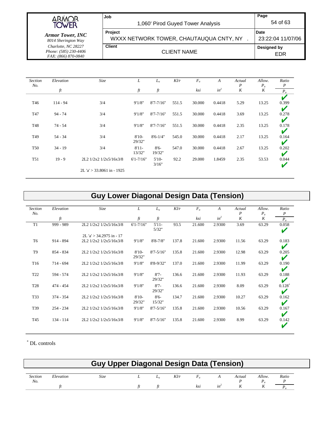| <b>TOWFR</b>                                                        | Job<br>1,060' Pirod Guyed Tower Analysis           | Page<br>54 of 63          |
|---------------------------------------------------------------------|----------------------------------------------------|---------------------------|
| <b>Armor Tower, INC</b><br>8014 Sherington Way                      | Project<br>WXXX NETWORK TOWER, CHAUTAUQUA CNTY, NY | Date<br>23:22:04 11/07/06 |
| Charlotte, NC 28227<br>Phone: (585) 230-4406<br>FAX: (866) 870-0840 | <b>Client</b><br><b>CLIENT NAME</b>                | Designed by<br><b>EDR</b> |

| <b>Section</b>  | Elevation  | <i>Size</i>                  | L              | $L_u$          | Kl/r  | $F_a$  | A      | Actual | Allow. | Ratio            |
|-----------------|------------|------------------------------|----------------|----------------|-------|--------|--------|--------|--------|------------------|
| No.             |            |                              |                |                |       |        |        | P      | $P_a$  | $\boldsymbol{P}$ |
|                 | ft         |                              | ft             | ft             |       | ksi    | $in^2$ | K      | K      | $P_a$            |
|                 |            |                              |                |                |       |        |        |        |        | v                |
| T <sub>46</sub> | $114 - 94$ | 3/4                          | 9'1/8"         | $8'7 - 7/16''$ | 551.5 | 30.000 | 0.4418 | 5.29   | 13.25  | 0.399            |
|                 |            |                              |                |                |       |        |        |        |        | V                |
| T47             | $94 - 74$  | 3/4                          | 9'1/8"         | $8'7 - 7/16''$ | 551.5 | 30.000 | 0.4418 | 3.69   | 13.25  | 0.278            |
|                 |            |                              |                |                |       |        |        |        |        | v                |
| T48             | $74 - 54$  | 3/4                          | 9'1/8"         | $8'7 - 7/16''$ | 551.5 | 30.000 | 0.4418 | 2.35   | 13.25  | 0.178            |
|                 |            |                              |                |                |       |        |        |        |        | V                |
| T <sub>49</sub> | $54 - 34$  | 3/4                          | $8'10-$        | $8'6 - 1/4"$   | 545.0 | 30.000 | 0.4418 | 2.17   | 13.25  | 0.164            |
|                 |            |                              | 29/32"         |                |       |        |        |        |        | V                |
| <b>T50</b>      | $34 - 19$  | 3/4                          | $8'11 -$       | $8'6-$         | 547.0 | 30.000 | 0.4418 | 2.67   | 13.25  | 0.202            |
|                 |            |                              | 13/32"         | 19/32"         |       |        |        |        |        | v                |
| T <sub>51</sub> | $19 - 9$   | 2L2 1/2x2 1/2x5/16x3/8       | $6'1 - 7/16''$ | $5'10-$        | 92.2  | 29.000 | 1.8459 | 2.35   | 53.53  | 0.044            |
|                 |            |                              |                | 3/16"          |       |        |        |        |        |                  |
|                 |            | $2L 'a' > 33.8061$ in - 1925 |                |                |       |        |        |        |        |                  |

| <b>Section</b>  | Elevation   | Size                       | L                 | $L_u$            | Kl/r  | $F_a$  | $\boldsymbol{A}$ | Actual                | Allow.     | Ratio                     |
|-----------------|-------------|----------------------------|-------------------|------------------|-------|--------|------------------|-----------------------|------------|---------------------------|
| No.             | ft          |                            | ft                | ft               |       | ksi    | $in^2$           | $\boldsymbol{P}$<br>K | $P_a$<br>K | $\boldsymbol{P}$<br>$P_a$ |
| T1              | 999 - 989   | 2L2 1/2x2 1/2x5/16x3/8     | $6'1 - 7/16''$    | $5'11-$<br>5/32" | 93.5  | 21.600 | 2.9300           | 3.69                  | 63.29      | 0.058<br>v                |
|                 |             | $2L 'a' > 34.2975$ in - 17 |                   |                  |       |        |                  |                       |            |                           |
| T <sub>6</sub>  | $914 - 894$ | 2L2 1/2x2 1/2x5/16x3/8     | 9'1/8"            | $8'8 - 7/8"$     | 137.8 | 21.600 | 2.9300           | 11.56                 | 63.29      | 0.183<br>v                |
| T <sub>9</sub>  | $854 - 834$ | 2L2 1/2x2 1/2x5/16x3/8     | $8'10-$<br>29/32" | $8'7 - 5/16''$   | 135.8 | 21.600 | 2.9300           | 12.98                 | 63.29      | 0.205<br>v                |
| T <sub>16</sub> | $714 - 694$ | 2L2 1/2x2 1/2x5/16x3/8     | 9'1/8"            | 8'8-9/32"        | 137.0 | 21.600 | 2.9300           | 11.99                 | 63.29      | 0.190<br>v                |
| T <sub>22</sub> | 594 - 574   | 2L2 1/2x2 1/2x5/16x3/8     | 9'1/8"            | $8'7-$<br>29/32" | 136.6 | 21.600 | 2.9300           | 11.93                 | 63.29      | 0.188                     |
| T <sub>28</sub> | 474 - 454   | 2L2 1/2x2 1/2x5/16x3/8     | 9'1/8"            | $8'7-$<br>29/32" | 136.6 | 21.600 | 2.9300           | 8.09                  | 63.29      | $0.128*$<br>v             |
| T33             | $374 - 354$ | 2L2 1/2x2 1/2x5/16x3/8     | $8'10-$<br>29/32" | $8'6-$<br>15/32" | 134.7 | 21.600 | 2.9300           | 10.27                 | 63.29      | 0.162<br>v                |
| T39             | $254 - 234$ | 2L2 1/2x2 1/2x5/16x3/8     | 9'1/8"            | $8'7 - 5/16''$   | 135.8 | 21.600 | 2.9300           | 10.56                 | 63.29      | 0.167<br>v                |
| T <sub>45</sub> | 134 - 114   | 2L2 1/2x2 1/2x5/16x3/8     | 9'1/8"            | $8'7 - 5/16''$   | 135.8 | 21.600 | 2.9300           | 8.99                  | 63.29      | 0.142                     |

\* DL controls

|         | <b>Guy Upper Diagonal Design Data (Tension)</b> |      |  |  |      |      |                 |        |        |       |  |
|---------|-------------------------------------------------|------|--|--|------|------|-----------------|--------|--------|-------|--|
| Section | Elevation                                       | Size |  |  | Kl/r |      |                 | Actual | Allow. | Ratio |  |
| No.     |                                                 |      |  |  |      | ksi. | in <sup>-</sup> |        |        |       |  |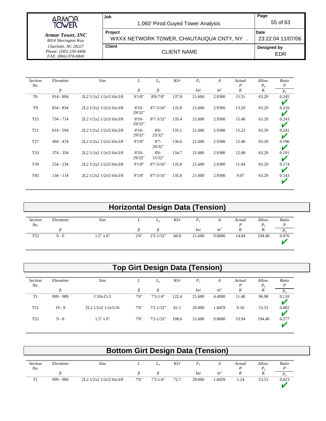|                                                                     | Job                                                | Page                             |
|---------------------------------------------------------------------|----------------------------------------------------|----------------------------------|
| <b>OWFR</b>                                                         | 1,060' Pirod Guyed Tower Analysis                  | 55 of 63                         |
| Armor Tower, INC<br>8014 Sherington Way                             | Project<br>WXXX NETWORK TOWER, CHAUTAUQUA CNTY, NY | <b>Date</b><br>23:22:04 11/07/06 |
| Charlotte, NC 28227<br>Phone: (585) 230-4406<br>FAX: (866) 870-0840 | <b>Client</b><br>CLIENT NAME                       | Designed by<br><b>EDR</b>        |

| <b>Section</b>  | Elevation   | <i>Size</i>                                 | L                 | $L_u$            | Kl/r  | $F_a$  | A      | Actual           | Allow. | Ratio            |
|-----------------|-------------|---------------------------------------------|-------------------|------------------|-------|--------|--------|------------------|--------|------------------|
| No.             |             |                                             |                   |                  |       |        |        | $\boldsymbol{P}$ | $P_a$  | $\boldsymbol{P}$ |
|                 | ft          |                                             | ft                | ft               |       | ksi    | $in^2$ | K                | K      | $P_a$            |
| T6              | $914 - 894$ | 2L2 1/2x2 1/2x5/16x3/8                      | 9'1/8"            | $8'8 - 7/8"$     | 137.8 | 21.600 | 2.9300 | 15.51            | 63.29  | 0.245            |
| T <sub>9</sub>  | $854 - 834$ | $2L2 \frac{1}{2x^2} \frac{1}{2x^5/16x^3/8}$ | $8'10-$<br>29/32" | $8'7 - 5/16''$   | 135.8 | 21.600 | 2.9300 | 13.29            | 63.29  | 0.210            |
| T <sub>15</sub> | 734 - 714   | $2L2 \frac{1}{2x^2} \frac{1}{2x^5/16x^3/8}$ | $8'10-$<br>29/32" | $8'7 - 3/32''$   | 135.4 | 21.600 | 2.9300 | 15.40            | 63.29  | 0.243            |
| T <sub>21</sub> | $614 - 594$ | $2L2 \frac{1}{2x^2} \frac{1}{2x^5/16x^3/8}$ | $8'10-$<br>29/32" | $8'6-$<br>23/32" | 135.1 | 21.600 | 2.9300 | 15.23            | 63.29  | 0.241            |
| T <sub>27</sub> | 494 - 474   | $2L2 \frac{1}{2x^2} \frac{1}{2x^5/16x^3/8}$ | 9'1/8"            | $8'7-$<br>29/32" | 136.6 | 21.600 | 2.9300 | 12.40            | 63.29  | 0.196<br>v       |
| T33             | $374 - 354$ | $2L2 \frac{1}{2x^2} \frac{1}{2x^5/16x^3/8}$ | $8'10-$<br>29/32" | $8'6-$<br>15/32" | 134.7 | 21.600 | 2.9300 | 12.08            | 63.29  | 0.191<br>v       |
| T39             | $254 - 234$ | $2L2 \frac{1}{2x^2} \frac{1}{2x^5/16x^3/8}$ | 9'1/8"            | $8'7 - 5/16''$   | 135.8 | 21.600 | 2.9300 | 11.04            | 63.29  | 0.174            |
| T <sub>45</sub> | 134 - 114   | $2L2 \frac{1}{2x^2} \frac{1}{2x^5/16x^3/8}$ | 9'1/8"            | $8'7 - 5/16"$    | 135.8 | 21.600 | 2.9300 | 9.07             | 63.29  | 0.143            |

|                       | <b>Horizontal Design Data (Tension)</b> |                  |       |               |      |        |        |        |        |       |
|-----------------------|-----------------------------------------|------------------|-------|---------------|------|--------|--------|--------|--------|-------|
| <b>Section</b><br>No. | Elevation                               | <i>Size</i>      | L     |               | Kl/r | $F_a$  |        | Actual | Allow. | Ratio |
|                       |                                         |                  |       |               |      | ksi    | $in^2$ |        |        |       |
| T <sub>52</sub>       | $9 - 0$                                 | $1.5" \times 6"$ | 2'6'' | $2'2 - 1/32"$ | 60.0 | 21.600 | 9.0000 | 14.84  | 194.40 | 0.076 |

|                       | <b>Top Girt Design Data (Tension)</b> |                                                                   |       |               |       |        |        |             |                 |            |  |
|-----------------------|---------------------------------------|-------------------------------------------------------------------|-------|---------------|-------|--------|--------|-------------|-----------------|------------|--|
| <b>Section</b><br>No. | Elevation                             | <i>Size</i>                                                       | L     | $L_u$         | Kl/r  | $F_a$  | A      | Actual<br>P | Allow.<br>$P_a$ | Ratio<br>P |  |
|                       | ft                                    |                                                                   | ft    | ft            |       | ksi    | $in^2$ | K           | K               | $P_a$      |  |
| T1                    | 999 - 989                             | C10x15.3                                                          | 7'6'' | $7'3 - 1/4"$  | 122.4 | 21.600 | 4.4900 | 11.40       | 96.98           | 0.118      |  |
| T <sub>51</sub>       | $19 - 9$                              | $2L2 \frac{1}{2x} \frac{2 \times 2 \frac{1}{2x} \frac{5}{16}}{x}$ | 7'6'' | $7'2 - 1/32"$ | 81.1  | 29.000 | 1.8459 | 0.10        | 53.53           | 0.002      |  |
| T <sub>52</sub>       | $9 - 0$                               | $1.5" \times 6"$                                                  | 7'6'' | $7'2 - 1/32"$ | 198.6 | 21.600 | 9.0000 | 53.94       | 194.40          | 0.277      |  |

|                | <b>Bottom Girt Design Data (Tension)</b> |                                           |       |                    |      |        |        |        |        |       |
|----------------|------------------------------------------|-------------------------------------------|-------|--------------------|------|--------|--------|--------|--------|-------|
| <b>Section</b> | Elevation                                | Size                                      | L     | $L_{\prime\prime}$ | Kl/r |        |        | Actual | Allow. | Ratio |
| No.            |                                          |                                           |       |                    |      | ksi    | in     |        |        |       |
| T <sub>1</sub> | 999 - 989                                | $2L2 \frac{1}{2x} \frac{2 \times 5}{16x}$ | 7'6'' | $7'3 - 1/4"$       | 72.7 | 29,000 | 1.8459 | 1.24   | 53.53  | 0.023 |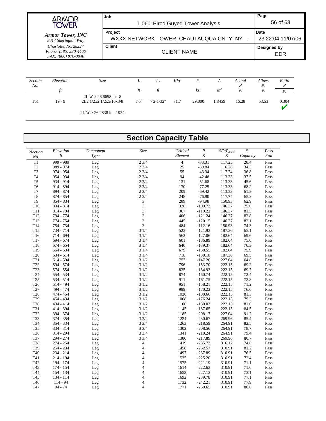| TOWER                                                               | Job<br>1,060' Pirod Guyed Tower Analysis           | Page<br>56 of 63                 |
|---------------------------------------------------------------------|----------------------------------------------------|----------------------------------|
| <b>Armor Tower, INC</b><br>8014 Sherington Way                      | Project<br>WXXX NETWORK TOWER, CHAUTAUQUA CNTY, NY | <b>Date</b><br>23:22:04 11/07/06 |
| Charlotte, NC 28227<br>Phone: (585) 230-4406<br>FAX: (866) 870-0840 | <b>Client</b><br><b>CLIENT NAME</b>                | Designed by<br><b>EDR</b>        |
|                                                                     |                                                    |                                  |

| <b>Section</b><br>No. | Elevation | Size                                                                     | L     | $L_{\mu}$     | Kl/r | $F_a$  | A      | Actual | Allow.<br>$P_a$ | Ratio |
|-----------------------|-----------|--------------------------------------------------------------------------|-------|---------------|------|--------|--------|--------|-----------------|-------|
|                       |           |                                                                          |       |               |      | ksi    | $in^2$ | Κ      | K               | P     |
| T51                   | $19 - 9$  | $2L 'a' > 26.6658$ in - 8<br>$2L2 \frac{1}{2x^2} \frac{1}{2x^5/16x^3/8}$ | 7'6'' | $7'2 - 1/32"$ | 71.7 | 29.000 | 1.8459 | 16.28  | 53.53           | 0.304 |
|                       |           | $2L 'a' > 26.2838$ in - 1924                                             |       |               |      |        |        |        |                 |       |

## **Section Capacity Table**

| Section         | Elevation   | Component | Size                     | Critical                     | $\boldsymbol{P}$ | $SF^*P_{allow}$ | $\%$     | Pass |
|-----------------|-------------|-----------|--------------------------|------------------------------|------------------|-----------------|----------|------|
| No.             | ft          | Type      |                          | $\label{eq:Element} Element$ | $\cal K$         | K               | Capacity | Fail |
| T1              | $999 - 989$ | Leg       | 23/4                     | $\overline{4}$               | $-33.31$         | 117.25          | 28.4     | Pass |
| T <sub>2</sub>  | 989 - 974   | Leg       | 23/4                     | 25                           | $-39.84$         | 116.28          | 34.3     | Pass |
| T <sub>3</sub>  | 974 - 954   | Leg       | 23/4                     | 55                           | $-43.34$         | 117.74          | 36.8     | Pass |
| T <sub>4</sub>  | 954 - 934   | Leg       | 23/4                     | 94                           | $-42.48$         | 113.33          | 37.5     | Pass |
| T <sub>5</sub>  | 934 - 914   | Leg       | 23/4                     | 131                          | $-51.68$         | 113.33          | 45.6     | Pass |
| T <sub>6</sub>  | $914 - 894$ | Leg       | 23/4                     | 170                          | $-77.25$         | 113.33          | 68.2     | Pass |
| T7              | 894 - 874   | Leg       | 23/4                     | 209                          | $-69.42$         | 113.33          | 61.3     | Pass |
| T <sub>8</sub>  | 874 - 854   | Leg       | 23/4                     | 248                          | $-76.80$         | 117.74          | 65.2     | Pass |
| T <sub>9</sub>  | 854 - 834   | Leg       | 3                        | 289                          | $-94.98$         | 150.93          | 62.9     | Pass |
| T <sub>10</sub> | 834 - 814   | Leg       | $\frac{3}{3}$            | 328                          | $-109.73$        | 146.37          | 75.0     | Pass |
| T11             | 814 - 794   | Leg       |                          | 367                          | $-119.22$        | 146.37          | 81.5     | Pass |
| T12             | 794 - 774   | Leg       | $\overline{\mathbf{3}}$  | 406                          | $-121.24$        | 146.37          | 82.8     | Pass |
| T <sub>13</sub> | 774 - 754   | Leg       | 3                        | 445                          | $-120.15$        | 146.37          | 82.1     | Pass |
| T14             | 754 - 734   | Leg       | $\overline{3}$           | 484                          | $-112.16$        | 150.93          | 74.3     | Pass |
| T15             | 734 - 714   | Leg       | 31/4                     | 523                          | $-121.93$        | 187.36          | 65.1     | Pass |
| T16             | 714 - 694   | Leg       | 31/4                     | 562                          | $-127.06$        | 182.64          | 69.6     | Pass |
| T17             | 694 - 674   | Leg       | 31/4                     | 601                          | $-136.89$        | 182.64          | 75.0     | Pass |
| T18             | $674 - 654$ | Leg       | 31/4                     | 640                          | $-139.37$        | 182.64          | 76.3     | Pass |
| T19             | $654 - 634$ | Leg       | 31/4                     | 679                          | $-138.55$        | 182.64          | 75.9     | Pass |
| T <sub>20</sub> | $634 - 614$ | Leg       | 31/4                     | 718                          | $-130.18$        | 187.36          | 69.5     | Pass |
| T <sub>21</sub> | $614 - 594$ | Leg       | 31/2                     | 757                          | $-147.20$        | 227.04          | 64.8     | Pass |
| T <sub>22</sub> | 594 - 574   | Leg       | 31/2                     | 796                          | $-153.70$        | 222.15          | 69.2     | Pass |
| T <sub>23</sub> | 574 - 554   | Leg       | 31/2                     | 835                          | $-154.92$        | 222.15          | 69.7     | Pass |
| T <sub>24</sub> | 554 - 534   | Leg       | 31/2                     | 874                          | $-160.74$        | 222.15          | 72.4     | Pass |
| T <sub>25</sub> | 534 - 514   | Leg       | 31/2                     | 911                          | $-161.75$        | 222.15          | 72.8     | Pass |
| T <sub>26</sub> | 514 - 494   | Leg       | 31/2                     | 951                          | $-158.21$        | 222.15          | 71.2     | Pass |
| T <sub>27</sub> | 494 - 474   | Leg       | 31/2                     | 989                          | $-170.22$        | 222.15          | 76.6     | Pass |
| <b>T28</b>      | 474 - 454   | Leg       | 31/2                     | 1028                         | $-180.66$        | 222.15          | 81.3     | Pass |
| T <sub>29</sub> | 454 - 434   | Leg       | 31/2                     | 1068                         | $-176.24$        | 222.15          | 79.3     | Pass |
| <b>T30</b>      | 434 - 414   | Leg       | 31/2                     | 1106                         | $-180.03$        | 222.15          | 81.0     | Pass |
| T31             | 414 - 394   | Leg       | 31/2                     | 1145                         | $-187.65$        | 222.15          | 84.5     | Pass |
| T32             | 394 - 374   | Leg       | 31/2                     | 1185                         | $-208.17$        | 227.04          | 91.7     | Pass |
| T33             | 374 - 354   | Leg       | 33/4                     | 1224                         | $-230.67$        | 269.96          | 85.4     | Pass |
| T34             | 354 - 334   | Leg       | 33/4                     | 1263                         | $-218.59$        | 264.91          | 82.5     | Pass |
| T35             | 334 - 314   | Leg       | 33/4                     | 1302                         | $-208.56$        | 264.91          | 78.7     | Pass |
| T36             | 314 - 294   | Leg       | 33/4                     | 1341                         | $-210.24$        | 264.91          | 79.4     | Pass |
| T37             | 294 - 274   | Leg       | 33/4                     | 1380                         | $-217.89$        | 269.96          | 80.7     | Pass |
| <b>T38</b>      | 274 - 254   | Leg       | $\overline{\mathcal{L}}$ | 1419                         | $-235.73$        | 316.12          | 74.6     | Pass |
| T39             | $254 - 234$ | Leg       | $\overline{\mathcal{L}}$ | 1458                         | $-252.57$        | 310.91          | 81.2     | Pass |
| T40             | 234 - 214   | Leg       | $\overline{4}$           | 1497                         | $-237.89$        | 310.91          | 76.5     | Pass |
| T41             | $214 - 194$ | Leg       | $\overline{4}$           | 1535                         | $-225.20$        | 310.91          | 72.4     | Pass |
| T42             | 194 - 174   | Leg       | $\overline{4}$           | 1575                         | $-221.19$        | 310.91          | 71.1     | Pass |
| T43             | 174 - 154   | Leg       | $\overline{4}$           | 1614                         | $-222.63$        | 310.91          | 71.6     | Pass |
| T44             | 154 - 134   | Leg       | $\overline{4}$           | 1653                         | $-227.13$        | 310.91          | 73.1     | Pass |
| T45             | 134 - 114   | Leg       | $\overline{4}$           | 1692                         | $-239.78$        | 310.91          | 77.1     | Pass |
| T46             | $114 - 94$  | Leg       | $\overline{4}$           | 1732                         | $-242.21$        | 310.91          | 77.9     | Pass |
| T47             | $94 - 74$   | Leg       | $\overline{4}$           | 1771                         | $-250.65$        | 310.91          | 80.6     | Pass |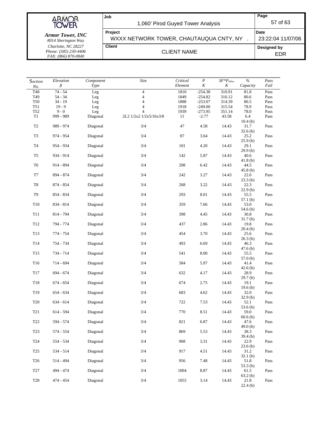| <b>ARMOR</b><br><b>TOWER</b> |  |
|------------------------------|--|
|                              |  |

**Page**  57 of 63

**Date**

**Project** 

**Job**

**Client**

*Armor Tower, INC 8014 Sherington Way Charlotte, NC 28227 Phone: (585) 230-4406 FAX: (866) 870-0840* 

### WXXX NETWORK TOWER, CHAUTAUQUA CNTY, NY .

**Designed by**<br>CLIENT NAME

EDR

| <b>Section</b>        | Elevation            | Component   | Size                        | Critical   | P                    | $SF^*P_{allow}$ | $\%$                | Pass         |
|-----------------------|----------------------|-------------|-----------------------------|------------|----------------------|-----------------|---------------------|--------------|
| No.                   | ft                   | <b>Type</b> |                             | Element    | K                    | K               | Capacity            | Fail         |
| T48                   | $74 - 54$            | Leg         | $\overline{\mathbf{4}}$     | 1810       | $-254.38$            | 310.91          | 81.8                | Pass         |
| T49                   | 54 - 34              | Leg         | 4                           | 1849       | $-254.82$            | 316.12          | 80.6                | Pass         |
| <b>T50</b>            | 34 - 19              | Leg         | 4                           | 1888       | $-253.07$            | 314.39          | 80.5                | Pass         |
| T51                   | $19 - 9$             | Leg         | 4                           | 1918       | $-249.00$            | 315.54          | 78.9                | Pass         |
| T <sub>52</sub><br>T1 | $9 - 0$<br>999 - 989 | Leg         | 4<br>2L2 1/2x2 1/2x5/16x3/8 | 1939<br>11 | $-273.95$<br>$-2.77$ | 351.14          | 78.0<br>6.4         | Pass<br>Pass |
|                       |                      | Diagonal    |                             |            |                      | 43.58           | 10.4(b)             |              |
| T <sub>2</sub>        | 989 - 974            | Diagonal    | 3/4                         | 47         | 4.58                 | 14.43           | 31.7                | Pass         |
|                       |                      |             |                             |            |                      |                 | 32.6(b)             |              |
| T <sub>3</sub>        | 974 - 954            | Diagonal    | 3/4                         | 87         | 3.64                 | 14.43           | 25.2                | Pass         |
|                       |                      |             |                             |            |                      |                 | 25.9(b)             |              |
| T <sub>4</sub>        | 954 - 934            | Diagonal    | 3/4                         | 101        | 4.20                 | 14.43           | 29.1<br>29.9(b)     | Pass         |
| T <sub>5</sub>        | 934 - 914            | Diagonal    | 3/4                         | 142        | 5.87                 | 14.43           | 40.6                | Pass         |
|                       |                      |             |                             |            |                      |                 | 41.8 <sub>(b)</sub> |              |
| T <sub>6</sub>        | 914 - 894            | Diagonal    | 3/4                         | 208        | 6.42                 | 14.43           | 44.5                | Pass         |
|                       |                      |             |                             |            |                      |                 | 45.8 <sub>(b)</sub> |              |
| T7                    | 894 - 874            | Diagonal    | 3/4                         | 242        | 3.27                 | 14.43           | 22.6                | Pass         |
| T8                    | 874 - 854            | Diagonal    | 3/4                         | 268        | 3.22                 | 14.43           | 23.3(b)<br>22.3     | Pass         |
|                       |                      |             |                             |            |                      |                 | 22.9 <sub>(b)</sub> |              |
| T <sub>9</sub>        | 854 - 834            | Diagonal    | 3/4                         | 293        | 8.01                 | 14.43           | 55.5                | Pass         |
|                       |                      |             |                             |            |                      |                 | 57.1 $(b)$          |              |
| T10                   | 834 - 814            | Diagonal    | 3/4                         | 359        | 7.66                 | 14.43           | 53.0                | Pass         |
| T11                   | 814 - 794            | Diagonal    | 3/4                         | 398        | 4.45                 | 14.43           | 54.6 $(b)$<br>30.8  | Pass         |
|                       |                      |             |                             |            |                      |                 | 31.7 <sub>(b)</sub> |              |
| T12                   | 794 - 774            | Diagonal    | 3/4                         | 437        | 2.86                 | 14.43           | 19.8                | Pass         |
|                       |                      |             |                             |            |                      |                 | 20.4(b)             |              |
| T13                   | 774 - 754            | Diagonal    | 3/4                         | 454        | 3.70                 | 14.43           | 25.6                | Pass         |
|                       |                      |             |                             |            |                      |                 | 26.3(b)             |              |
| T14                   | 754 - 734            | Diagonal    | 3/4                         | 493        | 6.69                 | 14.43           | 46.3<br>47.6(b)     | Pass         |
| T15                   | 734 - 714            | Diagonal    | 3/4                         | 541        | $8.00\,$             | 14.43           | 55.5                | Pass         |
|                       |                      |             |                             |            |                      |                 | 57.0 $(b)$          |              |
| T16                   | 714 - 694            | Diagonal    | 3/4                         | 584        | 5.97                 | 14.43           | 41.4                | Pass         |
|                       |                      |             |                             |            |                      |                 | 42.6(b)             |              |
| T17                   | 694 - 674            | Diagonal    | 3/4                         | 632        | 4.17                 | 14.43           | 28.9<br>29.7(b)     | Pass         |
| T18                   | $674 - 654$          | Diagonal    | 3/4                         | 674        | 2.75                 | 14.43           | 19.1                | Pass         |
|                       |                      |             |                             |            |                      |                 | 19.6 $(b)$          |              |
| T <sub>19</sub>       | 654 - 634            | Diagonal    | 3/4                         | 683        | 4.62                 | 14.43           | 32.0                | Pass         |
|                       |                      |             |                             |            |                      |                 | 32.9(b)             |              |
| <b>T20</b>            | $634 - 614$          | Diagonal    | 3/4                         | 722        | 7.53                 | 14.43           | 52.1<br>53.6 $(b)$  | Pass         |
| T <sub>21</sub>       | $614 - 594$          | Diagonal    | 3/4                         | 770        | 8.51                 | 14.43           | 59.0                | Pass         |
|                       |                      |             |                             |            |                      |                 | 60.6(b)             |              |
| T22                   | 594 - 574            | Diagonal    | 3/4                         | 821        | 6.87                 | 14.43           | 47.6                | Pass         |
|                       |                      |             |                             |            |                      |                 | 49.0(b)             |              |
| T <sub>23</sub>       | 574 - 554            | Diagonal    | 3/4                         | 869        | 5.53                 | 14.43           | 38.3<br>39.4(b)     | Pass         |
| T <sub>24</sub>       | 554 - 534            | Diagonal    | 3/4                         | 908        | 3.31                 | 14.43           | 22.9                | Pass         |
|                       |                      |             |                             |            |                      |                 | 23.6(b)             |              |
| T25                   | 534 - 514            | Diagonal    | 3/4                         | 917        | 4.51                 | 14.43           | 31.2                | Pass         |
|                       |                      |             |                             |            |                      |                 | 32.1(b)             |              |
| T <sub>26</sub>       | 514 - 494            | Diagonal    | 3/4                         | 956        | 7.48                 | 14.43           | 51.8<br>53.3 $(b)$  | Pass         |
| T <sub>27</sub>       | 494 - 474            | Diagonal    | 3/4                         | 1004       | 8.87                 | 14.43           | 61.5                | Pass         |
|                       |                      |             |                             |            |                      |                 | 63.2(b)             |              |
| T <sub>28</sub>       | 474 - 454            | Diagonal    | 3/4                         | 1055       | 3.14                 | 14.43           | 21.8                | Pass         |
|                       |                      |             |                             |            |                      |                 | 22.4(b)             |              |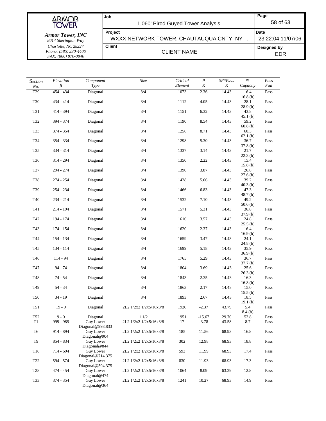| ARMOR        |  |
|--------------|--|
| <b>TOWER</b> |  |

**Page**  58 of 63

**Date**

**Project** 

**Client**

**Job**

*Armor Tower, INC 8014 Sherington Way Charlotte, NC 28227 Phone: (585) 230-4406 FAX: (866) 870-0840* 

WXXX NETWORK TOWER, CHAUTAUQUA CNTY, NY .

**Designed by**<br>CLIENT NAME

EDR

| <b>Section</b>  | Elevation<br>ft | Component<br>Type                            | Size                   | Critical<br>Element | $\boldsymbol{P}$<br>$K_{\rm}$ | $SF^*P_{allow}$<br>K | $\%$<br>Capacity            | Pass<br>Fail |
|-----------------|-----------------|----------------------------------------------|------------------------|---------------------|-------------------------------|----------------------|-----------------------------|--------------|
| No.             |                 |                                              |                        |                     |                               |                      |                             |              |
| T <sub>29</sub> | 454 - 434       | Diagonal                                     | 3/4                    | 1073                | 2.36                          | 14.43                | 16.4<br>16.8(b)             | Pass         |
| T30             | 434 - 414       | Diagonal                                     | 3/4                    | 1112                | 4.05                          | 14.43                | 28.1<br>28.9(b)             | Pass         |
| T31             | 414 - 394       | Diagonal                                     | 3/4                    | 1151                | 6.32                          | 14.43                | 43.8<br>45.1 <sub>(b)</sub> | Pass         |
| T32             | 394 - 374       | Diagonal                                     | 3/4                    | 1190                | 8.54                          | 14.43                | 59.2                        | Pass         |
| T33             | 374 - 354       | Diagonal                                     | 3/4                    | 1256                | 8.71                          | 14.43                | 60.8(b)<br>60.3             | Pass         |
| T34             | 354 - 334       | Diagonal                                     | 3/4                    | 1298                | 5.30                          | 14.43                | 62.1(b)<br>36.7             | Pass         |
| T35             | 334 - 314       | Diagonal                                     | 3/4                    | 1337                | 3.14                          | 14.43                | 37.8 <sub>(b)</sub><br>21.7 | Pass         |
| T36             | $314 - 294$     | Diagonal                                     | 3/4                    | 1350                | 2.22                          | 14.43                | 22.3(b)<br>15.4             | Pass         |
|                 |                 |                                              |                        |                     |                               |                      | 15.8 <sub>(b)</sub>         |              |
| T37             | 294 - 274       | Diagonal                                     | 3/4                    | 1390                | 3.87                          | 14.43                | 26.8<br>27.6(b)             | Pass         |
| T38             | 274 - 254       | Diagonal                                     | 3/4                    | 1428                | 5.66                          | 14.43                | 39.2<br>40.3(b)             | Pass         |
| T39             | $254 - 234$     | Diagonal                                     | 3/4                    | 1466                | 6.83                          | 14.43                | 47.3<br>48.7 <sub>(b)</sub> | Pass         |
| T40             | $234 - 214$     | Diagonal                                     | 3/4                    | 1532                | 7.10                          | 14.43                | 49.2<br>50.6(b)             | Pass         |
| T41             | 214 - 194       | Diagonal                                     | 3/4                    | 1571                | 5.31                          | 14.43                | 36.8                        | Pass         |
| T42             | 194 - 174       | Diagonal                                     | 3/4                    | 1610                | 3.57                          | 14.43                | 37.9(b)<br>24.8             | Pass         |
| T43             | $174 - 154$     | Diagonal                                     | 3/4                    | 1620                | 2.37                          | 14.43                | 25.5(b)<br>16.4             | Pass         |
| T44             | 154 - 134       | Diagonal                                     | 3/4                    | 1659                | 3.47                          | 14.43                | 16.9 <sub>(b)</sub><br>24.1 | Pass         |
| T45             | 134 - 114       | Diagonal                                     | 3/4                    | 1699                | 5.18                          | 14.43                | 24.8(b)<br>35.9             | Pass         |
| T46             | 114 - 94        | Diagonal                                     | 3/4                    | 1765                | 5.29                          | 14.43                | 36.9(b)<br>36.7             | Pass         |
| T47             | $94 - 74$       | Diagonal                                     | 3/4                    | 1804                | 3.69                          | 14.43                | 37.7(b)<br>25.6             | Pass         |
|                 |                 |                                              |                        |                     |                               |                      | 26.3(b)                     |              |
| T48             | $74 - 54$       | Diagonal                                     | 3/4                    | 1843                | 2.35                          | 14.43                | 16.3<br>16.8(b)             | Pass         |
| T49             | $54 - 34$       | Diagonal                                     | 3/4                    | 1863                | 2.17                          | 14.43                | 15.0<br>15.5(b)             | Pass         |
| <b>T50</b>      | $34 - 19$       | Diagonal                                     | 3/4                    | 1893                | 2.67                          | 14.43                | 18.5<br>19.1 <sub>(b)</sub> | Pass         |
| T <sub>51</sub> | $19 - 9$        | Diagonal                                     | 2L2 1/2x2 1/2x5/16x3/8 | 1926                | $-2.37$                       | 43.79                | 5.4<br>8.4(b)               | Pass         |
| T <sub>52</sub> | $9 - 0$         | Diagonal                                     | 11/2                   | 1951                | $-15.67$                      | 29.70                | 52.8                        | Pass         |
| T <sub>1</sub>  | 999 - 989       | Guy Lower<br>Diagonal@998.833                | 2L2 1/2x2 1/2x5/16x3/8 | 17                  | $-3.78$                       | 43.58                | 8.7                         | Pass         |
| T <sub>6</sub>  | 914 - 894       | <b>Guy Lower</b>                             | 2L2 1/2x2 1/2x5/16x3/8 | 185                 | 11.56                         | 68.93                | 16.8                        | Pass         |
| T <sub>9</sub>  | 854 - 834       | Diagonal@904<br>Guy Lower<br>Diagonal@844    | 2L2 1/2x2 1/2x5/16x3/8 | 302                 | 12.98                         | 68.93                | 18.8                        | Pass         |
| T <sub>16</sub> | 714 - 694       | <b>Guy Lower</b><br>Diagonal@714.375         | 2L2 1/2x2 1/2x5/16x3/8 | 593                 | 11.99                         | 68.93                | 17.4                        | Pass         |
| T22             | 594 - 574       | <b>Guy Lower</b>                             | 2L2 1/2x2 1/2x5/16x3/8 | 830                 | 11.93                         | 68.93                | 17.3                        | Pass         |
| T <sub>28</sub> | 474 - 454       | Diagonal@594.375<br><b>Guy Lower</b>         | 2L2 1/2x2 1/2x5/16x3/8 | 1064                | 8.09                          | 63.29                | 12.8                        | Pass         |
| T33             | 374 - 354       | Diagonal@474<br>Guy Lower<br>Diagonal@ $364$ | 2L2 1/2x2 1/2x5/16x3/8 | 1241                | 10.27                         | 68.93                | 14.9                        | Pass         |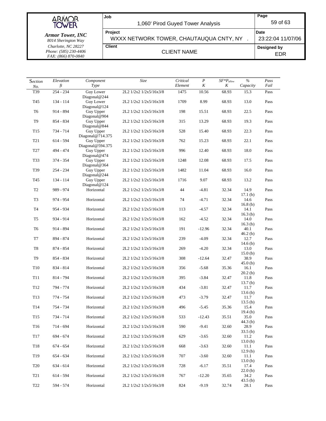| ARMOR<br><b>TOWER</b> |  |
|-----------------------|--|

**Page**  59 of 63

**Date**

**Project** 

**Job**

**Client**

*Armor Tower, INC 8014 Sherington Way Charlotte, NC 28227 Phone: (585) 230-4406 FAX: (866) 870-0840* 

WXXX NETWORK TOWER, CHAUTAUQUA CNTY, NY .

**Designed by**<br>CLIENT NAME

23:22:04 11/07/06 EDR

| <b>Section</b>  | Elevation   | Component                 | Size                                        | Critical | P        | $\overline{SF^*P}_{allow}$ | $\%$                | Pass |
|-----------------|-------------|---------------------------|---------------------------------------------|----------|----------|----------------------------|---------------------|------|
| No.             | ft          | Type                      |                                             | Element  | K        | K                          | Capacity            | Fail |
| T39             | 254 - 234   | <b>Guy Lower</b>          | 2L2 1/2x2 1/2x5/16x3/8                      | 1475     | 10.56    | 68.93                      | 15.3                | Pass |
|                 |             | Diagonal@244              |                                             |          |          |                            |                     |      |
| T <sub>45</sub> | 134 - 114   | <b>Guy Lower</b>          | 2L2 1/2x2 1/2x5/16x3/8                      | 1709     | 8.99     | 68.93                      | 13.0                | Pass |
|                 |             | Diagonal@124              |                                             |          |          |                            |                     |      |
| T6              | $914 - 894$ | Guy Upper                 | 2L2 1/2x2 1/2x5/16x3/8                      | 198      | 15.51    | 68.93                      | 22.5                | Pass |
|                 |             | Diagonal@904              |                                             |          |          |                            |                     |      |
| T <sub>9</sub>  | 854 - 834   | Guy Upper                 | $2L2 \frac{1}{2x^2} \frac{1}{2x^5/16x^3/8}$ | 315      | 13.29    | 68.93                      | 19.3                | Pass |
| T15             | 734 - 714   | Diagonal@844<br>Guy Upper |                                             | 528      | 15.40    | 68.93                      | 22.3                | Pass |
|                 |             | Diagonal@714.375          | 2L2 1/2x2 1/2x5/16x3/8                      |          |          |                            |                     |      |
| T <sub>21</sub> | 614 - 594   | Guy Upper                 | 2L2 1/2x2 1/2x5/16x3/8                      | 762      | 15.23    | 68.93                      | 22.1                | Pass |
|                 |             | Diagonal@594.375          |                                             |          |          |                            |                     |      |
| T <sub>27</sub> | 494 - 474   | Guy Upper                 | 2L2 1/2x2 1/2x5/16x3/8                      | 996      | 12.40    | 68.93                      | 18.0                | Pass |
|                 |             | Diagonal@474              |                                             |          |          |                            |                     |      |
| T33             | 374 - 354   | Guy Upper                 | 2L2 1/2x2 1/2x5/16x3/8                      | 1248     | 12.08    | 68.93                      | 17.5                | Pass |
|                 |             | Diagonal@ $364$           |                                             |          |          |                            |                     |      |
| T39             | 254 - 234   | Guy Upper                 | 2L2 1/2x2 1/2x5/16x3/8                      | 1482     | 11.04    | 68.93                      | 16.0                | Pass |
| T <sub>45</sub> | 134 - 114   | Diagonal@244<br>Guy Upper | 2L2 1/2x2 1/2x5/16x3/8                      | 1716     | 9.07     | 68.93                      | 13.2                | Pass |
|                 |             | Diagonal@124              |                                             |          |          |                            |                     |      |
| T <sub>2</sub>  | 989 - 974   | Horizontal                | 2L2 1/2x2 1/2x5/16x3/8                      | 44       | $-4.81$  | 32.34                      | 14.9                | Pass |
|                 |             |                           |                                             |          |          |                            | 17.1 <sub>(b)</sub> |      |
| T <sub>3</sub>  | $974 - 954$ | Horizontal                | 2L2 1/2x2 1/2x5/16x3/8                      | 74       | $-4.71$  | 32.34                      | 14.6                | Pass |
|                 |             |                           |                                             |          |          |                            | 16.8 <sub>(b)</sub> |      |
| T <sub>4</sub>  | 954 - 934   | Horizontal                | 2L2 1/2x2 1/2x5/16x3/8                      | 113      | $-4.57$  | 32.34                      | 14.1                | Pass |
| T <sub>5</sub>  | 934 - 914   | Horizontal                | 2L2 1/2x2 1/2x5/16x3/8                      | 162      | $-4.52$  | 32.34                      | 16.3 $(b)$<br>14.0  | Pass |
|                 |             |                           |                                             |          |          |                            | 16.3 $(b)$          |      |
| T6              | $914 - 894$ | Horizontal                | 2L2 1/2x2 1/2x5/16x3/8                      | 191      | $-12.96$ | 32.34                      | 40.1                | Pass |
|                 |             |                           |                                             |          |          |                            | $46.2$ (b)          |      |
| T7              | 894 - 874   | Horizontal                | 2L2 1/2x2 1/2x5/16x3/8                      | 239      | $-4.09$  | 32.34                      | 12.7                | Pass |
|                 |             |                           |                                             |          |          |                            | 14.6 $(b)$          |      |
| T <sub>8</sub>  | 874 - 854   | Horizontal                | 2L2 1/2x2 1/2x5/16x3/8                      | 269      | $-4.20$  | 32.34                      | 13.0                | Pass |
|                 |             |                           |                                             |          |          |                            | 15.0(b)             |      |
| T9              | 854 - 834   | Horizontal                | 2L2 1/2x2 1/2x5/16x3/8                      | 308      | $-12.64$ | 32.47                      | 38.9<br>45.0(b)     | Pass |
| T <sub>10</sub> | 834 - 814   | Horizontal                | 2L2 1/2x2 1/2x5/16x3/8                      | 356      | $-5.68$  | 35.36                      | 16.1                | Pass |
|                 |             |                           |                                             |          |          |                            | $20.2$ (b)          |      |
| T11             | 814 - 794   | Horizontal                | 2L2 1/2x2 1/2x5/16x3/8                      | 395      | $-3.84$  | 32.47                      | 11.8                | Pass |
|                 |             |                           |                                             |          |          |                            | 13.7 <sub>(b)</sub> |      |
| T <sub>12</sub> | 794 - 774   | Horizontal                | 2L2 1/2x2 1/2x5/16x3/8                      | 434      | $-3.81$  | 32.47                      | 11.7                | Pass |
|                 |             |                           |                                             |          |          |                            | 13.6(b)             |      |
| T13             | 774 - 754   | Horizontal                | 2L2 1/2x2 1/2x5/16x3/8                      | 473      | $-3.79$  | 32.47                      | 11.7<br>13.5(b)     | Pass |
| T <sub>14</sub> | 754 - 734   | Horizontal                | 2L2 1/2x2 1/2x5/16x3/8                      | 496      | $-5.45$  | 35.36                      | 15.4                | Pass |
|                 |             |                           |                                             |          |          |                            | 19.4(b)             |      |
| T <sub>15</sub> | 734 - 714   | Horizontal                | 2L2 1/2x2 1/2x5/16x3/8                      | 533      | $-12.43$ | 35.51                      | 35.0                | Pass |
|                 |             |                           |                                             |          |          |                            | 44.3 $(b)$          |      |
| T16             | 714 - 694   | Horizontal                | 2L2 1/2x2 1/2x5/16x3/8                      | 590      | $-9.41$  | 32.60                      | 28.9                | Pass |
|                 |             |                           |                                             |          |          |                            | 33.5(b)             |      |
| T <sub>17</sub> | 694 - 674   | Horizontal                | 2L2 1/2x2 1/2x5/16x3/8                      | 629      | $-3.65$  | 32.60                      | 11.2<br>13.0(b)     | Pass |
| T <sub>18</sub> | $674 - 654$ | Horizontal                | 2L2 1/2x2 1/2x5/16x3/8                      | 668      | $-3.63$  | 32.60                      | 11.1                | Pass |
|                 |             |                           |                                             |          |          |                            | 12.9(b)             |      |
| T19             | $654 - 634$ | Horizontal                | 2L2 1/2x2 1/2x5/16x3/8                      | 707      | $-3.60$  | 32.60                      | 11.1                | Pass |
|                 |             |                           |                                             |          |          |                            | 13.0(b)             |      |
| <b>T20</b>      | $634 - 614$ | Horizontal                | 2L2 1/2x2 1/2x5/16x3/8                      | 728      | $-6.17$  | 35.51                      | 17.4                | Pass |
|                 |             | Horizontal                | 2L2 1/2x2 1/2x5/16x3/8                      |          |          |                            | 22.0(b)<br>34.2     |      |
| T <sub>21</sub> | 614 - 594   |                           |                                             | 767      | $-12.20$ | 35.65                      | 43.5(b)             | Pass |
| T <sub>22</sub> | 594 - 574   | Horizontal                | 2L2 1/2x2 1/2x5/16x3/8                      | 824      | $-9.19$  | 32.74                      | 28.1                | Pass |
|                 |             |                           |                                             |          |          |                            |                     |      |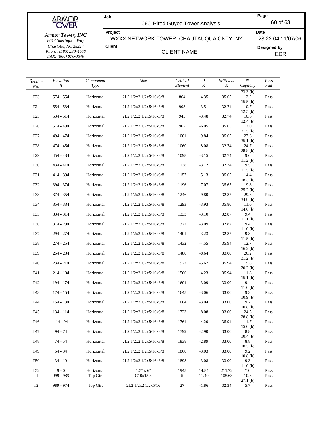

**Page**  60 of 63

**Project** 

**Client**

**Job**

*Armor Tower, INC 8014 Sherington Way Charlotte, NC 28227 Phone: (585) 230-4406 FAX: (866) 870-0840* 

#### WXXX NETWORK TOWER, CHAUTAUQUA CNTY, NY .

**CLIENT NAME** Designed by

EDR

| <b>Section</b>  | Elevation            | Component              | Size                                        | Critical  | $\boldsymbol{P}$ | $SF^*P_{allow}$  | $\%$                        | Pass         |
|-----------------|----------------------|------------------------|---------------------------------------------|-----------|------------------|------------------|-----------------------------|--------------|
| No.             | ft                   | Type                   |                                             | Element   | K                | K                | Capacity                    | Fail         |
| T <sub>23</sub> | 574 - 554            | Horizontal             | 2L2 1/2x2 1/2x5/16x3/8                      | 864       | $-4.35$          | 35.65            | 33.3(b)<br>12.2<br>15.5(b)  | Pass         |
| T <sub>24</sub> | 554 - 534            | Horizontal             | 2L2 1/2x2 1/2x5/16x3/8                      | 903       | $-3.51$          | 32.74            | 10.7<br>12.5(b)             | Pass         |
| T <sub>25</sub> | 534 - 514            | Horizontal             | 2L2 1/2x2 1/2x5/16x3/8                      | 943       | $-3.48$          | 32.74            | 10.6<br>12.4(b)             | Pass         |
| T26             | 514 - 494            | Horizontal             | 2L2 1/2x2 1/2x5/16x3/8                      | 962       | $-6.05$          | 35.65            | 17.0<br>21.5(b)             | Pass         |
| T27             | 494 - 474            | Horizontal             | 2L2 1/2x2 1/2x5/16x3/8                      | 1001      | $-9.84$          | 35.65            | 27.6<br>35.1 <sub>(b)</sub> | Pass         |
| T28             | 474 - 454            | Horizontal             | 2L2 1/2x2 1/2x5/16x3/8                      | 1060      | $-8.08$          | 32.74            | 24.7<br>28.8(b)             | Pass         |
| T <sub>29</sub> | 454 - 434            | Horizontal             | 2L2 1/2x2 1/2x5/16x3/8                      | 1098      | $-3.15$          | 32.74            | 9.6<br>11.2(b)              | Pass         |
| T30             | $434 - 414$          | Horizontal             | $2L2 \frac{1}{2x^2} \frac{1}{2x^5/16x^3/8}$ | 1138      | $-3.12$          | 32.74            | 9.5<br>11.5(b)              | Pass         |
| T31             | 414 - 394            | Horizontal             | 2L2 1/2x2 1/2x5/16x3/8                      | 1157      | $-5.13$          | 35.65            | 14.4<br>18.3(b)             | Pass         |
| T32             | 394 - 374            | Horizontal             | 2L2 1/2x2 1/2x5/16x3/8                      | 1196      | $-7.07$          | 35.65            | 19.8<br>25.2(b)             | Pass         |
| T33             | 374 - 354            | Horizontal             | 2L2 1/2x2 1/2x5/16x3/8                      | 1246      | $-9.80$          | 32.87            | 29.8<br>34.9 (b)            | Pass         |
| T34             | 354 - 334            | Horizontal             | 2L2 1/2x2 1/2x5/16x3/8                      | 1293      | $-3.93$          | 35.80            | 11.0<br>14.0 $(b)$          | Pass         |
| T35             | 334 - 314            | Horizontal             | 2L2 1/2x2 1/2x5/16x3/8                      | 1333      | $-3.10$          | 32.87            | 9.4<br>11.1 $(b)$           | Pass         |
| T36             | 314 - 294            | Horizontal             | 2L2 1/2x2 1/2x5/16x3/8                      | 1372      | $-3.09$          | 32.87            | 9.4<br>11.0(b)              | Pass         |
| T37             | 294 - 274            | Horizontal             | 2L2 1/2x2 1/2x5/16x3/8                      | 1401      | $-3.23$          | 32.87            | 9.8<br>11.5(b)              | Pass         |
| T38             | $274 - 254$          | Horizontal             | 2L2 1/2x2 1/2x5/16x3/8                      | 1432      | $-4.55$          | 35.94            | 12.7<br>16.2(b)             | Pass         |
| T39             | $254 - 234$          | Horizontal             | 2L2 1/2x2 1/2x5/16x3/8                      | 1488      | $-8.64$          | 33.00            | 26.2<br>31.2(b)             | Pass         |
| T40             | $234 - 214$          | Horizontal             | 2L2 1/2x2 1/2x5/16x3/8                      | 1527      | $-5.67$          | 35.94            | 15.8<br>20.2(b)             | Pass         |
| T41             | 214 - 194            | Horizontal             | 2L2 1/2x2 1/2x5/16x3/8                      | 1566      | $-4.23$          | 35.94            | 11.8<br>15.1 <sub>(b)</sub> | Pass         |
| T42             | 194 - 174            | Horizontal             | 2L2 1/2x2 1/2x5/16x3/8                      | 1604      | $-3.09$          | 33.00            | 9.4<br>11.0(b)              | Pass         |
| T43             | 174 - 154            | Horizontal             | 2L2 1/2x2 1/2x5/16x3/8                      | 1645      | $-3.06$          | 33.00            | 9.3<br>10.9 <sub>(b)</sub>  | Pass         |
| T44             | 154 - 134            | Horizontal             | 2L2 1/2x2 1/2x5/16x3/8                      | 1684      | $-3.04$          | 33.00            | 9.2<br>10.8 <sub>(b)</sub>  | Pass         |
| T45             | 134 - 114            | Horizontal             | $2L2 \frac{1}{2x^2} \frac{1}{2x^5/16x^3/8}$ | 1723      | $-8.08$          | 33.00            | 24.5<br>28.8(b)             | Pass         |
| T46             | 114 - 94             | Horizontal             | 2L2 1/2x2 1/2x5/16x3/8                      | 1761      | $-4.20$          | 35.94            | 11.7<br>15.0(b)             | Pass         |
| T47             | $94 - 74$            | Horizontal             | 2L2 1/2x2 1/2x5/16x3/8                      | 1799      | $-2.90$          | 33.00            | $\!\!\!\!\!8.8$<br>10.4(b)  | Pass         |
| T48             | 74 - 54              | Horizontal             | 2L2 1/2x2 1/2x5/16x3/8                      | 1838      | $-2.89$          | 33.00            | 8.8<br>10.3(b)              | Pass         |
| T49             | $54 - 34$            | Horizontal             | 2L2 1/2x2 1/2x5/16x3/8                      | 1868      | $-3.03$          | 33.00            | 9.2<br>10.8(b)              | Pass         |
| <b>T50</b>      | $34 - 19$            | Horizontal             | 2L2 1/2x2 1/2x5/16x3/8                      | 1898      | $-3.08$          | 33.00            | 9.3<br>11.0(b)              | Pass         |
| T52<br>T1       | $9 - 0$<br>999 - 989 | Horizontal<br>Top Girt | $1.5" \times 6"$<br>C10x15.3                | 1945<br>5 | 14.84<br>11.40   | 211.72<br>105.63 | 7.0<br>10.8                 | Pass<br>Pass |
| T <sub>2</sub>  | 989 - 974            | Top Girt               | 2L2 1/2x2 1/2x5/16                          | 27        | $-1.86$          | 32.34            | 27.1(b)<br>5.7              | Pass         |
|                 |                      |                        |                                             |           |                  |                  |                             |              |

23:22:04 11/07/06

**Date**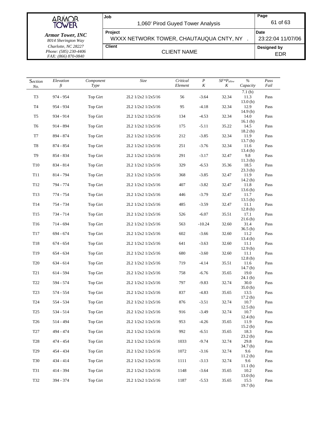

**Page**  61 of 63

**Date**

*Armor Tower, INC* **Project** 

**Job**

**Client**

*8014 Sherington Way Charlotte, NC 28227 Phone: (585) 230-4406 FAX: (866) 870-0840* 

WXXX NETWORK TOWER, CHAUTAUQUA CNTY, NY .

**CLIENT NAME** Designed by

EDR

| <b>Section</b>  | Elevation   | Component | Size               | Critical | $\boldsymbol{P}$ | $\overline{SF^*P}_{allow}$ | $\%$                        | Pass |
|-----------------|-------------|-----------|--------------------|----------|------------------|----------------------------|-----------------------------|------|
| No.             | ft          | Type      |                    | Element  | K                | K                          | Capacity                    | Fail |
| T <sub>3</sub>  | 974 - 954   | Top Girt  | 2L2 1/2x2 1/2x5/16 | 56       | $-3.64$          | 32.34                      | 7.1(b)<br>11.3              | Pass |
| T <sub>4</sub>  | 954 - 934   | Top Girt  | 2L2 1/2x2 1/2x5/16 | 95       | $-4.18$          | 32.34                      | 13.0(b)<br>12.9             | Pass |
|                 |             |           |                    |          |                  |                            | 14.9(b)                     |      |
| T5              | 934 - 914   | Top Girt  | 2L2 1/2x2 1/2x5/16 | 134      | $-4.53$          | 32.34                      | 14.0<br>16.1 $(b)$          | Pass |
| T <sub>6</sub>  | 914 - 894   | Top Girt  | 2L2 1/2x2 1/2x5/16 | 175      | $-5.11$          | 35.22                      | 14.5                        | Pass |
| T7              | 894 - 874   | Top Girt  | 2L2 1/2x2 1/2x5/16 | 212      | $-3.85$          | 32.34                      | 18.2(b)<br>11.9             | Pass |
| T <sub>8</sub>  | 874 - 854   | Top Girt  | 2L2 1/2x2 1/2x5/16 | 251      | $-3.76$          | 32.34                      | 13.7 <sub>(b)</sub><br>11.6 | Pass |
| T9              | 854 - 834   | Top Girt  | 2L2 1/2x2 1/2x5/16 | 291      | $-3.17$          | 32.47                      | 13.4(b)<br>9.8              | Pass |
| T <sub>10</sub> | 834 - 814   | Top Girt  | 2L2 1/2x2 1/2x5/16 | 329      | $-6.53$          | 35.36                      | 11.3(b)<br>18.5             | Pass |
| T11             | 814 - 794   | Top Girt  | 2L2 1/2x2 1/2x5/16 | 368      | $-3.85$          | 32.47                      | 23.3(b)<br>11.9             | Pass |
|                 |             |           |                    |          |                  |                            | 14.2 $(b)$                  |      |
| T <sub>12</sub> | 794 - 774   | Top Girt  | 2L2 1/2x2 1/2x5/16 | 407      | $-3.82$          | 32.47                      | 11.8<br>13.6(b)             | Pass |
| T13             | 774 - 754   | Top Girt  | 2L2 1/2x2 1/2x5/16 | 446      | $-3.79$          | 32.47                      | 11.7<br>13.5(b)             | Pass |
| T14             | 754 - 734   | Top Girt  | 2L2 1/2x2 1/2x5/16 | 485      | $-3.59$          | 32.47                      | 11.1                        | Pass |
| T15             | 734 - 714   | Top Girt  | 2L2 1/2x2 1/2x5/16 | 526      | $-6.07$          | 35.51                      | 12.8(b)<br>17.1             | Pass |
| T <sub>16</sub> | 714 - 694   | Top Girt  | 2L2 1/2x2 1/2x5/16 | 563      | $-10.24$         | 32.60                      | 21.6(b)<br>31.4             | Pass |
| T17             | 694 - 674   | Top Girt  | 2L2 1/2x2 1/2x5/16 | 602      | $-3.66$          | 32.60                      | 36.5(b)<br>11.2             | Pass |
|                 |             |           |                    |          |                  |                            | 13.4(b)                     |      |
| T18             | $674 - 654$ | Top Girt  | 2L2 1/2x2 1/2x5/16 | 641      | $-3.63$          | 32.60                      | 11.1<br>12.9 <sub>(b)</sub> | Pass |
| T19             | 654 - 634   | Top Girt  | 2L2 1/2x2 1/2x5/16 | 680      | $-3.60$          | 32.60                      | 11.1<br>12.8(b)             | Pass |
| <b>T20</b>      | 634 - 614   | Top Girt  | 2L2 1/2x2 1/2x5/16 | 719      | $-4.14$          | 35.51                      | 11.6                        | Pass |
| T <sub>21</sub> | 614 - 594   | Top Girt  | 2L2 1/2x2 1/2x5/16 | 758      | $-6.76$          | 35.65                      | 14.7 $(b)$<br>19.0          | Pass |
| T22             | 594 - 574   | Top Girt  | 2L2 1/2x2 1/2x5/16 | 797      | $-9.83$          | 32.74                      | 24.1 (b)<br>30.0            | Pass |
| T <sub>23</sub> | 574 - 554   | Top Girt  | 2L2 1/2x2 1/2x5/16 | 837      | $-4.83$          | 35.65                      | 35.0(b)<br>13.5             | Pass |
|                 |             |           |                    |          |                  |                            | 17.2(b)                     |      |
| T <sub>24</sub> | 554 - 534   | Top Girt  | 2L2 1/2x2 1/2x5/16 | 876      | $-3.51$          | 32.74                      | 10.7<br>12.5(b)             | Pass |
| T <sub>25</sub> | 534 - 514   | Top Girt  | 2L2 1/2x2 1/2x5/16 | 916      | $-3.49$          | 32.74                      | 10.7<br>12.4(b)             | Pass |
| T <sub>26</sub> | 514 - 494   | Top Girt  | 2L2 1/2x2 1/2x5/16 | 953      | $-4.26$          | 35.65                      | 11.9                        | Pass |
| T27             | 494 - 474   | Top Girt  | 2L2 1/2x2 1/2x5/16 | 992      | $-6.51$          | 35.65                      | 15.2(b)<br>18.3             | Pass |
| T <sub>28</sub> | 474 - 454   | Top Girt  | 2L2 1/2x2 1/2x5/16 | 1033     | $-9.74$          | 32.74                      | 23.2(b)<br>29.8             | Pass |
| T <sub>29</sub> | 454 - 434   | Top Girt  | 2L2 1/2x2 1/2x5/16 | 1072     | $-3.16$          | 32.74                      | 34.7 <sub>(b)</sub><br>9.6  | Pass |
|                 |             |           |                    |          |                  |                            | 11.2(b)                     |      |
| T30             | 434 - 414   | Top Girt  | 2L2 1/2x2 1/2x5/16 | 1111     | $-3.13$          | 32.74                      | 9.6<br>11.1 $(b)$           | Pass |
| T31             | 414 - 394   | Top Girt  | 2L2 1/2x2 1/2x5/16 | 1148     | $-3.64$          | 35.65                      | 10.2<br>13.0(b)             | Pass |
| T32             | 394 - 374   | Top Girt  | 2L2 1/2x2 1/2x5/16 | 1187     | $-5.53$          | 35.65                      | 15.5                        | Pass |
|                 |             |           |                    |          |                  |                            | 19.7 <sub>(b)</sub>         |      |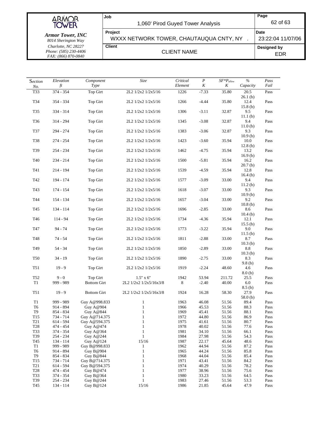**ARMOR**<br>**TOWER** 

**Job**

**Project** 

**Client**

1,060' Pirod Guyed Tower Analysis

**Page**  62 of 63

**Date** 23:22:04 11/07/06

*Armor Tower, INC 8014 Sherington Way Charlotte, NC 28227 Phone: (585) 230-4406 FAX: (866) 870-0840* 

WXXX NETWORK TOWER, CHAUTAUQUA CNTY, NY .

**Designed by** EDR

|                 | Elevation   | Component          | Size                   | Critical | P       | $\overline{SF^*P}_{allow}$ | $\%$                | Pass |
|-----------------|-------------|--------------------|------------------------|----------|---------|----------------------------|---------------------|------|
| <b>Section</b>  | ft          | Type               |                        | Element  | K       | K                          | Capacity            | Fail |
| No.             | $374 - 354$ |                    |                        |          |         |                            |                     |      |
| T33             |             | Top Girt           | 2L2 1/2x2 1/2x5/16     | 1226     | $-7.33$ | 35.80                      | 20.5                | Pass |
| T34             | 354 - 334   | Top Girt           | 2L2 1/2x2 1/2x5/16     | 1266     | $-4.44$ | 35.80                      | $26.1$ (b)<br>12.4  | Pass |
|                 |             |                    |                        |          |         |                            | 15.8 <sub>(b)</sub> |      |
| T35             | 334 - 314   | Top Girt           | 2L2 1/2x2 1/2x5/16     | 1306     | $-3.11$ | 32.87                      | 9.5                 | Pass |
|                 |             |                    |                        |          |         |                            | 11.1 <sub>(b)</sub> |      |
| T36             | $314 - 294$ | Top Girt           | 2L2 1/2x2 1/2x5/16     | 1345     | $-3.08$ | 32.87                      | 9.4                 | Pass |
|                 |             |                    |                        |          |         |                            | 11.0(b)             |      |
| T37             | 294 - 274   | Top Girt           | 2L2 1/2x2 1/2x5/16     | 1383     | $-3.06$ | 32.87                      | 9.3                 | Pass |
|                 |             |                    |                        |          |         |                            | 10.9(b)             |      |
| <b>T38</b>      | $274 - 254$ | Top Girt           | 2L2 1/2x2 1/2x5/16     | 1423     | $-3.60$ | 35.94                      | 10.0                | Pass |
|                 |             |                    |                        |          |         |                            | 12.8 <sub>(b)</sub> |      |
| T39             | 254 - 234   | Top Girt           | 2L2 1/2x2 1/2x5/16     | 1462     | $-4.75$ | 35.94                      | 13.2                | Pass |
|                 |             |                    |                        |          |         |                            | 16.9(b)             |      |
| T40             | $234 - 214$ | Top Girt           | 2L2 1/2x2 1/2x5/16     | 1500     | $-5.81$ | 35.94                      | 16.2                | Pass |
|                 |             |                    |                        |          |         |                            | 20.7(b)             |      |
| T41             | $214 - 194$ | Top Girt           | 2L2 1/2x2 1/2x5/16     | 1539     | $-4.59$ | 35.94                      | 12.8                | Pass |
|                 |             |                    |                        |          |         |                            | 16.4 $(b)$          |      |
| T42             | 194 - 174   | Top Girt           | 2L2 1/2x2 1/2x5/16     | 1577     | $-3.09$ | 33.00                      | 9.4                 | Pass |
|                 |             |                    |                        |          |         |                            | 11.2(b)             |      |
| T43             | 174 - 154   | Top Girt           | 2L2 1/2x2 1/2x5/16     | 1618     | $-3.07$ | 33.00                      | 9.3                 | Pass |
|                 |             |                    |                        |          |         |                            | 10.9 <sub>(b)</sub> |      |
| T44             | 154 - 134   | Top Girt           | 2L2 1/2x2 1/2x5/16     | 1657     | $-3.04$ | 33.00                      | 9.2                 | Pass |
| T45             | $134 - 114$ | Top Girt           |                        | 1696     | $-2.85$ |                            | 10.8 <sub>(b)</sub> | Pass |
|                 |             |                    | 2L2 1/2x2 1/2x5/16     |          |         | 33.00                      | 8.6                 |      |
| T46             | 114 - 94    | Top Girt           | 2L2 1/2x2 1/2x5/16     | 1734     | $-4.36$ | 35.94                      | 10.4(b)<br>12.1     | Pass |
|                 |             |                    |                        |          |         |                            | 15.5(b)             |      |
| T47             | $94 - 74$   | Top Girt           | 2L2 1/2x2 1/2x5/16     | 1773     | $-3.22$ | 35.94                      | 9.0                 | Pass |
|                 |             |                    |                        |          |         |                            | 11.5(b)             |      |
| T48             | $74 - 54$   | Top Girt           | 2L2 1/2x2 1/2x5/16     | 1811     | $-2.88$ | 33.00                      | 8.7                 | Pass |
|                 |             |                    |                        |          |         |                            | 10.3(b)             |      |
| T <sub>49</sub> | $54 - 34$   | Top Girt           | 2L2 1/2x2 1/2x5/16     | 1850     | $-2.89$ | 33.00                      | 8.8                 | Pass |
|                 |             |                    |                        |          |         |                            | $10.3$ (b)          |      |
| <b>T50</b>      | $34 - 19$   | Top Girt           | 2L2 1/2x2 1/2x5/16     | 1890     | $-2.75$ | 33.00                      | 8.3                 | Pass |
|                 |             |                    |                        |          |         |                            | 9.8(b)              |      |
| T51             | $19 - 9$    | Top Girt           | 2L2 1/2x2 1/2x5/16     | 1919     | $-2.24$ | 48.60                      | 4.6                 | Pass |
|                 |             |                    |                        |          |         |                            | 8.0(b)              |      |
| T52             | $9 - 0$     | Top Girt           | $1.5" \times 6"$       | 1942     | 53.94   | 211.72                     | 25.5                | Pass |
| T1              | 999 - 989   | <b>Bottom Girt</b> | 2L2 1/2x2 1/2x5/16x3/8 | 8        | $-2.40$ | 40.00                      | 6.0                 | Pass |
|                 |             |                    |                        |          |         |                            | 8.5(b)              |      |
| T51             | $19 - 9$    | <b>Bottom Girt</b> | 2L2 1/2x2 1/2x5/16x3/8 | 1924     | 16.28   | 58.30                      | 27.9                | Pass |
| T1              | 999 - 989   | Guy A@998.833      | $\mathbf{1}$           | 1963     | 46.08   | 51.56                      | 58.0(b)<br>89.4     | Pass |
| T <sub>6</sub>  | 914 - 894   | Guy A@904          | 1                      | 1966     | 45.53   | 51.56                      | 88.3                | Pass |
| T <sub>9</sub>  | 854 - 834   | Guy A@844          | $\mathbf{1}$           | 1969     | 45.41   | 51.56                      | 88.1                | Pass |
| T15             | 734 - 714   | Guy A@714.375      | 1                      | 1972     | 44.80   | 51.56                      | 86.9                | Pass |
| T <sub>21</sub> | $614 - 594$ | Guy A@594.375      | 1                      | 1975     | 41.61   | 51.56                      | 80.7                | Pass |
| T <sub>28</sub> | 474 - 454   | Guy A@474          | 1                      | 1978     | 40.02   | 51.56                      | 77.6                | Pass |
| T33             | 374 - 354   | Guy A@364          | $\mathbf{1}$           | 1981     | 34.10   | 51.56                      | 66.1                | Pass |
| T39             | 254 - 234   | Guy A@244          | $\mathbf{1}$           | 1984     | 27.98   | 51.56                      | 54.3                | Pass |
| T45             | 134 - 114   | Guy A@124          | 15/16                  | 1987     | 22.17   | 45.64                      | 48.6                | Pass |
| T1              | 999 - 989   | Guy B@998.833      | 1                      | 1962     | 44.94   | 51.56                      | 87.2                | Pass |
| T <sub>6</sub>  | 914 - 894   | Guy B@904          | $\mathbf{1}$           | 1965     | 44.24   | 51.56                      | 85.8                | Pass |
| T <sub>9</sub>  | 854 - 834   | Guy B@844          | 1                      | 1968     | 44.04   | 51.56                      | 85.4                | Pass |
| T15             | 734 - 714   | Guy B@714.375      | $\mathbf{1}$           | 1971     | 43.41   | 51.56                      | 84.2                | Pass |
| T <sub>21</sub> | 614 - 594   | Guy B@594.375      | 1                      | 1974     | 40.29   | 51.56                      | 78.2                | Pass |
| T <sub>28</sub> | 474 - 454   | Guy B@474          | 1                      | 1977     | 38.96   | 51.56                      | 75.6                | Pass |
| T33             | $374 - 354$ | Guy B@364          | 1                      | 1980     | 33.23   | 51.56                      | 64.5                | Pass |
| T39<br>T45      | $254 - 234$ | Guy B@244          | 1                      | 1983     | 27.46   | 51.56                      | 53.3<br>47.9        | Pass |
|                 | 134 - 114   | Guy B@124          | 15/16                  | 1986     | 21.85   | 45.64                      |                     | Pass |